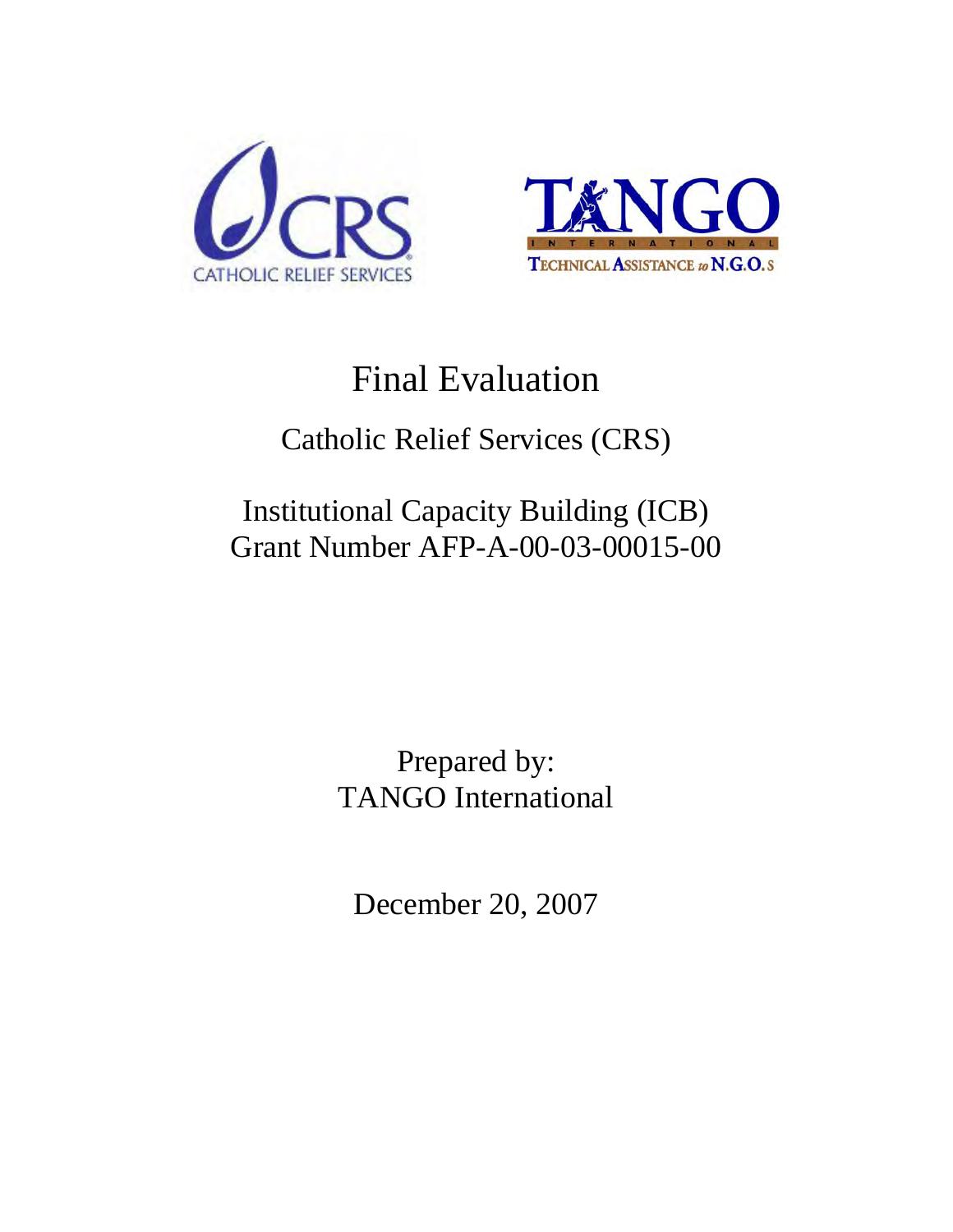



# Final Evaluation

## Catholic Relief Services (CRS)

## Institutional Capacity Building (ICB) Grant Number AFP-A-00-03-00015-00

Prepared by: TANGO International

December 20, 2007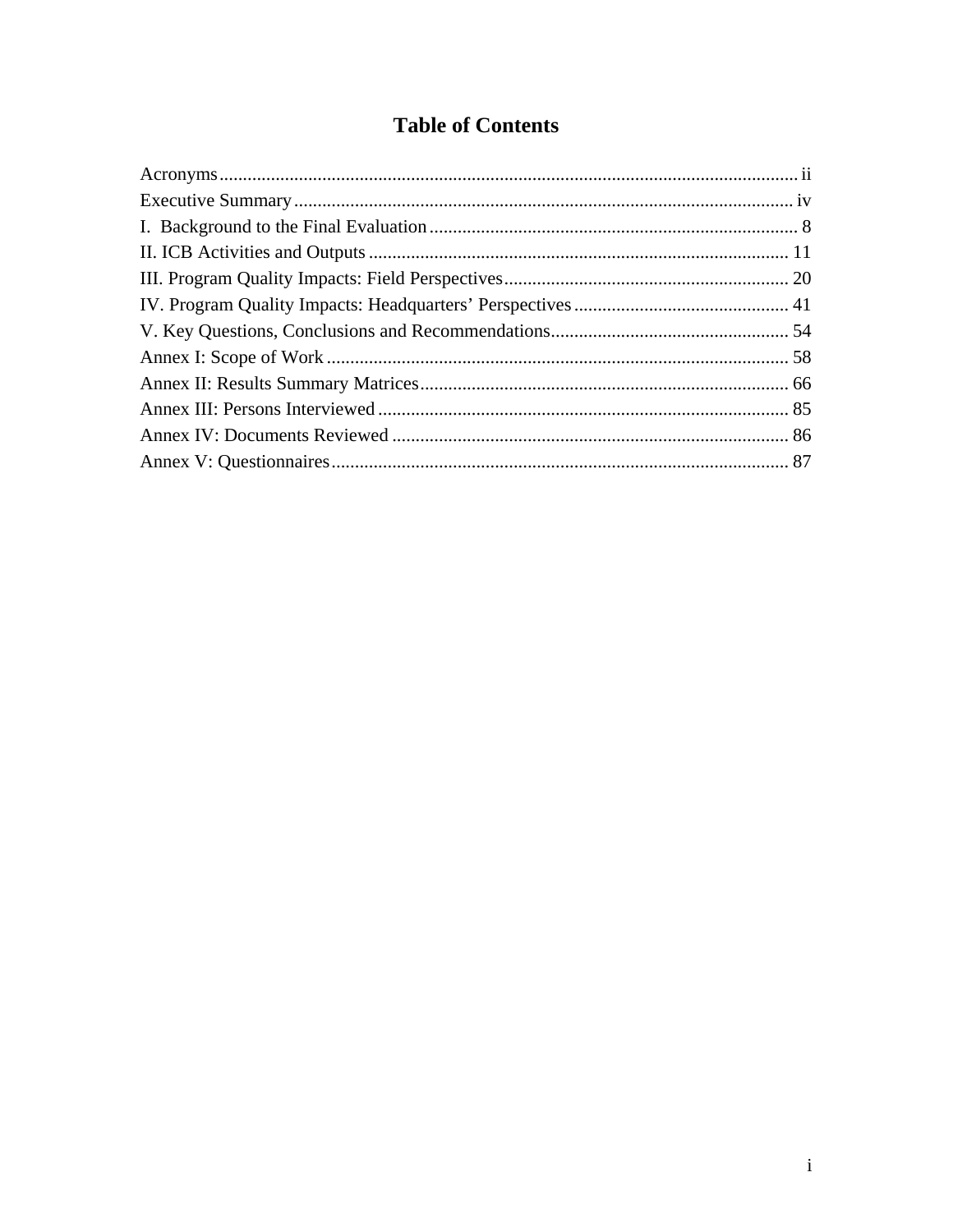## **Table of Contents**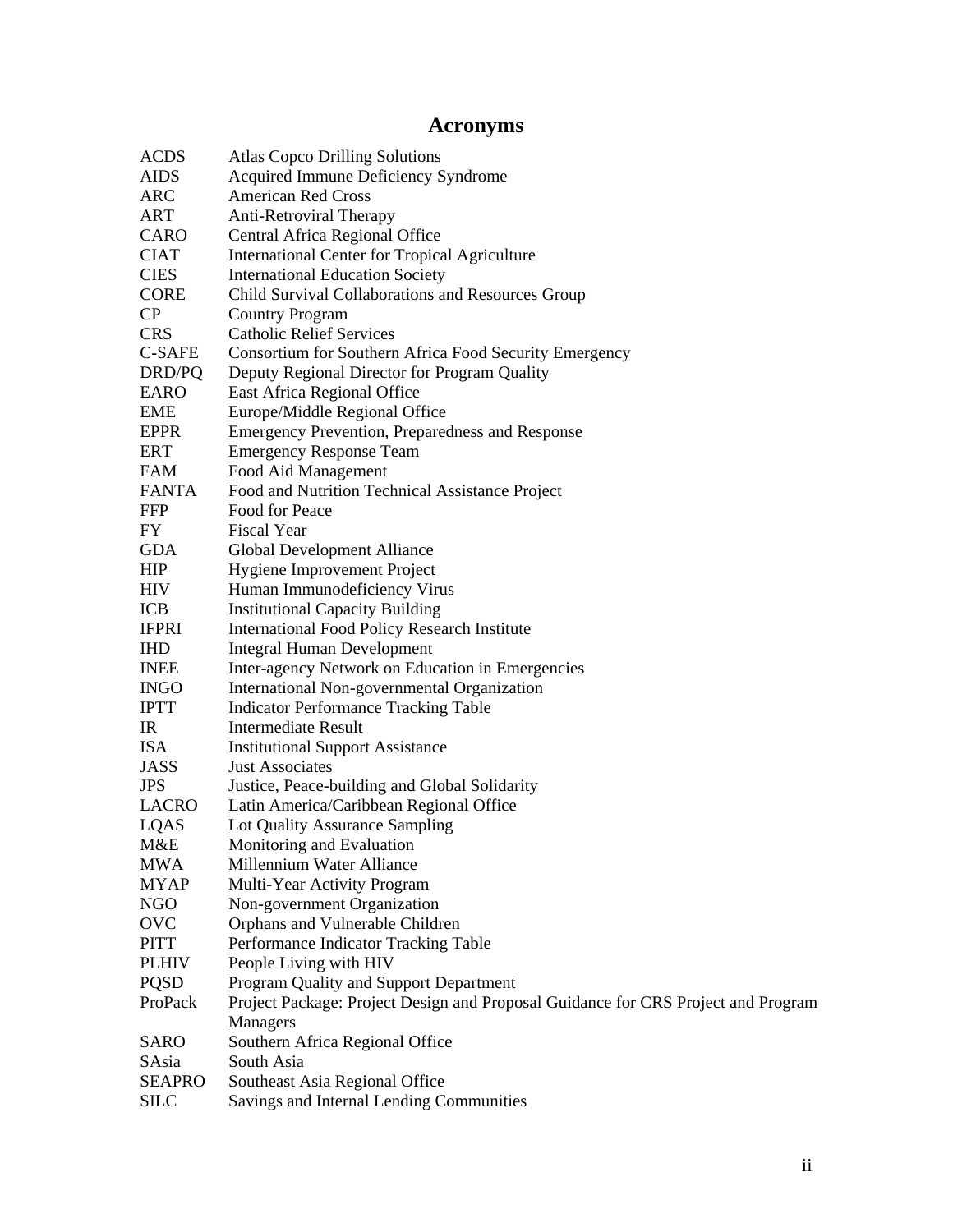## **Acronyms**

<span id="page-2-0"></span>

| <b>ACDS</b>   | <b>Atlas Copco Drilling Solutions</b>                                             |  |  |
|---------------|-----------------------------------------------------------------------------------|--|--|
| <b>AIDS</b>   | Acquired Immune Deficiency Syndrome                                               |  |  |
| ARC           | <b>American Red Cross</b>                                                         |  |  |
| ART           | <b>Anti-Retroviral Therapy</b>                                                    |  |  |
| CARO          | Central Africa Regional Office                                                    |  |  |
| <b>CIAT</b>   | International Center for Tropical Agriculture                                     |  |  |
| <b>CIES</b>   | <b>International Education Society</b>                                            |  |  |
| <b>CORE</b>   | Child Survival Collaborations and Resources Group                                 |  |  |
| CP            | <b>Country Program</b>                                                            |  |  |
| <b>CRS</b>    | <b>Catholic Relief Services</b>                                                   |  |  |
| <b>C-SAFE</b> | Consortium for Southern Africa Food Security Emergency                            |  |  |
| DRD/PQ        | Deputy Regional Director for Program Quality                                      |  |  |
| <b>EARO</b>   | East Africa Regional Office                                                       |  |  |
| <b>EME</b>    | Europe/Middle Regional Office                                                     |  |  |
| <b>EPPR</b>   | Emergency Prevention, Preparedness and Response                                   |  |  |
| <b>ERT</b>    | <b>Emergency Response Team</b>                                                    |  |  |
| <b>FAM</b>    | Food Aid Management                                                               |  |  |
| <b>FANTA</b>  | Food and Nutrition Technical Assistance Project                                   |  |  |
| <b>FFP</b>    | Food for Peace                                                                    |  |  |
| FY            | <b>Fiscal Year</b>                                                                |  |  |
| <b>GDA</b>    | Global Development Alliance                                                       |  |  |
| <b>HIP</b>    | Hygiene Improvement Project                                                       |  |  |
| <b>HIV</b>    | Human Immunodeficiency Virus                                                      |  |  |
| ICB           | <b>Institutional Capacity Building</b>                                            |  |  |
| <b>IFPRI</b>  | <b>International Food Policy Research Institute</b>                               |  |  |
| <b>IHD</b>    | <b>Integral Human Development</b>                                                 |  |  |
| <b>INEE</b>   | Inter-agency Network on Education in Emergencies                                  |  |  |
| <b>INGO</b>   | International Non-governmental Organization                                       |  |  |
| <b>IPTT</b>   | <b>Indicator Performance Tracking Table</b>                                       |  |  |
| IR            | <b>Intermediate Result</b>                                                        |  |  |
| <b>ISA</b>    | <b>Institutional Support Assistance</b>                                           |  |  |
| <b>JASS</b>   | <b>Just Associates</b>                                                            |  |  |
| <b>JPS</b>    | Justice, Peace-building and Global Solidarity                                     |  |  |
| LACRO         | Latin America/Caribbean Regional Office                                           |  |  |
| LQAS          | Lot Quality Assurance Sampling                                                    |  |  |
| M&E           | Monitoring and Evaluation                                                         |  |  |
| <b>MWA</b>    | Millennium Water Alliance                                                         |  |  |
| <b>MYAP</b>   | Multi-Year Activity Program                                                       |  |  |
| <b>NGO</b>    | Non-government Organization                                                       |  |  |
| OVC           | Orphans and Vulnerable Children                                                   |  |  |
| <b>PITT</b>   | Performance Indicator Tracking Table                                              |  |  |
| <b>PLHIV</b>  | People Living with HIV                                                            |  |  |
| <b>PQSD</b>   | Program Quality and Support Department                                            |  |  |
| ProPack       | Project Package: Project Design and Proposal Guidance for CRS Project and Program |  |  |
|               | Managers                                                                          |  |  |
| <b>SARO</b>   | Southern Africa Regional Office                                                   |  |  |
| SAsia         | South Asia                                                                        |  |  |
| <b>SEAPRO</b> | Southeast Asia Regional Office                                                    |  |  |
| <b>SILC</b>   | Savings and Internal Lending Communities                                          |  |  |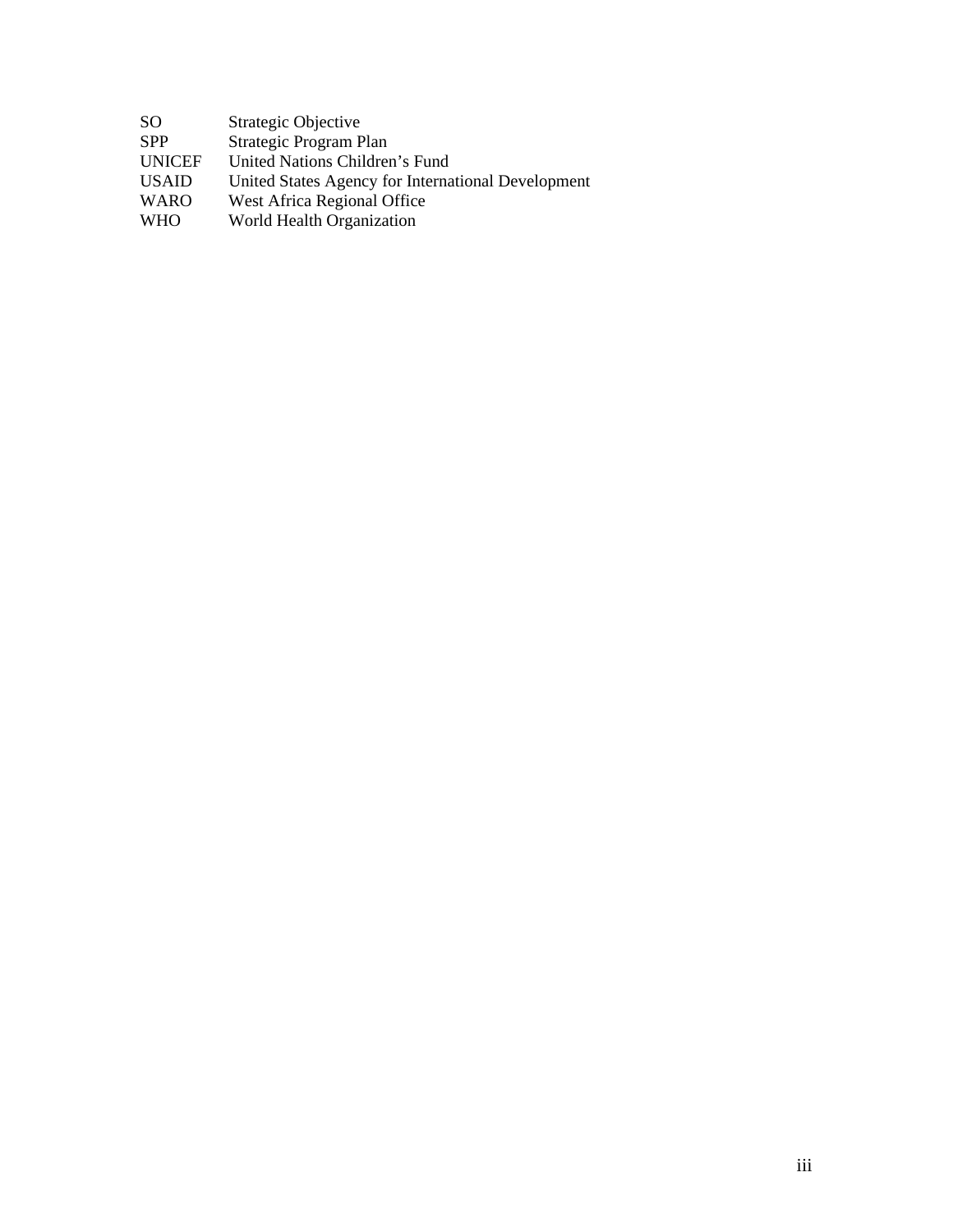| -SO           | Strategic Objective            |
|---------------|--------------------------------|
| <b>SPP</b>    | Strategic Program Plan         |
| <b>UNICEF</b> | United Nations Children's Fund |

USAID United States Agency for International Development

WARO West Africa Regional Office

WHO World Health Organization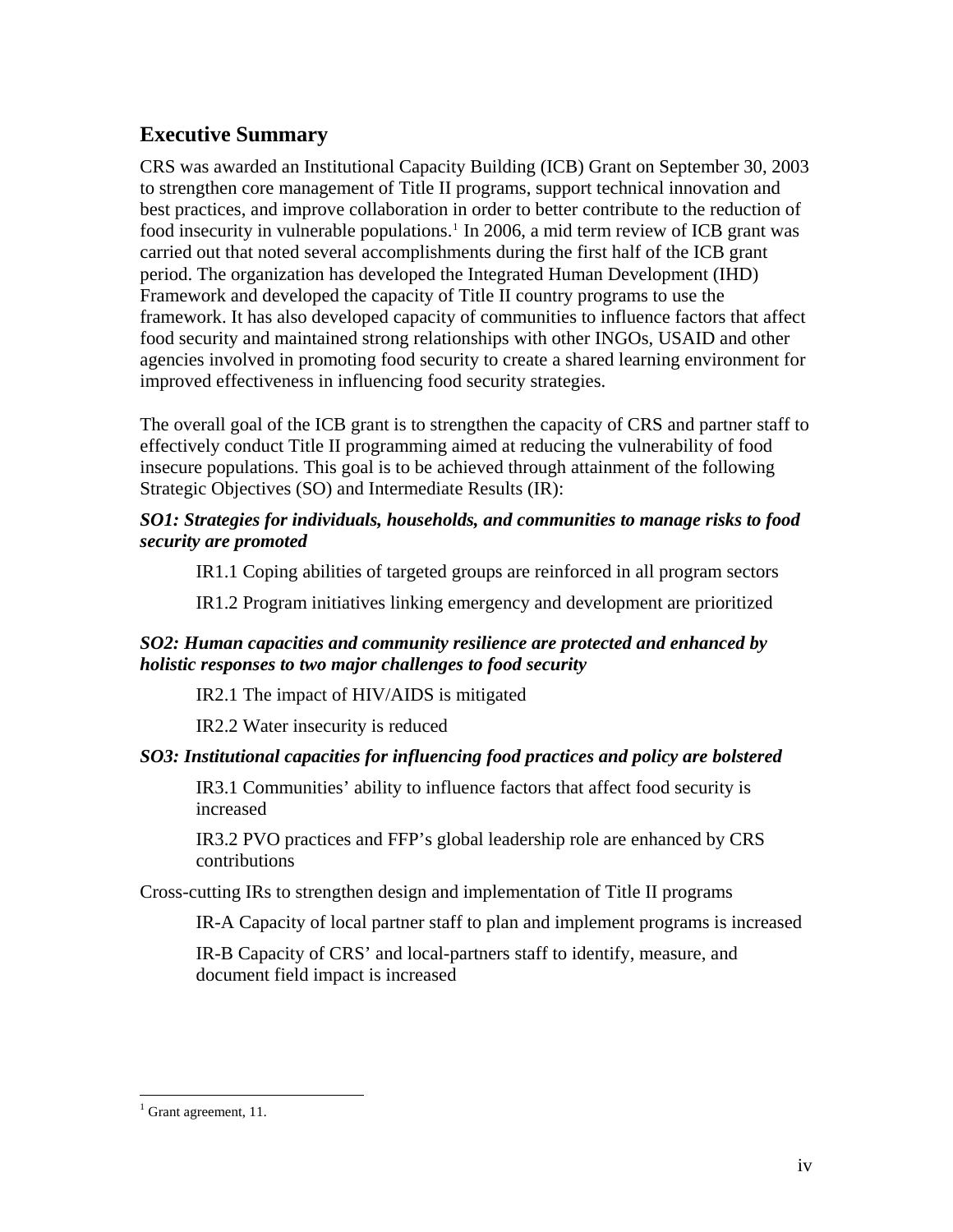### <span id="page-4-0"></span>**Executive Summary**

CRS was awarded an Institutional Capacity Building (ICB) Grant on September 30, 2003 to strengthen core management of Title II programs, support technical innovation and best practices, and improve collaboration in order to better contribute to the reduction of food insecurity in vulnerable populations.<sup>[1](#page-4-1)</sup> In 2006, a mid term review of ICB grant was carried out that noted several accomplishments during the first half of the ICB grant period. The organization has developed the Integrated Human Development (IHD) Framework and developed the capacity of Title II country programs to use the framework. It has also developed capacity of communities to influence factors that affect food security and maintained strong relationships with other INGOs, USAID and other agencies involved in promoting food security to create a shared learning environment for improved effectiveness in influencing food security strategies.

The overall goal of the ICB grant is to strengthen the capacity of CRS and partner staff to effectively conduct Title II programming aimed at reducing the vulnerability of food insecure populations. This goal is to be achieved through attainment of the following Strategic Objectives (SO) and Intermediate Results (IR):

#### *SO1: Strategies for individuals, households, and communities to manage risks to food security are promoted*

IR1.1 Coping abilities of targeted groups are reinforced in all program sectors

IR1.2 Program initiatives linking emergency and development are prioritized

#### *SO2: Human capacities and community resilience are protected and enhanced by holistic responses to two major challenges to food security*

IR2.1 The impact of HIV/AIDS is mitigated

IR2.2 Water insecurity is reduced

#### *SO3: Institutional capacities for influencing food practices and policy are bolstered*

IR3.1 Communities' ability to influence factors that affect food security is increased

IR3.2 PVO practices and FFP's global leadership role are enhanced by CRS contributions

Cross-cutting IRs to strengthen design and implementation of Title II programs

IR-A Capacity of local partner staff to plan and implement programs is increased

IR-B Capacity of CRS' and local-partners staff to identify, measure, and document field impact is increased

<span id="page-4-1"></span><sup>&</sup>lt;sup>1</sup> Grant agreement, 11.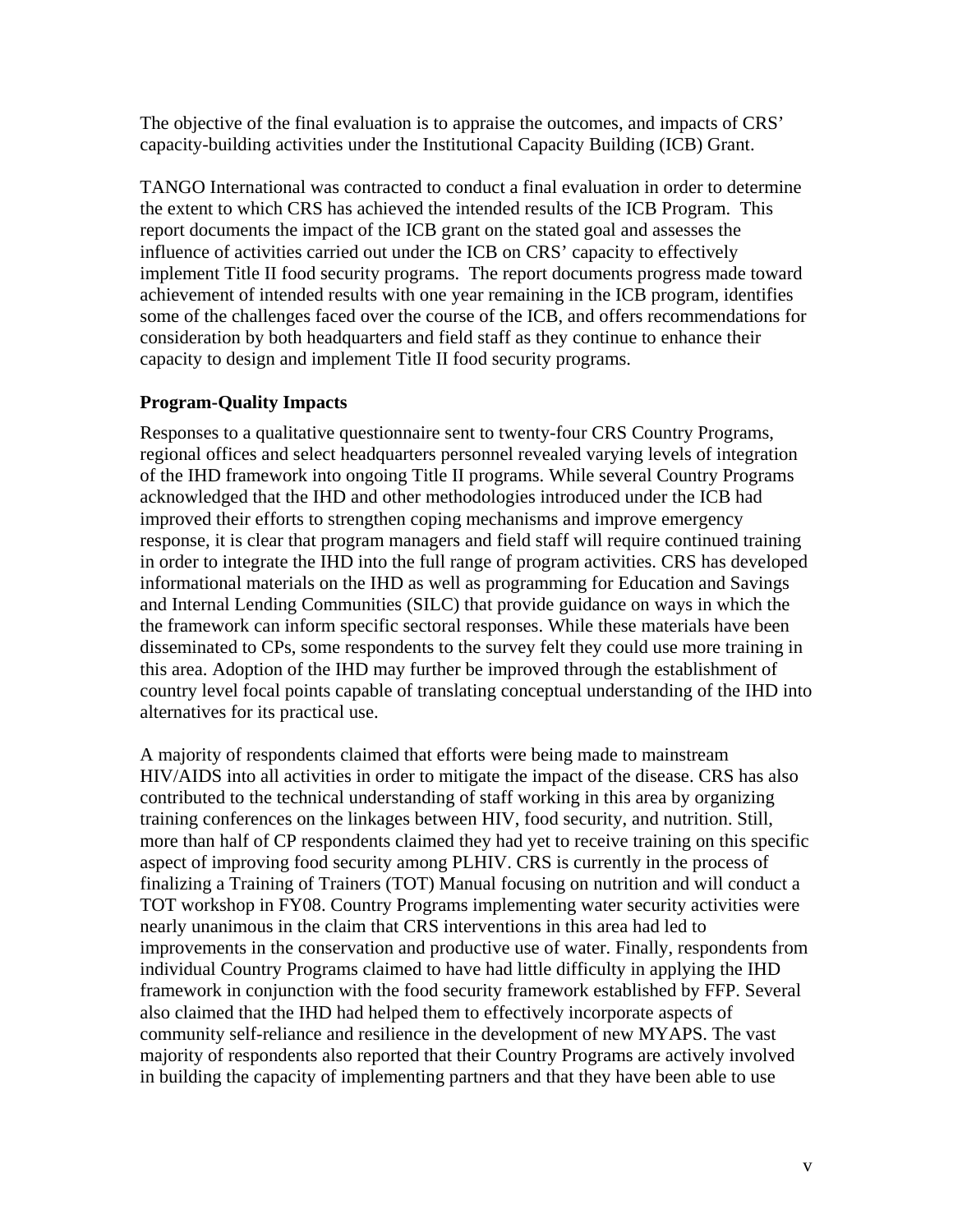The objective of the final evaluation is to appraise the outcomes, and impacts of CRS' capacity-building activities under the Institutional Capacity Building (ICB) Grant.

TANGO International was contracted to conduct a final evaluation in order to determine the extent to which CRS has achieved the intended results of the ICB Program. This report documents the impact of the ICB grant on the stated goal and assesses the influence of activities carried out under the ICB on CRS' capacity to effectively implement Title II food security programs. The report documents progress made toward achievement of intended results with one year remaining in the ICB program, identifies some of the challenges faced over the course of the ICB, and offers recommendations for consideration by both headquarters and field staff as they continue to enhance their capacity to design and implement Title II food security programs.

#### **Program-Quality Impacts**

Responses to a qualitative questionnaire sent to twenty-four CRS Country Programs, regional offices and select headquarters personnel revealed varying levels of integration of the IHD framework into ongoing Title II programs. While several Country Programs acknowledged that the IHD and other methodologies introduced under the ICB had improved their efforts to strengthen coping mechanisms and improve emergency response, it is clear that program managers and field staff will require continued training in order to integrate the IHD into the full range of program activities. CRS has developed informational materials on the IHD as well as programming for Education and Savings and Internal Lending Communities (SILC) that provide guidance on ways in which the the framework can inform specific sectoral responses. While these materials have been disseminated to CPs, some respondents to the survey felt they could use more training in this area. Adoption of the IHD may further be improved through the establishment of country level focal points capable of translating conceptual understanding of the IHD into alternatives for its practical use.

A majority of respondents claimed that efforts were being made to mainstream HIV/AIDS into all activities in order to mitigate the impact of the disease. CRS has also contributed to the technical understanding of staff working in this area by organizing training conferences on the linkages between HIV, food security, and nutrition. Still, more than half of CP respondents claimed they had yet to receive training on this specific aspect of improving food security among PLHIV. CRS is currently in the process of finalizing a Training of Trainers (TOT) Manual focusing on nutrition and will conduct a TOT workshop in FY08. Country Programs implementing water security activities were nearly unanimous in the claim that CRS interventions in this area had led to improvements in the conservation and productive use of water. Finally, respondents from individual Country Programs claimed to have had little difficulty in applying the IHD framework in conjunction with the food security framework established by FFP. Several also claimed that the IHD had helped them to effectively incorporate aspects of community self-reliance and resilience in the development of new MYAPS. The vast majority of respondents also reported that their Country Programs are actively involved in building the capacity of implementing partners and that they have been able to use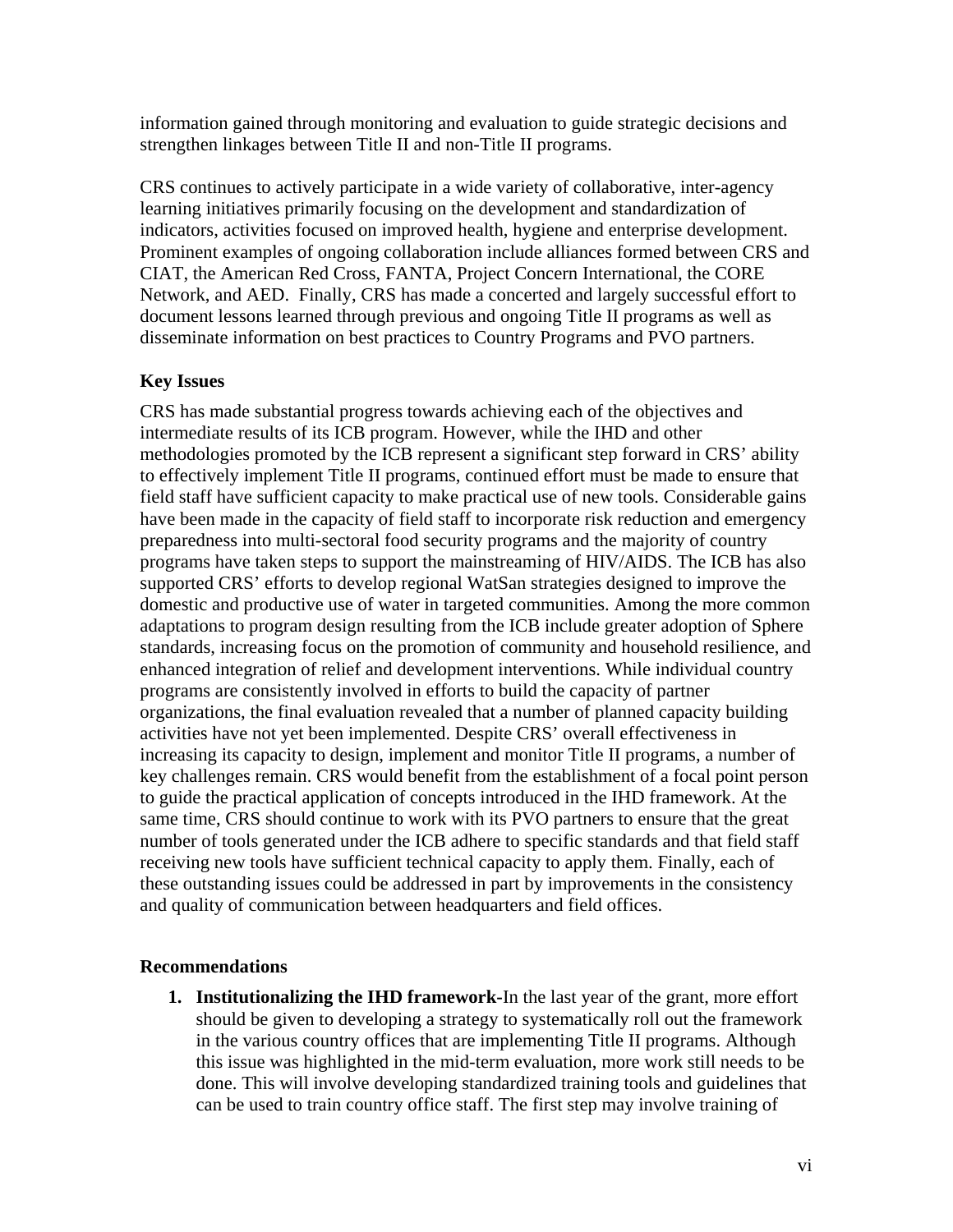information gained through monitoring and evaluation to guide strategic decisions and strengthen linkages between Title II and non-Title II programs.

CRS continues to actively participate in a wide variety of collaborative, inter-agency learning initiatives primarily focusing on the development and standardization of indicators, activities focused on improved health, hygiene and enterprise development. Prominent examples of ongoing collaboration include alliances formed between CRS and CIAT, the American Red Cross, FANTA, Project Concern International, the CORE Network, and AED. Finally, CRS has made a concerted and largely successful effort to document lessons learned through previous and ongoing Title II programs as well as disseminate information on best practices to Country Programs and PVO partners.

#### **Key Issues**

CRS has made substantial progress towards achieving each of the objectives and intermediate results of its ICB program. However, while the IHD and other methodologies promoted by the ICB represent a significant step forward in CRS' ability to effectively implement Title II programs, continued effort must be made to ensure that field staff have sufficient capacity to make practical use of new tools. Considerable gains have been made in the capacity of field staff to incorporate risk reduction and emergency preparedness into multi-sectoral food security programs and the majority of country programs have taken steps to support the mainstreaming of HIV/AIDS. The ICB has also supported CRS' efforts to develop regional WatSan strategies designed to improve the domestic and productive use of water in targeted communities. Among the more common adaptations to program design resulting from the ICB include greater adoption of Sphere standards, increasing focus on the promotion of community and household resilience, and enhanced integration of relief and development interventions. While individual country programs are consistently involved in efforts to build the capacity of partner organizations, the final evaluation revealed that a number of planned capacity building activities have not yet been implemented. Despite CRS' overall effectiveness in increasing its capacity to design, implement and monitor Title II programs, a number of key challenges remain. CRS would benefit from the establishment of a focal point person to guide the practical application of concepts introduced in the IHD framework. At the same time, CRS should continue to work with its PVO partners to ensure that the great number of tools generated under the ICB adhere to specific standards and that field staff receiving new tools have sufficient technical capacity to apply them. Finally, each of these outstanding issues could be addressed in part by improvements in the consistency and quality of communication between headquarters and field offices.

#### **Recommendations**

**1. Institutionalizing the IHD framework-**In the last year of the grant, more effort should be given to developing a strategy to systematically roll out the framework in the various country offices that are implementing Title II programs. Although this issue was highlighted in the mid-term evaluation, more work still needs to be done. This will involve developing standardized training tools and guidelines that can be used to train country office staff. The first step may involve training of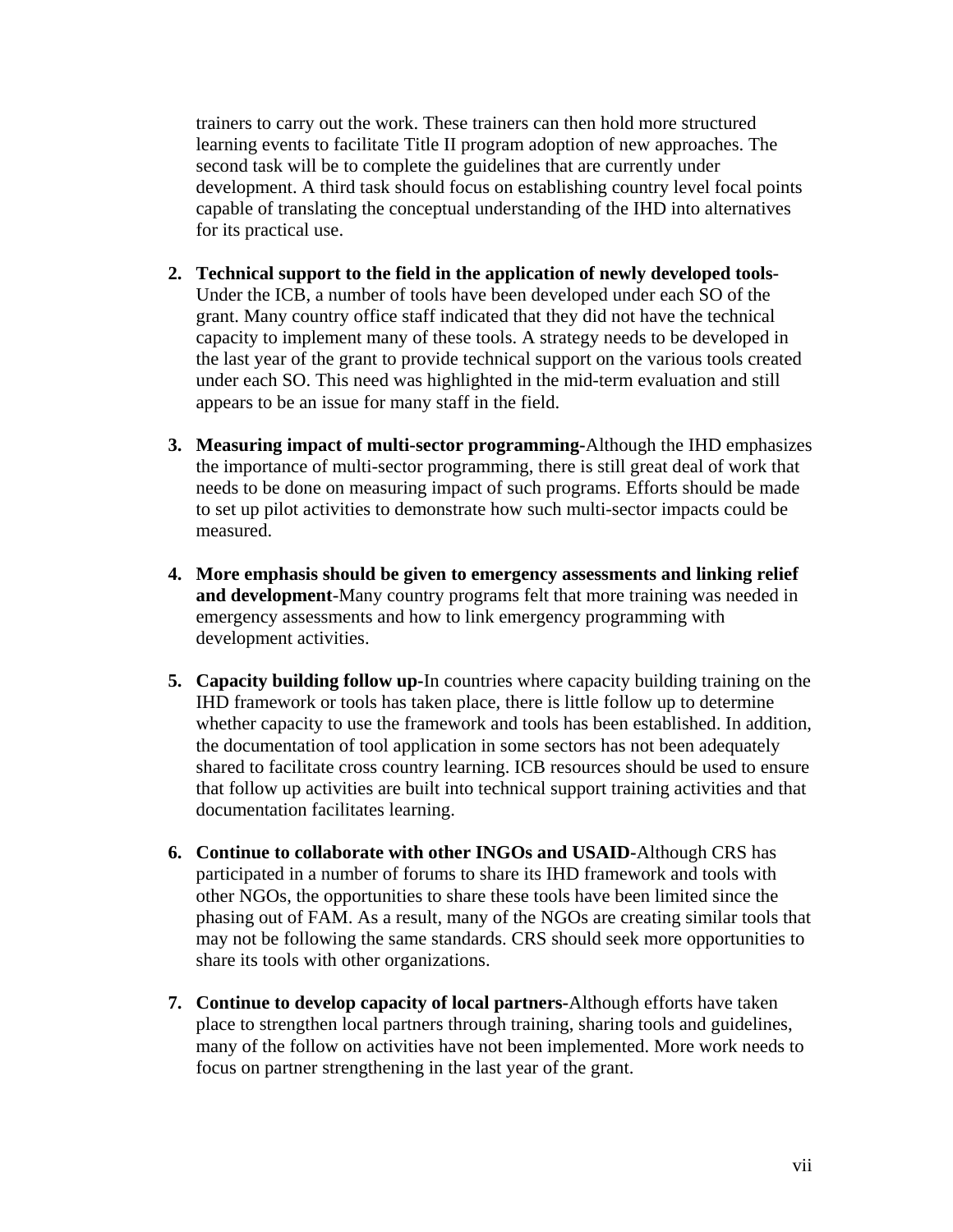trainers to carry out the work. These trainers can then hold more structured learning events to facilitate Title II program adoption of new approaches. The second task will be to complete the guidelines that are currently under development. A third task should focus on establishing country level focal points capable of translating the conceptual understanding of the IHD into alternatives for its practical use.

- **2. Technical support to the field in the application of newly developed tools-**Under the ICB, a number of tools have been developed under each SO of the grant. Many country office staff indicated that they did not have the technical capacity to implement many of these tools. A strategy needs to be developed in the last year of the grant to provide technical support on the various tools created under each SO. This need was highlighted in the mid-term evaluation and still appears to be an issue for many staff in the field.
- **3. Measuring impact of multi-sector programming-**Although the IHD emphasizes the importance of multi-sector programming, there is still great deal of work that needs to be done on measuring impact of such programs. Efforts should be made to set up pilot activities to demonstrate how such multi-sector impacts could be measured.
- **4. More emphasis should be given to emergency assessments and linking relief and development**-Many country programs felt that more training was needed in emergency assessments and how to link emergency programming with development activities.
- **5. Capacity building follow up-**In countries where capacity building training on the IHD framework or tools has taken place, there is little follow up to determine whether capacity to use the framework and tools has been established. In addition, the documentation of tool application in some sectors has not been adequately shared to facilitate cross country learning. ICB resources should be used to ensure that follow up activities are built into technical support training activities and that documentation facilitates learning.
- **6. Continue to collaborate with other INGOs and USAID-**Although CRS has participated in a number of forums to share its IHD framework and tools with other NGOs, the opportunities to share these tools have been limited since the phasing out of FAM. As a result, many of the NGOs are creating similar tools that may not be following the same standards. CRS should seek more opportunities to share its tools with other organizations.
- **7. Continue to develop capacity of local partners-**Although efforts have taken place to strengthen local partners through training, sharing tools and guidelines, many of the follow on activities have not been implemented. More work needs to focus on partner strengthening in the last year of the grant.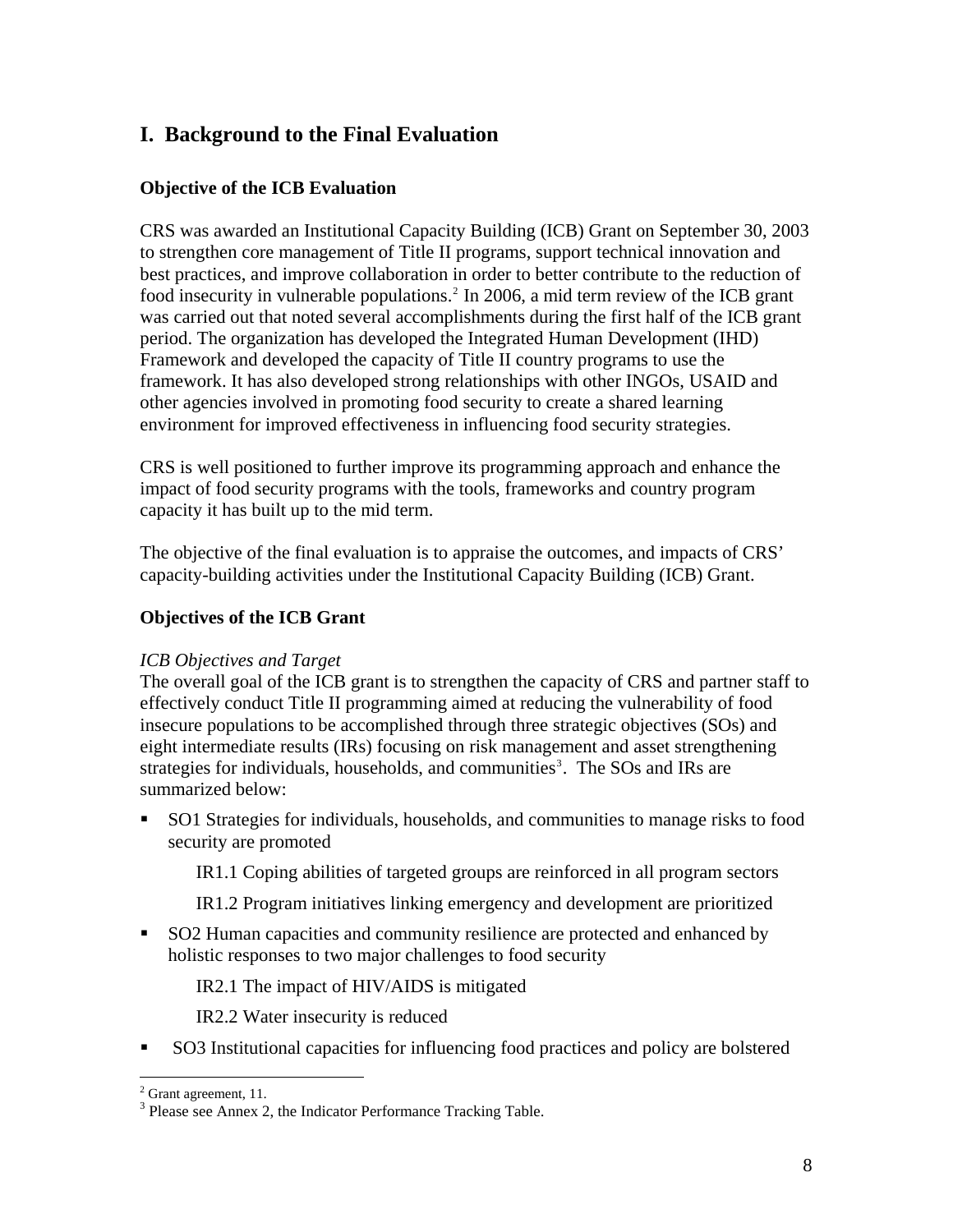## <span id="page-8-0"></span>**I. Background to the Final Evaluation**

#### **Objective of the ICB Evaluation**

CRS was awarded an Institutional Capacity Building (ICB) Grant on September 30, 2003 to strengthen core management of Title II programs, support technical innovation and best practices, and improve collaboration in order to better contribute to the reduction of food insecurity in vulnerable populations.<sup>[2](#page-8-1)</sup> In 2006, a mid term review of the ICB grant was carried out that noted several accomplishments during the first half of the ICB grant period. The organization has developed the Integrated Human Development (IHD) Framework and developed the capacity of Title II country programs to use the framework. It has also developed strong relationships with other INGOs, USAID and other agencies involved in promoting food security to create a shared learning environment for improved effectiveness in influencing food security strategies.

CRS is well positioned to further improve its programming approach and enhance the impact of food security programs with the tools, frameworks and country program capacity it has built up to the mid term.

The objective of the final evaluation is to appraise the outcomes, and impacts of CRS' capacity-building activities under the Institutional Capacity Building (ICB) Grant.

#### **Objectives of the ICB Grant**

#### *ICB Objectives and Target*

The overall goal of the ICB grant is to strengthen the capacity of CRS and partner staff to effectively conduct Title II programming aimed at reducing the vulnerability of food insecure populations to be accomplished through three strategic objectives (SOs) and eight intermediate results (IRs) focusing on risk management and asset strengthening strategies for individuals, households, and communities<sup>[3](#page-8-2)</sup>. The SOs and IRs are summarized below:

 SO1 Strategies for individuals, households, and communities to manage risks to food security are promoted

IR1.1 Coping abilities of targeted groups are reinforced in all program sectors

- IR1.2 Program initiatives linking emergency and development are prioritized
- SO2 Human capacities and community resilience are protected and enhanced by holistic responses to two major challenges to food security

IR2.1 The impact of HIV/AIDS is mitigated

IR2.2 Water insecurity is reduced

SO3 Institutional capacities for influencing food practices and policy are bolstered

<span id="page-8-1"></span> $2^{2}$  Grant agreement, 11.

<span id="page-8-2"></span><sup>&</sup>lt;sup>3</sup> Please see Annex 2, the Indicator Performance Tracking Table.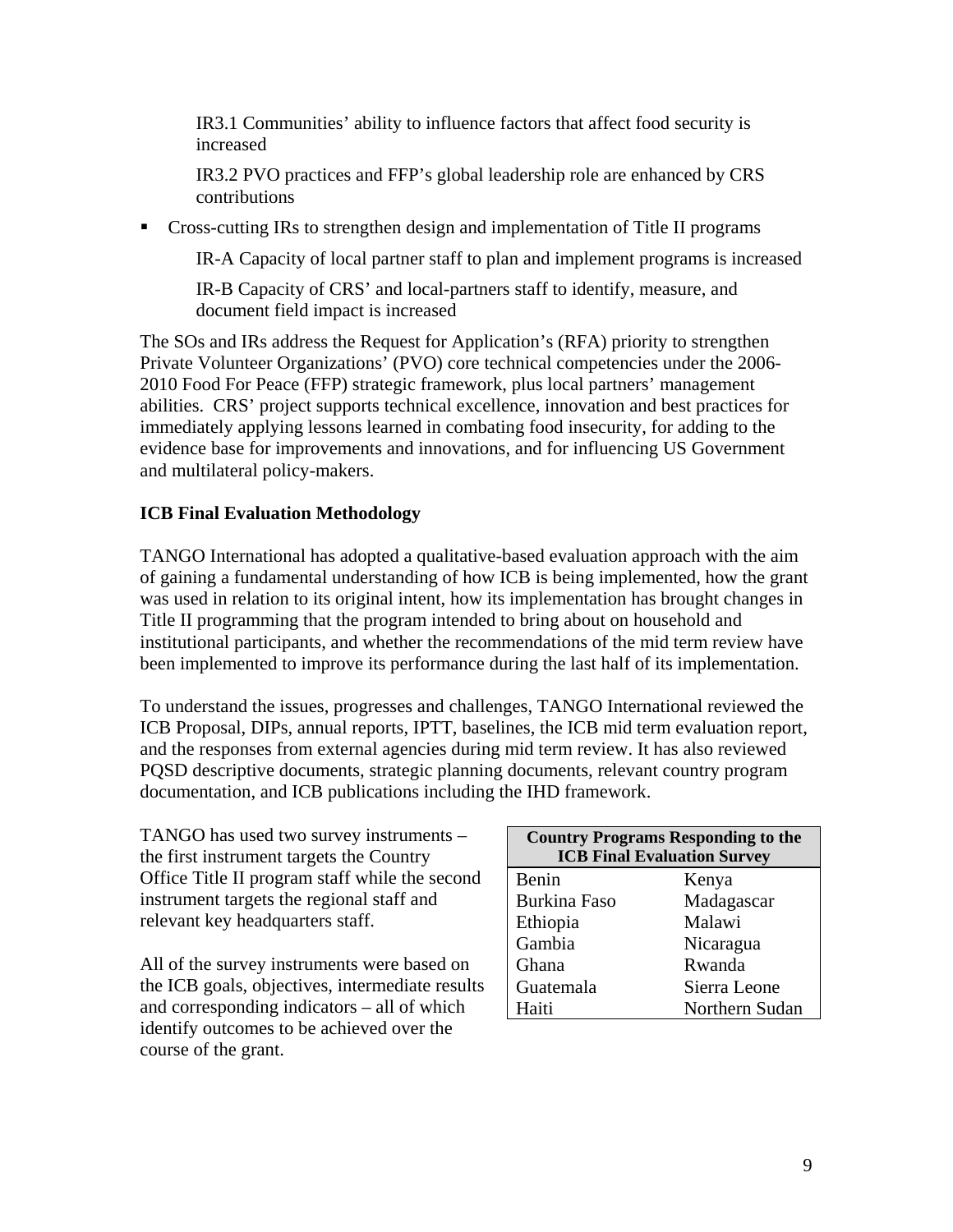IR3.1 Communities' ability to influence factors that affect food security is increased

IR3.2 PVO practices and FFP's global leadership role are enhanced by CRS contributions

Cross-cutting IRs to strengthen design and implementation of Title II programs

IR-A Capacity of local partner staff to plan and implement programs is increased

IR-B Capacity of CRS' and local-partners staff to identify, measure, and document field impact is increased

The SOs and IRs address the Request for Application's (RFA) priority to strengthen Private Volunteer Organizations' (PVO) core technical competencies under the 2006- 2010 Food For Peace (FFP) strategic framework, plus local partners' management abilities. CRS' project supports technical excellence, innovation and best practices for immediately applying lessons learned in combating food insecurity, for adding to the evidence base for improvements and innovations, and for influencing US Government and multilateral policy-makers.

### **ICB Final Evaluation Methodology**

TANGO International has adopted a qualitative-based evaluation approach with the aim of gaining a fundamental understanding of how ICB is being implemented, how the grant was used in relation to its original intent, how its implementation has brought changes in Title II programming that the program intended to bring about on household and institutional participants, and whether the recommendations of the mid term review have been implemented to improve its performance during the last half of its implementation.

To understand the issues, progresses and challenges, TANGO International reviewed the ICB Proposal, DIPs, annual reports, IPTT, baselines, the ICB mid term evaluation report, and the responses from external agencies during mid term review. It has also reviewed PQSD descriptive documents, strategic planning documents, relevant country program documentation, and ICB publications including the IHD framework.

TANGO has used two survey instruments – the first instrument targets the Country Office Title II program staff while the second instrument targets the regional staff and relevant key headquarters staff.

All of the survey instruments were based on the ICB goals, objectives, intermediate results and corresponding indicators – all of which identify outcomes to be achieved over the course of the grant.

| <b>Country Programs Responding to the</b><br><b>ICB Final Evaluation Survey</b> |                |  |  |
|---------------------------------------------------------------------------------|----------------|--|--|
| Benin                                                                           | Kenya          |  |  |
| <b>Burkina Faso</b>                                                             | Madagascar     |  |  |
| Ethiopia                                                                        | Malawi         |  |  |
| Gambia                                                                          | Nicaragua      |  |  |
| Ghana                                                                           | Rwanda         |  |  |
| Guatemala                                                                       | Sierra Leone   |  |  |
| Haiti                                                                           | Northern Sudan |  |  |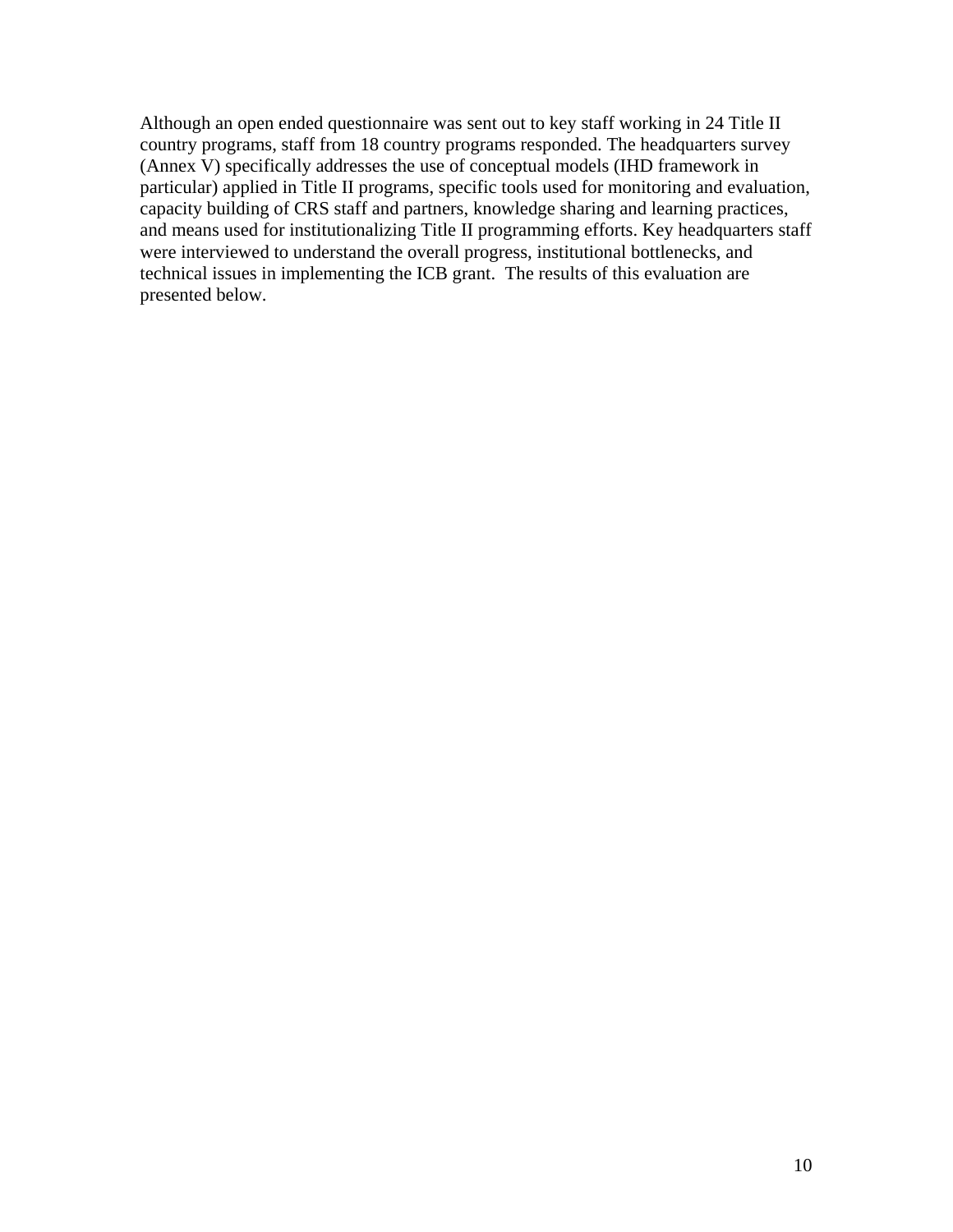Although an open ended questionnaire was sent out to key staff working in 24 Title II country programs, staff from 18 country programs responded. The headquarters survey (Annex V) specifically addresses the use of conceptual models (IHD framework in particular) applied in Title II programs, specific tools used for monitoring and evaluation, capacity building of CRS staff and partners, knowledge sharing and learning practices, and means used for institutionalizing Title II programming efforts. Key headquarters staff were interviewed to understand the overall progress, institutional bottlenecks, and technical issues in implementing the ICB grant. The results of this evaluation are presented below.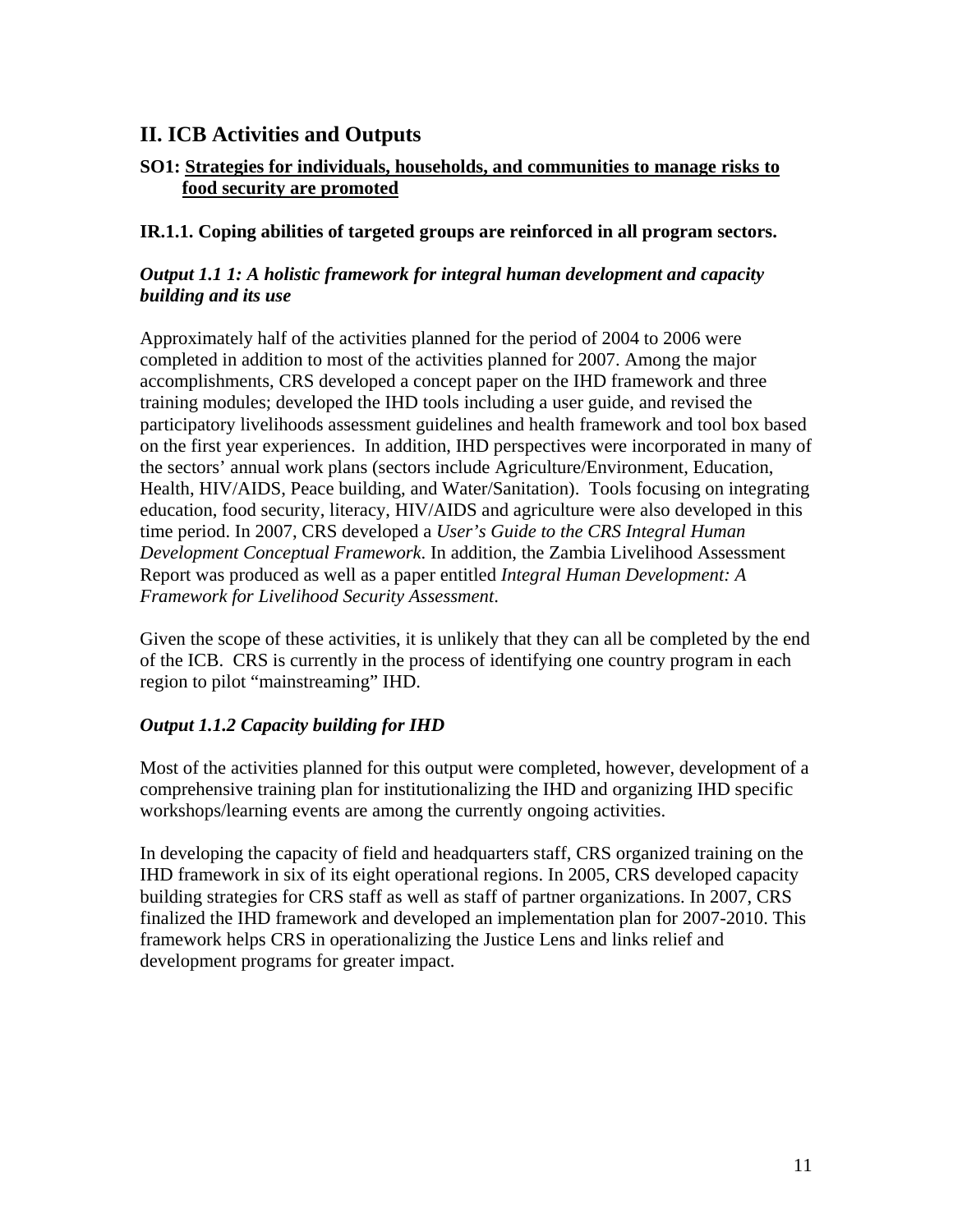## <span id="page-11-0"></span>**II. ICB Activities and Outputs**

#### **SO1: Strategies for individuals, households, and communities to manage risks to food security are promoted**

#### **IR.1.1. Coping abilities of targeted groups are reinforced in all program sectors.**

#### *Output 1.1 1: A holistic framework for integral human development and capacity building and its use*

Approximately half of the activities planned for the period of 2004 to 2006 were completed in addition to most of the activities planned for 2007. Among the major accomplishments, CRS developed a concept paper on the IHD framework and three training modules; developed the IHD tools including a user guide, and revised the participatory livelihoods assessment guidelines and health framework and tool box based on the first year experiences. In addition, IHD perspectives were incorporated in many of the sectors' annual work plans (sectors include Agriculture/Environment, Education, Health, HIV/AIDS, Peace building, and Water/Sanitation). Tools focusing on integrating education, food security, literacy, HIV/AIDS and agriculture were also developed in this time period. In 2007, CRS developed a *User's Guide to the CRS Integral Human Development Conceptual Framework*. In addition, the Zambia Livelihood Assessment Report was produced as well as a paper entitled *Integral Human Development: A Framework for Livelihood Security Assessment*.

Given the scope of these activities, it is unlikely that they can all be completed by the end of the ICB. CRS is currently in the process of identifying one country program in each region to pilot "mainstreaming" IHD.

#### *Output 1.1.2 Capacity building for IHD*

Most of the activities planned for this output were completed, however, development of a comprehensive training plan for institutionalizing the IHD and organizing IHD specific workshops/learning events are among the currently ongoing activities.

In developing the capacity of field and headquarters staff, CRS organized training on the IHD framework in six of its eight operational regions. In 2005, CRS developed capacity building strategies for CRS staff as well as staff of partner organizations. In 2007, CRS finalized the IHD framework and developed an implementation plan for 2007-2010. This framework helps CRS in operationalizing the Justice Lens and links relief and development programs for greater impact.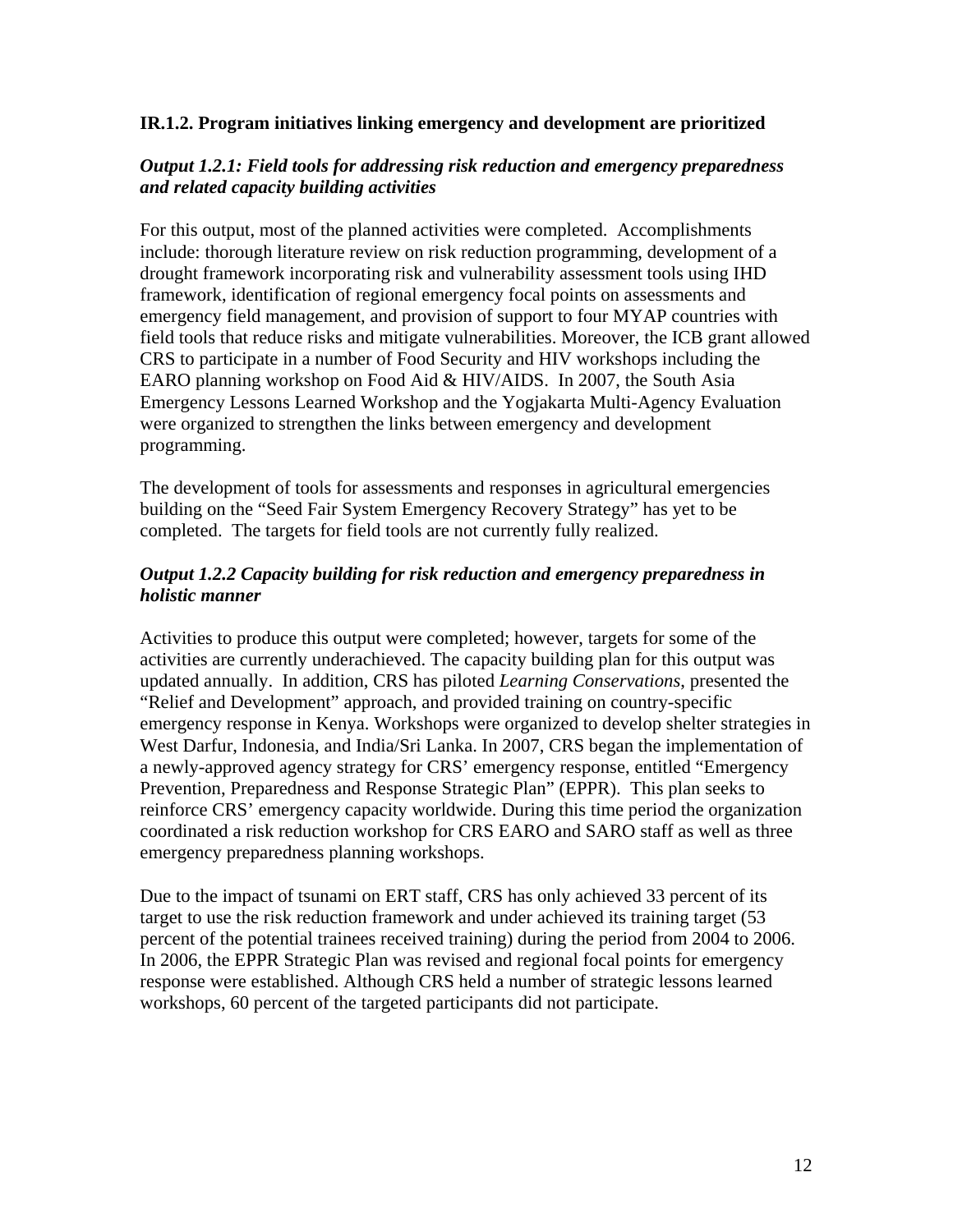#### **IR.1.2. Program initiatives linking emergency and development are prioritized**

#### *Output 1.2.1: Field tools for addressing risk reduction and emergency preparedness and related capacity building activities*

For this output, most of the planned activities were completed. Accomplishments include: thorough literature review on risk reduction programming, development of a drought framework incorporating risk and vulnerability assessment tools using IHD framework, identification of regional emergency focal points on assessments and emergency field management, and provision of support to four MYAP countries with field tools that reduce risks and mitigate vulnerabilities. Moreover, the ICB grant allowed CRS to participate in a number of Food Security and HIV workshops including the EARO planning workshop on Food Aid & HIV/AIDS. In 2007, the South Asia Emergency Lessons Learned Workshop and the Yogjakarta Multi-Agency Evaluation were organized to strengthen the links between emergency and development programming.

The development of tools for assessments and responses in agricultural emergencies building on the "Seed Fair System Emergency Recovery Strategy" has yet to be completed. The targets for field tools are not currently fully realized.

#### *Output 1.2.2 Capacity building for risk reduction and emergency preparedness in holistic manner*

Activities to produce this output were completed; however, targets for some of the activities are currently underachieved. The capacity building plan for this output was updated annually. In addition, CRS has piloted *Learning Conservations*, presented the "Relief and Development" approach, and provided training on country-specific emergency response in Kenya. Workshops were organized to develop shelter strategies in West Darfur, Indonesia, and India/Sri Lanka. In 2007, CRS began the implementation of a newly-approved agency strategy for CRS' emergency response, entitled "Emergency Prevention, Preparedness and Response Strategic Plan" (EPPR). This plan seeks to reinforce CRS' emergency capacity worldwide. During this time period the organization coordinated a risk reduction workshop for CRS EARO and SARO staff as well as three emergency preparedness planning workshops.

Due to the impact of tsunami on ERT staff, CRS has only achieved 33 percent of its target to use the risk reduction framework and under achieved its training target (53 percent of the potential trainees received training) during the period from 2004 to 2006. In 2006, the EPPR Strategic Plan was revised and regional focal points for emergency response were established. Although CRS held a number of strategic lessons learned workshops, 60 percent of the targeted participants did not participate.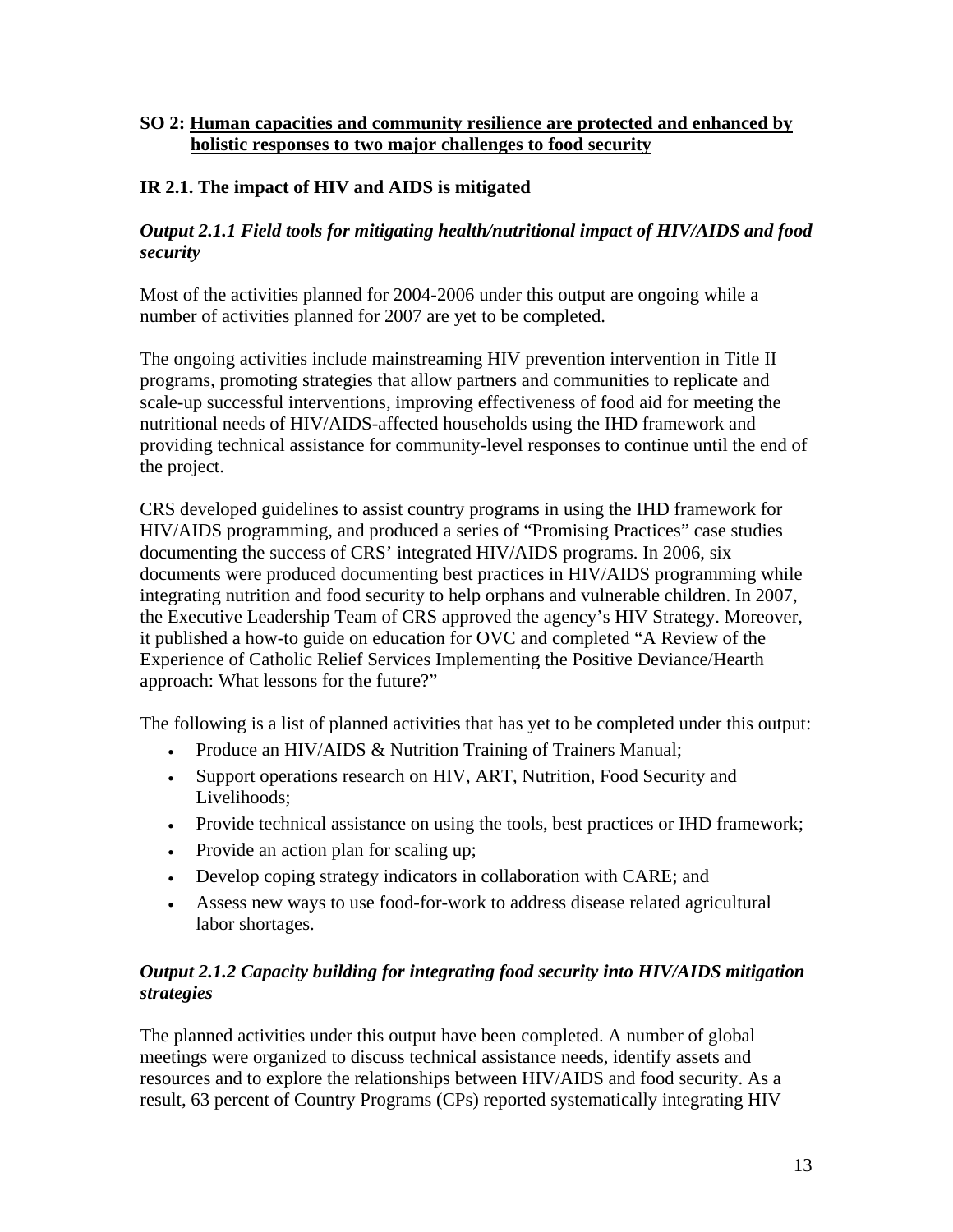#### **SO 2: Human capacities and community resilience are protected and enhanced by holistic responses to two major challenges to food security**

#### **IR 2.1. The impact of HIV and AIDS is mitigated**

#### *Output 2.1.1 Field tools for mitigating health/nutritional impact of HIV/AIDS and food security*

Most of the activities planned for 2004-2006 under this output are ongoing while a number of activities planned for 2007 are yet to be completed.

The ongoing activities include mainstreaming HIV prevention intervention in Title II programs, promoting strategies that allow partners and communities to replicate and scale-up successful interventions, improving effectiveness of food aid for meeting the nutritional needs of HIV/AIDS-affected households using the IHD framework and providing technical assistance for community-level responses to continue until the end of the project.

CRS developed guidelines to assist country programs in using the IHD framework for HIV/AIDS programming, and produced a series of "Promising Practices" case studies documenting the success of CRS' integrated HIV/AIDS programs. In 2006, six documents were produced documenting best practices in HIV/AIDS programming while integrating nutrition and food security to help orphans and vulnerable children. In 2007, the Executive Leadership Team of CRS approved the agency's HIV Strategy. Moreover, it published a how-to guide on education for OVC and completed "A Review of the Experience of Catholic Relief Services Implementing the Positive Deviance/Hearth approach: What lessons for the future?"

The following is a list of planned activities that has yet to be completed under this output:

- Produce an HIV/AIDS & Nutrition Training of Trainers Manual;
- Support operations research on HIV, ART, Nutrition, Food Security and Livelihoods;
- Provide technical assistance on using the tools, best practices or IHD framework;
- Provide an action plan for scaling up;
- Develop coping strategy indicators in collaboration with CARE; and
- Assess new ways to use food-for-work to address disease related agricultural labor shortages.

#### *Output 2.1.2 Capacity building for integrating food security into HIV/AIDS mitigation strategies*

The planned activities under this output have been completed. A number of global meetings were organized to discuss technical assistance needs, identify assets and resources and to explore the relationships between HIV/AIDS and food security. As a result, 63 percent of Country Programs (CPs) reported systematically integrating HIV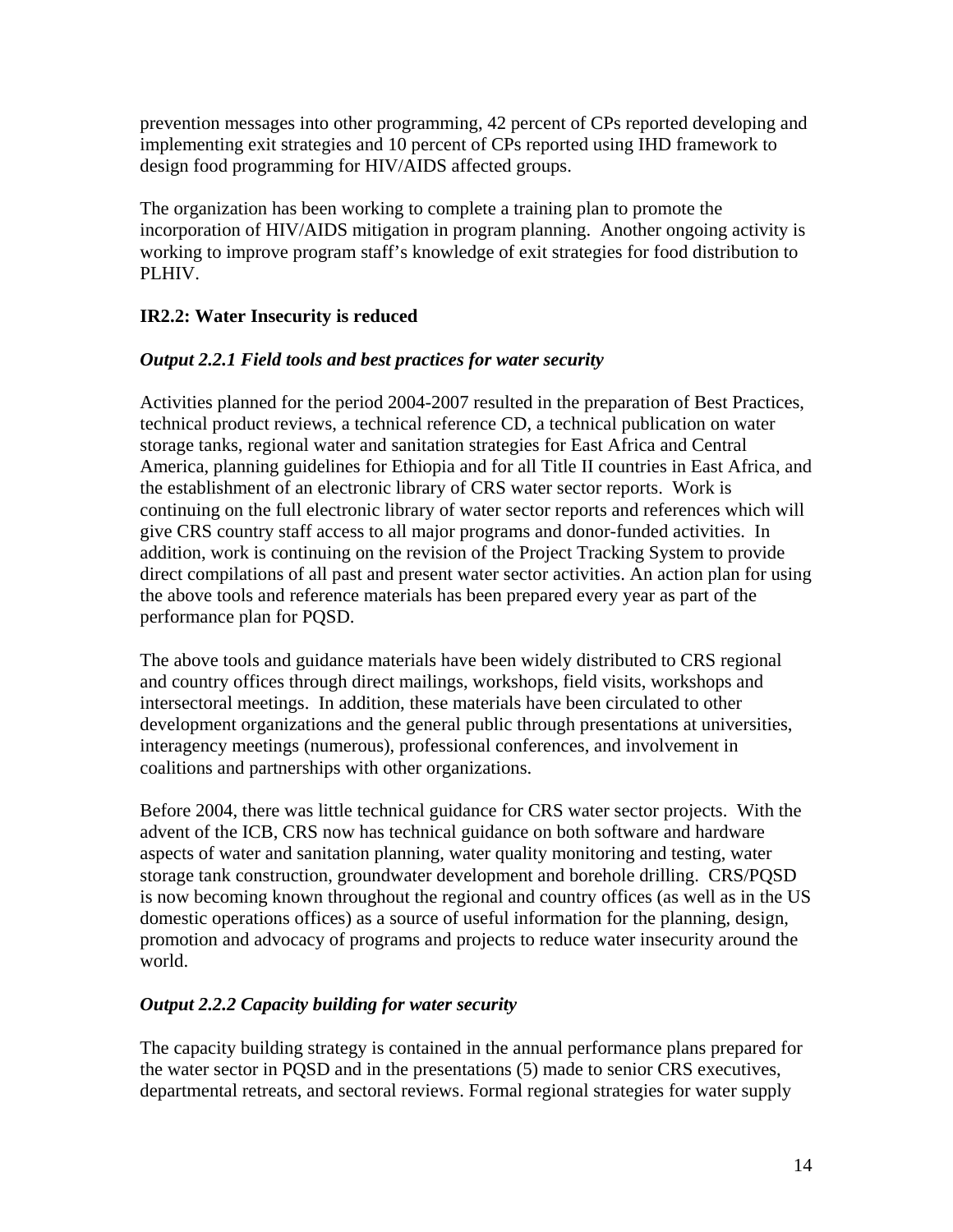prevention messages into other programming, 42 percent of CPs reported developing and implementing exit strategies and 10 percent of CPs reported using IHD framework to design food programming for HIV/AIDS affected groups.

The organization has been working to complete a training plan to promote the incorporation of HIV/AIDS mitigation in program planning. Another ongoing activity is working to improve program staff's knowledge of exit strategies for food distribution to PLHIV.

#### **IR2.2: Water Insecurity is reduced**

#### *Output 2.2.1 Field tools and best practices for water security*

Activities planned for the period 2004-2007 resulted in the preparation of Best Practices, technical product reviews, a technical reference CD, a technical publication on water storage tanks, regional water and sanitation strategies for East Africa and Central America, planning guidelines for Ethiopia and for all Title II countries in East Africa, and the establishment of an electronic library of CRS water sector reports. Work is continuing on the full electronic library of water sector reports and references which will give CRS country staff access to all major programs and donor-funded activities. In addition, work is continuing on the revision of the Project Tracking System to provide direct compilations of all past and present water sector activities. An action plan for using the above tools and reference materials has been prepared every year as part of the performance plan for PQSD.

The above tools and guidance materials have been widely distributed to CRS regional and country offices through direct mailings, workshops, field visits, workshops and intersectoral meetings. In addition, these materials have been circulated to other development organizations and the general public through presentations at universities, interagency meetings (numerous), professional conferences, and involvement in coalitions and partnerships with other organizations.

Before 2004, there was little technical guidance for CRS water sector projects. With the advent of the ICB, CRS now has technical guidance on both software and hardware aspects of water and sanitation planning, water quality monitoring and testing, water storage tank construction, groundwater development and borehole drilling. CRS/PQSD is now becoming known throughout the regional and country offices (as well as in the US domestic operations offices) as a source of useful information for the planning, design, promotion and advocacy of programs and projects to reduce water insecurity around the world.

#### *Output 2.2.2 Capacity building for water security*

The capacity building strategy is contained in the annual performance plans prepared for the water sector in PQSD and in the presentations (5) made to senior CRS executives, departmental retreats, and sectoral reviews. Formal regional strategies for water supply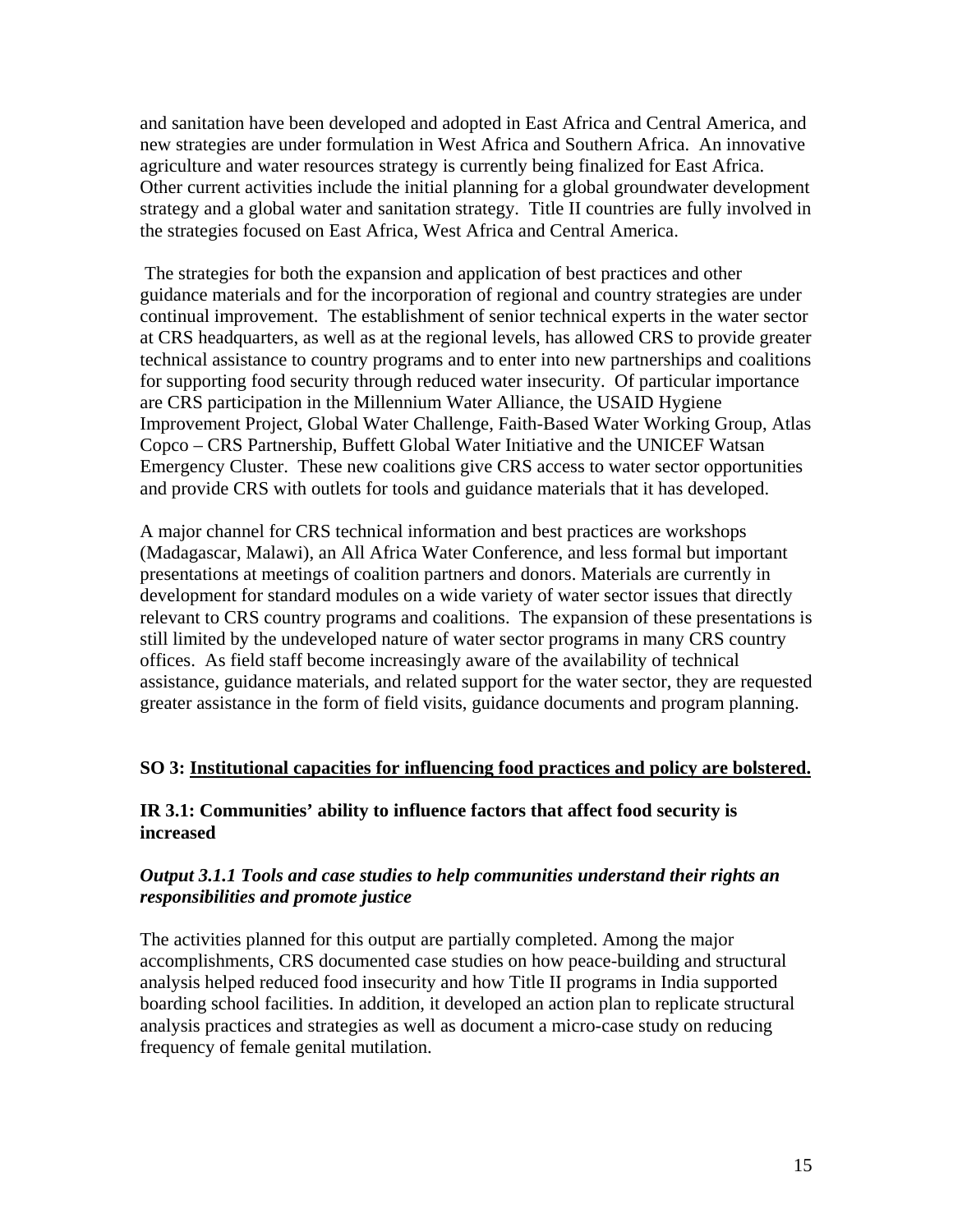and sanitation have been developed and adopted in East Africa and Central America, and new strategies are under formulation in West Africa and Southern Africa. An innovative agriculture and water resources strategy is currently being finalized for East Africa. Other current activities include the initial planning for a global groundwater development strategy and a global water and sanitation strategy. Title II countries are fully involved in the strategies focused on East Africa, West Africa and Central America.

 The strategies for both the expansion and application of best practices and other guidance materials and for the incorporation of regional and country strategies are under continual improvement. The establishment of senior technical experts in the water sector at CRS headquarters, as well as at the regional levels, has allowed CRS to provide greater technical assistance to country programs and to enter into new partnerships and coalitions for supporting food security through reduced water insecurity. Of particular importance are CRS participation in the Millennium Water Alliance, the USAID Hygiene Improvement Project, Global Water Challenge, Faith-Based Water Working Group, Atlas Copco – CRS Partnership, Buffett Global Water Initiative and the UNICEF Watsan Emergency Cluster. These new coalitions give CRS access to water sector opportunities and provide CRS with outlets for tools and guidance materials that it has developed.

A major channel for CRS technical information and best practices are workshops (Madagascar, Malawi), an All Africa Water Conference, and less formal but important presentations at meetings of coalition partners and donors. Materials are currently in development for standard modules on a wide variety of water sector issues that directly relevant to CRS country programs and coalitions. The expansion of these presentations is still limited by the undeveloped nature of water sector programs in many CRS country offices. As field staff become increasingly aware of the availability of technical assistance, guidance materials, and related support for the water sector, they are requested greater assistance in the form of field visits, guidance documents and program planning.

#### **SO 3: Institutional capacities for influencing food practices and policy are bolstered.**

#### **IR 3.1: Communities' ability to influence factors that affect food security is increased**

#### *Output 3.1.1 Tools and case studies to help communities understand their rights an responsibilities and promote justice*

The activities planned for this output are partially completed. Among the major accomplishments, CRS documented case studies on how peace-building and structural analysis helped reduced food insecurity and how Title II programs in India supported boarding school facilities. In addition, it developed an action plan to replicate structural analysis practices and strategies as well as document a micro-case study on reducing frequency of female genital mutilation.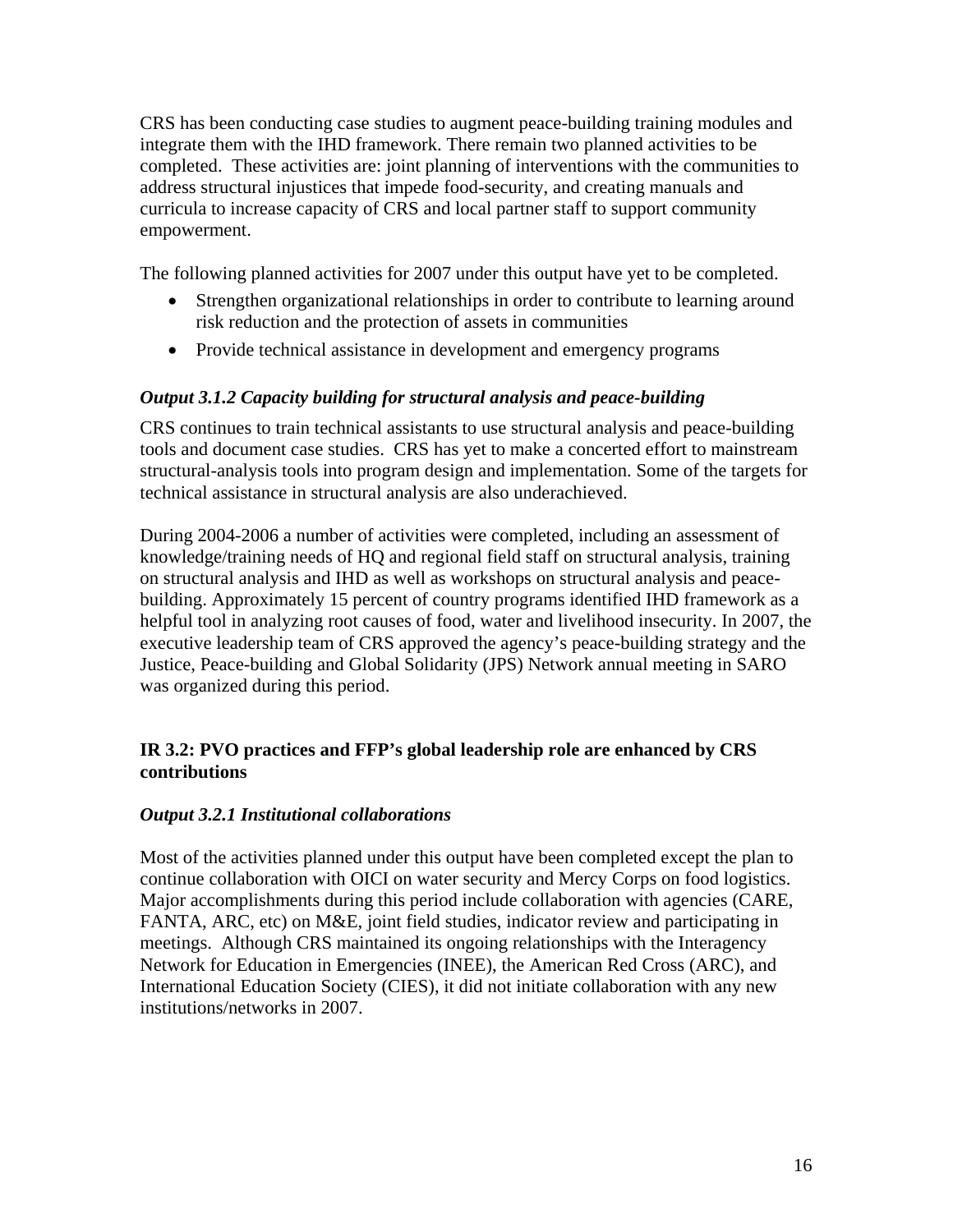CRS has been conducting case studies to augment peace-building training modules and integrate them with the IHD framework. There remain two planned activities to be completed. These activities are: joint planning of interventions with the communities to address structural injustices that impede food-security, and creating manuals and curricula to increase capacity of CRS and local partner staff to support community empowerment.

The following planned activities for 2007 under this output have yet to be completed.

- Strengthen organizational relationships in order to contribute to learning around risk reduction and the protection of assets in communities
- Provide technical assistance in development and emergency programs

#### *Output 3.1.2 Capacity building for structural analysis and peace-building*

CRS continues to train technical assistants to use structural analysis and peace-building tools and document case studies. CRS has yet to make a concerted effort to mainstream structural-analysis tools into program design and implementation. Some of the targets for technical assistance in structural analysis are also underachieved.

During 2004-2006 a number of activities were completed, including an assessment of knowledge/training needs of HQ and regional field staff on structural analysis, training on structural analysis and IHD as well as workshops on structural analysis and peacebuilding. Approximately 15 percent of country programs identified IHD framework as a helpful tool in analyzing root causes of food, water and livelihood insecurity. In 2007, the executive leadership team of CRS approved the agency's peace-building strategy and the Justice, Peace-building and Global Solidarity (JPS) Network annual meeting in SARO was organized during this period.

#### **IR 3.2: PVO practices and FFP's global leadership role are enhanced by CRS contributions**

#### *Output 3.2.1 Institutional collaborations*

Most of the activities planned under this output have been completed except the plan to continue collaboration with OICI on water security and Mercy Corps on food logistics. Major accomplishments during this period include collaboration with agencies (CARE, FANTA, ARC, etc) on M&E, joint field studies, indicator review and participating in meetings. Although CRS maintained its ongoing relationships with the Interagency Network for Education in Emergencies (INEE), the American Red Cross (ARC), and International Education Society (CIES), it did not initiate collaboration with any new institutions/networks in 2007.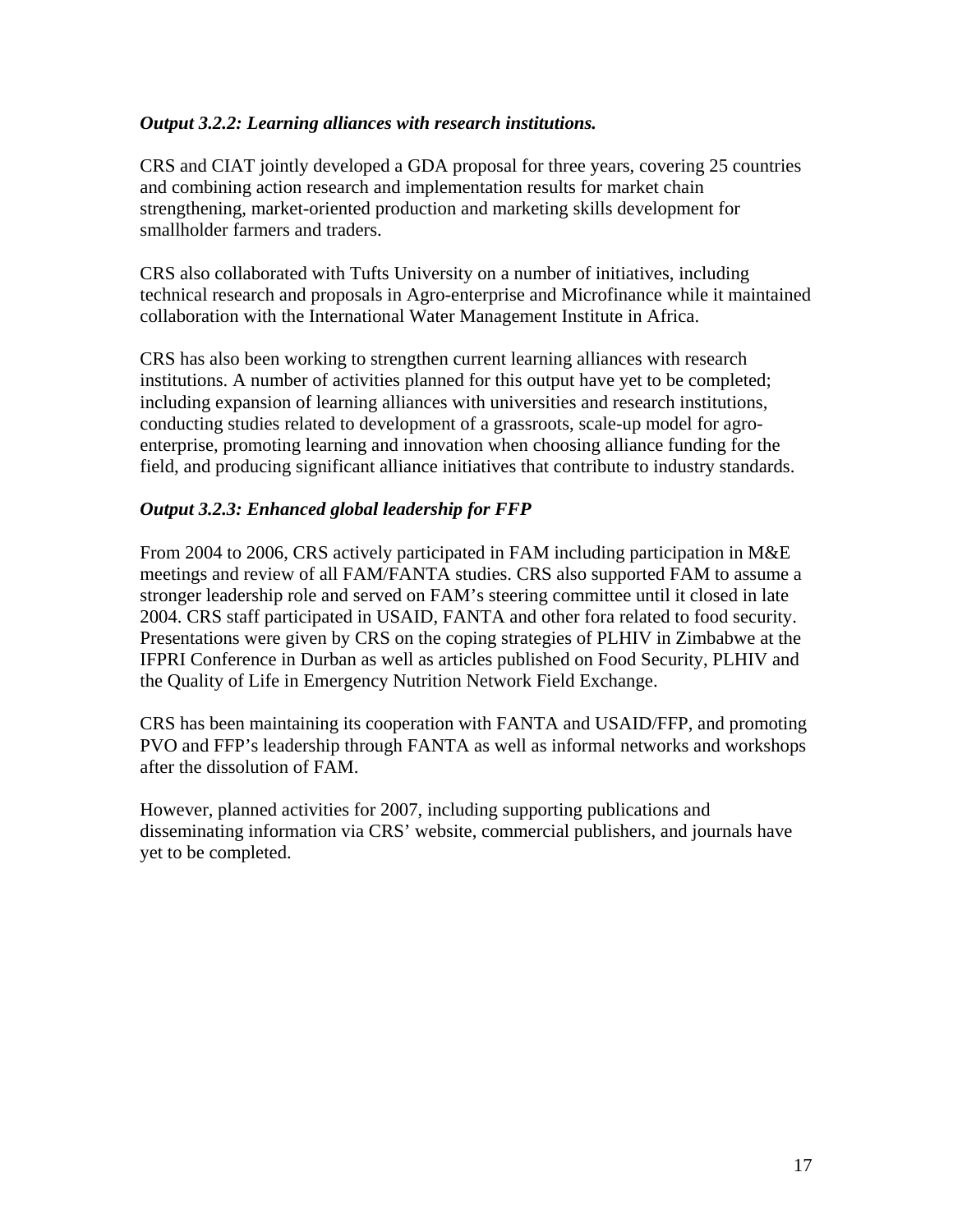#### *Output 3.2.2: Learning alliances with research institutions.*

CRS and CIAT jointly developed a GDA proposal for three years, covering 25 countries and combining action research and implementation results for market chain strengthening, market-oriented production and marketing skills development for smallholder farmers and traders.

CRS also collaborated with Tufts University on a number of initiatives, including technical research and proposals in Agro-enterprise and Microfinance while it maintained collaboration with the International Water Management Institute in Africa.

CRS has also been working to strengthen current learning alliances with research institutions. A number of activities planned for this output have yet to be completed; including expansion of learning alliances with universities and research institutions, conducting studies related to development of a grassroots, scale-up model for agroenterprise, promoting learning and innovation when choosing alliance funding for the field, and producing significant alliance initiatives that contribute to industry standards.

#### *Output 3.2.3: Enhanced global leadership for FFP*

From 2004 to 2006, CRS actively participated in FAM including participation in M&E meetings and review of all FAM/FANTA studies. CRS also supported FAM to assume a stronger leadership role and served on FAM's steering committee until it closed in late 2004. CRS staff participated in USAID, FANTA and other fora related to food security. Presentations were given by CRS on the coping strategies of PLHIV in Zimbabwe at the IFPRI Conference in Durban as well as articles published on Food Security, PLHIV and the Quality of Life in Emergency Nutrition Network Field Exchange.

CRS has been maintaining its cooperation with FANTA and USAID/FFP, and promoting PVO and FFP's leadership through FANTA as well as informal networks and workshops after the dissolution of FAM.

However, planned activities for 2007, including supporting publications and disseminating information via CRS' website, commercial publishers, and journals have yet to be completed.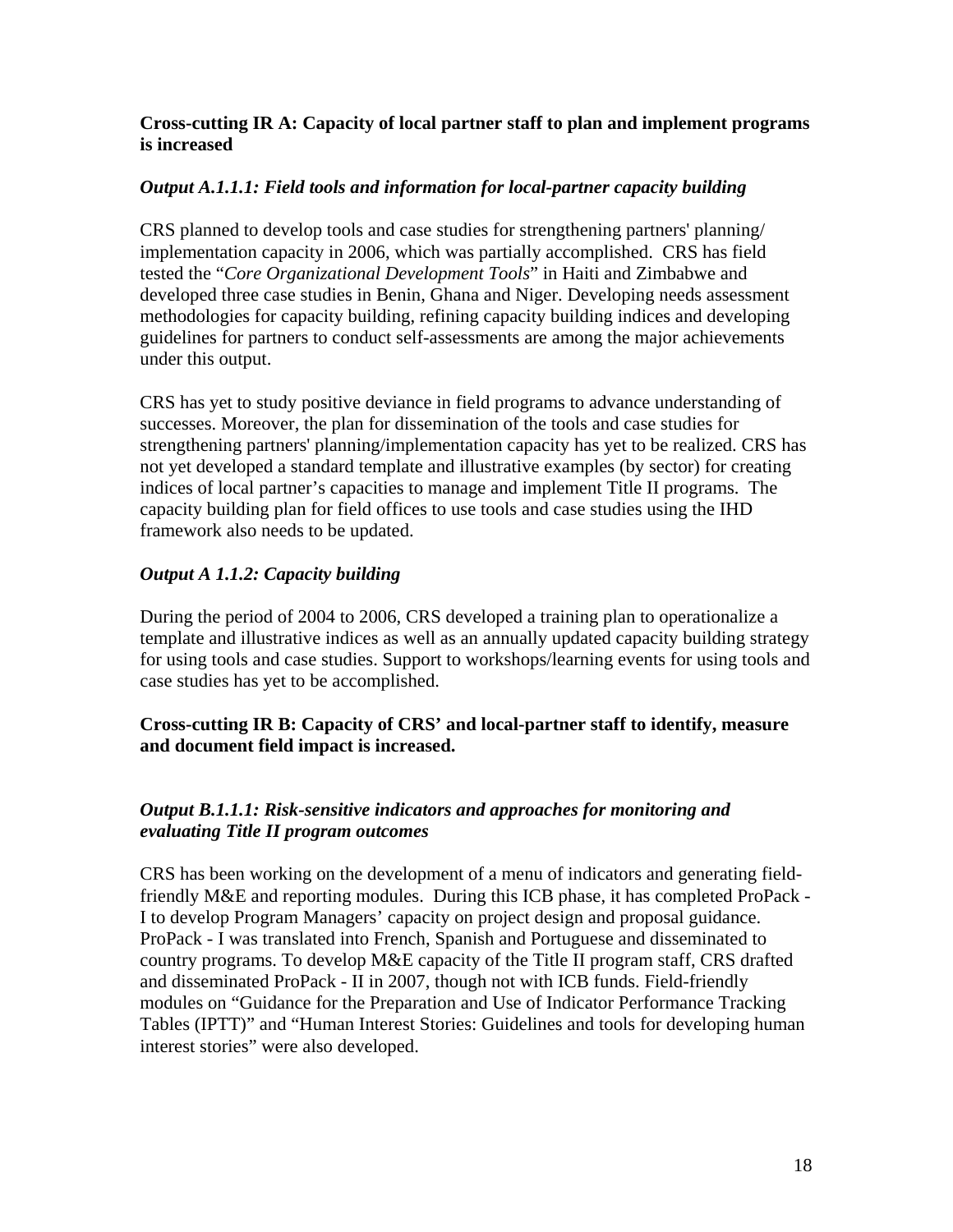#### **Cross-cutting IR A: Capacity of local partner staff to plan and implement programs is increased**

#### *Output A.1.1.1: Field tools and information for local-partner capacity building*

CRS planned to develop tools and case studies for strengthening partners' planning/ implementation capacity in 2006, which was partially accomplished. CRS has field tested the "*Core Organizational Development Tools*" in Haiti and Zimbabwe and developed three case studies in Benin, Ghana and Niger. Developing needs assessment methodologies for capacity building, refining capacity building indices and developing guidelines for partners to conduct self-assessments are among the major achievements under this output.

CRS has yet to study positive deviance in field programs to advance understanding of successes. Moreover, the plan for dissemination of the tools and case studies for strengthening partners' planning/implementation capacity has yet to be realized. CRS has not yet developed a standard template and illustrative examples (by sector) for creating indices of local partner's capacities to manage and implement Title II programs. The capacity building plan for field offices to use tools and case studies using the IHD framework also needs to be updated.

#### *Output A 1.1.2: Capacity building*

During the period of 2004 to 2006, CRS developed a training plan to operationalize a template and illustrative indices as well as an annually updated capacity building strategy for using tools and case studies. Support to workshops/learning events for using tools and case studies has yet to be accomplished.

#### **Cross-cutting IR B: Capacity of CRS' and local-partner staff to identify, measure and document field impact is increased.**

#### *Output B.1.1.1: Risk-sensitive indicators and approaches for monitoring and evaluating Title II program outcomes*

CRS has been working on the development of a menu of indicators and generating fieldfriendly M&E and reporting modules. During this ICB phase, it has completed ProPack - I to develop Program Managers' capacity on project design and proposal guidance. ProPack - I was translated into French, Spanish and Portuguese and disseminated to country programs. To develop M&E capacity of the Title II program staff, CRS drafted and disseminated ProPack - II in 2007, though not with ICB funds. Field-friendly modules on "Guidance for the Preparation and Use of Indicator Performance Tracking Tables (IPTT)" and "Human Interest Stories: Guidelines and tools for developing human interest stories" were also developed.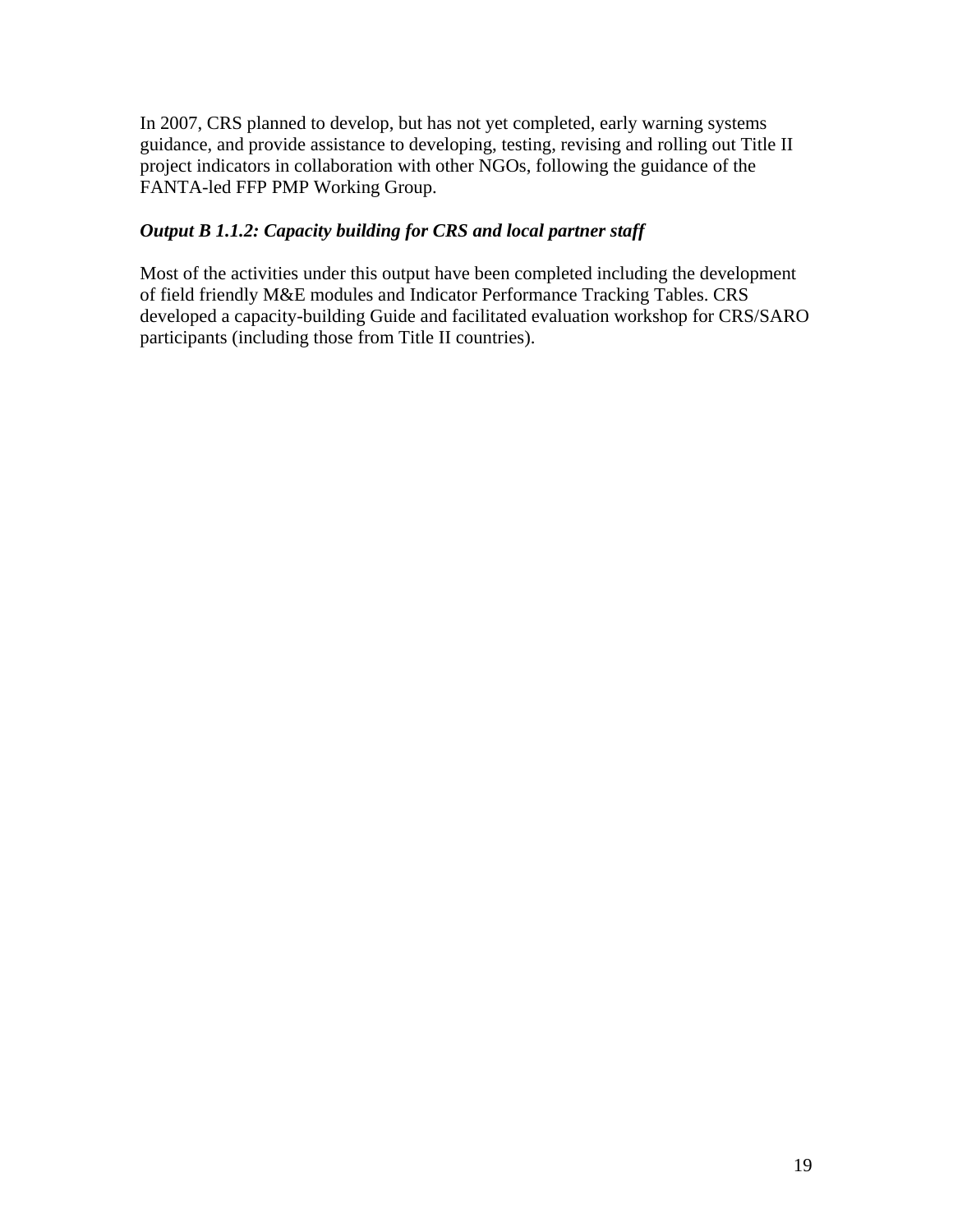In 2007, CRS planned to develop, but has not yet completed, early warning systems guidance, and provide assistance to developing, testing, revising and rolling out Title II project indicators in collaboration with other NGOs, following the guidance of the FANTA-led FFP PMP Working Group.

#### *Output B 1.1.2: Capacity building for CRS and local partner staff*

Most of the activities under this output have been completed including the development of field friendly M&E modules and Indicator Performance Tracking Tables. CRS developed a capacity-building Guide and facilitated evaluation workshop for CRS/SARO participants (including those from Title II countries).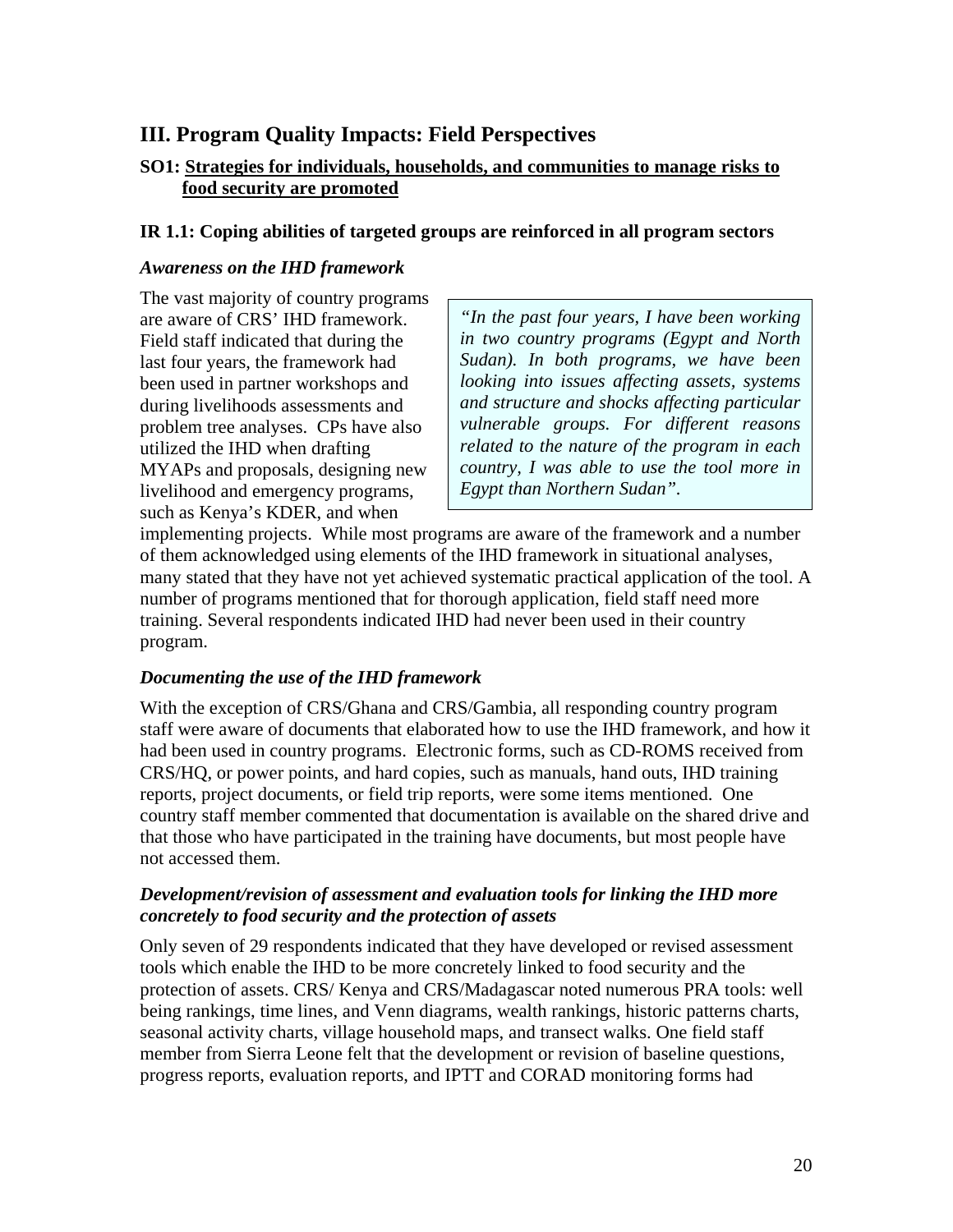## <span id="page-20-0"></span>**III. Program Quality Impacts: Field Perspectives**

#### **SO1: Strategies for individuals, households, and communities to manage risks to food security are promoted**

#### **IR 1.1: Coping abilities of targeted groups are reinforced in all program sectors**

#### *Awareness on the IHD framework*

The vast majority of country programs Field staff indicated that during the last four years, the framework had been used in partner workshops and during livelihoods assessments and problem tree analyses. CPs have also utilized the IHD when drafting MYAPs and proposals, designing new livelihood and emergency programs, such as Kenya's KDER, and when

are aware of CRS' IHD framework. *"In the past four years, I have been working in two country programs (Egypt and North Sudan). In both programs, we have been looking into issues affecting assets, systems and structure and shocks affecting particular vulnerable groups. For different reasons related to the nature of the program in each country, I was able to use the tool more in Egypt than Northern Sudan".* 

implementing projects. While most programs are aware of the framework and a number of them acknowledged using elements of the IHD framework in situational analyses, many stated that they have not yet achieved systematic practical application of the tool. A number of programs mentioned that for thorough application, field staff need more training. Several respondents indicated IHD had never been used in their country program.

#### *Documenting the use of the IHD framework*

With the exception of CRS/Ghana and CRS/Gambia, all responding country program staff were aware of documents that elaborated how to use the IHD framework, and how it had been used in country programs. Electronic forms, such as CD-ROMS received from CRS/HQ, or power points, and hard copies, such as manuals, hand outs, IHD training reports, project documents, or field trip reports, were some items mentioned. One country staff member commented that documentation is available on the shared drive and that those who have participated in the training have documents, but most people have not accessed them.

#### *Development/revision of assessment and evaluation tools for linking the IHD more concretely to food security and the protection of assets*

Only seven of 29 respondents indicated that they have developed or revised assessment tools which enable the IHD to be more concretely linked to food security and the protection of assets. CRS/ Kenya and CRS/Madagascar noted numerous PRA tools: well being rankings, time lines, and Venn diagrams, wealth rankings, historic patterns charts, seasonal activity charts, village household maps, and transect walks. One field staff member from Sierra Leone felt that the development or revision of baseline questions, progress reports, evaluation reports, and IPTT and CORAD monitoring forms had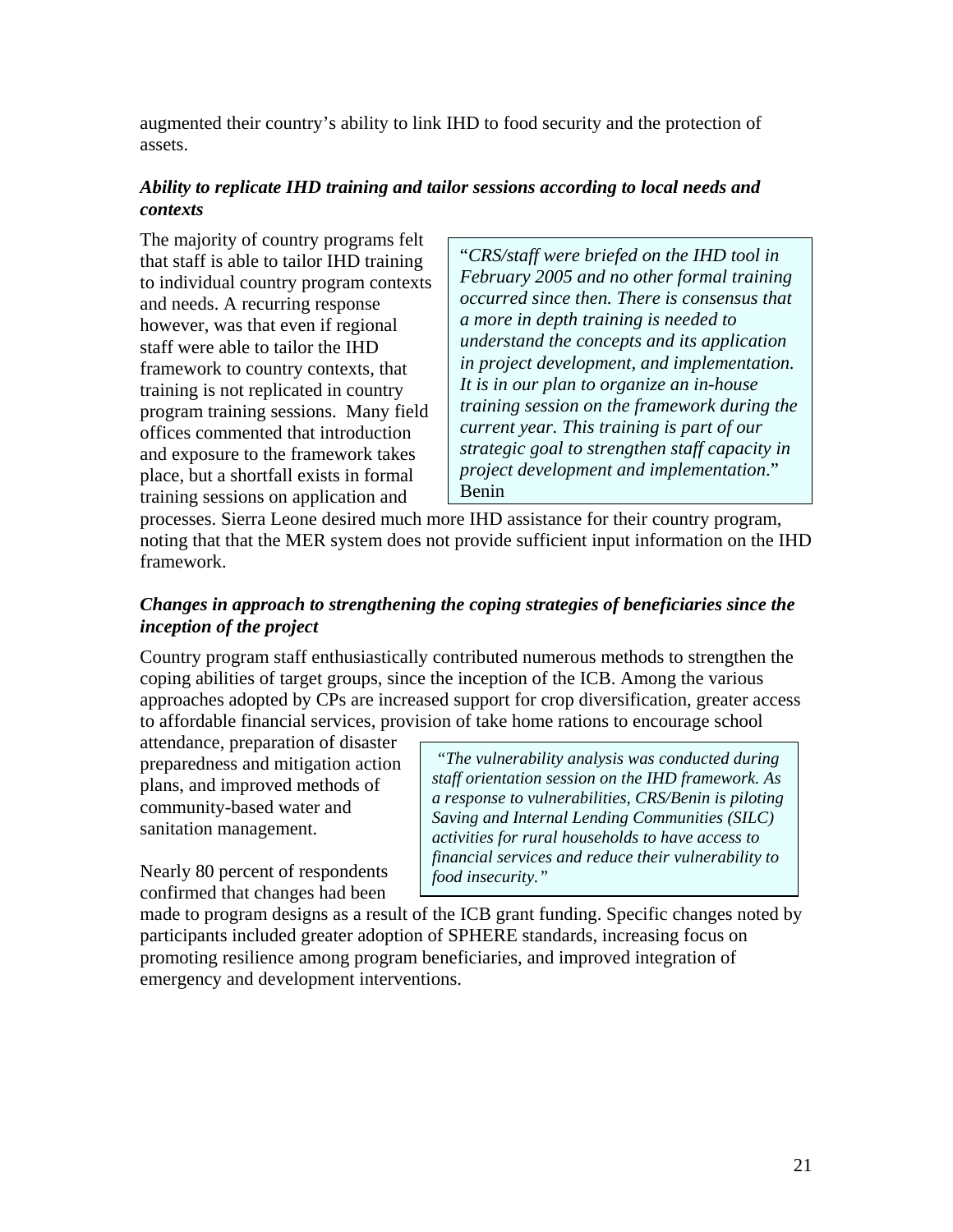augmented their country's ability to link IHD to food security and the protection of assets.

#### *Ability to replicate IHD training and tailor sessions according to local needs and contexts*

The majority of country programs felt that staff is able to tailor IHD training to individual country program contexts and needs. A recurring response however, was that even if regional staff were able to tailor the IHD framework to country contexts, that training is not replicated in country program training sessions. Many field offices commented that introduction and exposure to the framework takes place, but a shortfall exists in formal training sessions on application and

"*CRS/staff were briefed on the IHD tool in February 2005 and no other formal training occurred since then. There is consensus that a more in depth training is needed to understand the concepts and its application in project development, and implementation. It is in our plan to organize an in-house training session on the framework during the current year. This training is part of our strategic goal to strengthen staff capacity in project development and implementation*." Benin

processes. Sierra Leone desired much more IHD assistance for their country program, noting that that the MER system does not provide sufficient input information on the IHD framework.

#### *Changes in approach to strengthening the coping strategies of beneficiaries since the inception of the project*

Country program staff enthusiastically contributed numerous methods to strengthen the coping abilities of target groups, since the inception of the ICB. Among the various approaches adopted by CPs are increased support for crop diversification, greater access to affordable financial services, provision of take home rations to encourage school

attendance, preparation of disaster preparedness and mitigation action plans, and improved methods of community-based water and sanitation management.

Nearly 80 percent of respondents confirmed that changes had been

 *"The vulnerability analysis was conducted during staff orientation session on the IHD framework. As a response to vulnerabilities, CRS/Benin is piloting Saving and Internal Lending Communities (SILC) activities for rural households to have access to financial services and reduce their vulnerability to food insecurity."* 

made to program designs as a result of the ICB grant funding. Specific changes noted by participants included greater adoption of SPHERE standards, increasing focus on promoting resilience among program beneficiaries, and improved integration of emergency and development interventions.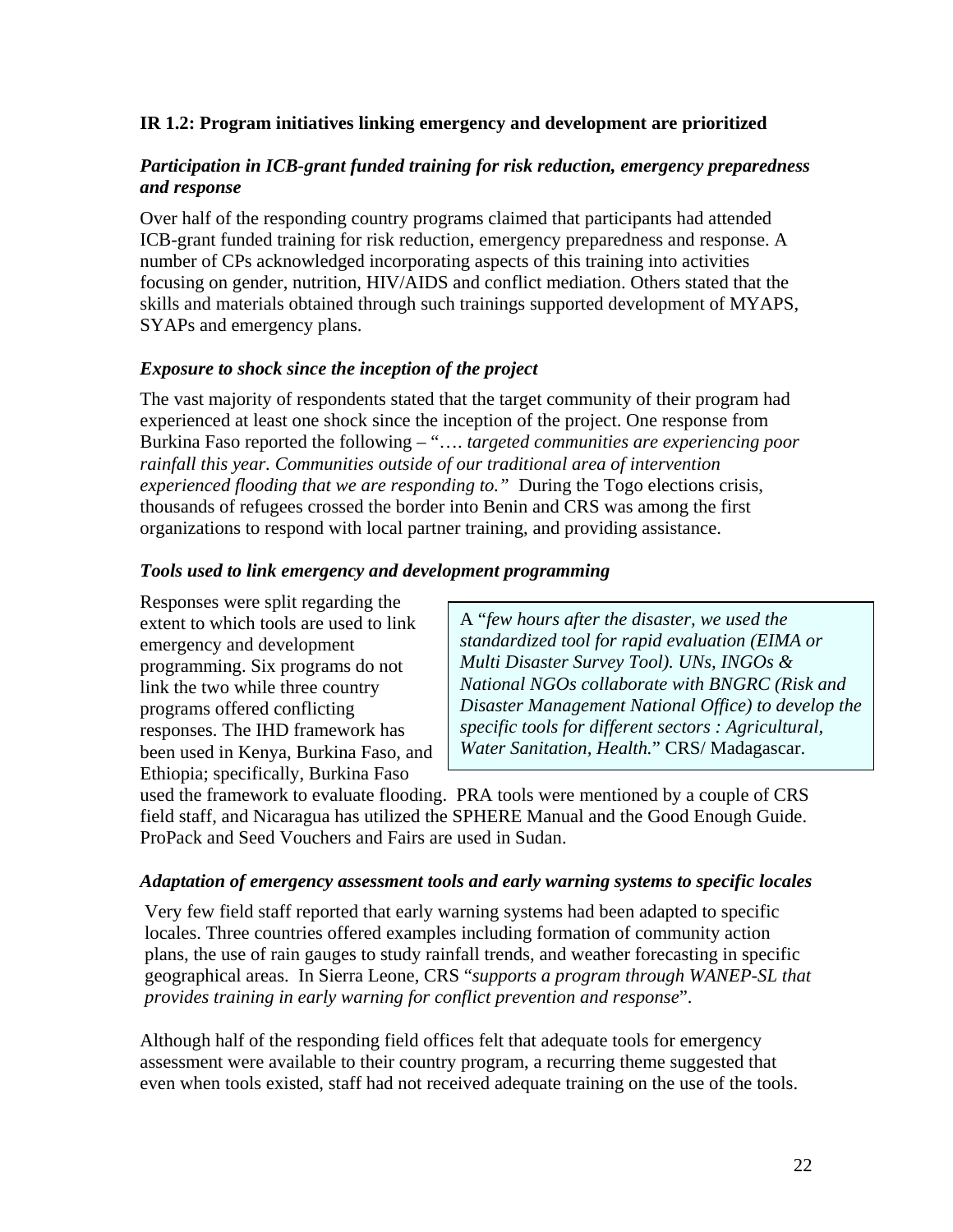#### **IR 1.2: Program initiatives linking emergency and development are prioritized**

#### *Participation in ICB-grant funded training for risk reduction, emergency preparedness and response*

Over half of the responding country programs claimed that participants had attended ICB-grant funded training for risk reduction, emergency preparedness and response. A number of CPs acknowledged incorporating aspects of this training into activities focusing on gender, nutrition, HIV/AIDS and conflict mediation. Others stated that the skills and materials obtained through such trainings supported development of MYAPS, SYAPs and emergency plans.

#### *Exposure to shock since the inception of the project*

The vast majority of respondents stated that the target community of their program had experienced at least one shock since the inception of the project. One response from Burkina Faso reported the following – "…. *targeted communities are experiencing poor rainfall this year. Communities outside of our traditional area of intervention experienced flooding that we are responding to."* During the Togo elections crisis, thousands of refugees crossed the border into Benin and CRS was among the first organizations to respond with local partner training, and providing assistance.

#### *Tools used to link emergency and development programming*

Responses were split regarding the extent to which tools are used to link emergency and development programming. Six programs do not link the two while three country programs offered conflicting responses. The IHD framework has been used in Kenya, Burkina Faso, and Ethiopia; specifically, Burkina Faso

A "*few hours after the disaster, we used the standardized tool for rapid evaluation (EIMA or Multi Disaster Survey Tool). UNs, INGOs & National NGOs collaborate with BNGRC (Risk and Disaster Management National Office) to develop the specific tools for different sectors : Agricultural, Water Sanitation, Health.*" CRS/ Madagascar.

used the framework to evaluate flooding. PRA tools were mentioned by a couple of CRS field staff, and Nicaragua has utilized the SPHERE Manual and the Good Enough Guide. ProPack and Seed Vouchers and Fairs are used in Sudan.

#### *Adaptation of emergency assessment tools and early warning systems to specific locales*

Very few field staff reported that early warning systems had been adapted to specific locales. Three countries offered examples including formation of community action plans, the use of rain gauges to study rainfall trends, and weather forecasting in specific geographical areas. In Sierra Leone, CRS "*supports a program through WANEP-SL that provides training in early warning for conflict prevention and response*".

Although half of the responding field offices felt that adequate tools for emergency assessment were available to their country program, a recurring theme suggested that even when tools existed, staff had not received adequate training on the use of the tools.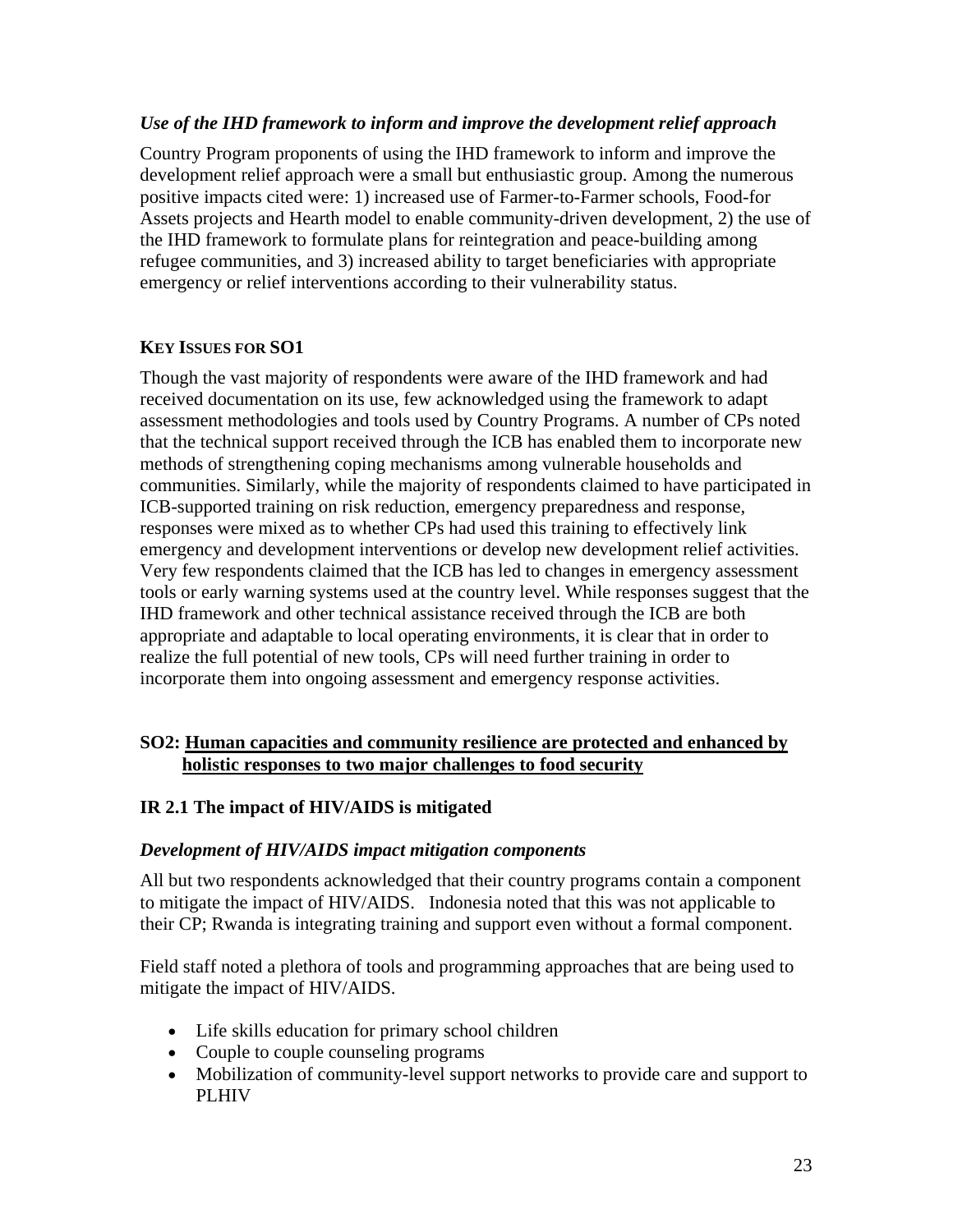#### *Use of the IHD framework to inform and improve the development relief approach*

Country Program proponents of using the IHD framework to inform and improve the development relief approach were a small but enthusiastic group. Among the numerous positive impacts cited were: 1) increased use of Farmer-to-Farmer schools, Food-for Assets projects and Hearth model to enable community-driven development, 2) the use of the IHD framework to formulate plans for reintegration and peace-building among refugee communities, and 3) increased ability to target beneficiaries with appropriate emergency or relief interventions according to their vulnerability status.

#### **KEY ISSUES FOR SO1**

Though the vast majority of respondents were aware of the IHD framework and had received documentation on its use, few acknowledged using the framework to adapt assessment methodologies and tools used by Country Programs. A number of CPs noted that the technical support received through the ICB has enabled them to incorporate new methods of strengthening coping mechanisms among vulnerable households and communities. Similarly, while the majority of respondents claimed to have participated in ICB-supported training on risk reduction, emergency preparedness and response, responses were mixed as to whether CPs had used this training to effectively link emergency and development interventions or develop new development relief activities. Very few respondents claimed that the ICB has led to changes in emergency assessment tools or early warning systems used at the country level. While responses suggest that the IHD framework and other technical assistance received through the ICB are both appropriate and adaptable to local operating environments, it is clear that in order to realize the full potential of new tools, CPs will need further training in order to incorporate them into ongoing assessment and emergency response activities.

#### **SO2: Human capacities and community resilience are protected and enhanced by holistic responses to two major challenges to food security**

#### **IR 2.1 The impact of HIV/AIDS is mitigated**

#### *Development of HIV/AIDS impact mitigation components*

All but two respondents acknowledged that their country programs contain a component to mitigate the impact of HIV/AIDS. Indonesia noted that this was not applicable to their CP; Rwanda is integrating training and support even without a formal component.

Field staff noted a plethora of tools and programming approaches that are being used to mitigate the impact of HIV/AIDS.

- Life skills education for primary school children
- Couple to couple counseling programs
- Mobilization of community-level support networks to provide care and support to PLHIV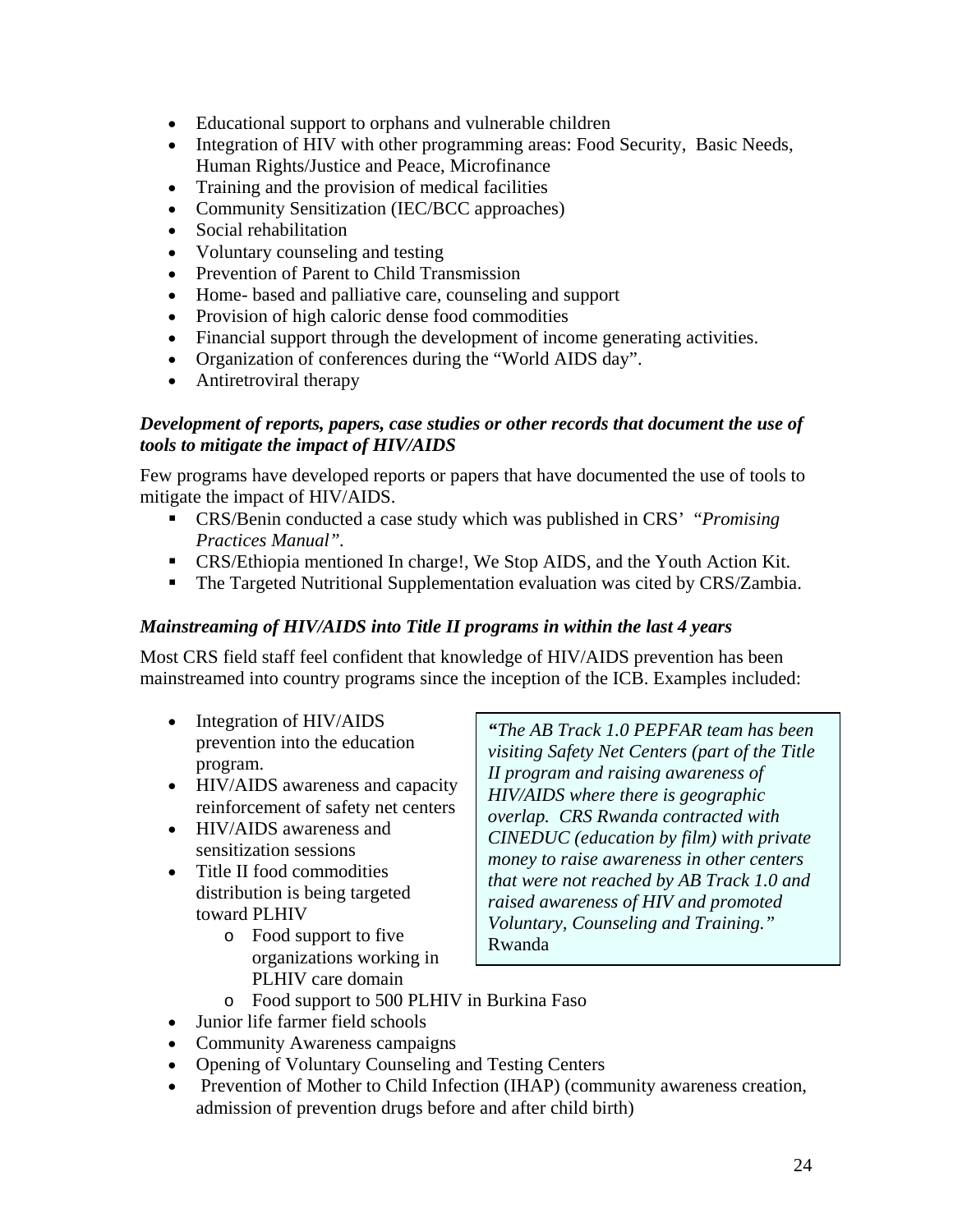- Educational support to orphans and vulnerable children
- Integration of HIV with other programming areas: Food Security, Basic Needs, Human Rights/Justice and Peace, Microfinance
- Training and the provision of medical facilities
- Community Sensitization (IEC/BCC approaches)
- Social rehabilitation
- Voluntary counseling and testing
- Prevention of Parent to Child Transmission
- Home- based and palliative care, counseling and support
- Provision of high caloric dense food commodities
- Financial support through the development of income generating activities.
- Organization of conferences during the "World AIDS day".
- Antiretroviral therapy

#### *Development of reports, papers, case studies or other records that document the use of tools to mitigate the impact of HIV/AIDS*

Few programs have developed reports or papers that have documented the use of tools to mitigate the impact of HIV/AIDS.

- CRS/Benin conducted a case study which was published in CRS' "*Promising Practices Manual".*
- CRS/Ethiopia mentioned In charge!, We Stop AIDS, and the Youth Action Kit.
- The Targeted Nutritional Supplementation evaluation was cited by CRS/Zambia.

#### *Mainstreaming of HIV/AIDS into Title II programs in within the last 4 years*

Most CRS field staff feel confident that knowledge of HIV/AIDS prevention has been mainstreamed into country programs since the inception of the ICB. Examples included:

- Integration of HIV/AIDS prevention into the education program.
- HIV/AIDS awareness and capacity reinforcement of safety net centers
- HIV/AIDS awareness and sensitization sessions
- Title II food commodities distribution is being targeted toward PLHIV
	- o Food support to five organizations working in PLHIV care domain

*"The AB Track 1.0 PEPFAR team has been visiting Safety Net Centers (part of the Title II program and raising awareness of HIV/AIDS where there is geographic overlap. CRS Rwanda contracted with CINEDUC (education by film) with private money to raise awareness in other centers that were not reached by AB Track 1.0 and raised awareness of HIV and promoted Voluntary, Counseling and Training."*  Rwanda

- o Food support to 500 PLHIV in Burkina Faso
- Junior life farmer field schools
- Community Awareness campaigns
- Opening of Voluntary Counseling and Testing Centers
- Prevention of Mother to Child Infection (IHAP) (community awareness creation, admission of prevention drugs before and after child birth)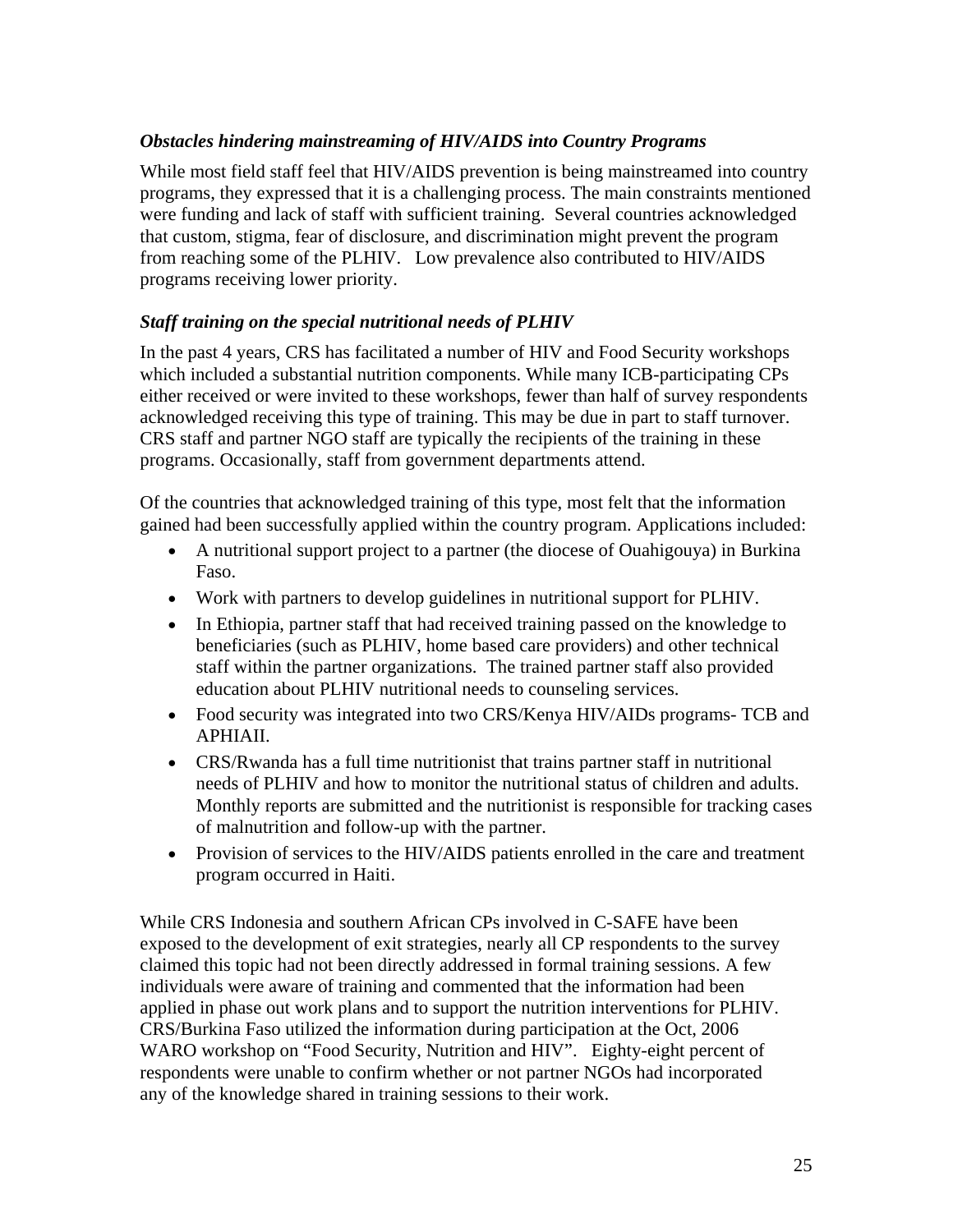#### *Obstacles hindering mainstreaming of HIV/AIDS into Country Programs*

While most field staff feel that HIV/AIDS prevention is being mainstreamed into country programs, they expressed that it is a challenging process. The main constraints mentioned were funding and lack of staff with sufficient training. Several countries acknowledged that custom, stigma, fear of disclosure, and discrimination might prevent the program from reaching some of the PLHIV. Low prevalence also contributed to HIV/AIDS programs receiving lower priority.

#### *Staff training on the special nutritional needs of PLHIV*

In the past 4 years, CRS has facilitated a number of HIV and Food Security workshops which included a substantial nutrition components. While many ICB-participating CPs either received or were invited to these workshops, fewer than half of survey respondents acknowledged receiving this type of training. This may be due in part to staff turnover. CRS staff and partner NGO staff are typically the recipients of the training in these programs. Occasionally, staff from government departments attend.

Of the countries that acknowledged training of this type, most felt that the information gained had been successfully applied within the country program. Applications included:

- A nutritional support project to a partner (the diocese of Ouahigouya) in Burkina Faso.
- Work with partners to develop guidelines in nutritional support for PLHIV.
- In Ethiopia, partner staff that had received training passed on the knowledge to beneficiaries (such as PLHIV, home based care providers) and other technical staff within the partner organizations. The trained partner staff also provided education about PLHIV nutritional needs to counseling services.
- Food security was integrated into two CRS/Kenya HIV/AIDs programs- TCB and APHIAII.
- CRS/Rwanda has a full time nutritionist that trains partner staff in nutritional needs of PLHIV and how to monitor the nutritional status of children and adults. Monthly reports are submitted and the nutritionist is responsible for tracking cases of malnutrition and follow-up with the partner.
- Provision of services to the HIV/AIDS patients enrolled in the care and treatment program occurred in Haiti.

While CRS Indonesia and southern African CPs involved in C-SAFE have been exposed to the development of exit strategies, nearly all CP respondents to the survey claimed this topic had not been directly addressed in formal training sessions. A few individuals were aware of training and commented that the information had been applied in phase out work plans and to support the nutrition interventions for PLHIV. CRS/Burkina Faso utilized the information during participation at the Oct, 2006 WARO workshop on "Food Security, Nutrition and HIV". Eighty-eight percent of respondents were unable to confirm whether or not partner NGOs had incorporated any of the knowledge shared in training sessions to their work.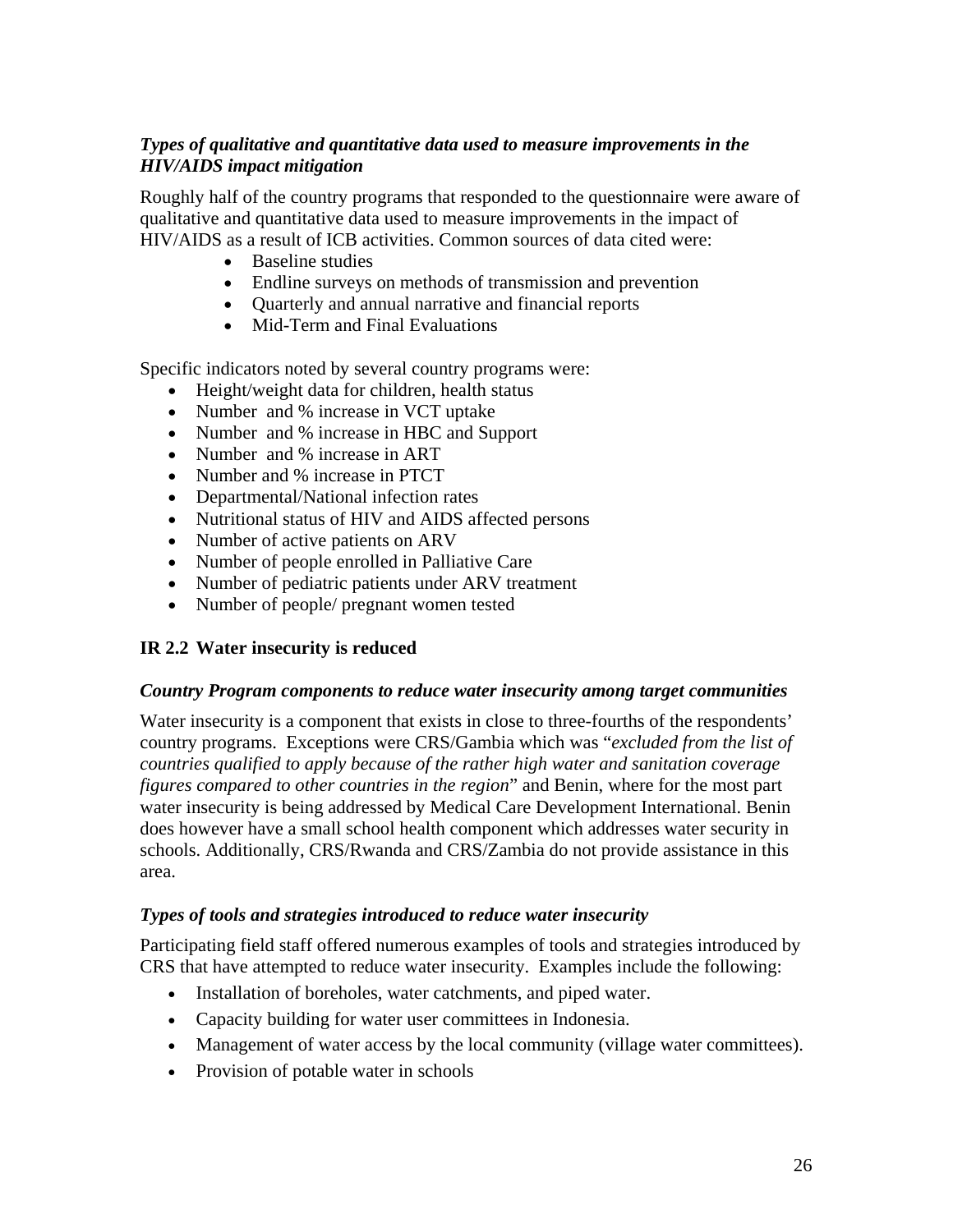#### *Types of qualitative and quantitative data used to measure improvements in the HIV/AIDS impact mitigation*

Roughly half of the country programs that responded to the questionnaire were aware of qualitative and quantitative data used to measure improvements in the impact of HIV/AIDS as a result of ICB activities. Common sources of data cited were:

- Baseline studies
- Endline surveys on methods of transmission and prevention
- Quarterly and annual narrative and financial reports
- Mid-Term and Final Evaluations

Specific indicators noted by several country programs were:

- Height/weight data for children, health status
- Number and % increase in VCT uptake
- Number and % increase in HBC and Support
- Number and % increase in ART
- Number and % increase in PTCT
- Departmental/National infection rates
- Nutritional status of HIV and AIDS affected persons
- Number of active patients on ARV
- Number of people enrolled in Palliative Care
- Number of pediatric patients under ARV treatment
- Number of people/ pregnant women tested

#### **IR 2.2 Water insecurity is reduced**

#### *Country Program components to reduce water insecurity among target communities*

Water insecurity is a component that exists in close to three-fourths of the respondents' country programs. Exceptions were CRS/Gambia which was "*excluded from the list of countries qualified to apply because of the rather high water and sanitation coverage figures compared to other countries in the region*" and Benin, where for the most part water insecurity is being addressed by Medical Care Development International. Benin does however have a small school health component which addresses water security in schools. Additionally, CRS/Rwanda and CRS/Zambia do not provide assistance in this area.

#### *Types of tools and strategies introduced to reduce water insecurity*

Participating field staff offered numerous examples of tools and strategies introduced by CRS that have attempted to reduce water insecurity. Examples include the following:

- Installation of boreholes, water catchments, and piped water.
- Capacity building for water user committees in Indonesia.
- Management of water access by the local community (village water committees).
- Provision of potable water in schools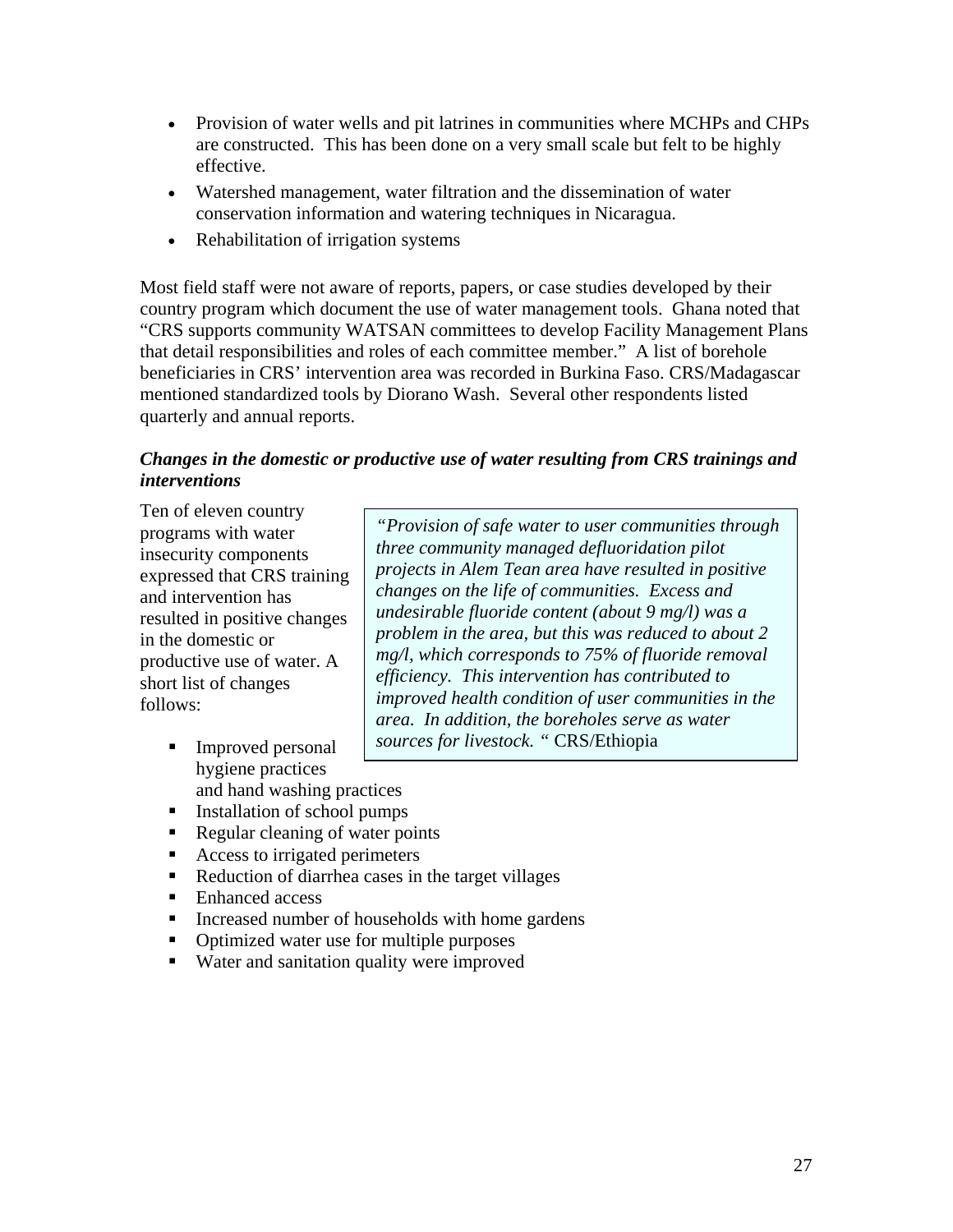- Provision of water wells and pit latrines in communities where MCHPs and CHPs are constructed. This has been done on a very small scale but felt to be highly effective.
- Watershed management, water filtration and the dissemination of water conservation information and watering techniques in Nicaragua.
- Rehabilitation of irrigation systems

Most field staff were not aware of reports, papers, or case studies developed by their country program which document the use of water management tools. Ghana noted that "CRS supports community WATSAN committees to develop Facility Management Plans that detail responsibilities and roles of each committee member." A list of borehole beneficiaries in CRS' intervention area was recorded in Burkina Faso. CRS/Madagascar mentioned standardized tools by Diorano Wash. Several other respondents listed quarterly and annual reports.

#### *Changes in the domestic or productive use of water resulting from CRS trainings and interventions*

Ten of eleven country programs with water insecurity components expressed that CRS training and intervention has resulted in positive changes in the domestic or productive use of water. A short list of changes follows:

- Improved personal hygiene practices and hand washing practices
- Installation of school pumps
- Regular cleaning of water points
- Access to irrigated perimeters
- Reduction of diarrhea cases in the target villages
- Enhanced access
- **Increased number of households with home gardens**
- Optimized water use for multiple purposes
- Water and sanitation quality were improved

*"Provision of safe water to user communities through three community managed defluoridation pilot projects in Alem Tean area have resulted in positive changes on the life of communities. Excess and undesirable fluoride content (about 9 mg/l) was a problem in the area, but this was reduced to about 2 mg/l, which corresponds to 75% of fluoride removal efficiency. This intervention has contributed to improved health condition of user communities in the area. In addition, the boreholes serve as water sources for livestock. "* CRS/Ethiopia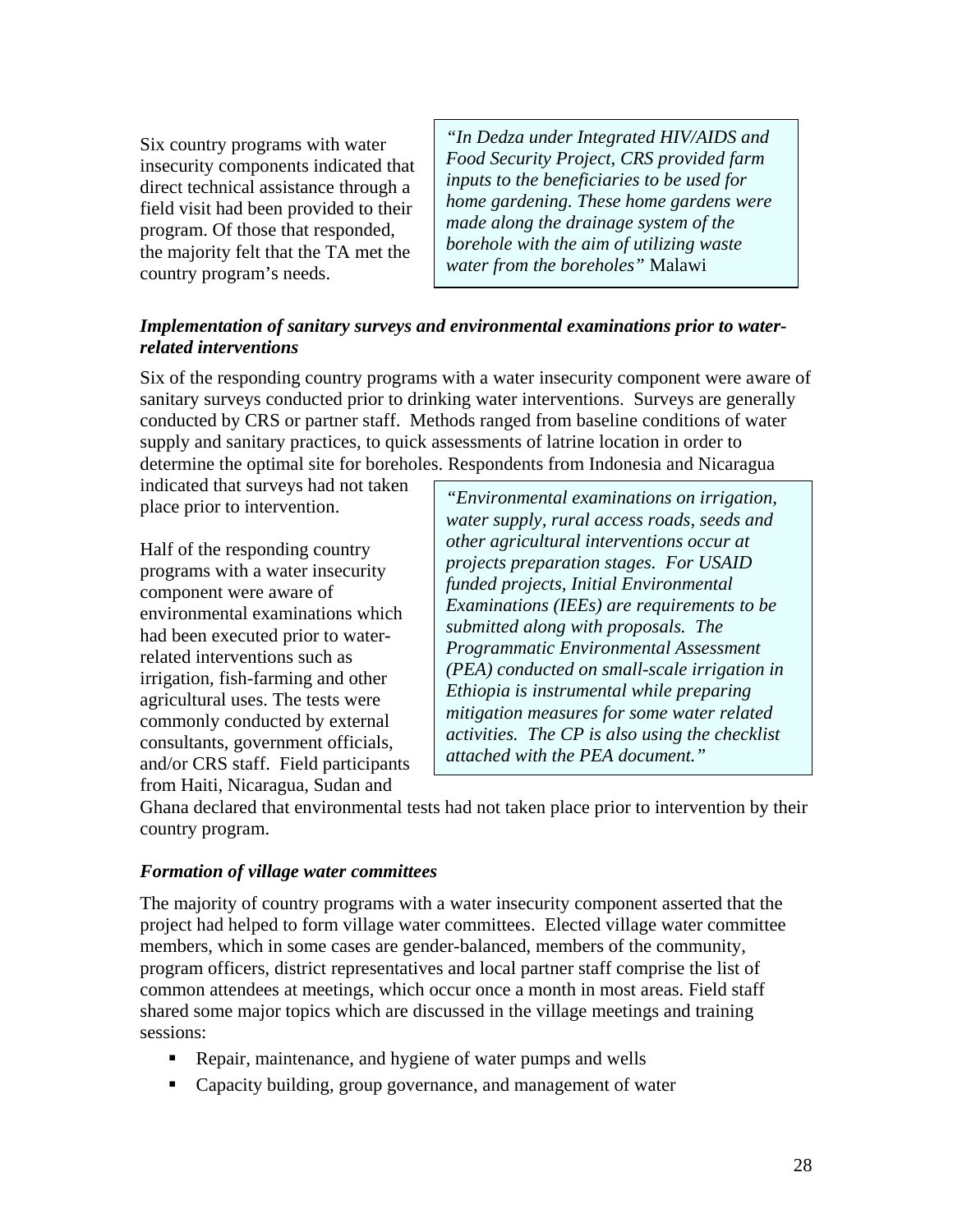Six country programs with water insecurity components indicated that direct technical assistance through a field visit had been provided to their program. Of those that responded, the majority felt that the TA met the country program's needs.

*"In Dedza under Integrated HIV/AIDS and Food Security Project, CRS provided farm inputs to the beneficiaries to be used for home gardening. These home gardens were made along the drainage system of the borehole with the aim of utilizing waste water from the boreholes"* Malawi

#### *Implementation of sanitary surveys and environmental examinations prior to waterrelated interventions*

Six of the responding country programs with a water insecurity component were aware of sanitary surveys conducted prior to drinking water interventions. Surveys are generally conducted by CRS or partner staff. Methods ranged from baseline conditions of water supply and sanitary practices, to quick assessments of latrine location in order to determine the optimal site for boreholes. Respondents from Indonesia and Nicaragua

indicated that surveys had not taken place prior to intervention.

Half of the responding country programs with a water insecurity component were aware of environmental examinations which had been executed prior to waterrelated interventions such as irrigation, fish-farming and other agricultural uses. The tests were commonly conducted by external consultants, government officials, and/or CRS staff. Field participants from Haiti, Nicaragua, Sudan and

*"Environmental examinations on irrigation, water supply, rural access roads, seeds and other agricultural interventions occur at projects preparation stages. For USAID funded projects, Initial Environmental Examinations (IEEs) are requirements to be submitted along with proposals. The Programmatic Environmental Assessment (PEA) conducted on small-scale irrigation in Ethiopia is instrumental while preparing mitigation measures for some water related activities. The CP is also using the checklist attached with the PEA document."* 

Ghana declared that environmental tests had not taken place prior to intervention by their country program.

#### *Formation of village water committees*

The majority of country programs with a water insecurity component asserted that the project had helped to form village water committees. Elected village water committee members, which in some cases are gender-balanced, members of the community, program officers, district representatives and local partner staff comprise the list of common attendees at meetings, which occur once a month in most areas. Field staff shared some major topics which are discussed in the village meetings and training sessions:

- Repair, maintenance, and hygiene of water pumps and wells
- **•** Capacity building, group governance, and management of water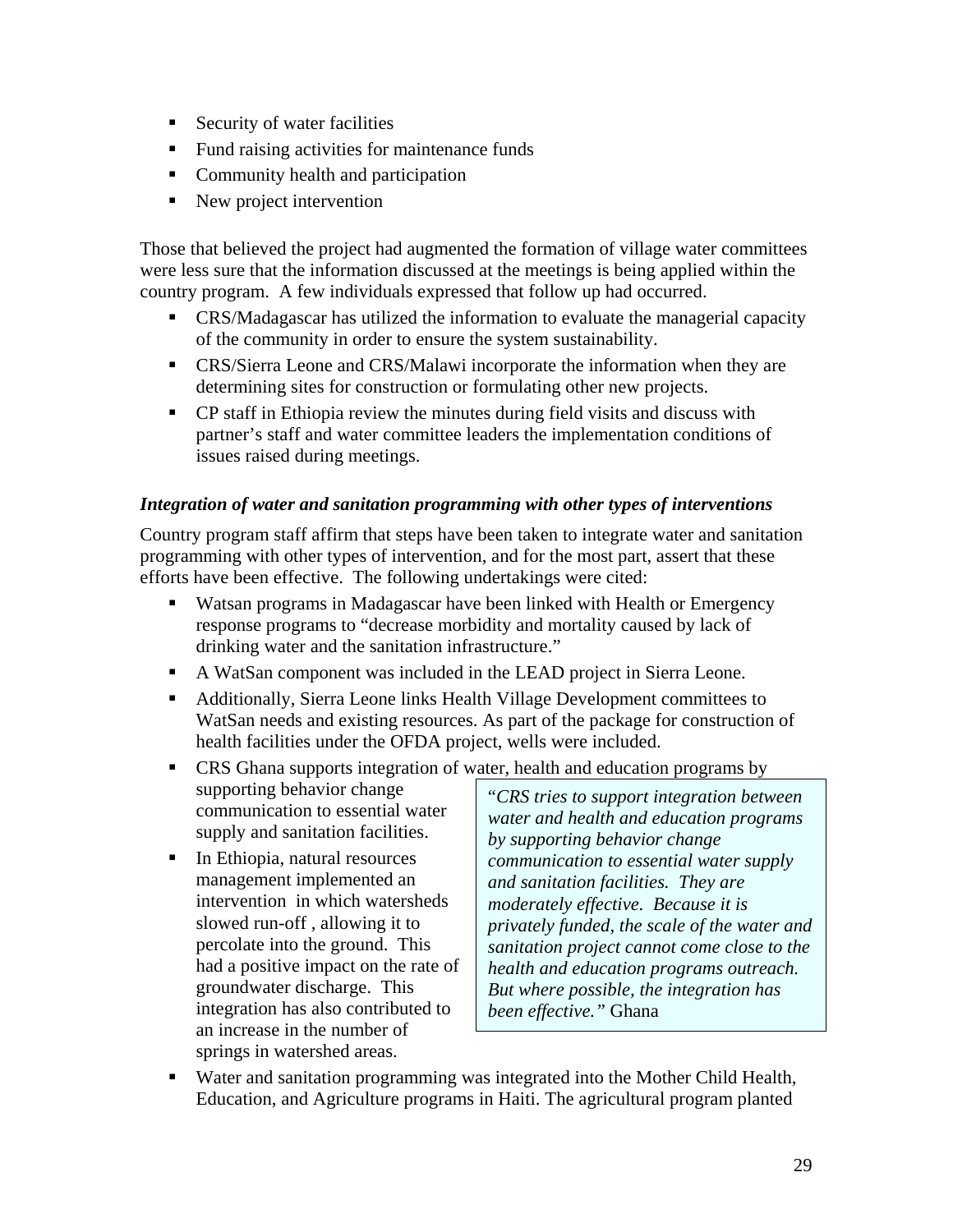- Security of water facilities
- Fund raising activities for maintenance funds
- Community health and participation
- New project intervention

Those that believed the project had augmented the formation of village water committees were less sure that the information discussed at the meetings is being applied within the country program. A few individuals expressed that follow up had occurred.

- CRS/Madagascar has utilized the information to evaluate the managerial capacity of the community in order to ensure the system sustainability.
- CRS/Sierra Leone and CRS/Malawi incorporate the information when they are determining sites for construction or formulating other new projects.
- CP staff in Ethiopia review the minutes during field visits and discuss with partner's staff and water committee leaders the implementation conditions of issues raised during meetings.

#### *Integration of water and sanitation programming with other types of interventions*

Country program staff affirm that steps have been taken to integrate water and sanitation programming with other types of intervention, and for the most part, assert that these efforts have been effective. The following undertakings were cited:

- Watsan programs in Madagascar have been linked with Health or Emergency response programs to "decrease morbidity and mortality caused by lack of drinking water and the sanitation infrastructure."
- A WatSan component was included in the LEAD project in Sierra Leone.
- Additionally, Sierra Leone links Health Village Development committees to WatSan needs and existing resources. As part of the package for construction of health facilities under the OFDA project, wells were included.
- **CRS** Ghana supports integration of water, health and education programs by supporting behavior change communication to essential water supply and sanitation facilities.
- In Ethiopia, natural resources management implemented an intervention in which watersheds slowed run-off , allowing it to percolate into the ground. This had a positive impact on the rate of groundwater discharge. This integration has also contributed to an increase in the number of springs in watershed areas.

"*CRS tries to support integration between water and health and education programs by supporting behavior change communication to essential water supply and sanitation facilities. They are moderately effective. Because it is privately funded, the scale of the water and sanitation project cannot come close to the health and education programs outreach. But where possible, the integration has been effective."* Ghana

 Water and sanitation programming was integrated into the Mother Child Health, Education, and Agriculture programs in Haiti. The agricultural program planted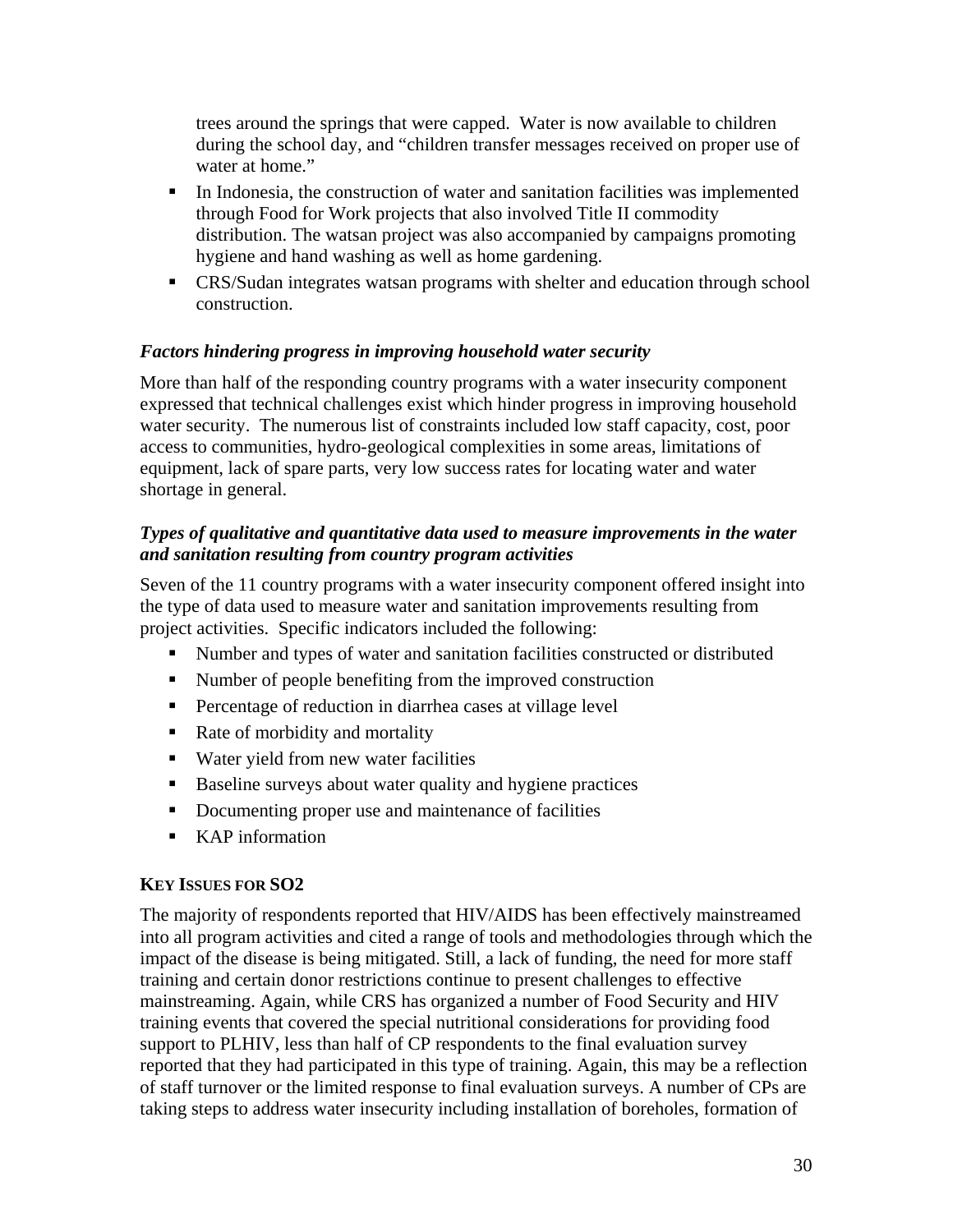trees around the springs that were capped. Water is now available to children during the school day, and "children transfer messages received on proper use of water at home."

- In Indonesia, the construction of water and sanitation facilities was implemented through Food for Work projects that also involved Title II commodity distribution. The watsan project was also accompanied by campaigns promoting hygiene and hand washing as well as home gardening.
- **CRS/Sudan integrates watsan programs with shelter and education through school** construction.

#### *Factors hindering progress in improving household water security*

More than half of the responding country programs with a water insecurity component expressed that technical challenges exist which hinder progress in improving household water security. The numerous list of constraints included low staff capacity, cost, poor access to communities, hydro-geological complexities in some areas, limitations of equipment, lack of spare parts, very low success rates for locating water and water shortage in general.

#### *Types of qualitative and quantitative data used to measure improvements in the water and sanitation resulting from country program activities*

Seven of the 11 country programs with a water insecurity component offered insight into the type of data used to measure water and sanitation improvements resulting from project activities. Specific indicators included the following:

- Number and types of water and sanitation facilities constructed or distributed
- Number of people benefiting from the improved construction
- Percentage of reduction in diarrhea cases at village level
- Rate of morbidity and mortality
- Water yield from new water facilities
- Baseline surveys about water quality and hygiene practices
- Documenting proper use and maintenance of facilities
- KAP information

#### **KEY ISSUES FOR SO2**

The majority of respondents reported that HIV/AIDS has been effectively mainstreamed into all program activities and cited a range of tools and methodologies through which the impact of the disease is being mitigated. Still, a lack of funding, the need for more staff training and certain donor restrictions continue to present challenges to effective mainstreaming. Again, while CRS has organized a number of Food Security and HIV training events that covered the special nutritional considerations for providing food support to PLHIV, less than half of CP respondents to the final evaluation survey reported that they had participated in this type of training. Again, this may be a reflection of staff turnover or the limited response to final evaluation surveys. A number of CPs are taking steps to address water insecurity including installation of boreholes, formation of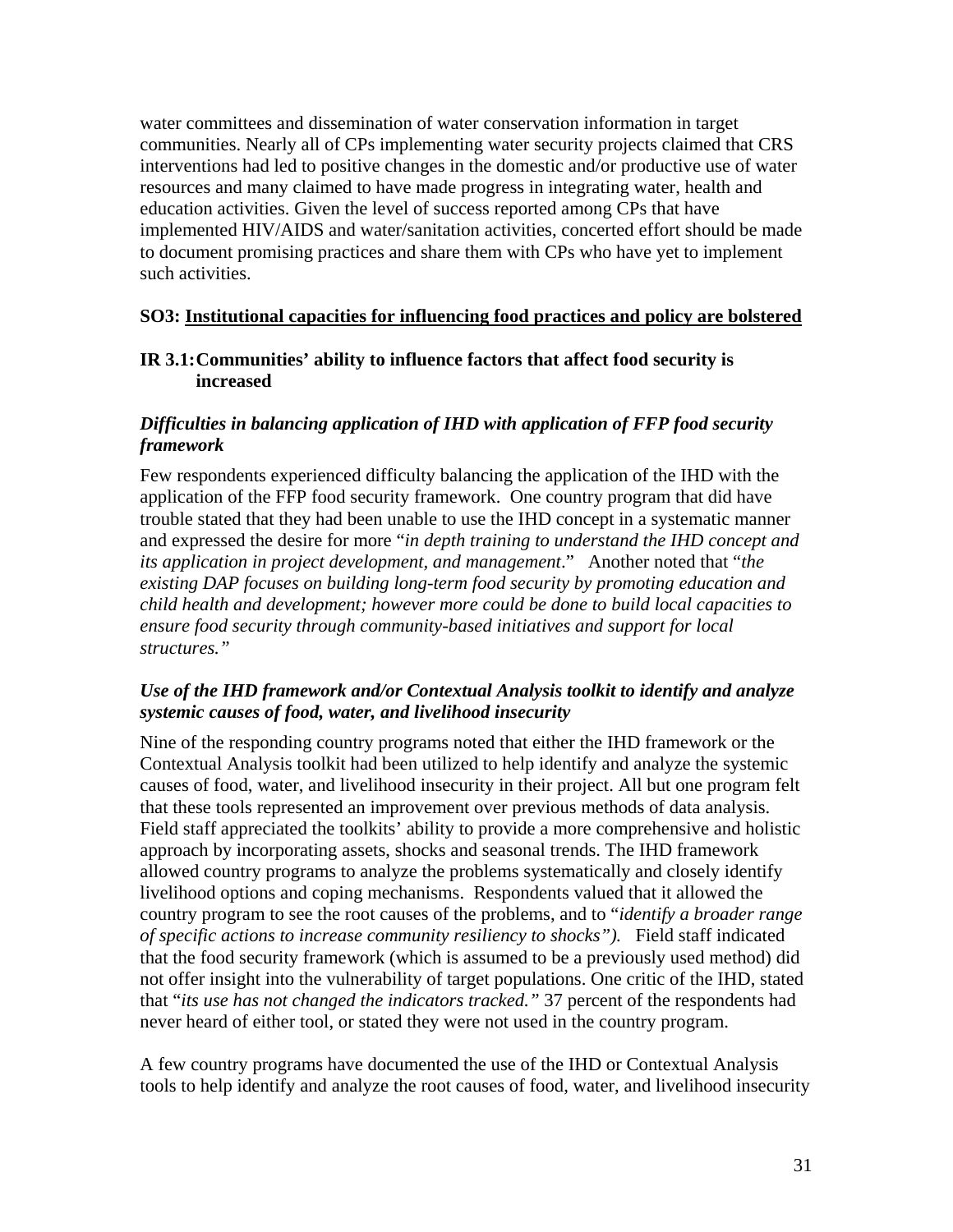water committees and dissemination of water conservation information in target communities. Nearly all of CPs implementing water security projects claimed that CRS interventions had led to positive changes in the domestic and/or productive use of water resources and many claimed to have made progress in integrating water, health and education activities. Given the level of success reported among CPs that have implemented HIV/AIDS and water/sanitation activities, concerted effort should be made to document promising practices and share them with CPs who have yet to implement such activities.

#### **SO3: Institutional capacities for influencing food practices and policy are bolstered**

#### **IR 3.1: Communities' ability to influence factors that affect food security is increased**

#### *Difficulties in balancing application of IHD with application of FFP food security framework*

Few respondents experienced difficulty balancing the application of the IHD with the application of the FFP food security framework. One country program that did have trouble stated that they had been unable to use the IHD concept in a systematic manner and expressed the desire for more "*in depth training to understand the IHD concept and its application in project development, and management*." Another noted that "*the existing DAP focuses on building long-term food security by promoting education and child health and development; however more could be done to build local capacities to ensure food security through community-based initiatives and support for local structures."* 

#### *Use of the IHD framework and/or Contextual Analysis toolkit to identify and analyze systemic causes of food, water, and livelihood insecurity*

Nine of the responding country programs noted that either the IHD framework or the Contextual Analysis toolkit had been utilized to help identify and analyze the systemic causes of food, water, and livelihood insecurity in their project. All but one program felt that these tools represented an improvement over previous methods of data analysis. Field staff appreciated the toolkits' ability to provide a more comprehensive and holistic approach by incorporating assets, shocks and seasonal trends. The IHD framework allowed country programs to analyze the problems systematically and closely identify livelihood options and coping mechanisms. Respondents valued that it allowed the country program to see the root causes of the problems, and to "*identify a broader range of specific actions to increase community resiliency to shocks").* Field staff indicated that the food security framework (which is assumed to be a previously used method) did not offer insight into the vulnerability of target populations. One critic of the IHD, stated that "*its use has not changed the indicators tracked."* 37 percent of the respondents had never heard of either tool, or stated they were not used in the country program.

A few country programs have documented the use of the IHD or Contextual Analysis tools to help identify and analyze the root causes of food, water, and livelihood insecurity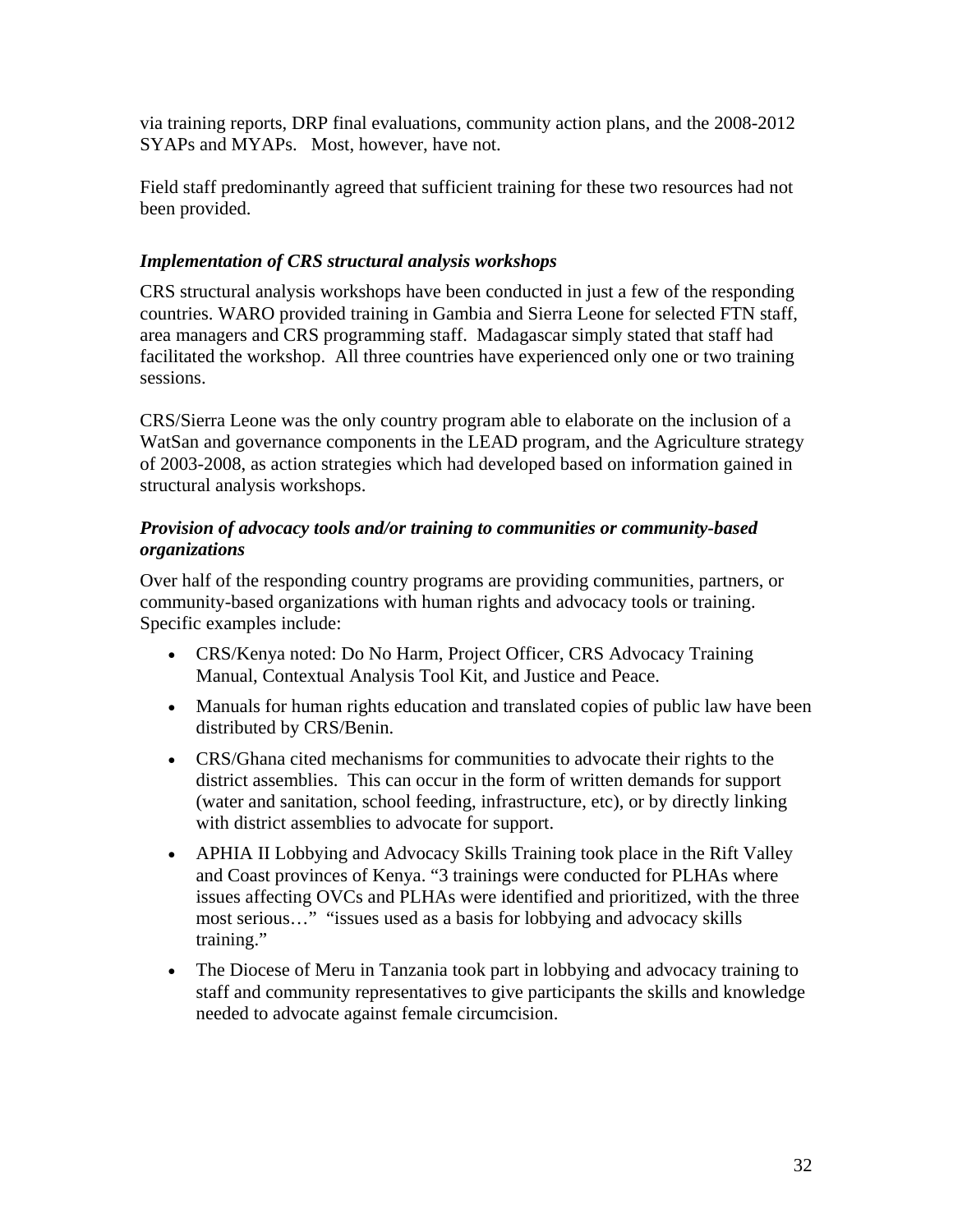via training reports, DRP final evaluations, community action plans, and the 2008-2012 SYAPs and MYAPs. Most, however, have not.

Field staff predominantly agreed that sufficient training for these two resources had not been provided.

#### *Implementation of CRS structural analysis workshops*

CRS structural analysis workshops have been conducted in just a few of the responding countries. WARO provided training in Gambia and Sierra Leone for selected FTN staff, area managers and CRS programming staff. Madagascar simply stated that staff had facilitated the workshop. All three countries have experienced only one or two training sessions.

CRS/Sierra Leone was the only country program able to elaborate on the inclusion of a WatSan and governance components in the LEAD program, and the Agriculture strategy of 2003-2008, as action strategies which had developed based on information gained in structural analysis workshops.

#### *Provision of advocacy tools and/or training to communities or community-based organizations*

Over half of the responding country programs are providing communities, partners, or community-based organizations with human rights and advocacy tools or training. Specific examples include:

- CRS/Kenya noted: Do No Harm, Project Officer, CRS Advocacy Training Manual, Contextual Analysis Tool Kit, and Justice and Peace.
- Manuals for human rights education and translated copies of public law have been distributed by CRS/Benin.
- CRS/Ghana cited mechanisms for communities to advocate their rights to the district assemblies. This can occur in the form of written demands for support (water and sanitation, school feeding, infrastructure, etc), or by directly linking with district assemblies to advocate for support.
- APHIA II Lobbying and Advocacy Skills Training took place in the Rift Valley and Coast provinces of Kenya. "3 trainings were conducted for PLHAs where issues affecting OVCs and PLHAs were identified and prioritized, with the three most serious…" "issues used as a basis for lobbying and advocacy skills training."
- The Diocese of Meru in Tanzania took part in lobbying and advocacy training to staff and community representatives to give participants the skills and knowledge needed to advocate against female circumcision.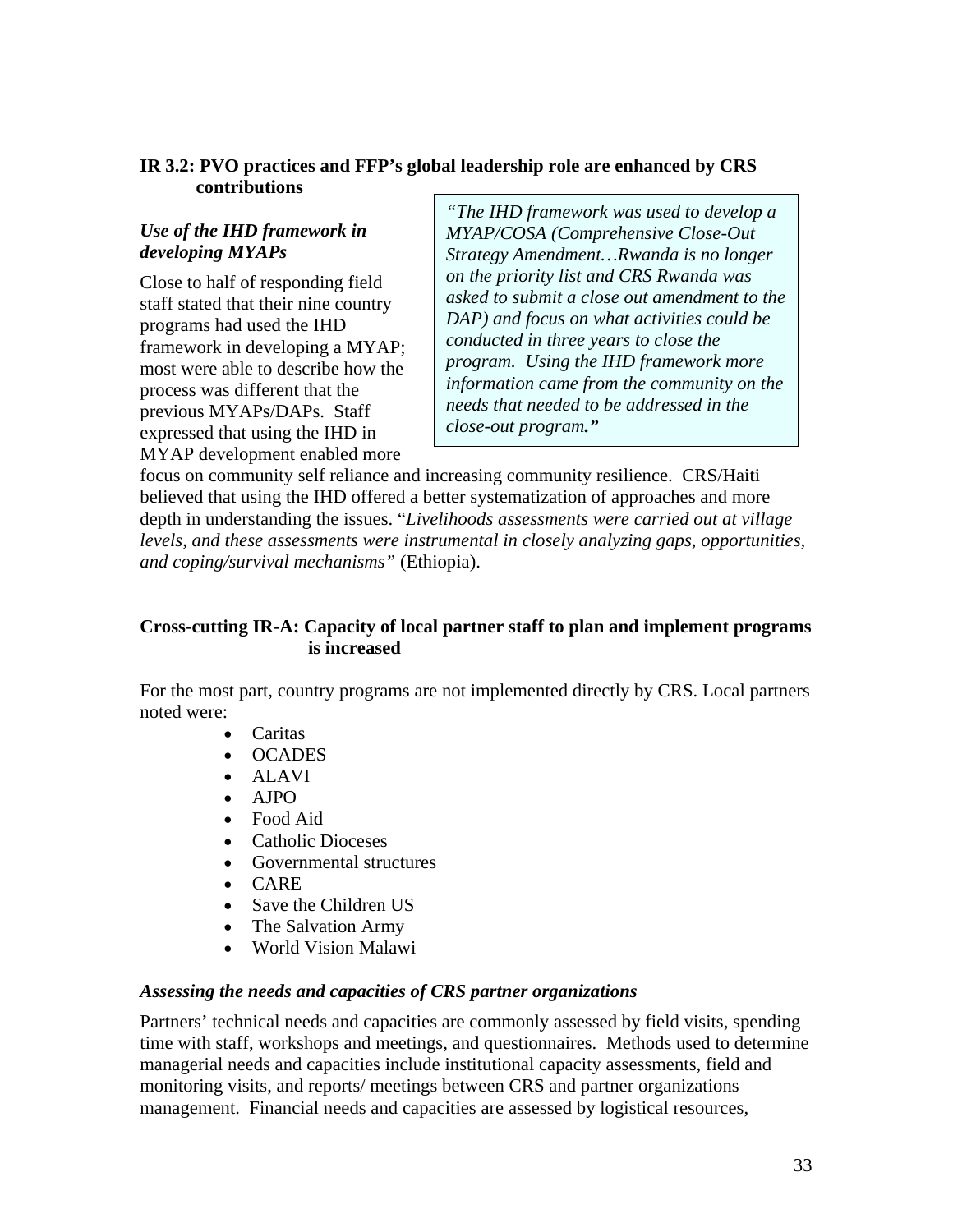#### **IR 3.2: PVO practices and FFP's global leadership role are enhanced by CRS contributions**

#### *Use of the IHD framework in developing MYAPs*

Close to half of responding field staff stated that their nine country programs had used the IHD framework in developing a MYAP; most were able to describe how the process was different that the previous MYAPs/DAPs. Staff expressed that using the IHD in MYAP development enabled more

*"The IHD framework was used to develop a MYAP/COSA (Comprehensive Close-Out Strategy Amendment…Rwanda is no longer on the priority list and CRS Rwanda was asked to submit a close out amendment to the DAP) and focus on what activities could be conducted in three years to close the program. Using the IHD framework more information came from the community on the needs that needed to be addressed in the close-out program."* 

focus on community self reliance and increasing community resilience. CRS/Haiti believed that using the IHD offered a better systematization of approaches and more depth in understanding the issues. "*Livelihoods assessments were carried out at village levels, and these assessments were instrumental in closely analyzing gaps, opportunities, and coping/survival mechanisms"* (Ethiopia).

#### **Cross-cutting IR-A: Capacity of local partner staff to plan and implement programs is increased**

For the most part, country programs are not implemented directly by CRS. Local partners noted were:

- Caritas
- OCADES
- ALAVI
- AJPO
- Food Aid
- Catholic Dioceses
- Governmental structures
- CARE
- Save the Children US
- The Salvation Army
- World Vision Malawi

#### *Assessing the needs and capacities of CRS partner organizations*

Partners' technical needs and capacities are commonly assessed by field visits, spending time with staff, workshops and meetings, and questionnaires. Methods used to determine managerial needs and capacities include institutional capacity assessments, field and monitoring visits, and reports/ meetings between CRS and partner organizations management. Financial needs and capacities are assessed by logistical resources,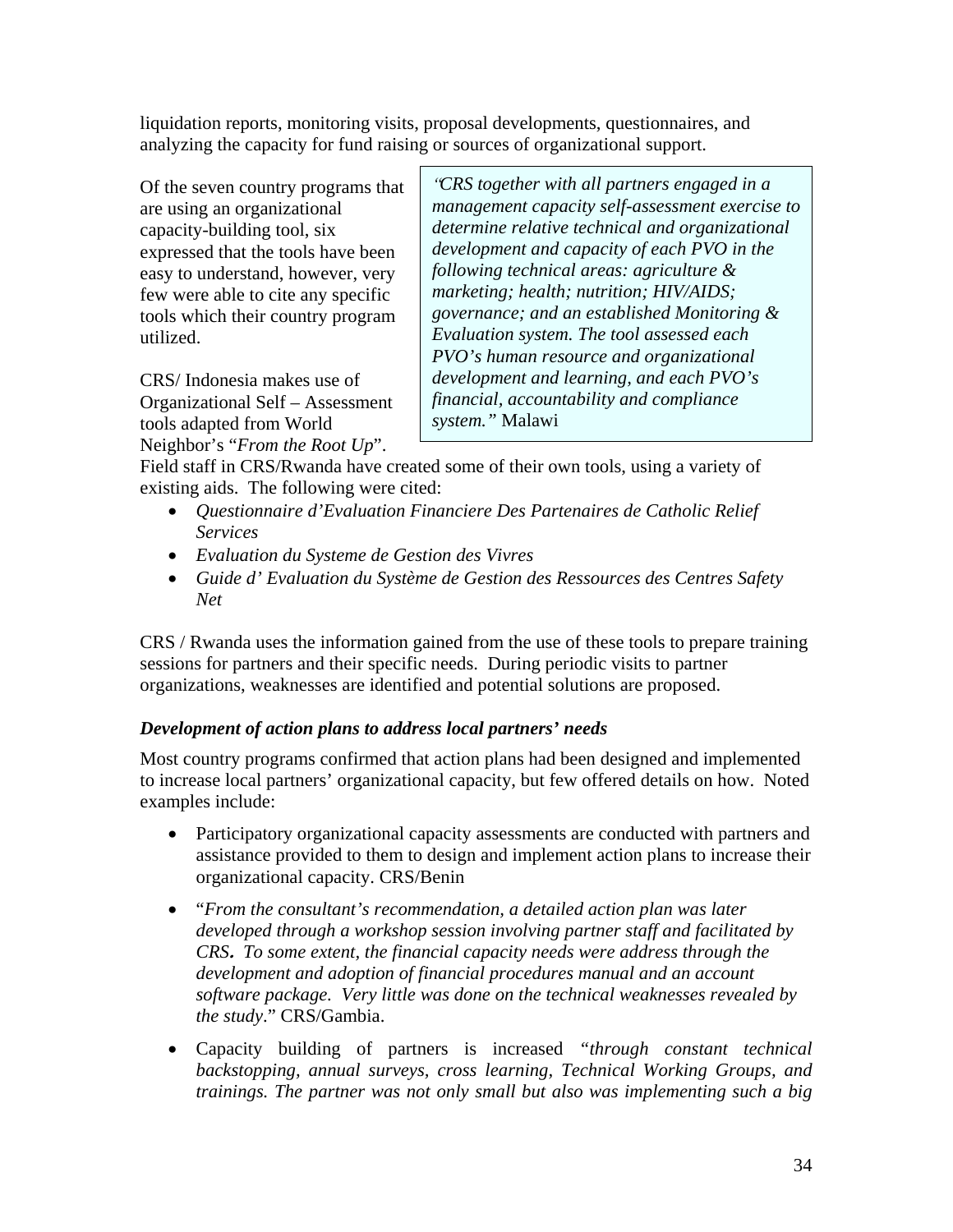liquidation reports, monitoring visits, proposal developments, questionnaires, and analyzing the capacity for fund raising or sources of organizational support.

Of the seven country programs that are using an organizational capacity-building tool, six expressed that the tools have been easy to understand, however, very few were able to cite any specific tools which their country program utilized.

CRS/ Indonesia makes use of Organizational Self – Assessment tools adapted from World Neighbor's "*From the Root Up*".

*"CRS together with all partners engaged in a management capacity self-assessment exercise to determine relative technical and organizational development and capacity of each PVO in the following technical areas: agriculture & marketing; health; nutrition; HIV/AIDS; governance; and an established Monitoring & Evaluation system. The tool assessed each PVO's human resource and organizational development and learning, and each PVO's financial, accountability and compliance system."* Malawi

Field staff in CRS/Rwanda have created some of their own tools, using a variety of existing aids. The following were cited:

- *Questionnaire d'Evaluation Financiere Des Partenaires de Catholic Relief Services*
- *Evaluation du Systeme de Gestion des Vivres*
- *Guide d' Evaluation du Système de Gestion des Ressources des Centres Safety Net*

CRS / Rwanda uses the information gained from the use of these tools to prepare training sessions for partners and their specific needs. During periodic visits to partner organizations, weaknesses are identified and potential solutions are proposed.

#### *Development of action plans to address local partners' needs*

Most country programs confirmed that action plans had been designed and implemented to increase local partners' organizational capacity, but few offered details on how. Noted examples include:

- Participatory organizational capacity assessments are conducted with partners and assistance provided to them to design and implement action plans to increase their organizational capacity. CRS/Benin
- "*From the consultant's recommendation, a detailed action plan was later developed through a workshop session involving partner staff and facilitated by CRS***.** *To some extent, the financial capacity needs were address through the development and adoption of financial procedures manual and an account software package. Very little was done on the technical weaknesses revealed by the study*." CRS/Gambia.
- Capacity building of partners is increased *"through constant technical backstopping, annual surveys, cross learning, Technical Working Groups, and trainings. The partner was not only small but also was implementing such a big*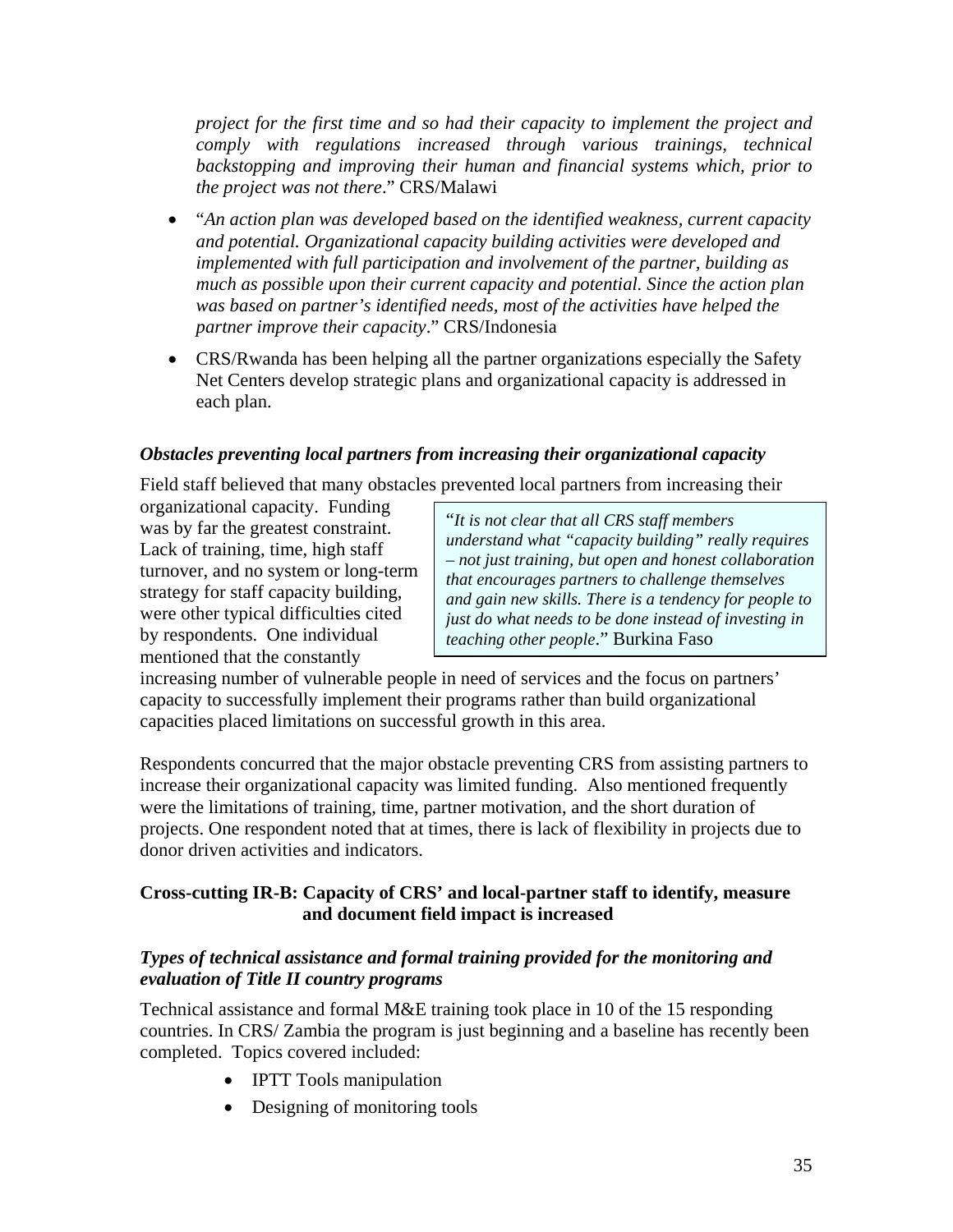*project for the first time and so had their capacity to implement the project and comply with regulations increased through various trainings, technical backstopping and improving their human and financial systems which, prior to the project was not there*." CRS/Malawi

- "*An action plan was developed based on the identified weakness, current capacity and potential. Organizational capacity building activities were developed and implemented with full participation and involvement of the partner, building as much as possible upon their current capacity and potential. Since the action plan was based on partner's identified needs, most of the activities have helped the partner improve their capacity*." CRS/Indonesia
- CRS/Rwanda has been helping all the partner organizations especially the Safety Net Centers develop strategic plans and organizational capacity is addressed in each plan.

#### *Obstacles preventing local partners from increasing their organizational capacity*

Field staff believed that many obstacles prevented local partners from increasing their

organizational capacity. Funding was by far the greatest constraint. Lack of training, time, high staff turnover, and no system or long-term strategy for staff capacity building, were other typical difficulties cited by respondents. One individual mentioned that the constantly

"*It is not clear that all CRS staff members understand what "capacity building" really requires – not just training, but open and honest collaboration that encourages partners to challenge themselves and gain new skills. There is a tendency for people to just do what needs to be done instead of investing in teaching other people*." Burkina Faso

increasing number of vulnerable people in need of services and the focus on partners' capacity to successfully implement their programs rather than build organizational capacities placed limitations on successful growth in this area.

Respondents concurred that the major obstacle preventing CRS from assisting partners to increase their organizational capacity was limited funding. Also mentioned frequently were the limitations of training, time, partner motivation, and the short duration of projects. One respondent noted that at times, there is lack of flexibility in projects due to donor driven activities and indicators.

#### **Cross-cutting IR-B: Capacity of CRS' and local-partner staff to identify, measure and document field impact is increased**

#### *Types of technical assistance and formal training provided for the monitoring and evaluation of Title II country programs*

Technical assistance and formal M&E training took place in 10 of the 15 responding countries. In CRS/ Zambia the program is just beginning and a baseline has recently been completed. Topics covered included:

- IPTT Tools manipulation
- Designing of monitoring tools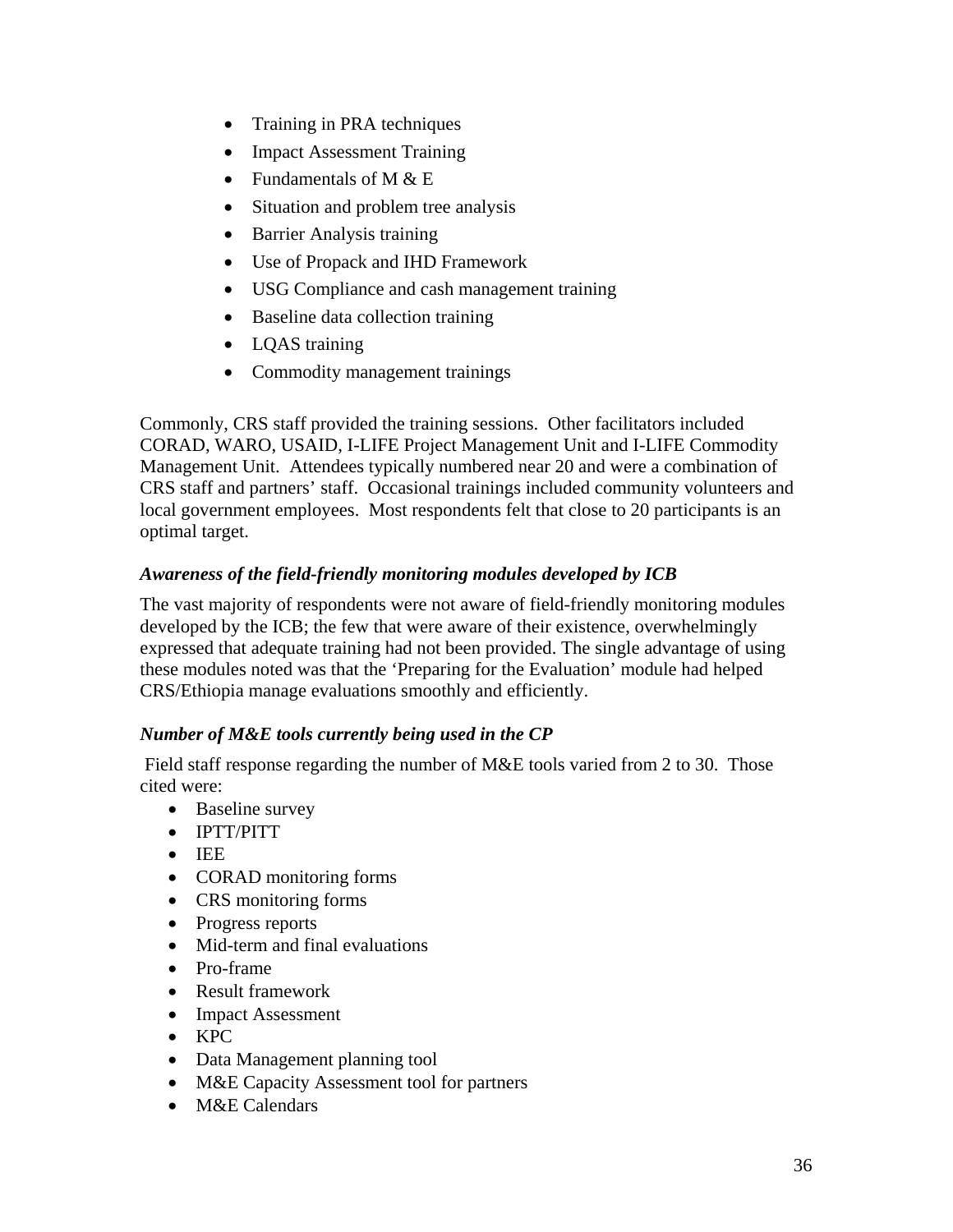- Training in PRA techniques
- Impact Assessment Training
- Fundamentals of M  $& E$
- Situation and problem tree analysis
- Barrier Analysis training
- Use of Propack and IHD Framework
- USG Compliance and cash management training
- Baseline data collection training
- LOAS training
- Commodity management trainings

Commonly, CRS staff provided the training sessions. Other facilitators included CORAD, WARO, USAID, I-LIFE Project Management Unit and I-LIFE Commodity Management Unit. Attendees typically numbered near 20 and were a combination of CRS staff and partners' staff. Occasional trainings included community volunteers and local government employees. Most respondents felt that close to 20 participants is an optimal target.

## *Awareness of the field-friendly monitoring modules developed by ICB*

The vast majority of respondents were not aware of field-friendly monitoring modules developed by the ICB; the few that were aware of their existence, overwhelmingly expressed that adequate training had not been provided. The single advantage of using these modules noted was that the 'Preparing for the Evaluation' module had helped CRS/Ethiopia manage evaluations smoothly and efficiently.

## *Number of M&E tools currently being used in the CP*

Field staff response regarding the number of M&E tools varied from 2 to 30. Those cited were:

- Baseline survey
- IPTT/PITT
- IEE
- CORAD monitoring forms
- CRS monitoring forms
- Progress reports
- Mid-term and final evaluations
- Pro-frame
- Result framework
- Impact Assessment
- KPC
- Data Management planning tool
- M&E Capacity Assessment tool for partners
- M&E Calendars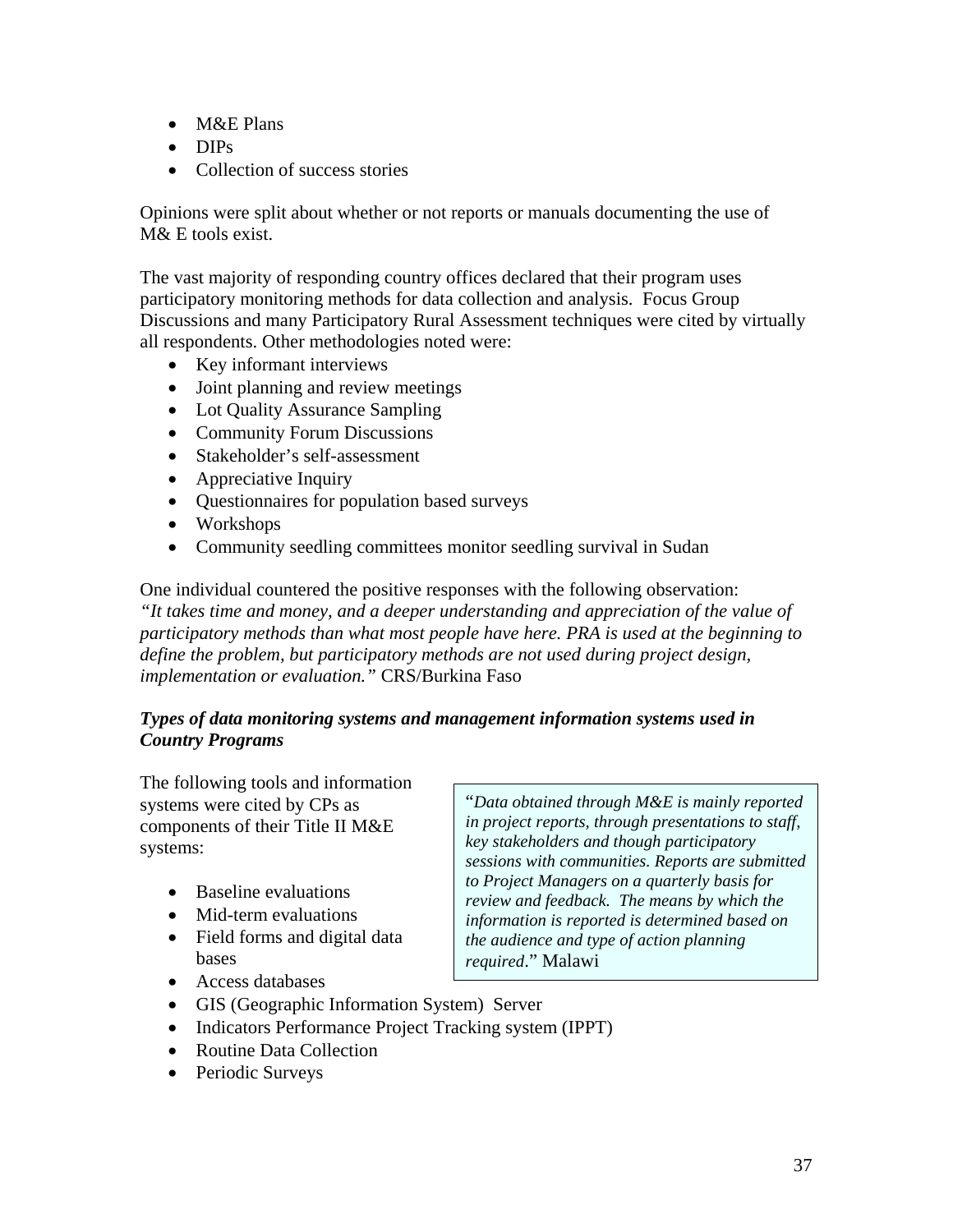- M&E Plans
- DIPs
- Collection of success stories

Opinions were split about whether or not reports or manuals documenting the use of M& E tools exist.

The vast majority of responding country offices declared that their program uses participatory monitoring methods for data collection and analysis. Focus Group Discussions and many Participatory Rural Assessment techniques were cited by virtually all respondents. Other methodologies noted were:

- Key informant interviews
- Joint planning and review meetings
- Lot Quality Assurance Sampling
- Community Forum Discussions
- Stakeholder's self-assessment
- Appreciative Inquiry
- Questionnaires for population based surveys
- Workshops
- Community seedling committees monitor seedling survival in Sudan

One individual countered the positive responses with the following observation: *"It takes time and money, and a deeper understanding and appreciation of the value of participatory methods than what most people have here. PRA is used at the beginning to define the problem, but participatory methods are not used during project design, implementation or evaluation."* CRS/Burkina Faso

## *Types of data monitoring systems and management information systems used in Country Programs*

The following tools and information systems were cited by CPs as components of their Title II M&E systems:

- Baseline evaluations
- Mid-term evaluations
- Field forms and digital data bases
- Access databases

"*Data obtained through M&E is mainly reported in project reports, through presentations to staff, key stakeholders and though participatory sessions with communities. Reports are submitted to Project Managers on a quarterly basis for review and feedback. The means by which the information is reported is determined based on the audience and type of action planning required*." Malawi

- GIS (Geographic Information System) Server
- Indicators Performance Project Tracking system (IPPT)
- Routine Data Collection
- Periodic Surveys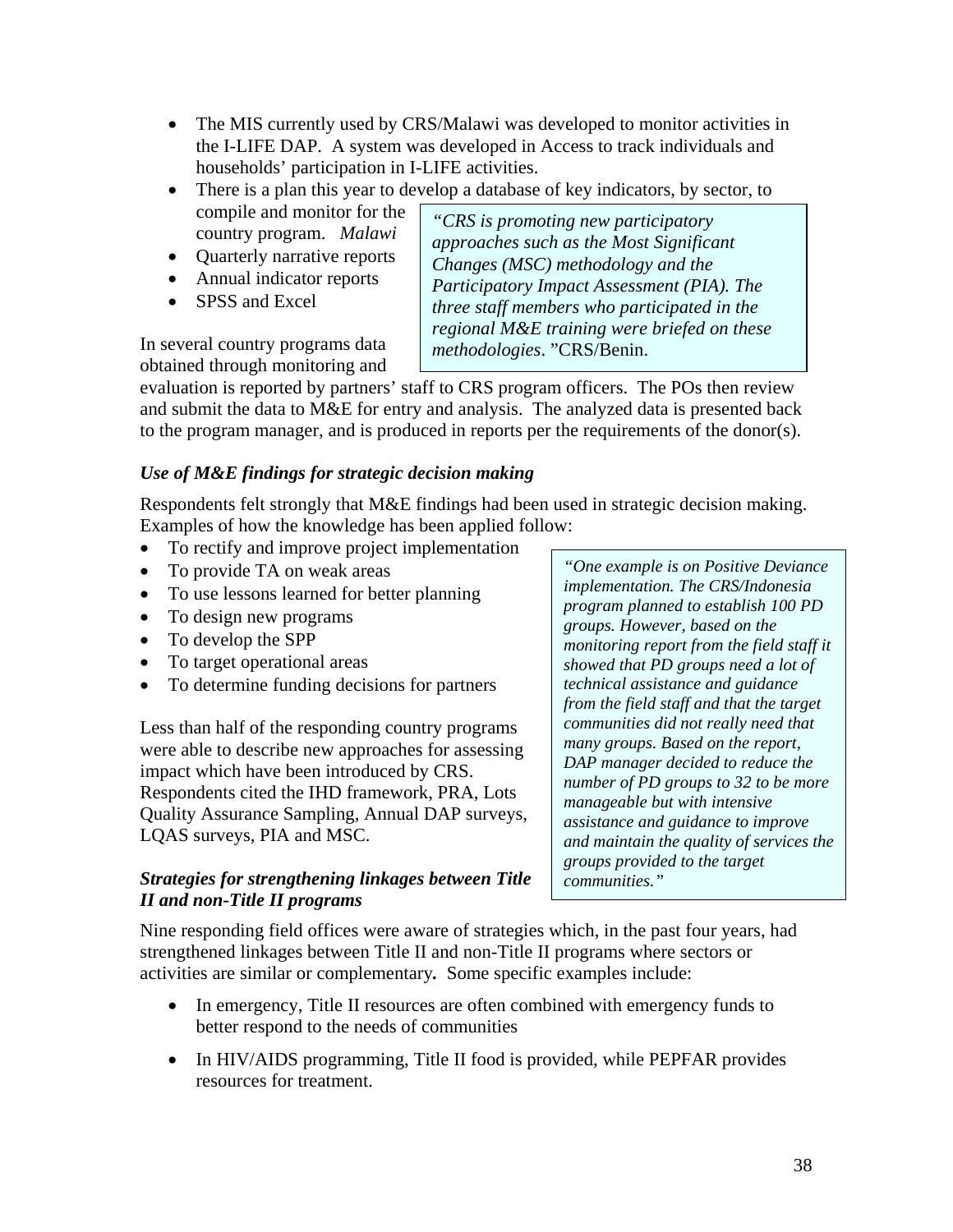- The MIS currently used by CRS/Malawi was developed to monitor activities in the I-LIFE DAP. A system was developed in Access to track individuals and households' participation in I-LIFE activities.
- There is a plan this year to develop a database of key indicators, by sector, to
- compile and monitor for the country program. *Malawi*
- Quarterly narrative reports
- Annual indicator reports
- SPSS and Excel

In several country programs data obtained through monitoring and

*"CRS is promoting new participatory approaches such as the Most Significant Changes (MSC) methodology and the Participatory Impact Assessment (PIA). The three staff members who participated in the regional M&E training were briefed on these methodologies*. "CRS/Benin.

evaluation is reported by partners' staff to CRS program officers. The POs then review and submit the data to M&E for entry and analysis. The analyzed data is presented back to the program manager, and is produced in reports per the requirements of the donor(s).

## *Use of M&E findings for strategic decision making*

Respondents felt strongly that M&E findings had been used in strategic decision making. Examples of how the knowledge has been applied follow:

- To rectify and improve project implementation
- To provide TA on weak areas
- To use lessons learned for better planning
- To design new programs
- To develop the SPP
- To target operational areas
- To determine funding decisions for partners

Less than half of the responding country programs were able to describe new approaches for assessing impact which have been introduced by CRS. Respondents cited the IHD framework, PRA, Lots Quality Assurance Sampling, Annual DAP surveys, LQAS surveys, PIA and MSC.

## *Strategies for strengthening linkages between Title II and non-Title II programs*

*"One example is on Positive Deviance implementation. The CRS/Indonesia program planned to establish 100 PD groups. However, based on the monitoring report from the field staff it showed that PD groups need a lot of technical assistance and guidance from the field staff and that the target communities did not really need that many groups. Based on the report, DAP manager decided to reduce the number of PD groups to 32 to be more manageable but with intensive assistance and guidance to improve and maintain the quality of services the groups provided to the target communities."* 

Nine responding field offices were aware of strategies which, in the past four years, had strengthened linkages between Title II and non-Title II programs where sectors or activities are similar or complementary*.* Some specific examples include:

- In emergency, Title II resources are often combined with emergency funds to better respond to the needs of communities
- In HIV/AIDS programming, Title II food is provided, while PEPFAR provides resources for treatment.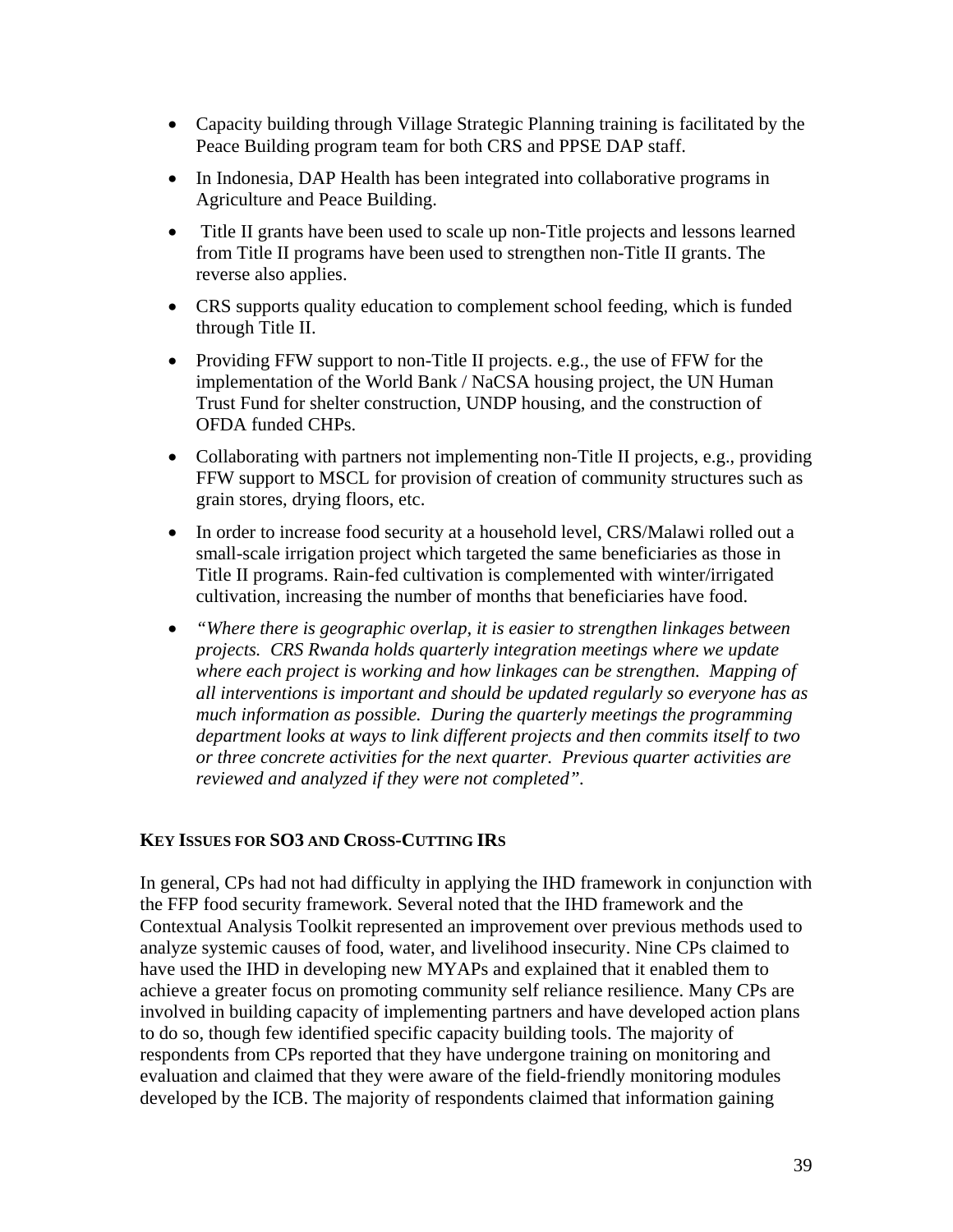- Capacity building through Village Strategic Planning training is facilitated by the Peace Building program team for both CRS and PPSE DAP staff.
- In Indonesia, DAP Health has been integrated into collaborative programs in Agriculture and Peace Building.
- Title II grants have been used to scale up non-Title projects and lessons learned from Title II programs have been used to strengthen non-Title II grants. The reverse also applies.
- CRS supports quality education to complement school feeding, which is funded through Title II.
- Providing FFW support to non-Title II projects. e.g., the use of FFW for the implementation of the World Bank / NaCSA housing project, the UN Human Trust Fund for shelter construction, UNDP housing, and the construction of OFDA funded CHPs.
- Collaborating with partners not implementing non-Title II projects, e.g., providing FFW support to MSCL for provision of creation of community structures such as grain stores, drying floors, etc.
- In order to increase food security at a household level, CRS/Malawi rolled out a small-scale irrigation project which targeted the same beneficiaries as those in Title II programs. Rain-fed cultivation is complemented with winter/irrigated cultivation, increasing the number of months that beneficiaries have food.
- *"Where there is geographic overlap, it is easier to strengthen linkages between projects. CRS Rwanda holds quarterly integration meetings where we update where each project is working and how linkages can be strengthen. Mapping of all interventions is important and should be updated regularly so everyone has as much information as possible. During the quarterly meetings the programming department looks at ways to link different projects and then commits itself to two or three concrete activities for the next quarter. Previous quarter activities are reviewed and analyzed if they were not completed".*

#### **KEY ISSUES FOR SO3 AND CROSS-CUTTING IRS**

In general, CPs had not had difficulty in applying the IHD framework in conjunction with the FFP food security framework. Several noted that the IHD framework and the Contextual Analysis Toolkit represented an improvement over previous methods used to analyze systemic causes of food, water, and livelihood insecurity. Nine CPs claimed to have used the IHD in developing new MYAPs and explained that it enabled them to achieve a greater focus on promoting community self reliance resilience. Many CPs are involved in building capacity of implementing partners and have developed action plans to do so, though few identified specific capacity building tools. The majority of respondents from CPs reported that they have undergone training on monitoring and evaluation and claimed that they were aware of the field-friendly monitoring modules developed by the ICB. The majority of respondents claimed that information gaining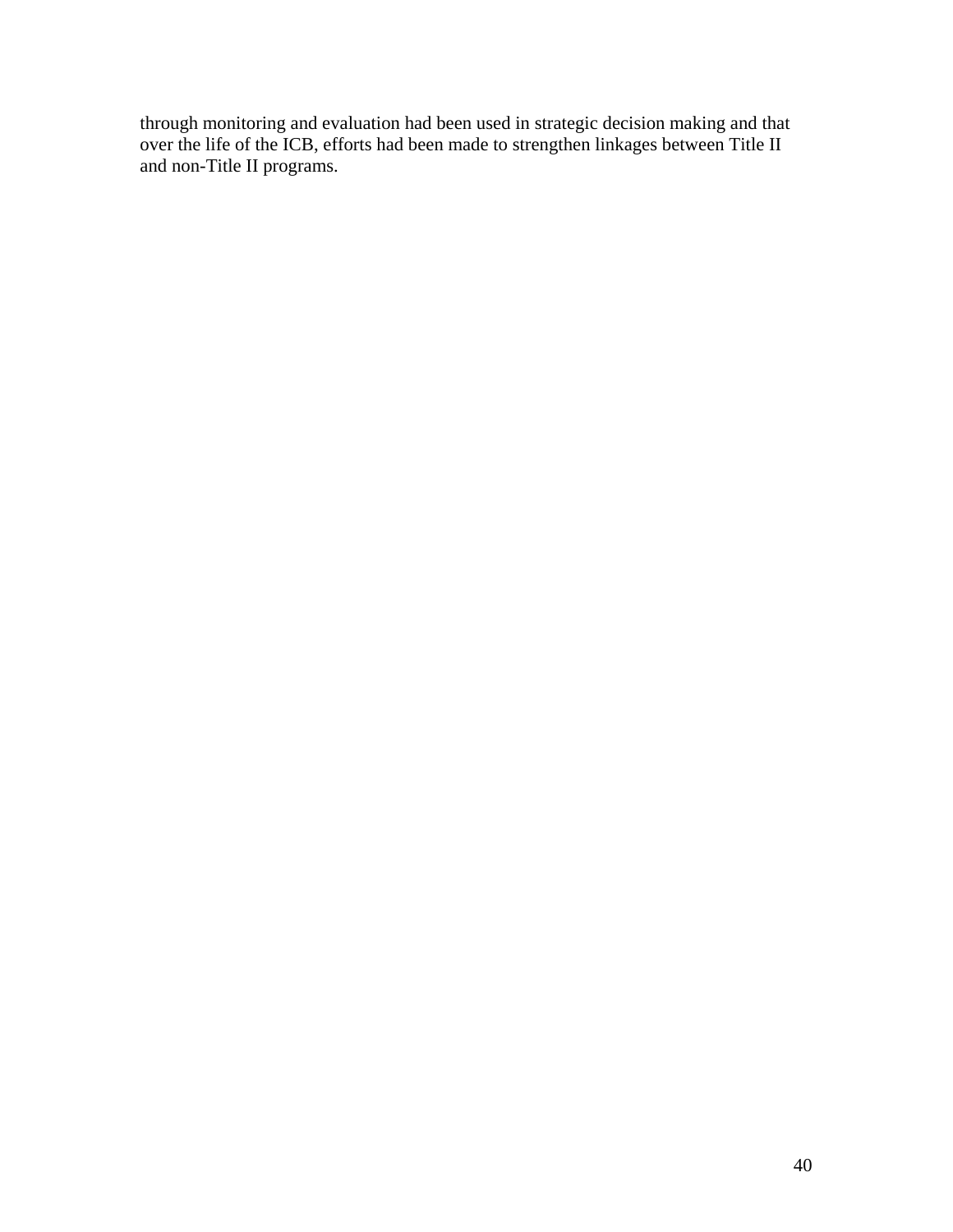through monitoring and evaluation had been used in strategic decision making and that over the life of the ICB, efforts had been made to strengthen linkages between Title II and non-Title II programs.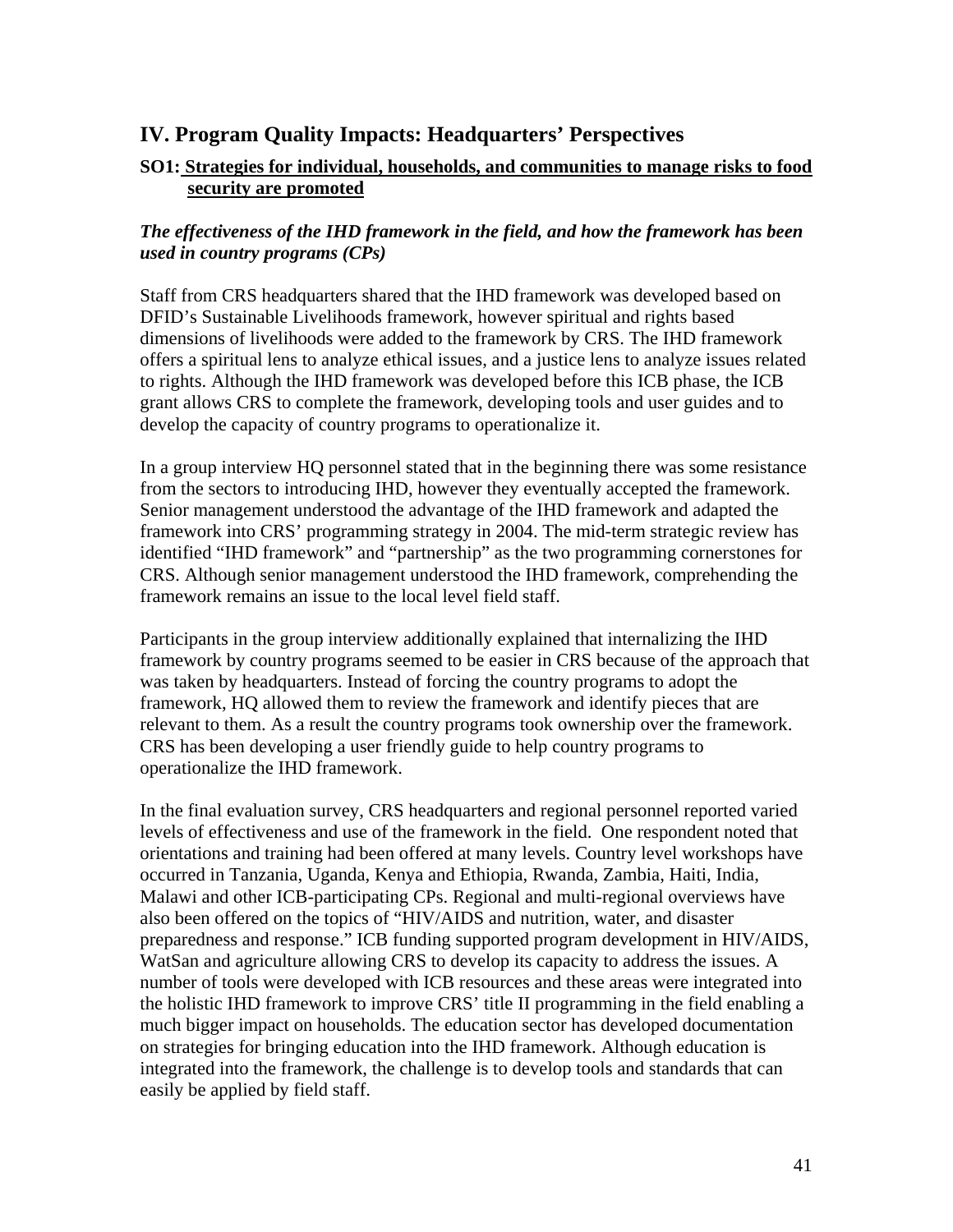# **IV. Program Quality Impacts: Headquarters' Perspectives**

## **SO1: Strategies for individual, households, and communities to manage risks to food security are promoted**

## *The effectiveness of the IHD framework in the field, and how the framework has been used in country programs (CPs)*

Staff from CRS headquarters shared that the IHD framework was developed based on DFID's Sustainable Livelihoods framework, however spiritual and rights based dimensions of livelihoods were added to the framework by CRS. The IHD framework offers a spiritual lens to analyze ethical issues, and a justice lens to analyze issues related to rights. Although the IHD framework was developed before this ICB phase, the ICB grant allows CRS to complete the framework, developing tools and user guides and to develop the capacity of country programs to operationalize it.

In a group interview HQ personnel stated that in the beginning there was some resistance from the sectors to introducing IHD, however they eventually accepted the framework. Senior management understood the advantage of the IHD framework and adapted the framework into CRS' programming strategy in 2004. The mid-term strategic review has identified "IHD framework" and "partnership" as the two programming cornerstones for CRS. Although senior management understood the IHD framework, comprehending the framework remains an issue to the local level field staff.

Participants in the group interview additionally explained that internalizing the IHD framework by country programs seemed to be easier in CRS because of the approach that was taken by headquarters. Instead of forcing the country programs to adopt the framework, HQ allowed them to review the framework and identify pieces that are relevant to them. As a result the country programs took ownership over the framework. CRS has been developing a user friendly guide to help country programs to operationalize the IHD framework.

In the final evaluation survey, CRS headquarters and regional personnel reported varied levels of effectiveness and use of the framework in the field. One respondent noted that orientations and training had been offered at many levels. Country level workshops have occurred in Tanzania, Uganda, Kenya and Ethiopia, Rwanda, Zambia, Haiti, India, Malawi and other ICB-participating CPs. Regional and multi-regional overviews have also been offered on the topics of "HIV/AIDS and nutrition, water, and disaster preparedness and response." ICB funding supported program development in HIV/AIDS, WatSan and agriculture allowing CRS to develop its capacity to address the issues. A number of tools were developed with ICB resources and these areas were integrated into the holistic IHD framework to improve CRS' title II programming in the field enabling a much bigger impact on households. The education sector has developed documentation on strategies for bringing education into the IHD framework. Although education is integrated into the framework, the challenge is to develop tools and standards that can easily be applied by field staff.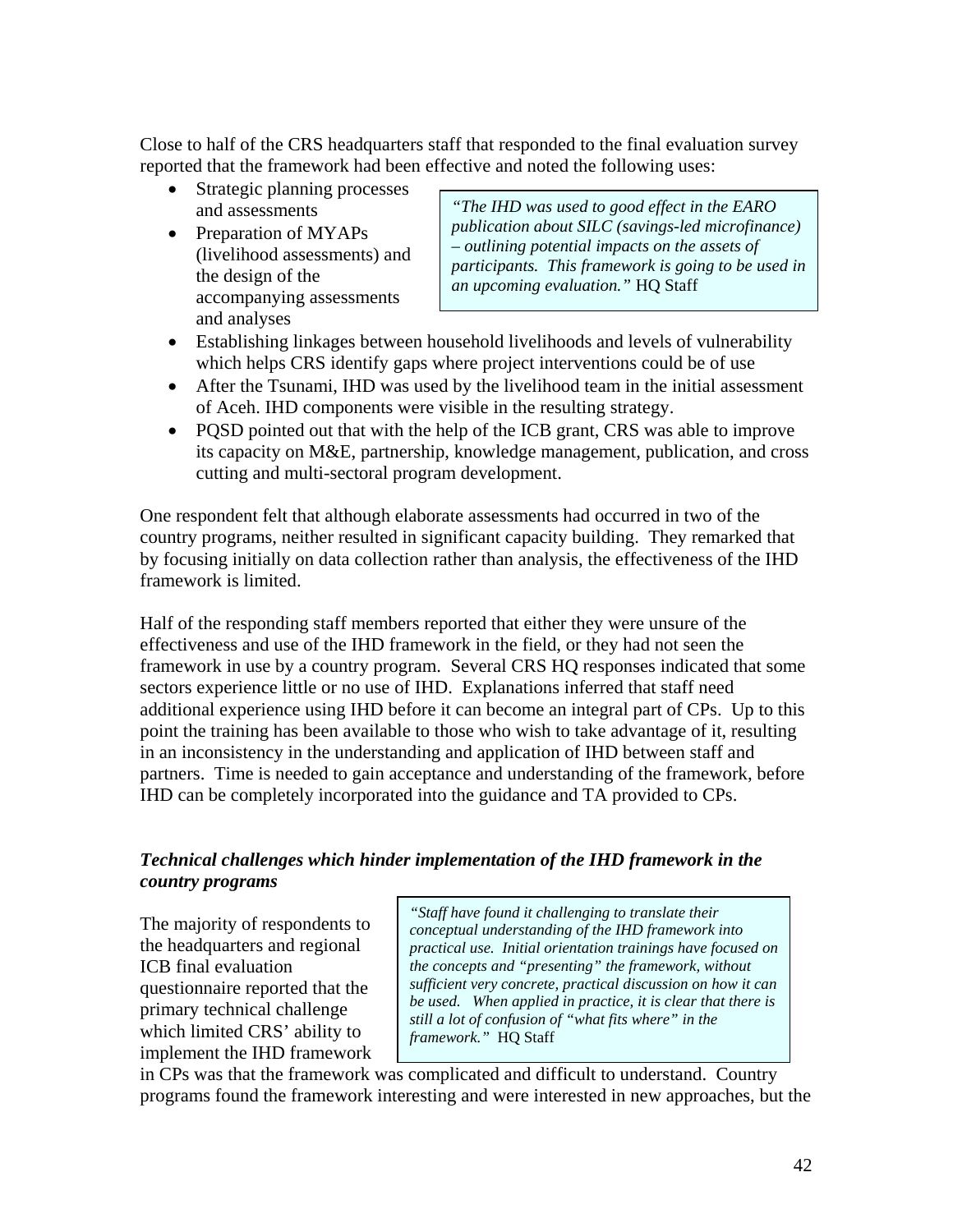Close to half of the CRS headquarters staff that responded to the final evaluation survey reported that the framework had been effective and noted the following uses:

- Strategic planning processes
- Preparation of MYAPs (livelihood assessments) and the design of the accompanying assessments and analyses

and assessments *"The IHD was used to good effect in the EARO publication about SILC (savings-led microfinance) – outlining potential impacts on the assets of participants. This framework is going to be used in an upcoming evaluation."* HQ Staff

- Establishing linkages between household livelihoods and levels of vulnerability which helps CRS identify gaps where project interventions could be of use
- After the Tsunami, IHD was used by the livelihood team in the initial assessment of Aceh. IHD components were visible in the resulting strategy.
- POSD pointed out that with the help of the ICB grant, CRS was able to improve its capacity on M&E, partnership, knowledge management, publication, and cross cutting and multi-sectoral program development.

One respondent felt that although elaborate assessments had occurred in two of the country programs, neither resulted in significant capacity building. They remarked that by focusing initially on data collection rather than analysis, the effectiveness of the IHD framework is limited.

Half of the responding staff members reported that either they were unsure of the effectiveness and use of the IHD framework in the field, or they had not seen the framework in use by a country program. Several CRS HQ responses indicated that some sectors experience little or no use of IHD. Explanations inferred that staff need additional experience using IHD before it can become an integral part of CPs. Up to this point the training has been available to those who wish to take advantage of it, resulting in an inconsistency in the understanding and application of IHD between staff and partners. Time is needed to gain acceptance and understanding of the framework, before IHD can be completely incorporated into the guidance and TA provided to CPs.

## *Technical challenges which hinder implementation of the IHD framework in the country programs*

The majority of respondents to the headquarters and regional ICB final evaluation questionnaire reported that the primary technical challenge which limited CRS' ability to implement the IHD framework

*"Staff have found it challenging to translate their conceptual understanding of the IHD framework into practical use. Initial orientation trainings have focused on the concepts and "presenting" the framework, without sufficient very concrete, practical discussion on how it can be used. When applied in practice, it is clear that there is still a lot of confusion of "what fits where" in the framework."* HQ Staff

in CPs was that the framework was complicated and difficult to understand. Country programs found the framework interesting and were interested in new approaches, but the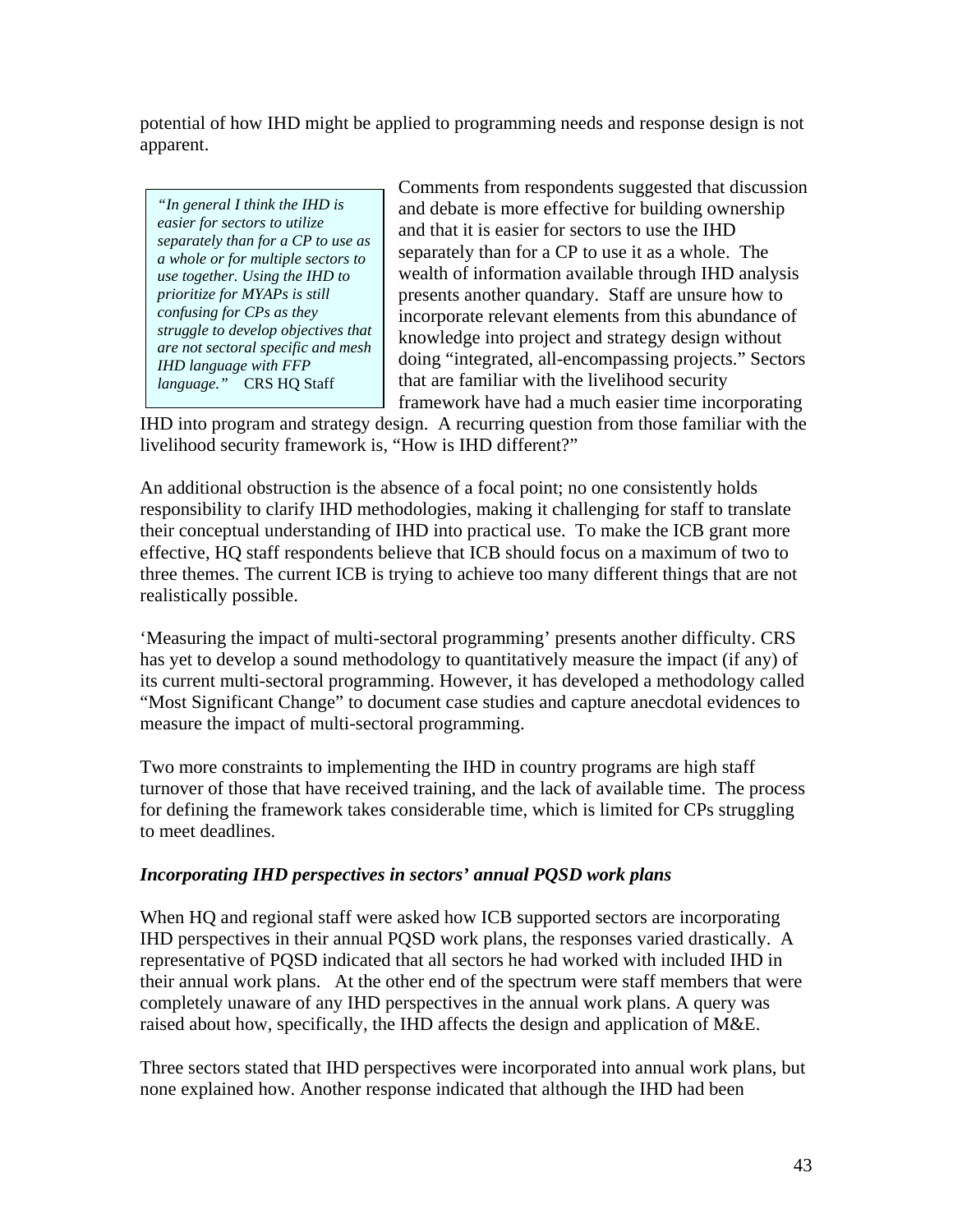potential of how IHD might be applied to programming needs and response design is not apparent.

*"In general I think the IHD is easier for sectors to utilize separately than for a CP to use as a whole or for multiple sectors to use together. Using the IHD to prioritize for MYAPs is still confusing for CPs as they struggle to develop objectives that are not sectoral specific and mesh IHD language with FFP language."* CRS HQ Staff

Comments from respondents suggested that discussion and debate is more effective for building ownership and that it is easier for sectors to use the IHD separately than for a CP to use it as a whole. The wealth of information available through IHD analysis presents another quandary. Staff are unsure how to incorporate relevant elements from this abundance of knowledge into project and strategy design without doing "integrated, all-encompassing projects." Sectors that are familiar with the livelihood security framework have had a much easier time incorporating

IHD into program and strategy design. A recurring question from those familiar with the livelihood security framework is, "How is IHD different?"

An additional obstruction is the absence of a focal point; no one consistently holds responsibility to clarify IHD methodologies, making it challenging for staff to translate their conceptual understanding of IHD into practical use. To make the ICB grant more effective, HQ staff respondents believe that ICB should focus on a maximum of two to three themes. The current ICB is trying to achieve too many different things that are not realistically possible.

'Measuring the impact of multi-sectoral programming' presents another difficulty. CRS has yet to develop a sound methodology to quantitatively measure the impact (if any) of its current multi-sectoral programming. However, it has developed a methodology called "Most Significant Change" to document case studies and capture anecdotal evidences to measure the impact of multi-sectoral programming.

Two more constraints to implementing the IHD in country programs are high staff turnover of those that have received training, and the lack of available time. The process for defining the framework takes considerable time, which is limited for CPs struggling to meet deadlines.

## *Incorporating IHD perspectives in sectors' annual PQSD work plans*

When HQ and regional staff were asked how ICB supported sectors are incorporating IHD perspectives in their annual PQSD work plans, the responses varied drastically. A representative of PQSD indicated that all sectors he had worked with included IHD in their annual work plans. At the other end of the spectrum were staff members that were completely unaware of any IHD perspectives in the annual work plans. A query was raised about how, specifically, the IHD affects the design and application of M&E.

Three sectors stated that IHD perspectives were incorporated into annual work plans, but none explained how. Another response indicated that although the IHD had been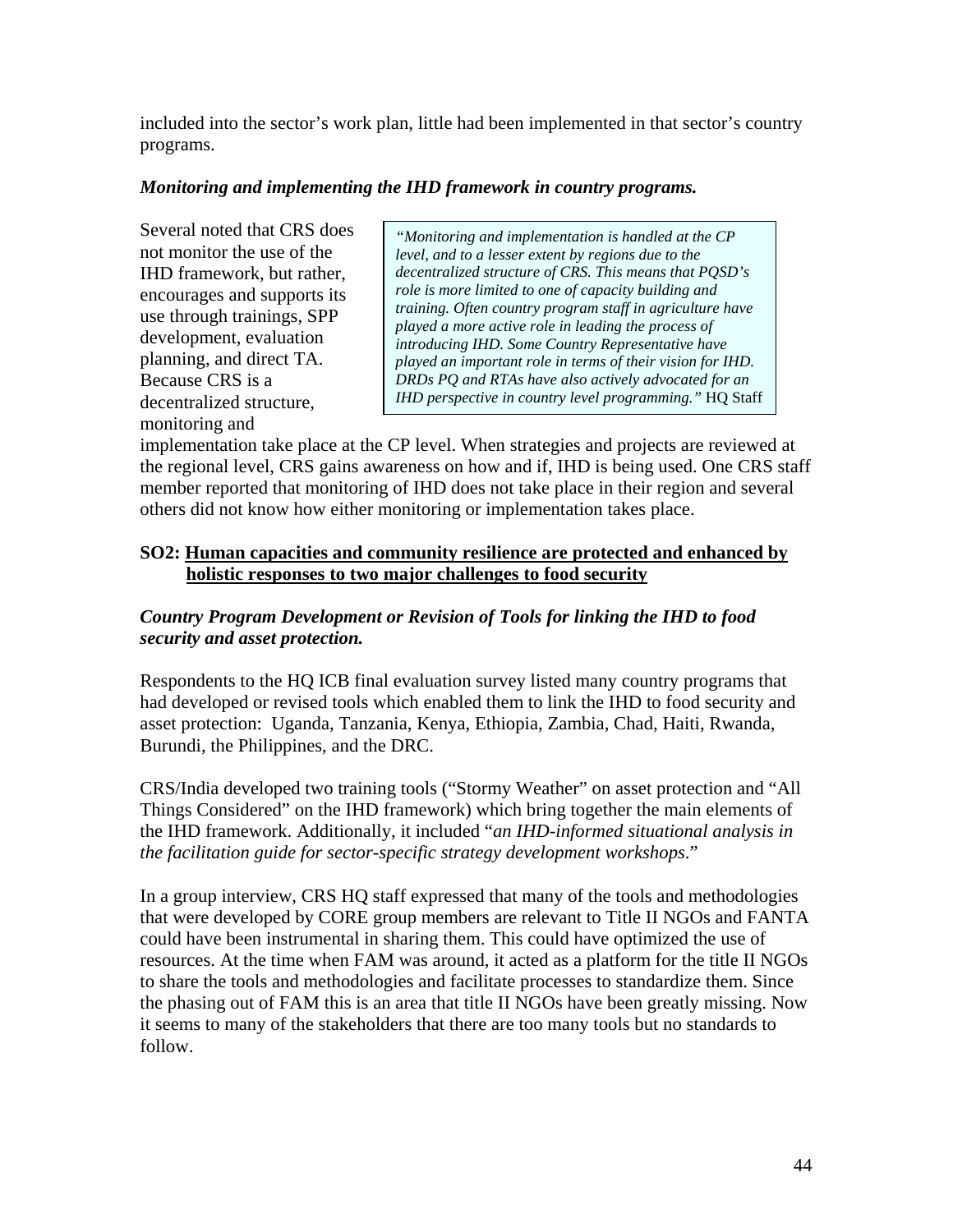included into the sector's work plan, little had been implemented in that sector's country programs.

## *Monitoring and implementing the IHD framework in country programs.*

Several noted that CRS does not monitor the use of the IHD framework, but rather, encourages and supports its use through trainings, SPP development, evaluation planning, and direct TA. Because CRS is a decentralized structure, monitoring and

*"Monitoring and implementation is handled at the CP level, and to a lesser extent by regions due to the decentralized structure of CRS. This means that PQSD's role is more limited to one of capacity building and training. Often country program staff in agriculture have played a more active role in leading the process of introducing IHD. Some Country Representative have played an important role in terms of their vision for IHD. DRDs PQ and RTAs have also actively advocated for an IHD perspective in country level programming."* HQ Staff

implementation take place at the CP level. When strategies and projects are reviewed at the regional level, CRS gains awareness on how and if, IHD is being used. One CRS staff member reported that monitoring of IHD does not take place in their region and several others did not know how either monitoring or implementation takes place.

## **SO2: Human capacities and community resilience are protected and enhanced by holistic responses to two major challenges to food security**

## *Country Program Development or Revision of Tools for linking the IHD to food security and asset protection.*

Respondents to the HQ ICB final evaluation survey listed many country programs that had developed or revised tools which enabled them to link the IHD to food security and asset protection: Uganda, Tanzania, Kenya, Ethiopia, Zambia, Chad, Haiti, Rwanda, Burundi, the Philippines, and the DRC.

CRS/India developed two training tools ("Stormy Weather" on asset protection and "All Things Considered" on the IHD framework) which bring together the main elements of the IHD framework. Additionally, it included "*an IHD-informed situational analysis in the facilitation guide for sector-specific strategy development workshops*."

In a group interview, CRS HQ staff expressed that many of the tools and methodologies that were developed by CORE group members are relevant to Title II NGOs and FANTA could have been instrumental in sharing them. This could have optimized the use of resources. At the time when FAM was around, it acted as a platform for the title II NGOs to share the tools and methodologies and facilitate processes to standardize them. Since the phasing out of FAM this is an area that title II NGOs have been greatly missing. Now it seems to many of the stakeholders that there are too many tools but no standards to follow.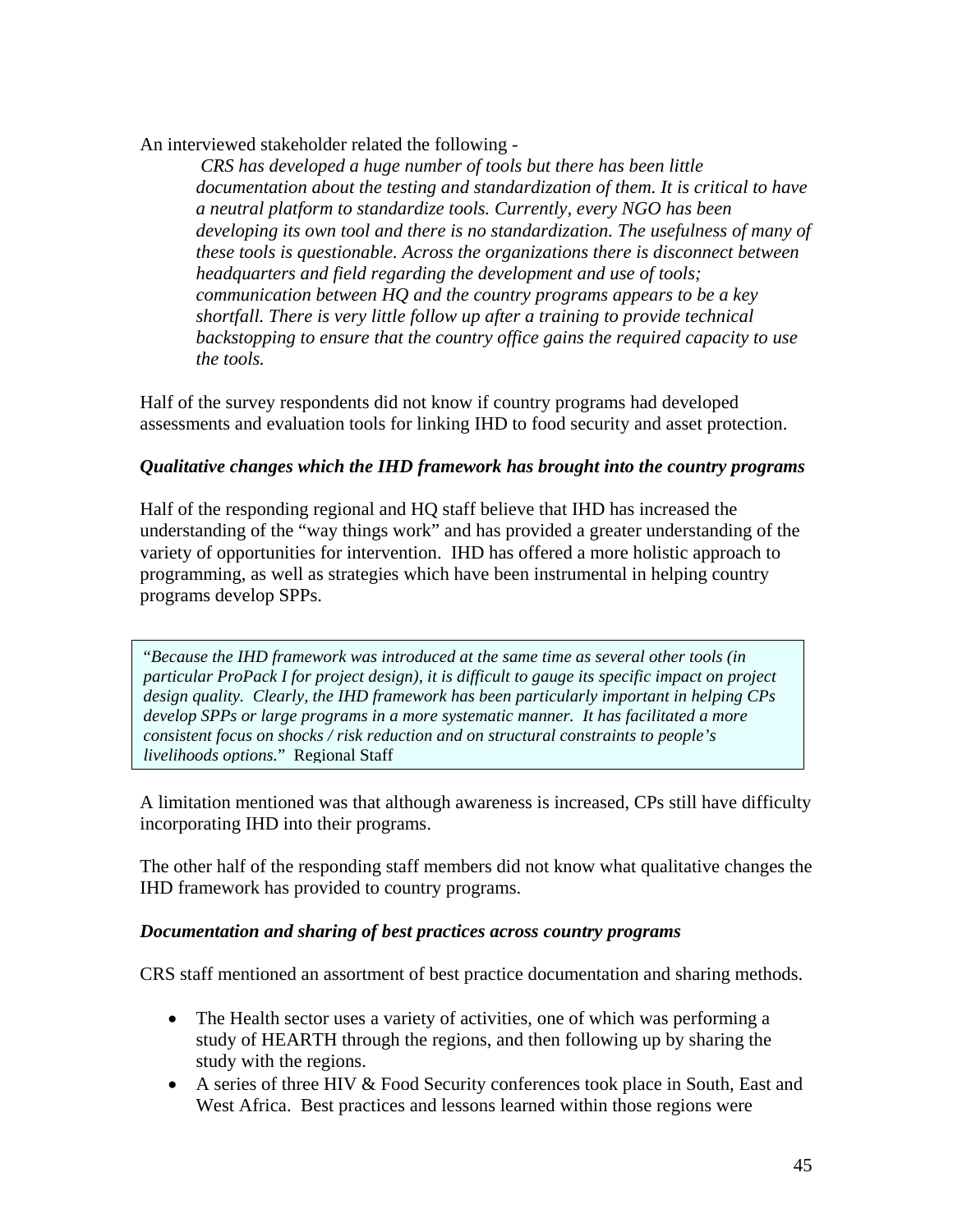An interviewed stakeholder related the following -

 *CRS has developed a huge number of tools but there has been little documentation about the testing and standardization of them. It is critical to have a neutral platform to standardize tools. Currently, every NGO has been*  developing its own tool and there is no standardization. The usefulness of many of *these tools is questionable. Across the organizations there is disconnect between headquarters and field regarding the development and use of tools; communication between HQ and the country programs appears to be a key shortfall. There is very little follow up after a training to provide technical backstopping to ensure that the country office gains the required capacity to use the tools.* 

Half of the survey respondents did not know if country programs had developed assessments and evaluation tools for linking IHD to food security and asset protection.

## *Qualitative changes which the IHD framework has brought into the country programs*

Half of the responding regional and HQ staff believe that IHD has increased the understanding of the "way things work" and has provided a greater understanding of the variety of opportunities for intervention. IHD has offered a more holistic approach to programming, as well as strategies which have been instrumental in helping country programs develop SPPs.

"*Because the IHD framework was introduced at the same time as several other tools (in particular ProPack I for project design), it is difficult to gauge its specific impact on project design quality. Clearly, the IHD framework has been particularly important in helping CPs develop SPPs or large programs in a more systematic manner. It has facilitated a more consistent focus on shocks / risk reduction and on structural constraints to people's livelihoods options.*" Regional Staff

A limitation mentioned was that although awareness is increased, CPs still have difficulty incorporating IHD into their programs.

The other half of the responding staff members did not know what qualitative changes the IHD framework has provided to country programs.

#### *Documentation and sharing of best practices across country programs*

CRS staff mentioned an assortment of best practice documentation and sharing methods.

- The Health sector uses a variety of activities, one of which was performing a study of HEARTH through the regions, and then following up by sharing the study with the regions.
- A series of three HIV & Food Security conferences took place in South, East and West Africa. Best practices and lessons learned within those regions were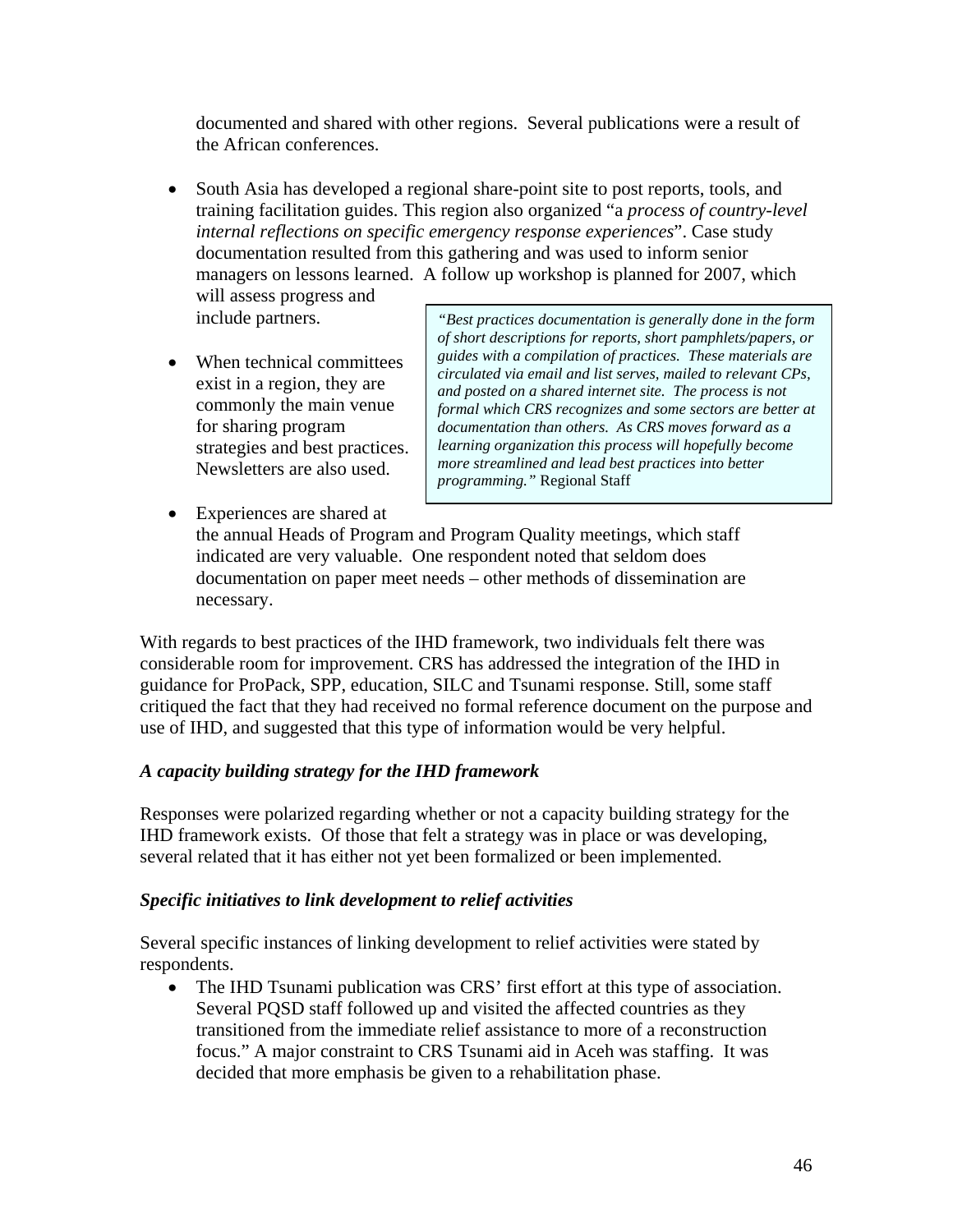documented and shared with other regions. Several publications were a result of the African conferences.

• South Asia has developed a regional share-point site to post reports, tools, and training facilitation guides. This region also organized "a *process of country-level internal reflections on specific emergency response experiences*". Case study documentation resulted from this gathering and was used to inform senior managers on lessons learned. A follow up workshop is planned for 2007, which

will assess progress and include partners.

• When technical committees exist in a region, they are commonly the main venue for sharing program strategies and best practices. Newsletters are also used.

*"Best practices documentation is generally done in the form of short descriptions for reports, short pamphlets/papers, or guides with a compilation of practices. These materials are circulated via email and list serves, mailed to relevant CPs, and posted on a shared internet site. The process is not formal which CRS recognizes and some sectors are better at documentation than others. As CRS moves forward as a learning organization this process will hopefully become more streamlined and lead best practices into better programming."* Regional Staff

• Experiences are shared at

the annual Heads of Program and Program Quality meetings, which staff indicated are very valuable. One respondent noted that seldom does documentation on paper meet needs – other methods of dissemination are necessary.

With regards to best practices of the IHD framework, two individuals felt there was considerable room for improvement. CRS has addressed the integration of the IHD in guidance for ProPack, SPP, education, SILC and Tsunami response. Still, some staff critiqued the fact that they had received no formal reference document on the purpose and use of IHD, and suggested that this type of information would be very helpful.

## *A capacity building strategy for the IHD framework*

Responses were polarized regarding whether or not a capacity building strategy for the IHD framework exists. Of those that felt a strategy was in place or was developing, several related that it has either not yet been formalized or been implemented.

## *Specific initiatives to link development to relief activities*

Several specific instances of linking development to relief activities were stated by respondents.

• The IHD Tsunami publication was CRS' first effort at this type of association. Several PQSD staff followed up and visited the affected countries as they transitioned from the immediate relief assistance to more of a reconstruction focus." A major constraint to CRS Tsunami aid in Aceh was staffing. It was decided that more emphasis be given to a rehabilitation phase.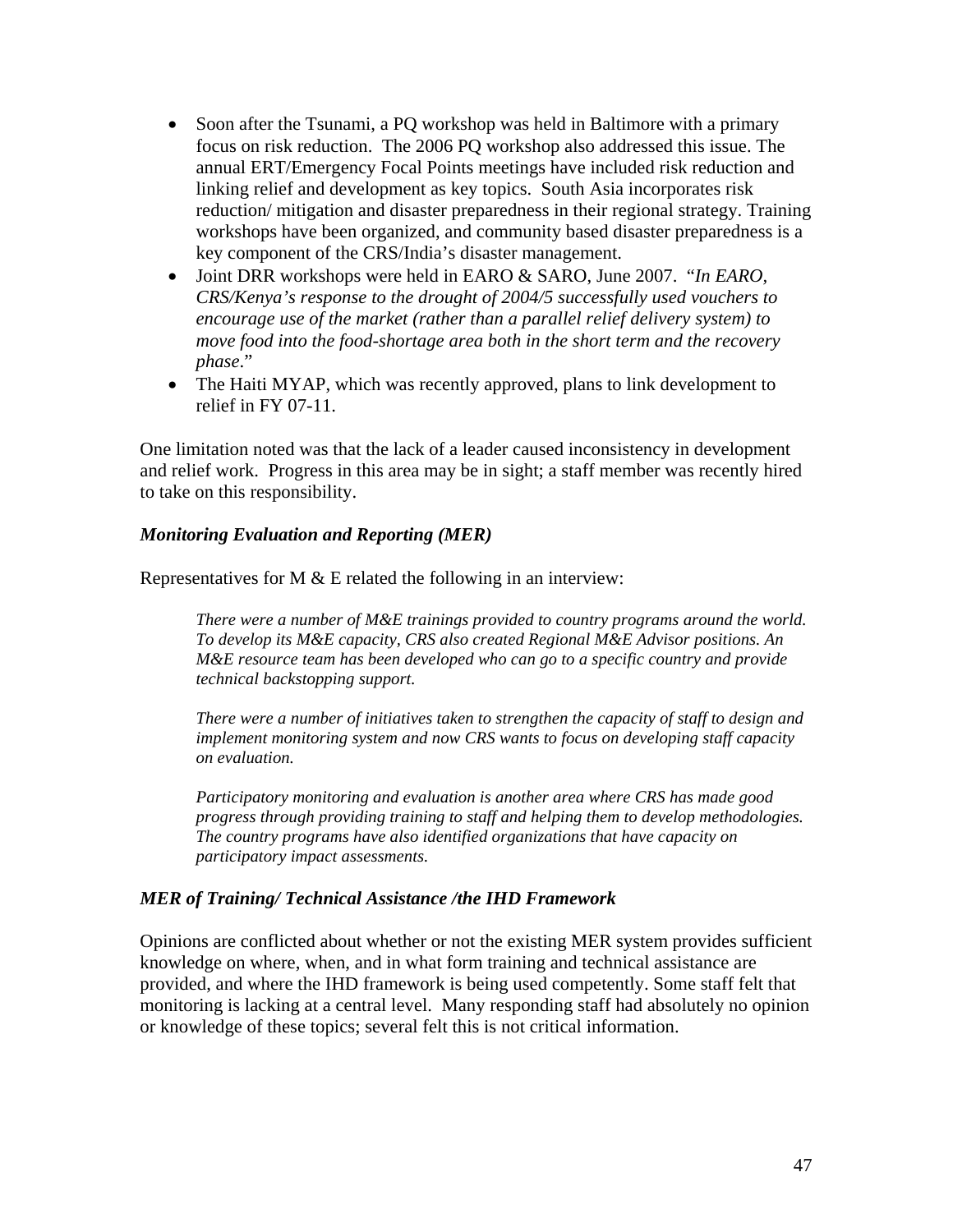- Soon after the Tsunami, a PQ workshop was held in Baltimore with a primary focus on risk reduction. The 2006 PQ workshop also addressed this issue. The annual ERT/Emergency Focal Points meetings have included risk reduction and linking relief and development as key topics. South Asia incorporates risk reduction/ mitigation and disaster preparedness in their regional strategy. Training workshops have been organized, and community based disaster preparedness is a key component of the CRS/India's disaster management.
- Joint DRR workshops were held in EARO & SARO, June 2007. "*In EARO, CRS/Kenya's response to the drought of 2004/5 successfully used vouchers to encourage use of the market (rather than a parallel relief delivery system) to move food into the food-shortage area both in the short term and the recovery phase*."
- The Haiti MYAP, which was recently approved, plans to link development to relief in FY 07-11.

One limitation noted was that the lack of a leader caused inconsistency in development and relief work. Progress in this area may be in sight; a staff member was recently hired to take on this responsibility.

#### *Monitoring Evaluation and Reporting (MER)*

Representatives for M  $&$  E related the following in an interview:

*There were a number of M&E trainings provided to country programs around the world. To develop its M&E capacity, CRS also created Regional M&E Advisor positions. An M&E resource team has been developed who can go to a specific country and provide technical backstopping support.* 

*There were a number of initiatives taken to strengthen the capacity of staff to design and implement monitoring system and now CRS wants to focus on developing staff capacity on evaluation.* 

*Participatory monitoring and evaluation is another area where CRS has made good progress through providing training to staff and helping them to develop methodologies. The country programs have also identified organizations that have capacity on participatory impact assessments.* 

#### *MER of Training/ Technical Assistance /the IHD Framework*

Opinions are conflicted about whether or not the existing MER system provides sufficient knowledge on where, when, and in what form training and technical assistance are provided, and where the IHD framework is being used competently. Some staff felt that monitoring is lacking at a central level. Many responding staff had absolutely no opinion or knowledge of these topics; several felt this is not critical information.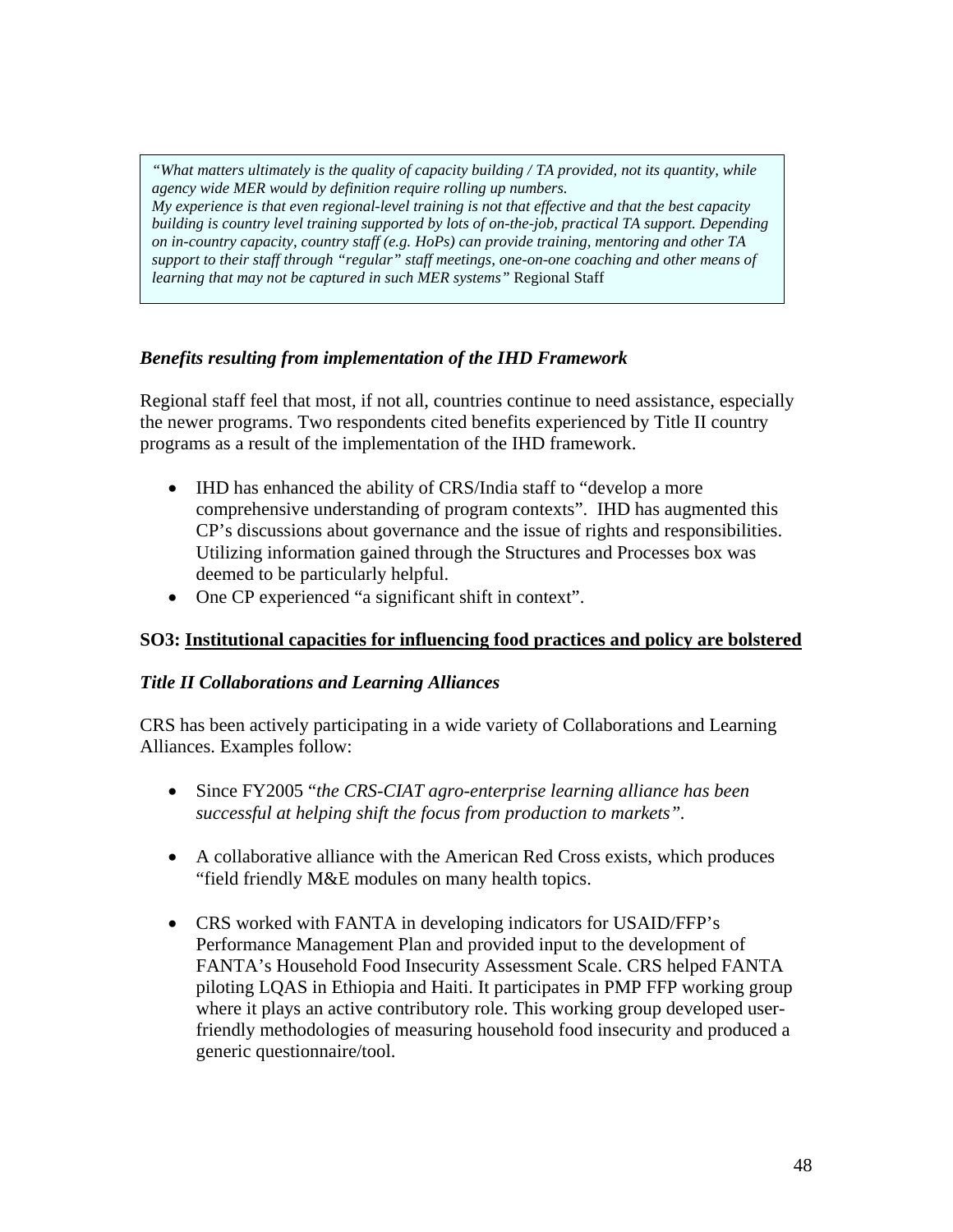*"What matters ultimately is the quality of capacity building / TA provided, not its quantity, while agency wide MER would by definition require rolling up numbers. My experience is that even regional-level training is not that effective and that the best capacity building is country level training supported by lots of on-the-job, practical TA support. Depending on in-country capacity, country staff (e.g. HoPs) can provide training, mentoring and other TA support to their staff through "regular" staff meetings, one-on-one coaching and other means of learning that may not be captured in such MER systems"* Regional Staff

## *Benefits resulting from implementation of the IHD Framework*

Regional staff feel that most, if not all, countries continue to need assistance, especially the newer programs. Two respondents cited benefits experienced by Title II country programs as a result of the implementation of the IHD framework.

- IHD has enhanced the ability of CRS/India staff to "develop a more" comprehensive understanding of program contexts". IHD has augmented this CP's discussions about governance and the issue of rights and responsibilities. Utilizing information gained through the Structures and Processes box was deemed to be particularly helpful.
- One CP experienced "a significant shift in context".

## **SO3: Institutional capacities for influencing food practices and policy are bolstered**

#### *Title II Collaborations and Learning Alliances*

CRS has been actively participating in a wide variety of Collaborations and Learning Alliances. Examples follow:

- Since FY2005 "*the CRS-CIAT agro-enterprise learning alliance has been successful at helping shift the focus from production to markets".*
- A collaborative alliance with the American Red Cross exists, which produces "field friendly M&E modules on many health topics.
- CRS worked with FANTA in developing indicators for USAID/FFP's Performance Management Plan and provided input to the development of FANTA's Household Food Insecurity Assessment Scale. CRS helped FANTA piloting LQAS in Ethiopia and Haiti. It participates in PMP FFP working group where it plays an active contributory role. This working group developed userfriendly methodologies of measuring household food insecurity and produced a generic questionnaire/tool.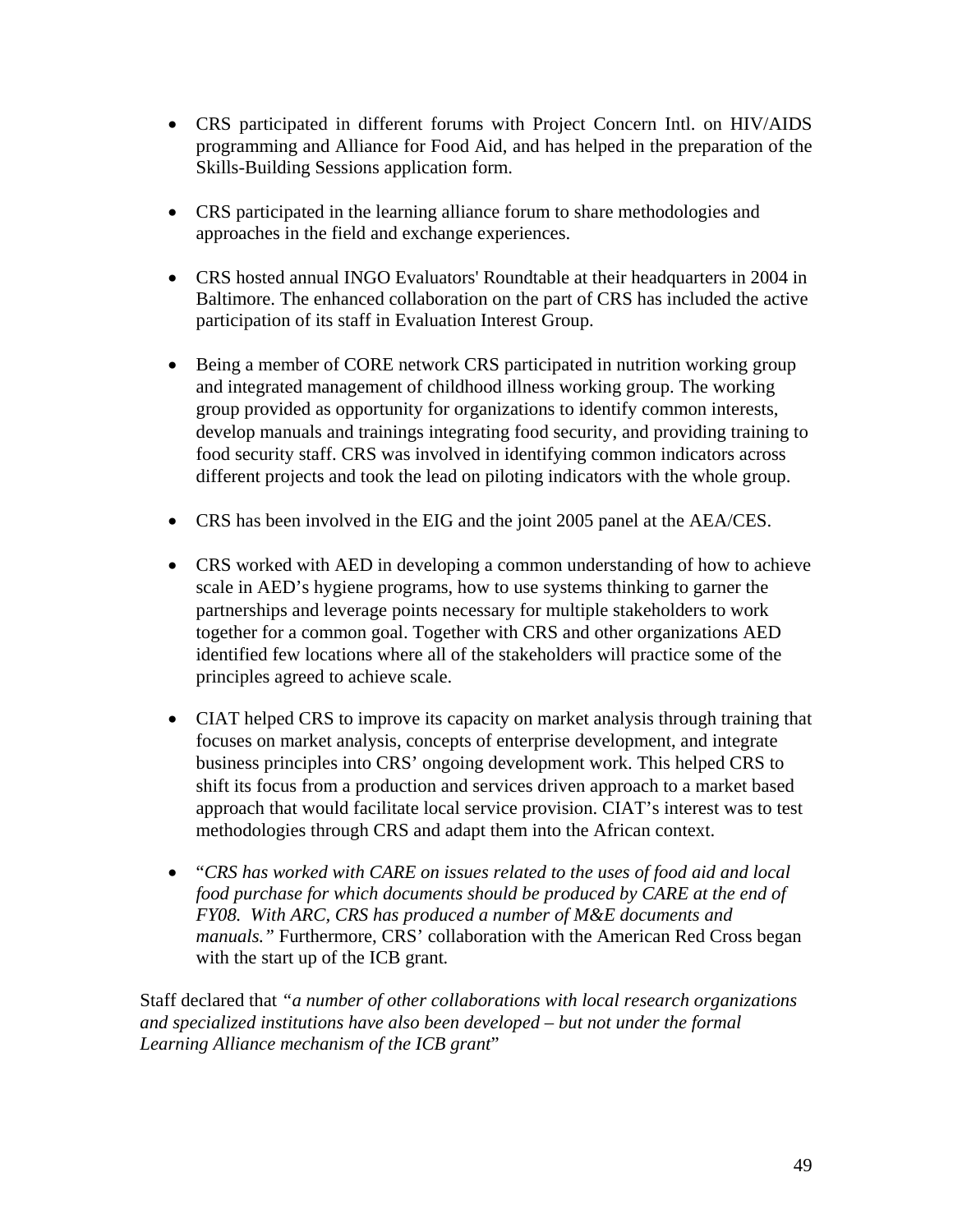- CRS participated in different forums with Project Concern Intl. on HIV/AIDS programming and Alliance for Food Aid, and has helped in the preparation of the Skills-Building Sessions application form.
- CRS participated in the learning alliance forum to share methodologies and approaches in the field and exchange experiences.
- CRS hosted annual INGO Evaluators' Roundtable at their headquarters in 2004 in Baltimore. The enhanced collaboration on the part of CRS has included the active participation of its staff in Evaluation Interest Group.
- Being a member of CORE network CRS participated in nutrition working group and integrated management of childhood illness working group. The working group provided as opportunity for organizations to identify common interests, develop manuals and trainings integrating food security, and providing training to food security staff. CRS was involved in identifying common indicators across different projects and took the lead on piloting indicators with the whole group.
- CRS has been involved in the EIG and the joint 2005 panel at the AEA/CES.
- CRS worked with AED in developing a common understanding of how to achieve scale in AED's hygiene programs, how to use systems thinking to garner the partnerships and leverage points necessary for multiple stakeholders to work together for a common goal. Together with CRS and other organizations AED identified few locations where all of the stakeholders will practice some of the principles agreed to achieve scale.
- CIAT helped CRS to improve its capacity on market analysis through training that focuses on market analysis, concepts of enterprise development, and integrate business principles into CRS' ongoing development work. This helped CRS to shift its focus from a production and services driven approach to a market based approach that would facilitate local service provision. CIAT's interest was to test methodologies through CRS and adapt them into the African context.
- "*CRS has worked with CARE on issues related to the uses of food aid and local food purchase for which documents should be produced by CARE at the end of FY08. With ARC, CRS has produced a number of M&E documents and manuals."* Furthermore, CRS' collaboration with the American Red Cross began with the start up of the ICB grant*.*

Staff declared that *"a number of other collaborations with local research organizations and specialized institutions have also been developed – but not under the formal Learning Alliance mechanism of the ICB grant*"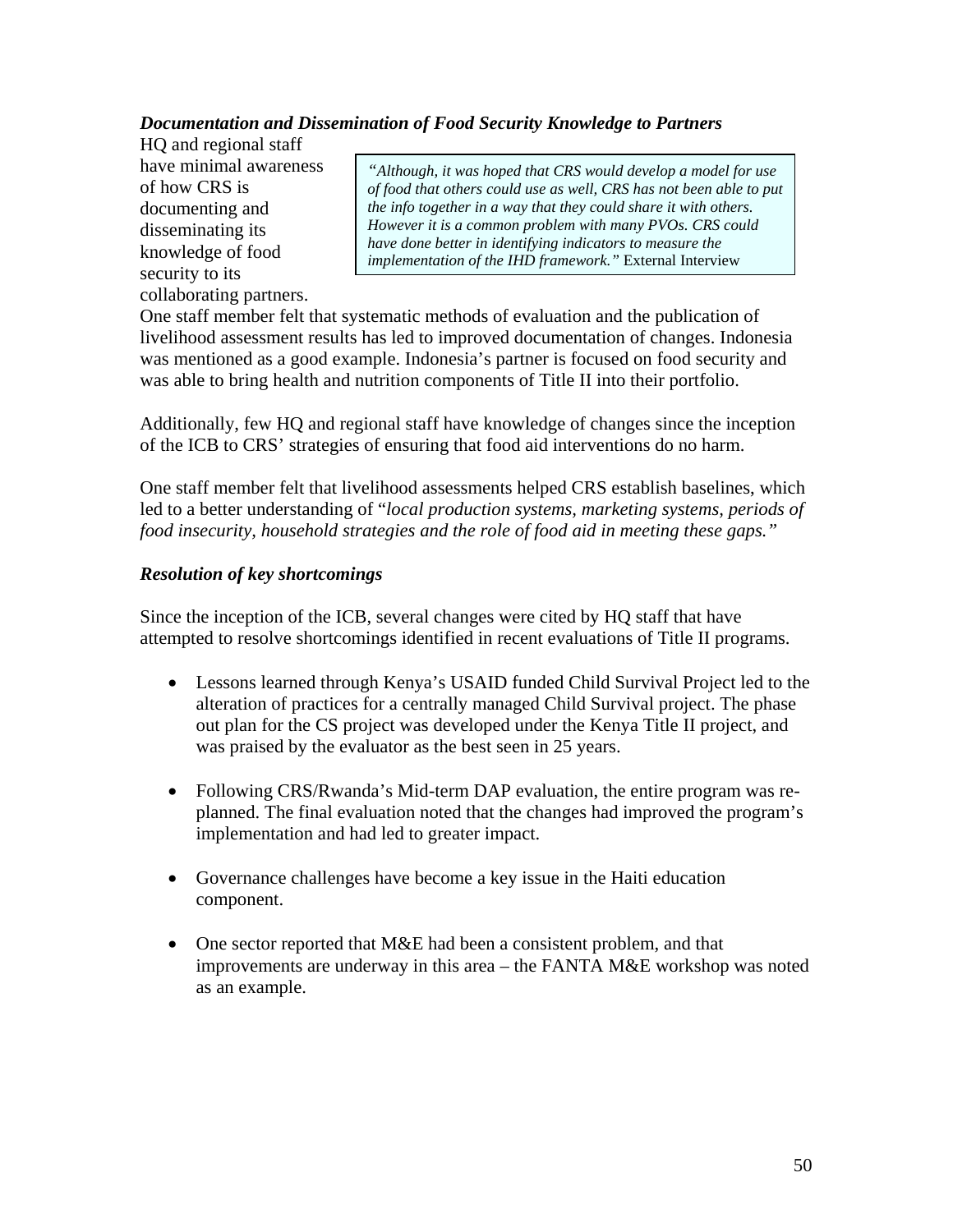## *Documentation and Dissemination of Food Security Knowledge to Partners*

HQ and regional staff have minimal awareness of how CRS is documenting and disseminating its knowledge of food security to its collaborating partners.

*"Although, it was hoped that CRS would develop a model for use of food that others could use as well, CRS has not been able to put the info together in a way that they could share it with others. However it is a common problem with many PVOs. CRS could have done better in identifying indicators to measure the implementation of the IHD framework."* External Interview

One staff member felt that systematic methods of evaluation and the publication of livelihood assessment results has led to improved documentation of changes. Indonesia was mentioned as a good example. Indonesia's partner is focused on food security and was able to bring health and nutrition components of Title II into their portfolio.

Additionally, few HQ and regional staff have knowledge of changes since the inception of the ICB to CRS' strategies of ensuring that food aid interventions do no harm.

One staff member felt that livelihood assessments helped CRS establish baselines, which led to a better understanding of "*local production systems, marketing systems, periods of food insecurity, household strategies and the role of food aid in meeting these gaps."* 

## *Resolution of key shortcomings*

Since the inception of the ICB, several changes were cited by HQ staff that have attempted to resolve shortcomings identified in recent evaluations of Title II programs.

- Lessons learned through Kenya's USAID funded Child Survival Project led to the alteration of practices for a centrally managed Child Survival project. The phase out plan for the CS project was developed under the Kenya Title II project, and was praised by the evaluator as the best seen in 25 years.
- Following CRS/Rwanda's Mid-term DAP evaluation, the entire program was replanned. The final evaluation noted that the changes had improved the program's implementation and had led to greater impact.
- Governance challenges have become a key issue in the Haiti education component.
- One sector reported that M&E had been a consistent problem, and that improvements are underway in this area – the FANTA M&E workshop was noted as an example.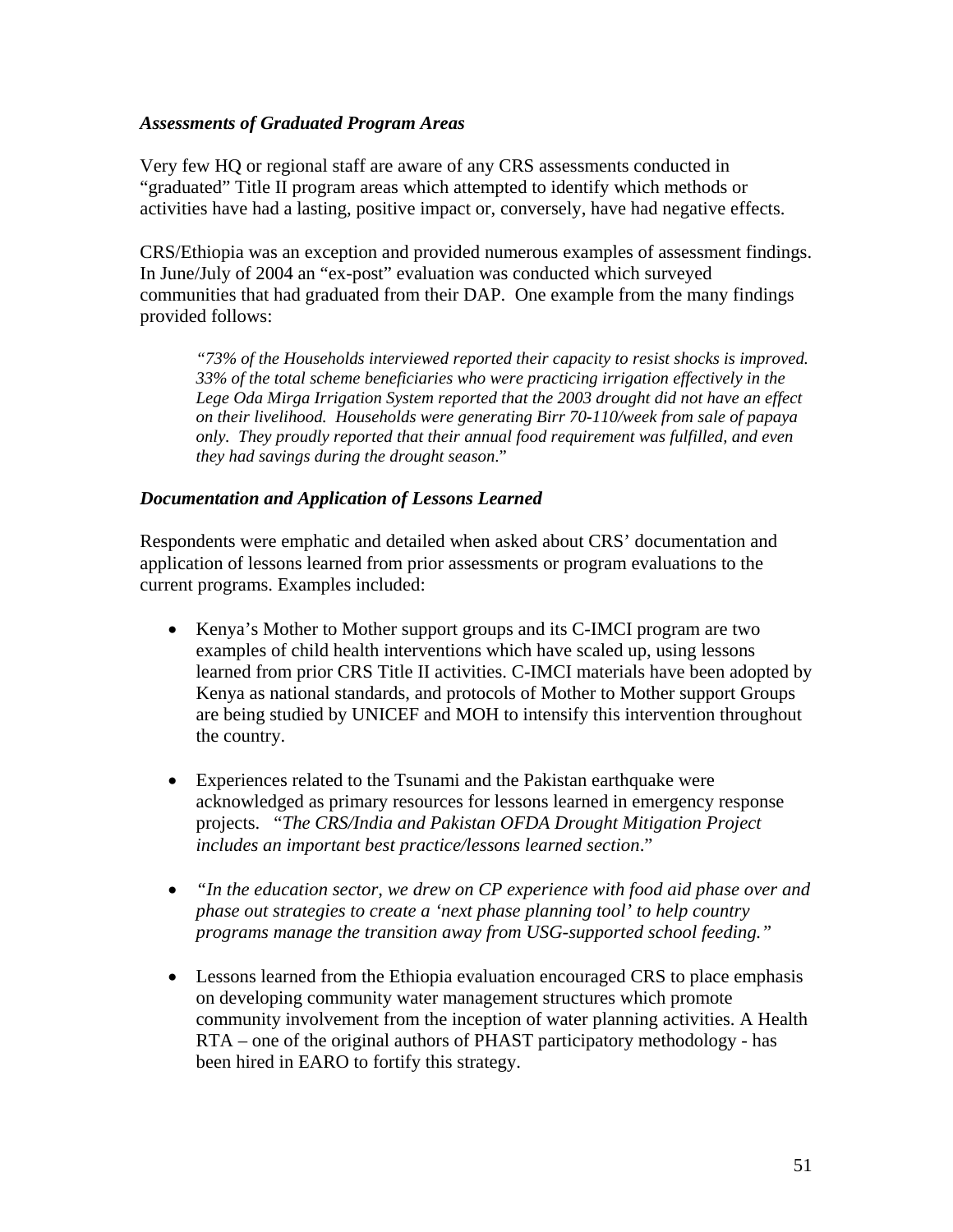#### *Assessments of Graduated Program Areas*

Very few HQ or regional staff are aware of any CRS assessments conducted in "graduated" Title II program areas which attempted to identify which methods or activities have had a lasting, positive impact or, conversely, have had negative effects.

CRS/Ethiopia was an exception and provided numerous examples of assessment findings. In June/July of 2004 an "ex-post" evaluation was conducted which surveyed communities that had graduated from their DAP. One example from the many findings provided follows:

*"73% of the Households interviewed reported their capacity to resist shocks is improved. 33% of the total scheme beneficiaries who were practicing irrigation effectively in the Lege Oda Mirga Irrigation System reported that the 2003 drought did not have an effect on their livelihood. Households were generating Birr 70-110/week from sale of papaya only. They proudly reported that their annual food requirement was fulfilled, and even they had savings during the drought season*."

## *Documentation and Application of Lessons Learned*

Respondents were emphatic and detailed when asked about CRS' documentation and application of lessons learned from prior assessments or program evaluations to the current programs. Examples included:

- Kenya's Mother to Mother support groups and its C-IMCI program are two examples of child health interventions which have scaled up, using lessons learned from prior CRS Title II activities. C-IMCI materials have been adopted by Kenya as national standards, and protocols of Mother to Mother support Groups are being studied by UNICEF and MOH to intensify this intervention throughout the country.
- Experiences related to the Tsunami and the Pakistan earthquake were acknowledged as primary resources for lessons learned in emergency response projects. "*The CRS/India and Pakistan OFDA Drought Mitigation Project includes an important best practice/lessons learned section*."
- *"In the education sector, we drew on CP experience with food aid phase over and phase out strategies to create a 'next phase planning tool' to help country programs manage the transition away from USG-supported school feeding."*
- Lessons learned from the Ethiopia evaluation encouraged CRS to place emphasis on developing community water management structures which promote community involvement from the inception of water planning activities. A Health RTA – one of the original authors of PHAST participatory methodology - has been hired in EARO to fortify this strategy.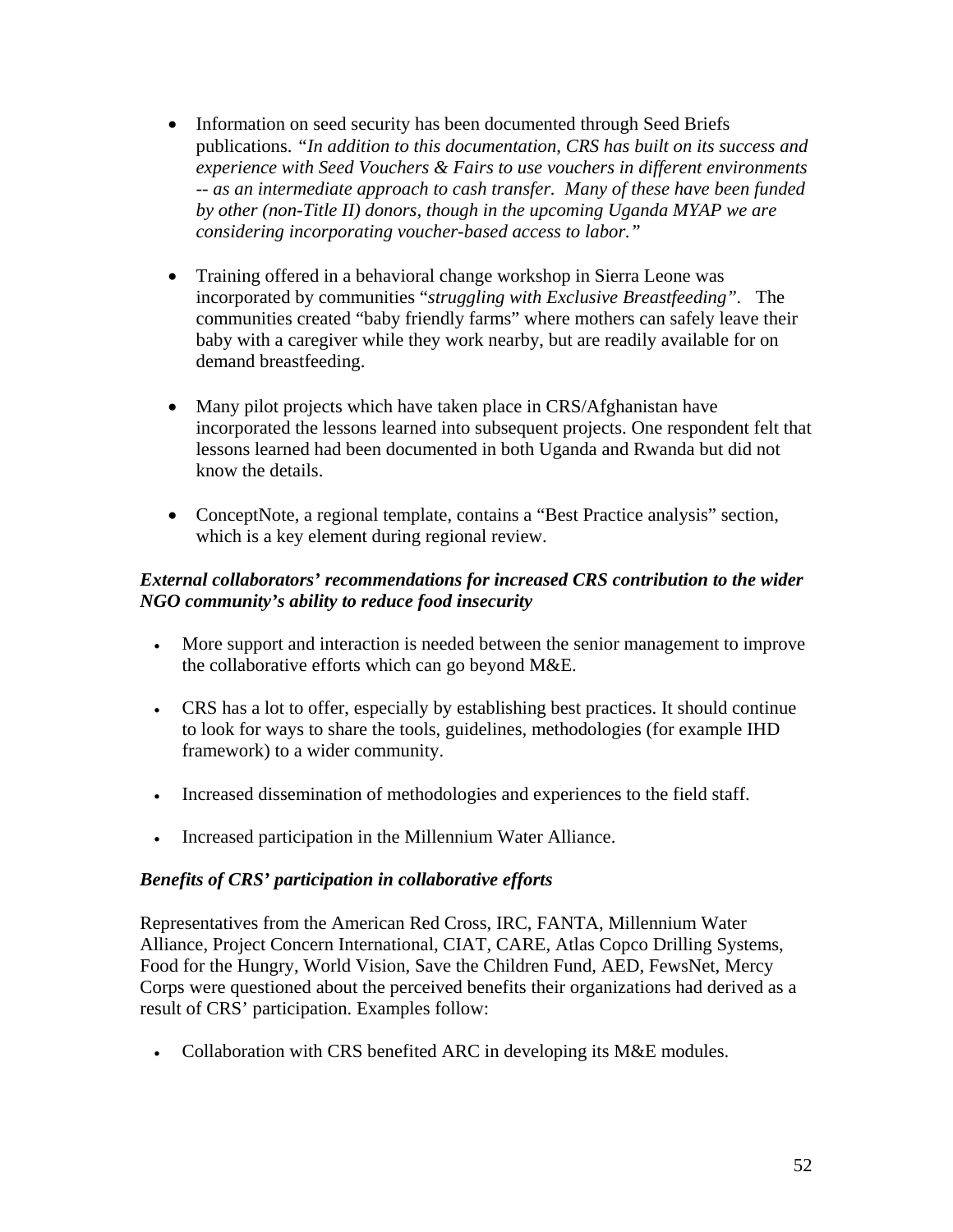- Information on seed security has been documented through Seed Briefs publications. *"In addition to this documentation, CRS has built on its success and experience with Seed Vouchers & Fairs to use vouchers in different environments -- as an intermediate approach to cash transfer. Many of these have been funded by other (non-Title II) donors, though in the upcoming Uganda MYAP we are considering incorporating voucher-based access to labor."*
- Training offered in a behavioral change workshop in Sierra Leone was incorporated by communities "*struggling with Exclusive Breastfeeding".* The communities created "baby friendly farms" where mothers can safely leave their baby with a caregiver while they work nearby, but are readily available for on demand breastfeeding.
- Many pilot projects which have taken place in CRS/Afghanistan have incorporated the lessons learned into subsequent projects. One respondent felt that lessons learned had been documented in both Uganda and Rwanda but did not know the details.
- ConceptNote, a regional template, contains a "Best Practice analysis" section, which is a key element during regional review.

## *External collaborators' recommendations for increased CRS contribution to the wider NGO community's ability to reduce food insecurity*

- More support and interaction is needed between the senior management to improve the collaborative efforts which can go beyond M&E.
- CRS has a lot to offer, especially by establishing best practices. It should continue to look for ways to share the tools, guidelines, methodologies (for example IHD framework) to a wider community.
- Increased dissemination of methodologies and experiences to the field staff.
- Increased participation in the Millennium Water Alliance.

## *Benefits of CRS' participation in collaborative efforts*

Representatives from the American Red Cross, IRC, FANTA, Millennium Water Alliance, Project Concern International, CIAT, CARE, Atlas Copco Drilling Systems, Food for the Hungry, World Vision, Save the Children Fund, AED, FewsNet, Mercy Corps were questioned about the perceived benefits their organizations had derived as a result of CRS' participation. Examples follow:

• Collaboration with CRS benefited ARC in developing its M&E modules.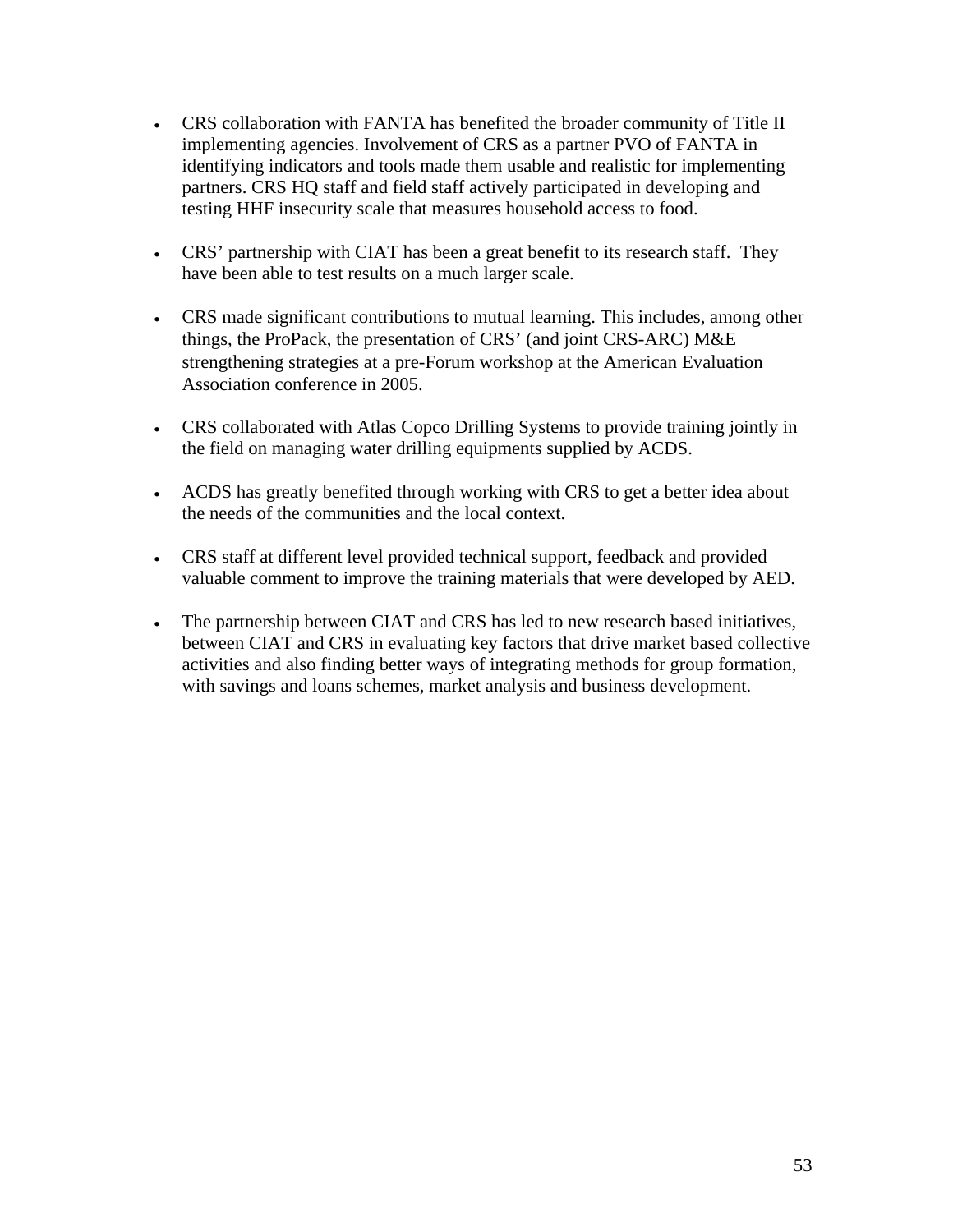- CRS collaboration with FANTA has benefited the broader community of Title II implementing agencies. Involvement of CRS as a partner PVO of FANTA in identifying indicators and tools made them usable and realistic for implementing partners. CRS HQ staff and field staff actively participated in developing and testing HHF insecurity scale that measures household access to food.
- CRS' partnership with CIAT has been a great benefit to its research staff. They have been able to test results on a much larger scale.
- CRS made significant contributions to mutual learning. This includes, among other things, the ProPack, the presentation of CRS' (and joint CRS-ARC) M&E strengthening strategies at a pre-Forum workshop at the American Evaluation Association conference in 2005.
- CRS collaborated with Atlas Copco Drilling Systems to provide training jointly in the field on managing water drilling equipments supplied by ACDS.
- ACDS has greatly benefited through working with CRS to get a better idea about the needs of the communities and the local context.
- CRS staff at different level provided technical support, feedback and provided valuable comment to improve the training materials that were developed by AED.
- The partnership between CIAT and CRS has led to new research based initiatives, between CIAT and CRS in evaluating key factors that drive market based collective activities and also finding better ways of integrating methods for group formation, with savings and loans schemes, market analysis and business development.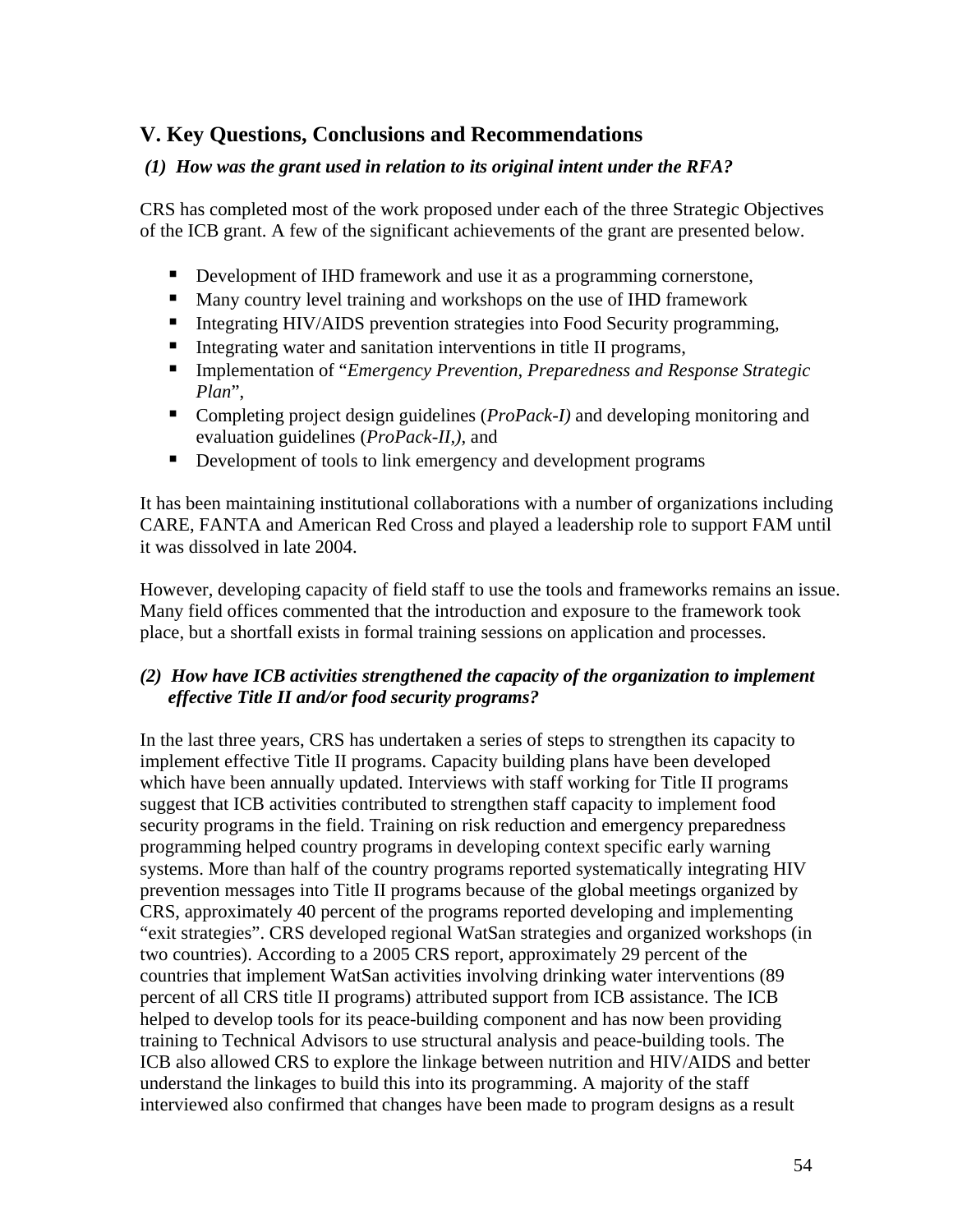# **V. Key Questions, Conclusions and Recommendations**

## *(1) How was the grant used in relation to its original intent under the RFA?*

CRS has completed most of the work proposed under each of the three Strategic Objectives of the ICB grant. A few of the significant achievements of the grant are presented below.

- Development of IHD framework and use it as a programming cornerstone,
- **Many country level training and workshops on the use of IHD framework**
- **Integrating HIV/AIDS prevention strategies into Food Security programming,**
- Integrating water and sanitation interventions in title II programs,
- Implementation of "*Emergency Prevention, Preparedness and Response Strategic Plan*",
- Completing project design guidelines (*ProPack-I*) and developing monitoring and evaluation guidelines (*ProPack-II,),* and
- Development of tools to link emergency and development programs

It has been maintaining institutional collaborations with a number of organizations including CARE, FANTA and American Red Cross and played a leadership role to support FAM until it was dissolved in late 2004.

However, developing capacity of field staff to use the tools and frameworks remains an issue. Many field offices commented that the introduction and exposure to the framework took place, but a shortfall exists in formal training sessions on application and processes.

## *(2) How have ICB activities strengthened the capacity of the organization to implement effective Title II and/or food security programs?*

In the last three years, CRS has undertaken a series of steps to strengthen its capacity to implement effective Title II programs. Capacity building plans have been developed which have been annually updated. Interviews with staff working for Title II programs suggest that ICB activities contributed to strengthen staff capacity to implement food security programs in the field. Training on risk reduction and emergency preparedness programming helped country programs in developing context specific early warning systems. More than half of the country programs reported systematically integrating HIV prevention messages into Title II programs because of the global meetings organized by CRS, approximately 40 percent of the programs reported developing and implementing "exit strategies". CRS developed regional WatSan strategies and organized workshops (in two countries). According to a 2005 CRS report, approximately 29 percent of the countries that implement WatSan activities involving drinking water interventions (89 percent of all CRS title II programs) attributed support from ICB assistance. The ICB helped to develop tools for its peace-building component and has now been providing training to Technical Advisors to use structural analysis and peace-building tools. The ICB also allowed CRS to explore the linkage between nutrition and HIV/AIDS and better understand the linkages to build this into its programming. A majority of the staff interviewed also confirmed that changes have been made to program designs as a result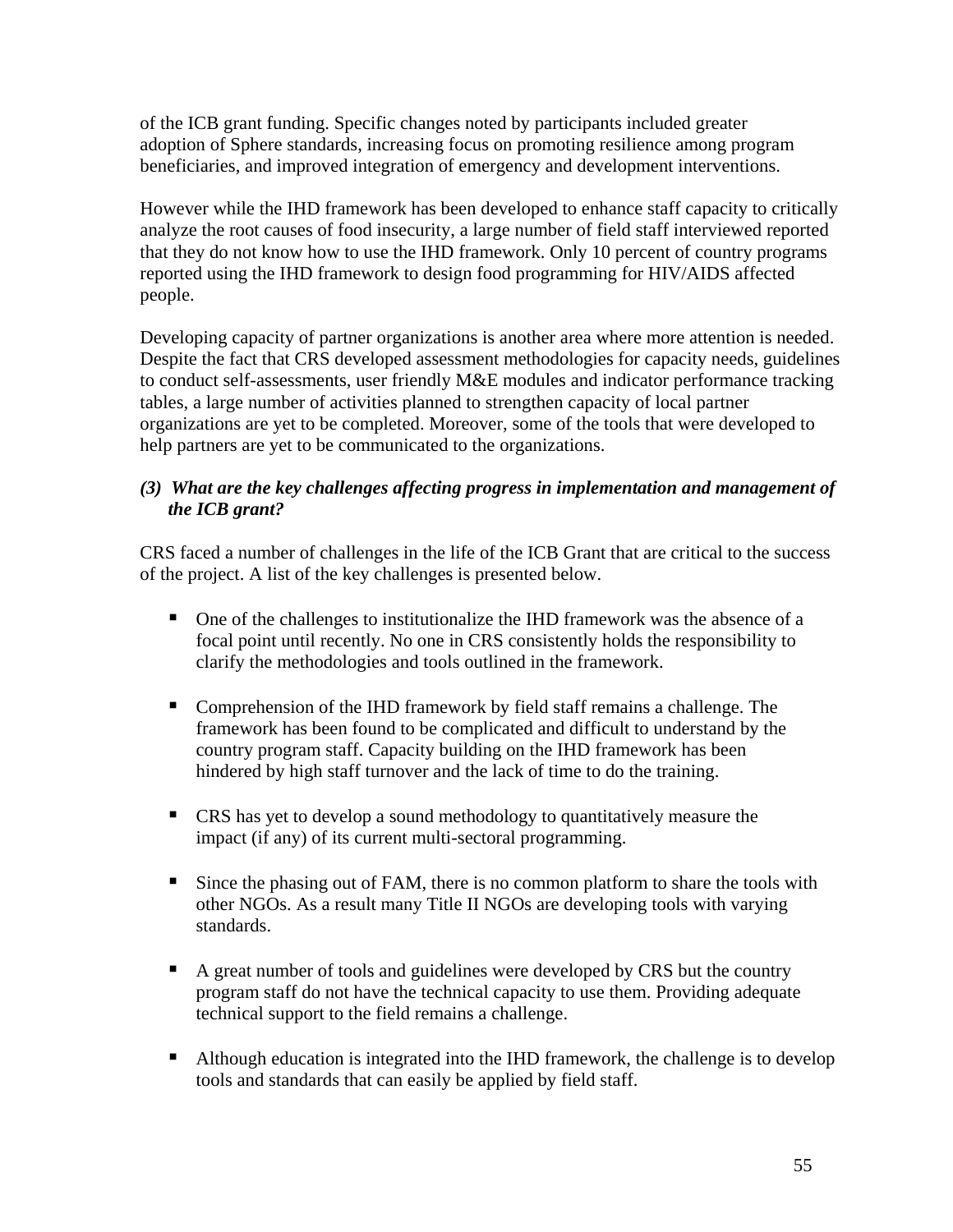of the ICB grant funding. Specific changes noted by participants included greater adoption of Sphere standards, increasing focus on promoting resilience among program beneficiaries, and improved integration of emergency and development interventions.

However while the IHD framework has been developed to enhance staff capacity to critically analyze the root causes of food insecurity, a large number of field staff interviewed reported that they do not know how to use the IHD framework. Only 10 percent of country programs reported using the IHD framework to design food programming for HIV/AIDS affected people.

Developing capacity of partner organizations is another area where more attention is needed. Despite the fact that CRS developed assessment methodologies for capacity needs, guidelines to conduct self-assessments, user friendly M&E modules and indicator performance tracking tables, a large number of activities planned to strengthen capacity of local partner organizations are yet to be completed. Moreover, some of the tools that were developed to help partners are yet to be communicated to the organizations.

## *(3) What are the key challenges affecting progress in implementation and management of the ICB grant?*

CRS faced a number of challenges in the life of the ICB Grant that are critical to the success of the project. A list of the key challenges is presented below.

- One of the challenges to institutionalize the IHD framework was the absence of a focal point until recently. No one in CRS consistently holds the responsibility to clarify the methodologies and tools outlined in the framework.
- Comprehension of the IHD framework by field staff remains a challenge. The framework has been found to be complicated and difficult to understand by the country program staff. Capacity building on the IHD framework has been hindered by high staff turnover and the lack of time to do the training.
- CRS has yet to develop a sound methodology to quantitatively measure the impact (if any) of its current multi-sectoral programming.
- Since the phasing out of FAM, there is no common platform to share the tools with other NGOs. As a result many Title II NGOs are developing tools with varying standards.
- A great number of tools and guidelines were developed by CRS but the country program staff do not have the technical capacity to use them. Providing adequate technical support to the field remains a challenge.
- Although education is integrated into the IHD framework, the challenge is to develop tools and standards that can easily be applied by field staff.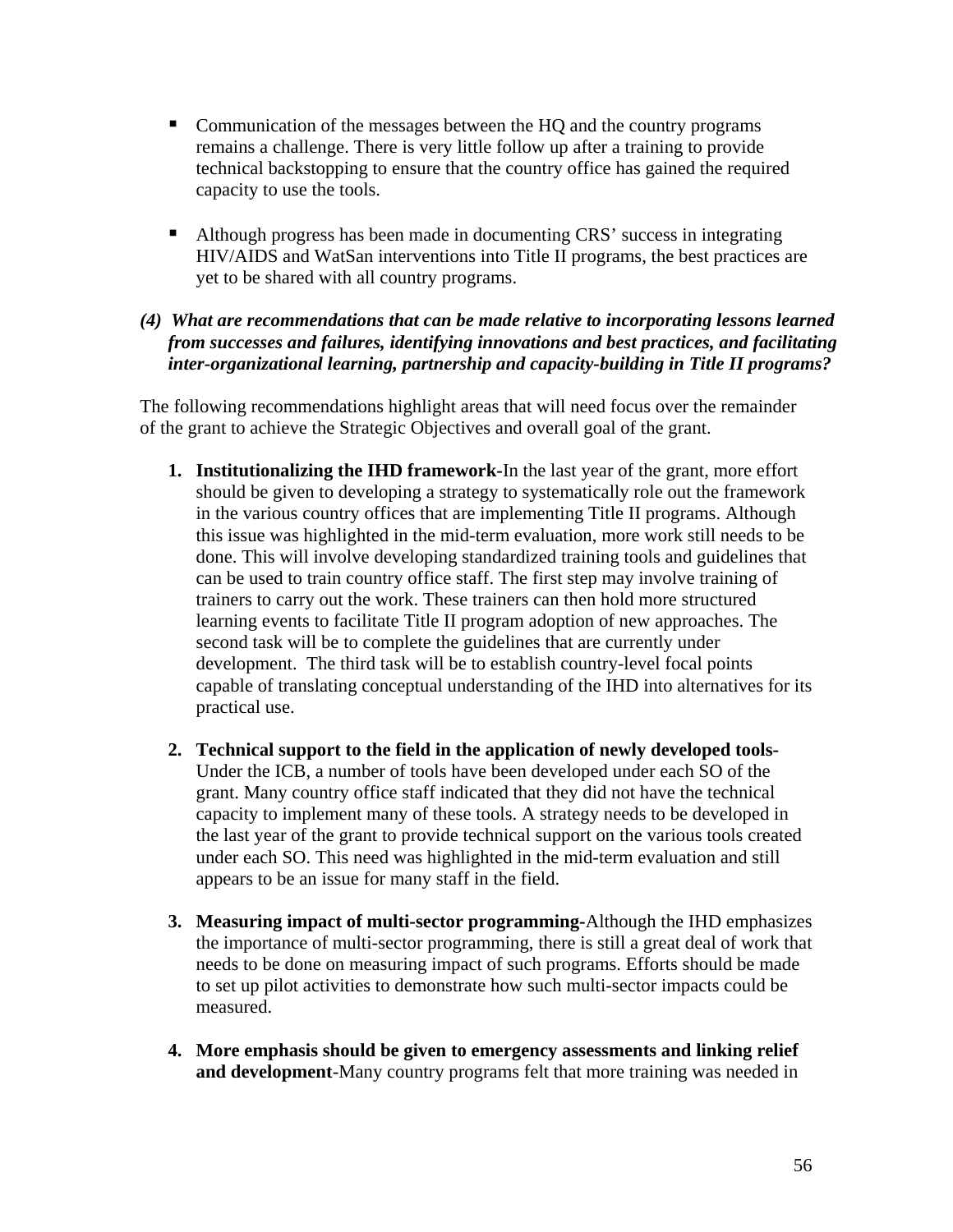- **Communication of the messages between the HQ and the country programs** remains a challenge. There is very little follow up after a training to provide technical backstopping to ensure that the country office has gained the required capacity to use the tools.
- Although progress has been made in documenting CRS' success in integrating HIV/AIDS and WatSan interventions into Title II programs, the best practices are yet to be shared with all country programs.

## *(4) What are recommendations that can be made relative to incorporating lessons learned from successes and failures, identifying innovations and best practices, and facilitating inter-organizational learning, partnership and capacity-building in Title II programs?*

The following recommendations highlight areas that will need focus over the remainder of the grant to achieve the Strategic Objectives and overall goal of the grant.

- **1. Institutionalizing the IHD framework-**In the last year of the grant, more effort should be given to developing a strategy to systematically role out the framework in the various country offices that are implementing Title II programs. Although this issue was highlighted in the mid-term evaluation, more work still needs to be done. This will involve developing standardized training tools and guidelines that can be used to train country office staff. The first step may involve training of trainers to carry out the work. These trainers can then hold more structured learning events to facilitate Title II program adoption of new approaches. The second task will be to complete the guidelines that are currently under development. The third task will be to establish country-level focal points capable of translating conceptual understanding of the IHD into alternatives for its practical use.
- **2. Technical support to the field in the application of newly developed tools-**Under the ICB, a number of tools have been developed under each SO of the grant. Many country office staff indicated that they did not have the technical capacity to implement many of these tools. A strategy needs to be developed in the last year of the grant to provide technical support on the various tools created under each SO. This need was highlighted in the mid-term evaluation and still appears to be an issue for many staff in the field.
- **3. Measuring impact of multi-sector programming-**Although the IHD emphasizes the importance of multi-sector programming, there is still a great deal of work that needs to be done on measuring impact of such programs. Efforts should be made to set up pilot activities to demonstrate how such multi-sector impacts could be measured.
- **4. More emphasis should be given to emergency assessments and linking relief and development**-Many country programs felt that more training was needed in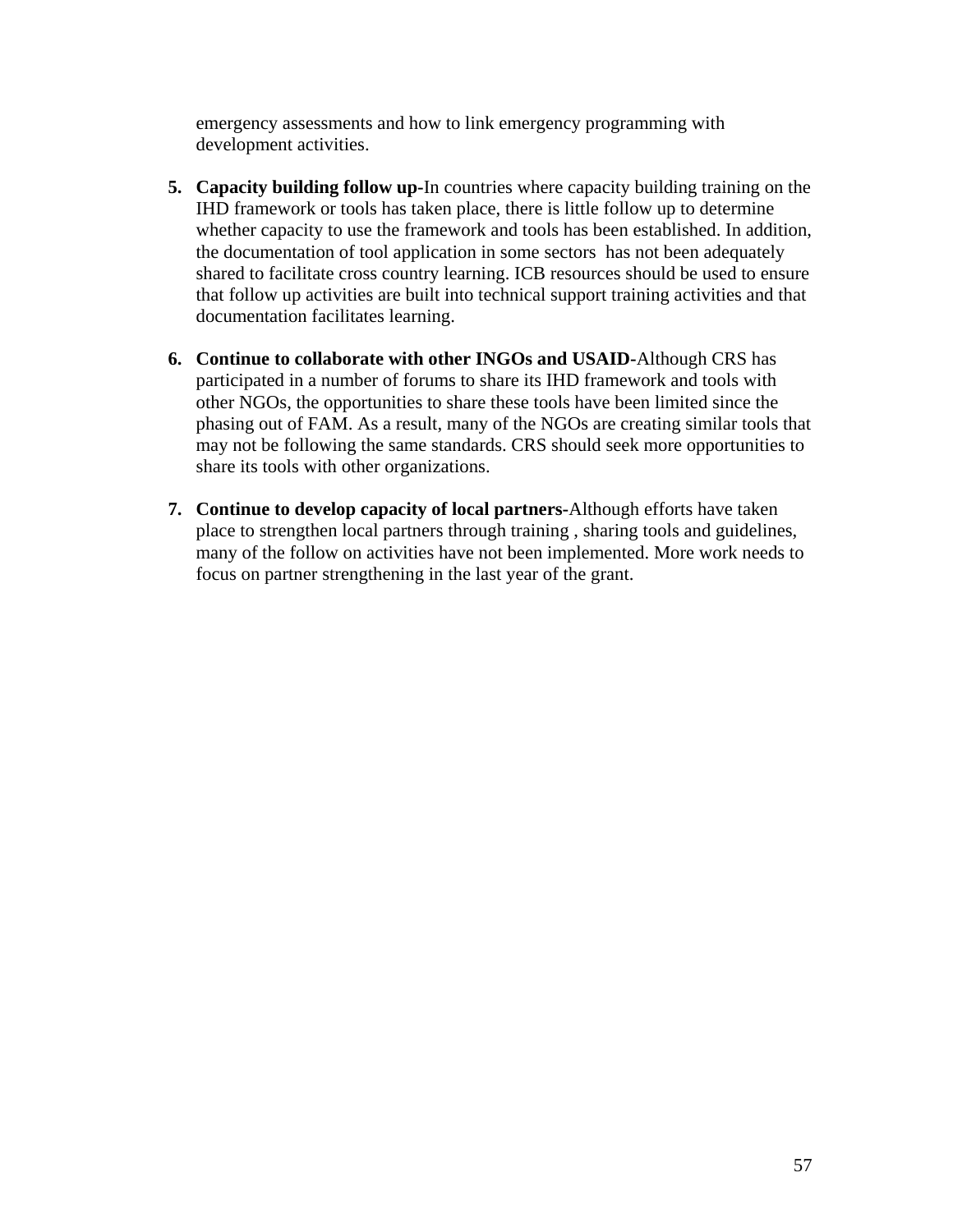emergency assessments and how to link emergency programming with development activities.

- **5. Capacity building follow up-**In countries where capacity building training on the IHD framework or tools has taken place, there is little follow up to determine whether capacity to use the framework and tools has been established. In addition, the documentation of tool application in some sectors has not been adequately shared to facilitate cross country learning. ICB resources should be used to ensure that follow up activities are built into technical support training activities and that documentation facilitates learning.
- **6. Continue to collaborate with other INGOs and USAID-**Although CRS has participated in a number of forums to share its IHD framework and tools with other NGOs, the opportunities to share these tools have been limited since the phasing out of FAM. As a result, many of the NGOs are creating similar tools that may not be following the same standards. CRS should seek more opportunities to share its tools with other organizations.
- **7. Continue to develop capacity of local partners-**Although efforts have taken place to strengthen local partners through training , sharing tools and guidelines, many of the follow on activities have not been implemented. More work needs to focus on partner strengthening in the last year of the grant.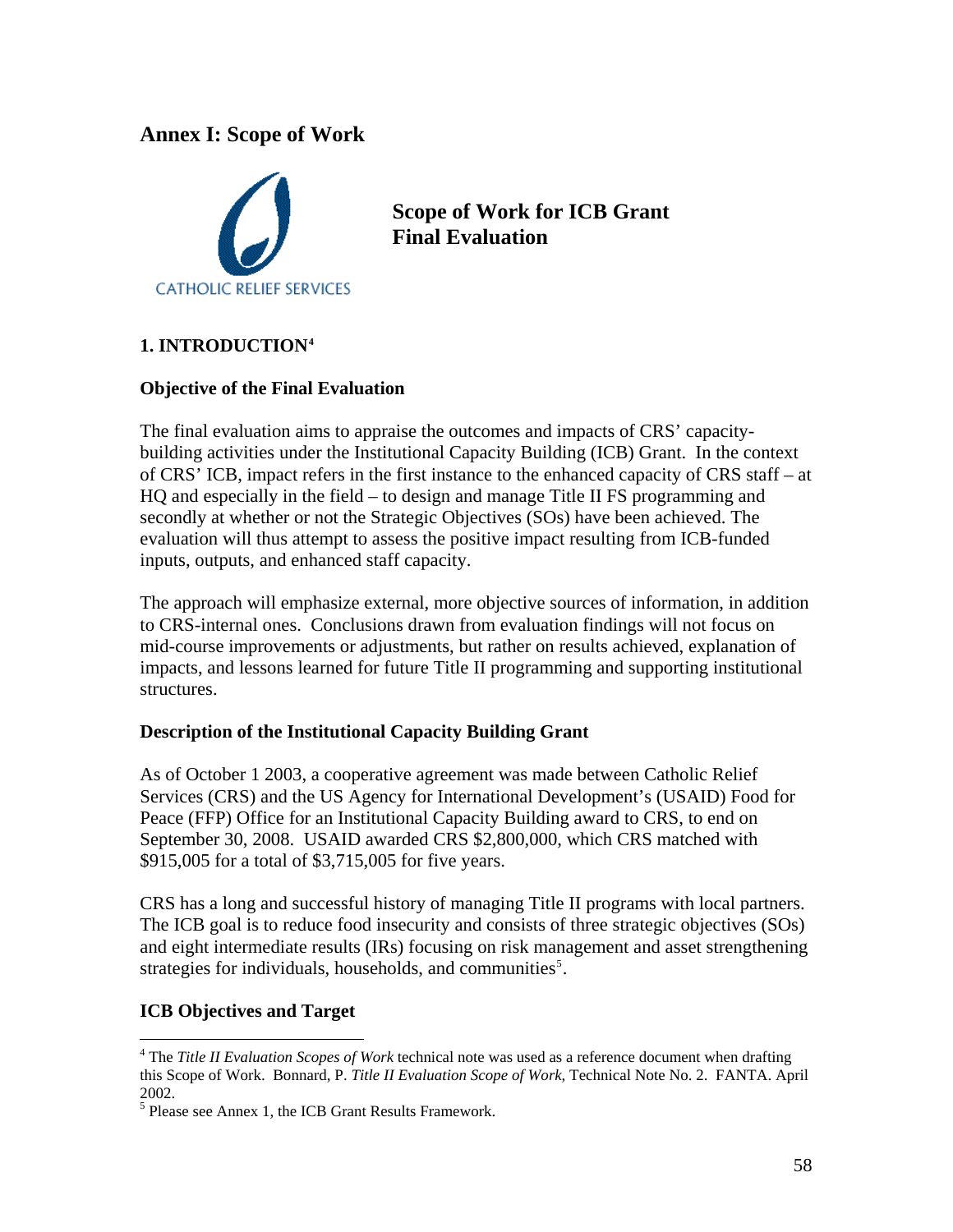# **Annex I: Scope of Work**



**Scope of Work for ICB Grant Final Evaluation** 

## **1. INTRODUCTION[4](#page-58-0)**

## **Objective of the Final Evaluation**

The final evaluation aims to appraise the outcomes and impacts of CRS' capacitybuilding activities under the Institutional Capacity Building (ICB) Grant. In the context of CRS' ICB, impact refers in the first instance to the enhanced capacity of CRS staff – at HQ and especially in the field – to design and manage Title II FS programming and secondly at whether or not the Strategic Objectives (SOs) have been achieved. The evaluation will thus attempt to assess the positive impact resulting from ICB-funded inputs, outputs, and enhanced staff capacity.

The approach will emphasize external, more objective sources of information, in addition to CRS-internal ones. Conclusions drawn from evaluation findings will not focus on mid-course improvements or adjustments, but rather on results achieved, explanation of impacts, and lessons learned for future Title II programming and supporting institutional structures.

#### **Description of the Institutional Capacity Building Grant**

As of October 1 2003, a cooperative agreement was made between Catholic Relief Services (CRS) and the US Agency for International Development's (USAID) Food for Peace (FFP) Office for an Institutional Capacity Building award to CRS, to end on September 30, 2008. USAID awarded CRS \$2,800,000, which CRS matched with \$915,005 for a total of \$3,715,005 for five years.

CRS has a long and successful history of managing Title II programs with local partners. The ICB goal is to reduce food insecurity and consists of three strategic objectives (SOs) and eight intermediate results (IRs) focusing on risk management and asset strengthening strategies for individuals, households, and communities<sup>[5](#page-58-1)</sup>.

## **ICB Objectives and Target**

 $\overline{a}$ 

<span id="page-58-0"></span><sup>&</sup>lt;sup>4</sup> The *Title II Evaluation Scopes of Work* technical note was used as a reference document when drafting this Scope of Work. Bonnard, P. *Title II Evaluation Scope of Work*, Technical Note No. 2. FANTA. April 2002.

<span id="page-58-1"></span><sup>&</sup>lt;sup>5</sup> Please see Annex 1, the ICB Grant Results Framework.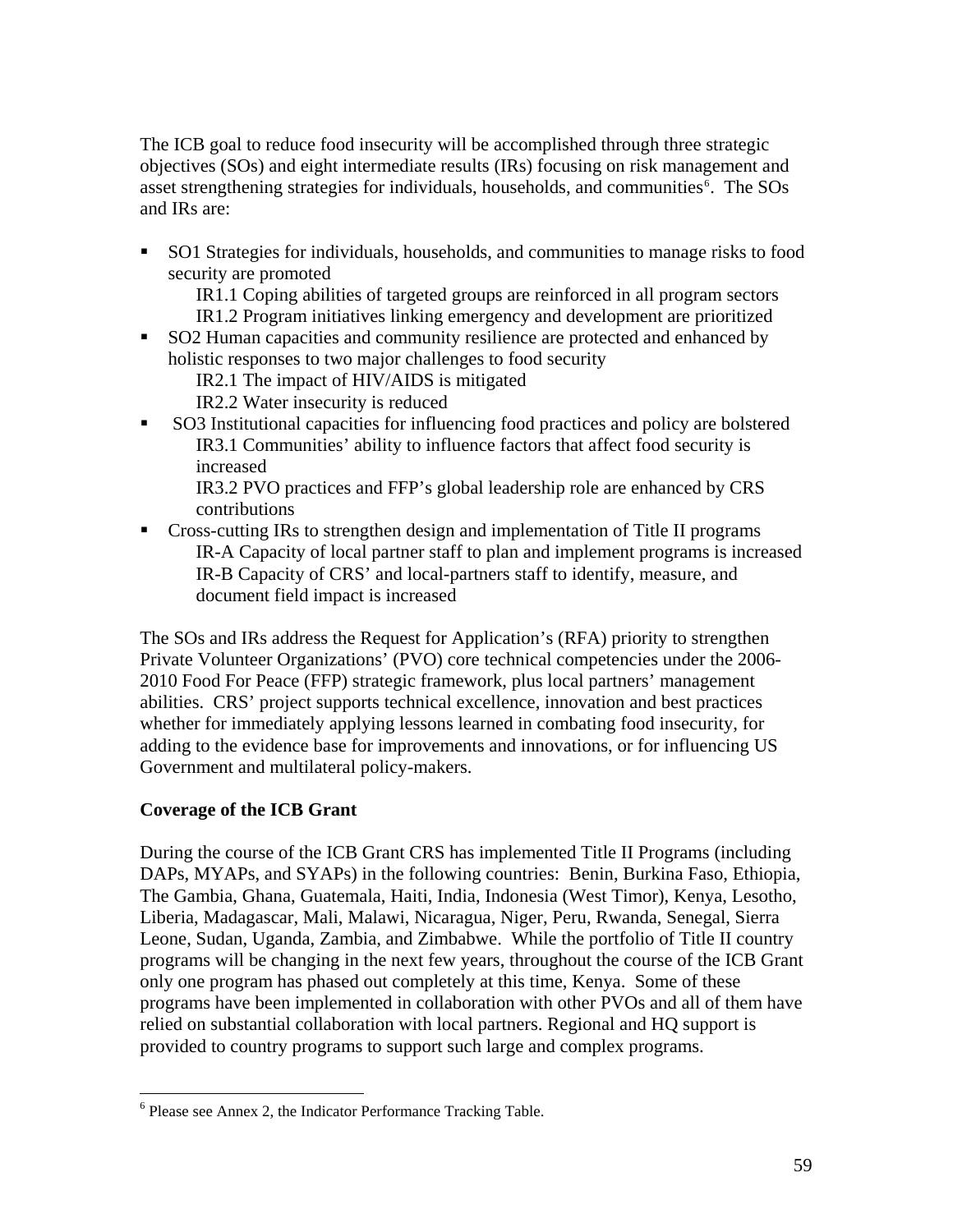The ICB goal to reduce food insecurity will be accomplished through three strategic objectives (SOs) and eight intermediate results (IRs) focusing on risk management and asset strengthening strategies for individuals, households, and communities<sup>[6](#page-59-0)</sup>. The SOs and IRs are:

 SO1 Strategies for individuals, households, and communities to manage risks to food security are promoted

IR1.1 Coping abilities of targeted groups are reinforced in all program sectors IR1.2 Program initiatives linking emergency and development are prioritized

SO2 Human capacities and community resilience are protected and enhanced by holistic responses to two major challenges to food security

IR2.1 The impact of HIV/AIDS is mitigated

IR2.2 Water insecurity is reduced

 SO3 Institutional capacities for influencing food practices and policy are bolstered IR3.1 Communities' ability to influence factors that affect food security is increased

IR3.2 PVO practices and FFP's global leadership role are enhanced by CRS contributions

• Cross-cutting IRs to strengthen design and implementation of Title II programs IR-A Capacity of local partner staff to plan and implement programs is increased IR-B Capacity of CRS' and local-partners staff to identify, measure, and document field impact is increased

The SOs and IRs address the Request for Application's (RFA) priority to strengthen Private Volunteer Organizations' (PVO) core technical competencies under the 2006- 2010 Food For Peace (FFP) strategic framework, plus local partners' management abilities. CRS' project supports technical excellence, innovation and best practices whether for immediately applying lessons learned in combating food insecurity, for adding to the evidence base for improvements and innovations, or for influencing US Government and multilateral policy-makers.

## **Coverage of the ICB Grant**

 $\overline{a}$ 

During the course of the ICB Grant CRS has implemented Title II Programs (including DAPs, MYAPs, and SYAPs) in the following countries: Benin, Burkina Faso, Ethiopia, The Gambia, Ghana, Guatemala, Haiti, India, Indonesia (West Timor), Kenya, Lesotho, Liberia, Madagascar, Mali, Malawi, Nicaragua, Niger, Peru, Rwanda, Senegal, Sierra Leone, Sudan, Uganda, Zambia, and Zimbabwe. While the portfolio of Title II country programs will be changing in the next few years, throughout the course of the ICB Grant only one program has phased out completely at this time, Kenya. Some of these programs have been implemented in collaboration with other PVOs and all of them have relied on substantial collaboration with local partners. Regional and HQ support is provided to country programs to support such large and complex programs.

<span id="page-59-0"></span><sup>&</sup>lt;sup>6</sup> Please see Annex 2, the Indicator Performance Tracking Table.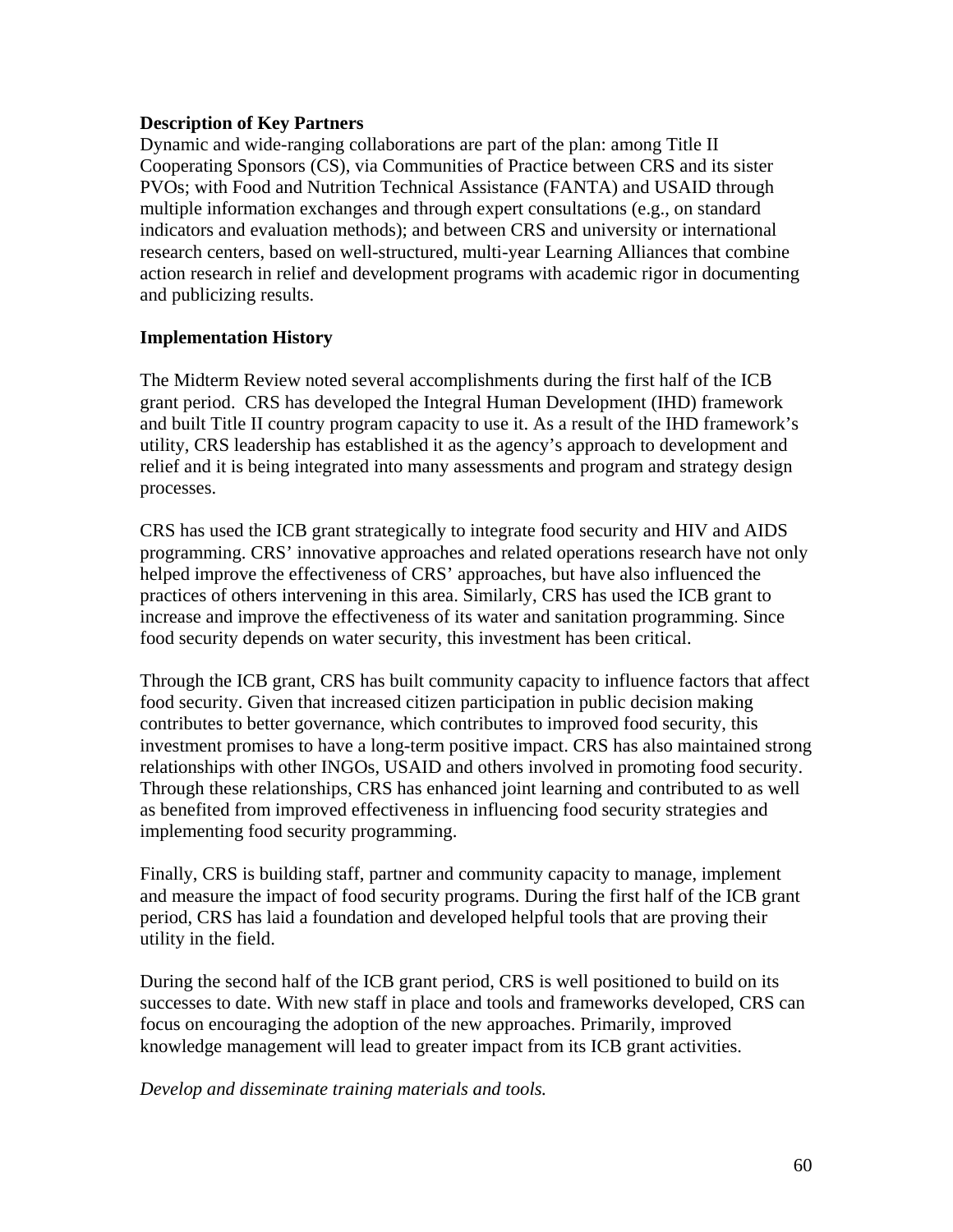## **Description of Key Partners**

Dynamic and wide-ranging collaborations are part of the plan: among Title II Cooperating Sponsors (CS), via Communities of Practice between CRS and its sister PVOs; with Food and Nutrition Technical Assistance (FANTA) and USAID through multiple information exchanges and through expert consultations (e.g., on standard indicators and evaluation methods); and between CRS and university or international research centers, based on well-structured, multi-year Learning Alliances that combine action research in relief and development programs with academic rigor in documenting and publicizing results.

## **Implementation History**

The Midterm Review noted several accomplishments during the first half of the ICB grant period. CRS has developed the Integral Human Development (IHD) framework and built Title II country program capacity to use it. As a result of the IHD framework's utility, CRS leadership has established it as the agency's approach to development and relief and it is being integrated into many assessments and program and strategy design processes.

CRS has used the ICB grant strategically to integrate food security and HIV and AIDS programming. CRS' innovative approaches and related operations research have not only helped improve the effectiveness of CRS' approaches, but have also influenced the practices of others intervening in this area. Similarly, CRS has used the ICB grant to increase and improve the effectiveness of its water and sanitation programming. Since food security depends on water security, this investment has been critical.

Through the ICB grant, CRS has built community capacity to influence factors that affect food security. Given that increased citizen participation in public decision making contributes to better governance, which contributes to improved food security, this investment promises to have a long-term positive impact. CRS has also maintained strong relationships with other INGOs, USAID and others involved in promoting food security. Through these relationships, CRS has enhanced joint learning and contributed to as well as benefited from improved effectiveness in influencing food security strategies and implementing food security programming.

Finally, CRS is building staff, partner and community capacity to manage, implement and measure the impact of food security programs. During the first half of the ICB grant period, CRS has laid a foundation and developed helpful tools that are proving their utility in the field.

During the second half of the ICB grant period, CRS is well positioned to build on its successes to date. With new staff in place and tools and frameworks developed, CRS can focus on encouraging the adoption of the new approaches. Primarily, improved knowledge management will lead to greater impact from its ICB grant activities.

*Develop and disseminate training materials and tools.*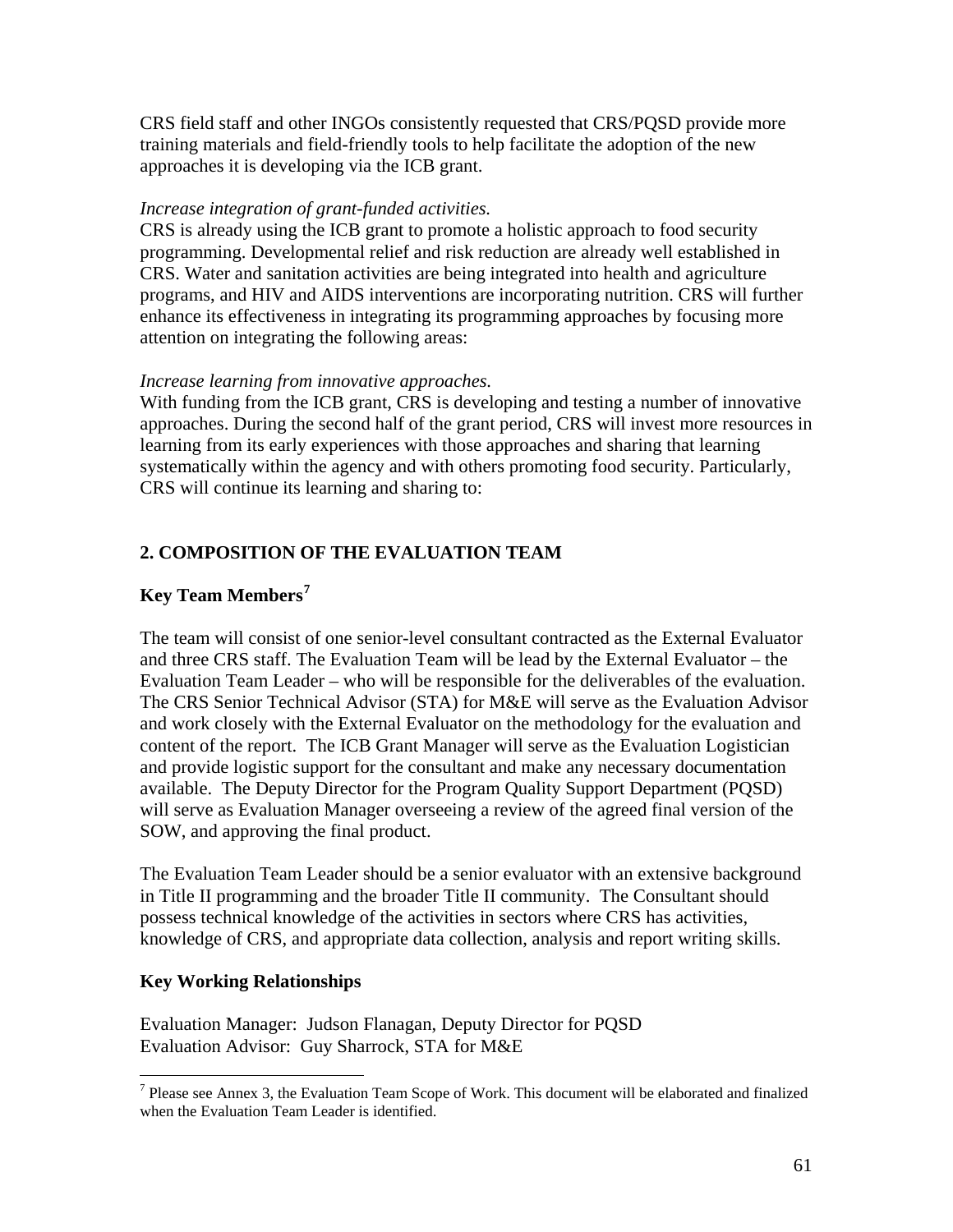CRS field staff and other INGOs consistently requested that CRS/PQSD provide more training materials and field-friendly tools to help facilitate the adoption of the new approaches it is developing via the ICB grant.

## *Increase integration of grant-funded activities.*

CRS is already using the ICB grant to promote a holistic approach to food security programming. Developmental relief and risk reduction are already well established in CRS. Water and sanitation activities are being integrated into health and agriculture programs, and HIV and AIDS interventions are incorporating nutrition. CRS will further enhance its effectiveness in integrating its programming approaches by focusing more attention on integrating the following areas:

## *Increase learning from innovative approaches.*

With funding from the ICB grant, CRS is developing and testing a number of innovative approaches. During the second half of the grant period, CRS will invest more resources in learning from its early experiences with those approaches and sharing that learning systematically within the agency and with others promoting food security. Particularly, CRS will continue its learning and sharing to:

## **2. COMPOSITION OF THE EVALUATION TEAM**

## **Key Team Members[7](#page-61-0)**

The team will consist of one senior-level consultant contracted as the External Evaluator and three CRS staff. The Evaluation Team will be lead by the External Evaluator – the Evaluation Team Leader – who will be responsible for the deliverables of the evaluation. The CRS Senior Technical Advisor (STA) for M&E will serve as the Evaluation Advisor and work closely with the External Evaluator on the methodology for the evaluation and content of the report. The ICB Grant Manager will serve as the Evaluation Logistician and provide logistic support for the consultant and make any necessary documentation available. The Deputy Director for the Program Quality Support Department (PQSD) will serve as Evaluation Manager overseeing a review of the agreed final version of the SOW, and approving the final product.

The Evaluation Team Leader should be a senior evaluator with an extensive background in Title II programming and the broader Title II community. The Consultant should possess technical knowledge of the activities in sectors where CRS has activities, knowledge of CRS, and appropriate data collection, analysis and report writing skills.

## **Key Working Relationships**

 $\overline{a}$ 

Evaluation Manager: Judson Flanagan, Deputy Director for PQSD Evaluation Advisor: Guy Sharrock, STA for M&E

<span id="page-61-0"></span><sup>&</sup>lt;sup>7</sup> Please see Annex 3, the Evaluation Team Scope of Work. This document will be elaborated and finalized when the Evaluation Team Leader is identified.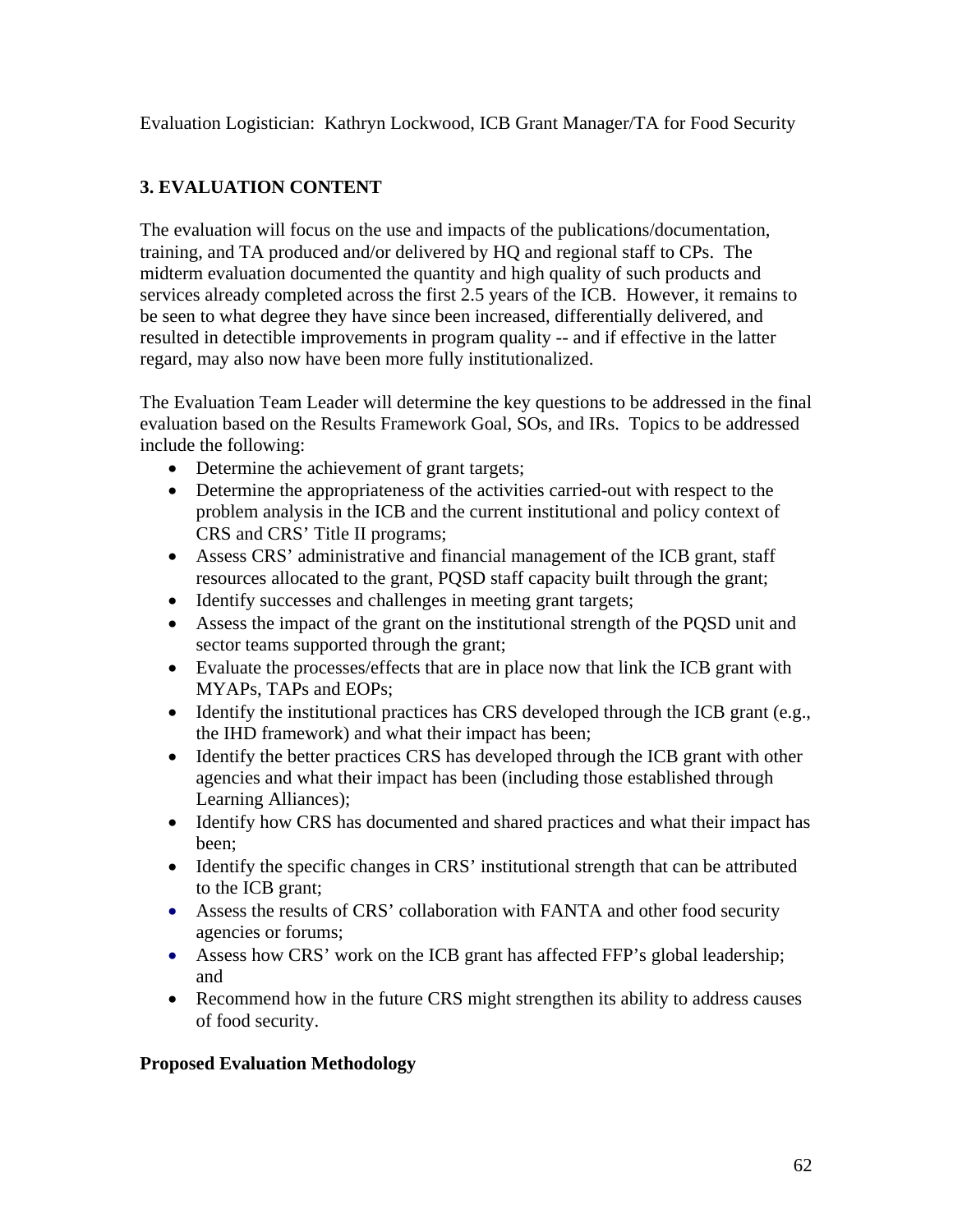Evaluation Logistician: Kathryn Lockwood, ICB Grant Manager/TA for Food Security

# **3. EVALUATION CONTENT**

The evaluation will focus on the use and impacts of the publications/documentation, training, and TA produced and/or delivered by HQ and regional staff to CPs. The midterm evaluation documented the quantity and high quality of such products and services already completed across the first 2.5 years of the ICB. However, it remains to be seen to what degree they have since been increased, differentially delivered, and resulted in detectible improvements in program quality -- and if effective in the latter regard, may also now have been more fully institutionalized.

The Evaluation Team Leader will determine the key questions to be addressed in the final evaluation based on the Results Framework Goal, SOs, and IRs. Topics to be addressed include the following:

- Determine the achievement of grant targets;
- Determine the appropriateness of the activities carried-out with respect to the problem analysis in the ICB and the current institutional and policy context of CRS and CRS' Title II programs;
- Assess CRS' administrative and financial management of the ICB grant, staff resources allocated to the grant, PQSD staff capacity built through the grant;
- Identify successes and challenges in meeting grant targets;
- Assess the impact of the grant on the institutional strength of the PQSD unit and sector teams supported through the grant;
- Evaluate the processes/effects that are in place now that link the ICB grant with MYAPs, TAPs and EOPs;
- Identify the institutional practices has CRS developed through the ICB grant (e.g., the IHD framework) and what their impact has been;
- Identify the better practices CRS has developed through the ICB grant with other agencies and what their impact has been (including those established through Learning Alliances);
- Identify how CRS has documented and shared practices and what their impact has been;
- Identify the specific changes in CRS' institutional strength that can be attributed to the ICB grant;
- Assess the results of CRS' collaboration with FANTA and other food security agencies or forums;
- Assess how CRS' work on the ICB grant has affected FFP's global leadership; and
- Recommend how in the future CRS might strengthen its ability to address causes of food security.

## **Proposed Evaluation Methodology**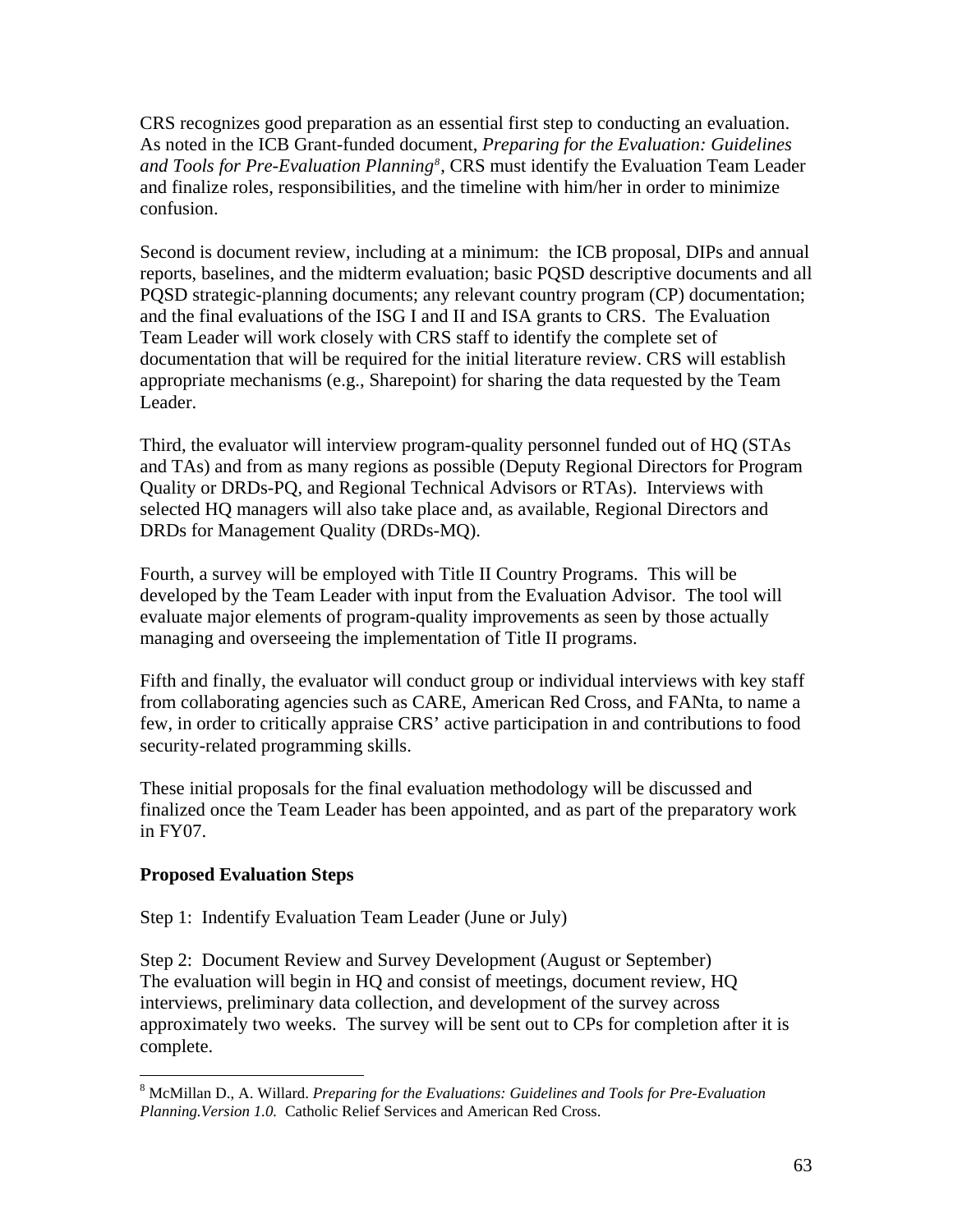CRS recognizes good preparation as an essential first step to conducting an evaluation. As noted in the ICB Grant-funded document, *Preparing for the Evaluation: Guidelines and Tools for Pre-Evaluation Planning[8](#page-63-0)* , CRS must identify the Evaluation Team Leader and finalize roles, responsibilities, and the timeline with him/her in order to minimize confusion.

Second is document review, including at a minimum: the ICB proposal, DIPs and annual reports, baselines, and the midterm evaluation; basic PQSD descriptive documents and all PQSD strategic-planning documents; any relevant country program (CP) documentation; and the final evaluations of the ISG I and II and ISA grants to CRS. The Evaluation Team Leader will work closely with CRS staff to identify the complete set of documentation that will be required for the initial literature review. CRS will establish appropriate mechanisms (e.g., Sharepoint) for sharing the data requested by the Team Leader.

Third, the evaluator will interview program-quality personnel funded out of HQ (STAs and TAs) and from as many regions as possible (Deputy Regional Directors for Program Quality or DRDs-PQ, and Regional Technical Advisors or RTAs). Interviews with selected HQ managers will also take place and, as available, Regional Directors and DRDs for Management Quality (DRDs-MQ).

Fourth, a survey will be employed with Title II Country Programs. This will be developed by the Team Leader with input from the Evaluation Advisor. The tool will evaluate major elements of program-quality improvements as seen by those actually managing and overseeing the implementation of Title II programs.

Fifth and finally, the evaluator will conduct group or individual interviews with key staff from collaborating agencies such as CARE, American Red Cross, and FANta, to name a few, in order to critically appraise CRS' active participation in and contributions to food security-related programming skills.

These initial proposals for the final evaluation methodology will be discussed and finalized once the Team Leader has been appointed, and as part of the preparatory work in FY07.

## **Proposed Evaluation Steps**

 $\overline{a}$ 

Step 1: Indentify Evaluation Team Leader (June or July)

Step 2: Document Review and Survey Development (August or September) The evaluation will begin in HQ and consist of meetings, document review, HQ interviews, preliminary data collection, and development of the survey across approximately two weeks. The survey will be sent out to CPs for completion after it is complete.

<span id="page-63-0"></span><sup>&</sup>lt;sup>8</sup> McMillan D., A. Willard. *Preparing for the Evaluations: Guidelines and Tools for Pre-Evaluation Planning.Version 1.0.* Catholic Relief Services and American Red Cross.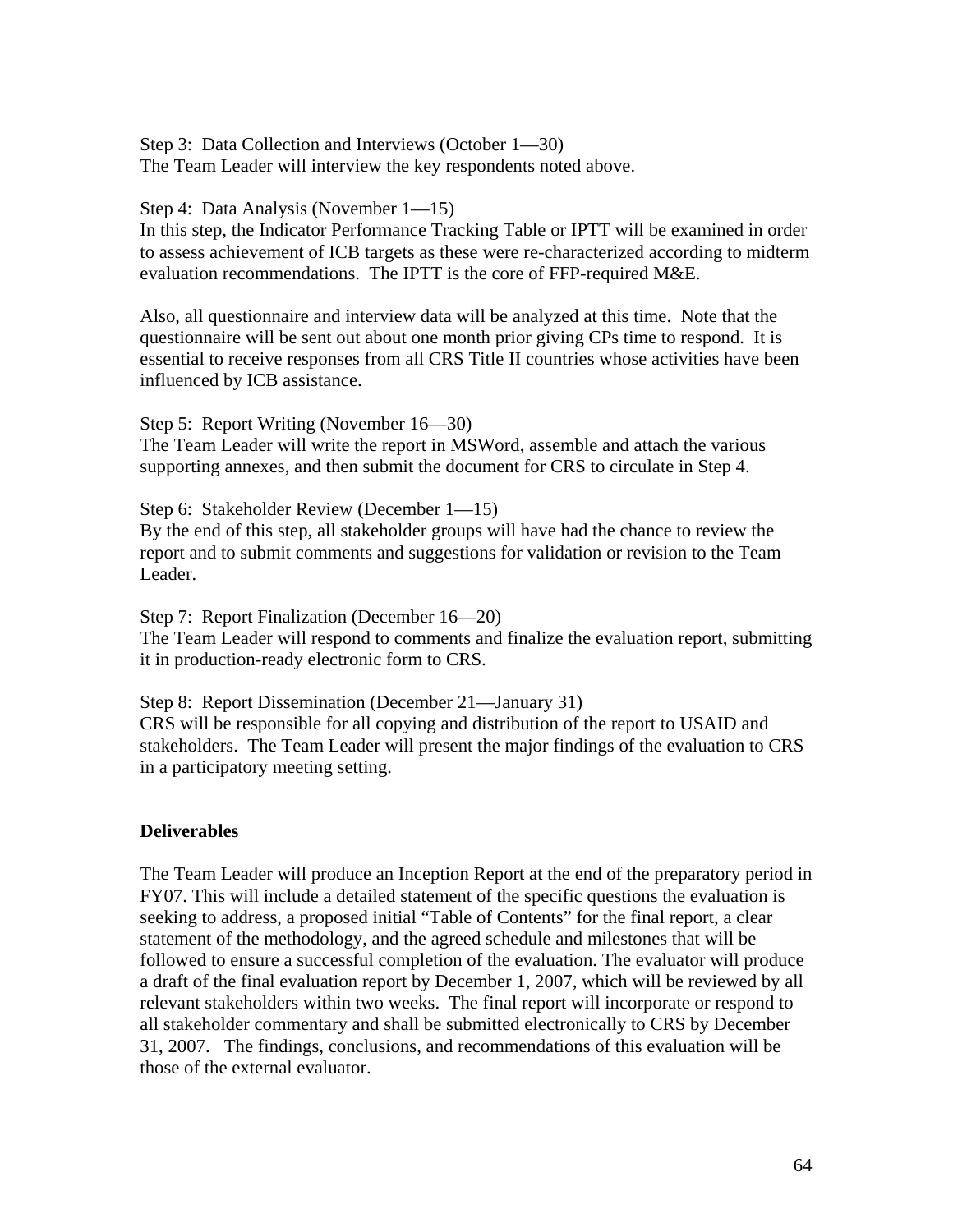Step 3: Data Collection and Interviews (October 1—30) The Team Leader will interview the key respondents noted above.

Step 4: Data Analysis (November 1—15)

In this step, the Indicator Performance Tracking Table or IPTT will be examined in order to assess achievement of ICB targets as these were re-characterized according to midterm evaluation recommendations. The IPTT is the core of FFP-required M&E.

Also, all questionnaire and interview data will be analyzed at this time. Note that the questionnaire will be sent out about one month prior giving CPs time to respond. It is essential to receive responses from all CRS Title II countries whose activities have been influenced by ICB assistance.

Step 5: Report Writing (November 16—30) The Team Leader will write the report in MSWord, assemble and attach the various supporting annexes, and then submit the document for CRS to circulate in Step 4.

Step 6: Stakeholder Review (December 1—15) By the end of this step, all stakeholder groups will have had the chance to review the report and to submit comments and suggestions for validation or revision to the Team Leader.

Step 7: Report Finalization (December 16—20) The Team Leader will respond to comments and finalize the evaluation report, submitting it in production-ready electronic form to CRS.

Step 8: Report Dissemination (December 21—January 31) CRS will be responsible for all copying and distribution of the report to USAID and stakeholders. The Team Leader will present the major findings of the evaluation to CRS in a participatory meeting setting.

## **Deliverables**

The Team Leader will produce an Inception Report at the end of the preparatory period in FY07. This will include a detailed statement of the specific questions the evaluation is seeking to address, a proposed initial "Table of Contents" for the final report, a clear statement of the methodology, and the agreed schedule and milestones that will be followed to ensure a successful completion of the evaluation. The evaluator will produce a draft of the final evaluation report by December 1, 2007, which will be reviewed by all relevant stakeholders within two weeks. The final report will incorporate or respond to all stakeholder commentary and shall be submitted electronically to CRS by December 31, 2007. The findings, conclusions, and recommendations of this evaluation will be those of the external evaluator.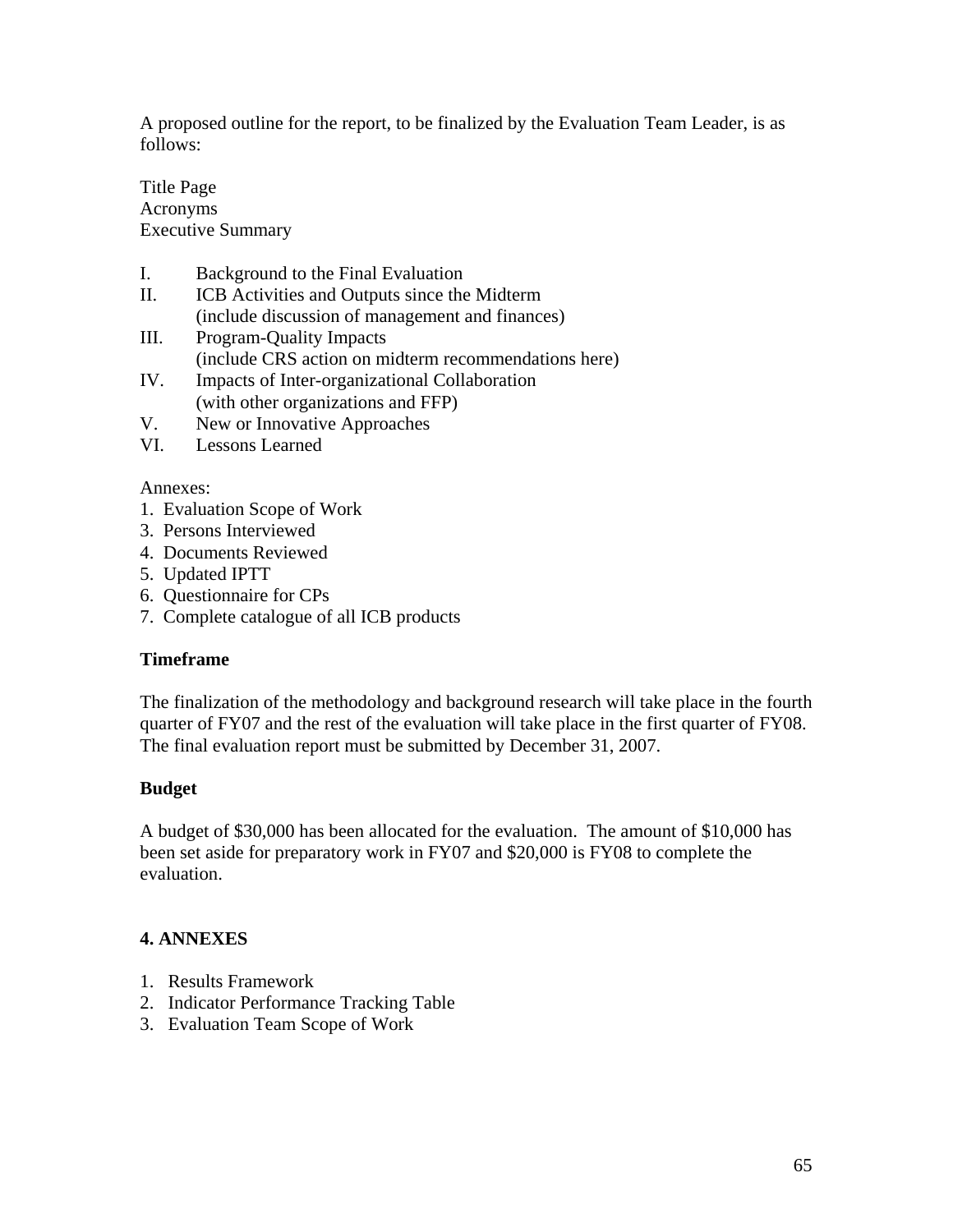A proposed outline for the report, to be finalized by the Evaluation Team Leader, is as follows:

Title Page Acronyms Executive Summary

- I. Background to the Final Evaluation
- II. ICB Activities and Outputs since the Midterm (include discussion of management and finances)
- III. Program-Quality Impacts (include CRS action on midterm recommendations here)
- IV. Impacts of Inter-organizational Collaboration (with other organizations and FFP)
- V. New or Innovative Approaches
- VI. Lessons Learned

#### Annexes:

- 1. Evaluation Scope of Work
- 3. Persons Interviewed
- 4. Documents Reviewed
- 5. Updated IPTT
- 6. Questionnaire for CPs
- 7. Complete catalogue of all ICB products

## **Timeframe**

The finalization of the methodology and background research will take place in the fourth quarter of FY07 and the rest of the evaluation will take place in the first quarter of FY08. The final evaluation report must be submitted by December 31, 2007.

## **Budget**

A budget of \$30,000 has been allocated for the evaluation. The amount of \$10,000 has been set aside for preparatory work in FY07 and \$20,000 is FY08 to complete the evaluation.

#### **4. ANNEXES**

- 1. Results Framework
- 2. Indicator Performance Tracking Table
- 3. Evaluation Team Scope of Work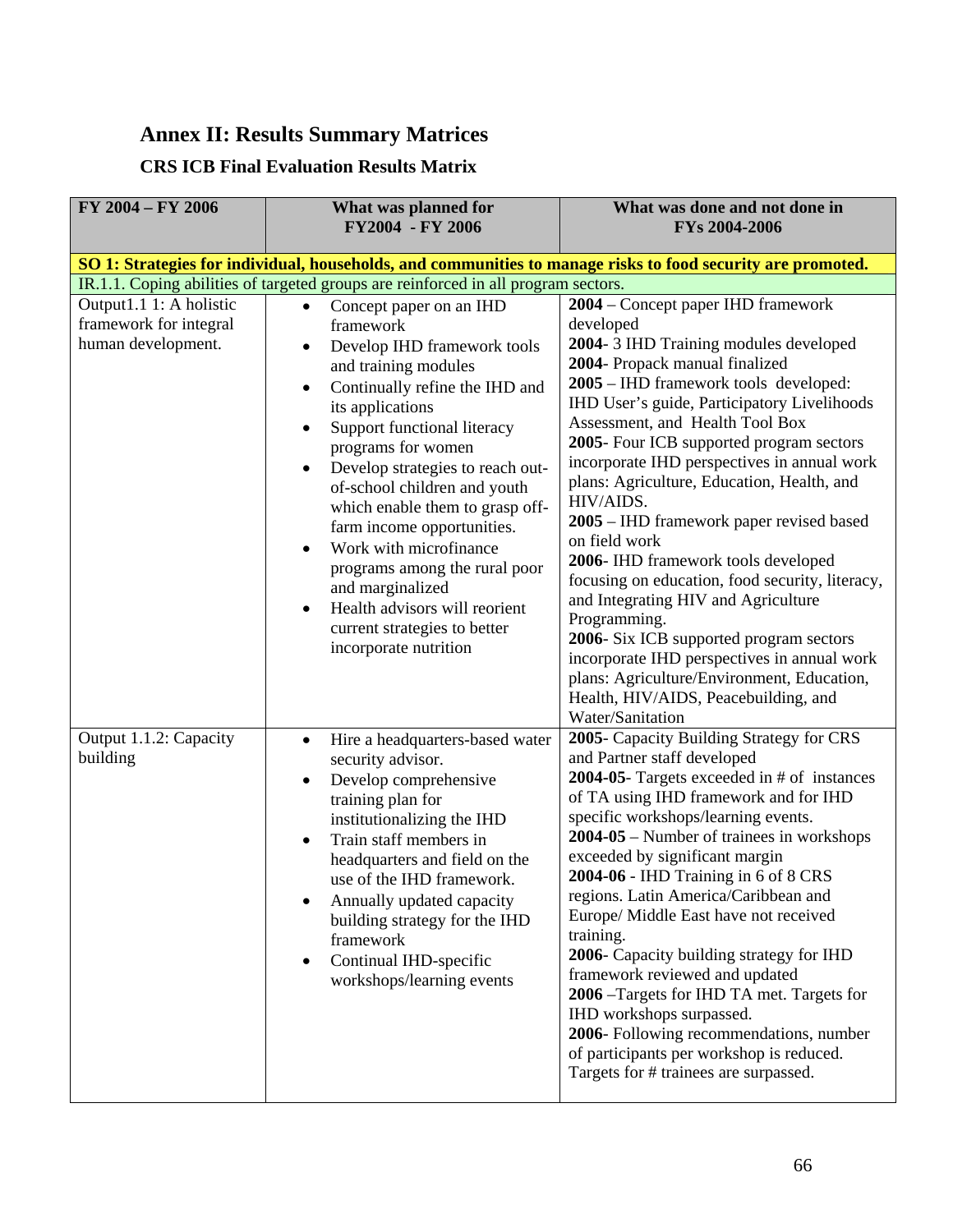# **Annex II: Results Summary Matrices**

# **CRS ICB Final Evaluation Results Matrix**

| FY 2004 - FY 2006                                                                                           | What was planned for<br>FY2004 - FY 2006                                                                                                                                                                                                                                                                                                                                                                                                                                                                                                                                                                        | What was done and not done in<br>FYs 2004-2006                                                                                                                                                                                                                                                                                                                                                                                                                                                                                                                                                                                                                                                                                                                                                                                |
|-------------------------------------------------------------------------------------------------------------|-----------------------------------------------------------------------------------------------------------------------------------------------------------------------------------------------------------------------------------------------------------------------------------------------------------------------------------------------------------------------------------------------------------------------------------------------------------------------------------------------------------------------------------------------------------------------------------------------------------------|-------------------------------------------------------------------------------------------------------------------------------------------------------------------------------------------------------------------------------------------------------------------------------------------------------------------------------------------------------------------------------------------------------------------------------------------------------------------------------------------------------------------------------------------------------------------------------------------------------------------------------------------------------------------------------------------------------------------------------------------------------------------------------------------------------------------------------|
| SO 1: Strategies for individual, households, and communities to manage risks to food security are promoted. |                                                                                                                                                                                                                                                                                                                                                                                                                                                                                                                                                                                                                 |                                                                                                                                                                                                                                                                                                                                                                                                                                                                                                                                                                                                                                                                                                                                                                                                                               |
|                                                                                                             | IR.1.1. Coping abilities of targeted groups are reinforced in all program sectors.                                                                                                                                                                                                                                                                                                                                                                                                                                                                                                                              |                                                                                                                                                                                                                                                                                                                                                                                                                                                                                                                                                                                                                                                                                                                                                                                                                               |
| Output1.1 1: A holistic<br>framework for integral<br>human development.                                     | Concept paper on an IHD<br>$\bullet$<br>framework<br>Develop IHD framework tools<br>$\bullet$<br>and training modules<br>Continually refine the IHD and<br>$\bullet$<br>its applications<br>Support functional literacy<br>$\bullet$<br>programs for women<br>Develop strategies to reach out-<br>$\bullet$<br>of-school children and youth<br>which enable them to grasp off-<br>farm income opportunities.<br>Work with microfinance<br>$\bullet$<br>programs among the rural poor<br>and marginalized<br>Health advisors will reorient<br>$\bullet$<br>current strategies to better<br>incorporate nutrition | 2004 – Concept paper IHD framework<br>developed<br>2004-3 IHD Training modules developed<br>2004- Propack manual finalized<br>2005 – IHD framework tools developed:<br>IHD User's guide, Participatory Livelihoods<br>Assessment, and Health Tool Box<br>2005- Four ICB supported program sectors<br>incorporate IHD perspectives in annual work<br>plans: Agriculture, Education, Health, and<br>HIV/AIDS.<br>2005 – IHD framework paper revised based<br>on field work<br>2006- IHD framework tools developed<br>focusing on education, food security, literacy,<br>and Integrating HIV and Agriculture<br>Programming.<br>2006- Six ICB supported program sectors<br>incorporate IHD perspectives in annual work<br>plans: Agriculture/Environment, Education,<br>Health, HIV/AIDS, Peacebuilding, and<br>Water/Sanitation |
| Output 1.1.2: Capacity<br>building                                                                          | Hire a headquarters-based water<br>$\bullet$<br>security advisor.<br>Develop comprehensive<br>$\bullet$<br>training plan for<br>institutionalizing the IHD<br>Train staff members in<br>$\bullet$<br>headquarters and field on the<br>use of the IHD framework.<br>Annually updated capacity<br>$\bullet$<br>building strategy for the IHD<br>framework<br>Continual IHD-specific<br>$\bullet$<br>workshops/learning events                                                                                                                                                                                     | 2005- Capacity Building Strategy for CRS<br>and Partner staff developed<br>2004-05- Targets exceeded in $#$ of instances<br>of TA using IHD framework and for IHD<br>specific workshops/learning events.<br>2004-05 – Number of trainees in workshops<br>exceeded by significant margin<br>2004-06 - IHD Training in 6 of 8 CRS<br>regions. Latin America/Caribbean and<br>Europe/ Middle East have not received<br>training.<br>2006- Capacity building strategy for IHD<br>framework reviewed and updated<br>2006 - Targets for IHD TA met. Targets for<br>IHD workshops surpassed.<br>2006- Following recommendations, number<br>of participants per workshop is reduced.<br>Targets for # trainees are surpassed.                                                                                                         |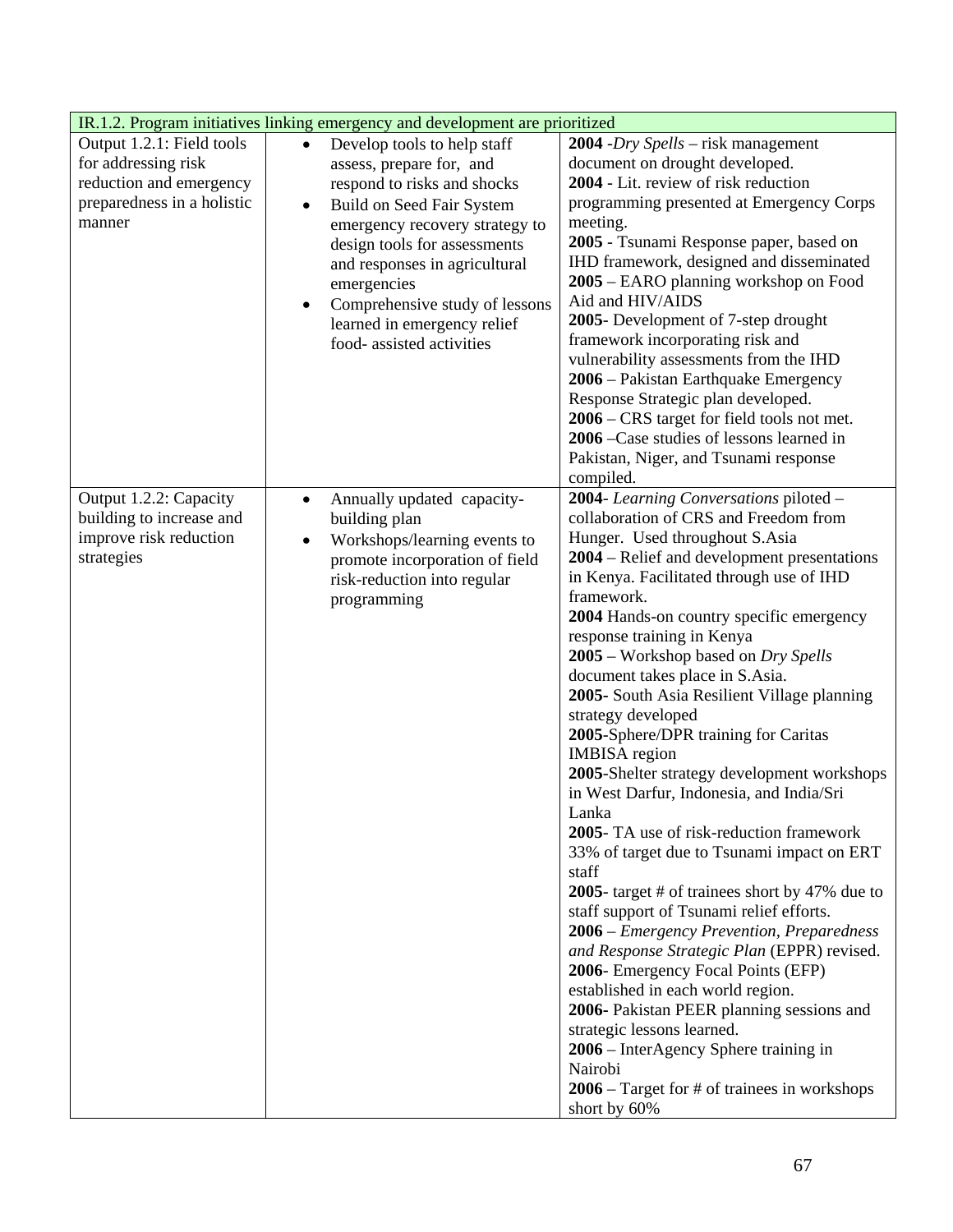| IR.1.2. Program initiatives linking emergency and development are prioritized |                                             |                                                |
|-------------------------------------------------------------------------------|---------------------------------------------|------------------------------------------------|
| Output 1.2.1: Field tools                                                     | Develop tools to help staff<br>$\bullet$    | 2004 - $Dry$ Spells – risk management          |
| for addressing risk                                                           | assess, prepare for, and                    | document on drought developed.                 |
| reduction and emergency                                                       | respond to risks and shocks                 | 2004 - Lit. review of risk reduction           |
| preparedness in a holistic                                                    | Build on Seed Fair System<br>$\bullet$      | programming presented at Emergency Corps       |
| manner                                                                        | emergency recovery strategy to              | meeting.                                       |
|                                                                               | design tools for assessments                | 2005 - Tsunami Response paper, based on        |
|                                                                               | and responses in agricultural               | IHD framework, designed and disseminated       |
|                                                                               | emergencies                                 | 2005 – EARO planning workshop on Food          |
|                                                                               | Comprehensive study of lessons<br>$\bullet$ | Aid and HIV/AIDS                               |
|                                                                               | learned in emergency relief                 | 2005- Development of 7-step drought            |
|                                                                               | food-assisted activities                    | framework incorporating risk and               |
|                                                                               |                                             | vulnerability assessments from the IHD         |
|                                                                               |                                             | 2006 - Pakistan Earthquake Emergency           |
|                                                                               |                                             | Response Strategic plan developed.             |
|                                                                               |                                             | 2006 – CRS target for field tools not met.     |
|                                                                               |                                             | 2006 - Case studies of lessons learned in      |
|                                                                               |                                             | Pakistan, Niger, and Tsunami response          |
|                                                                               |                                             | compiled.                                      |
| Output 1.2.2: Capacity                                                        | Annually updated capacity-<br>$\bullet$     | 2004- Learning Conversations piloted -         |
| building to increase and                                                      | building plan                               | collaboration of CRS and Freedom from          |
| improve risk reduction                                                        | Workshops/learning events to<br>$\bullet$   | Hunger. Used throughout S.Asia                 |
| strategies                                                                    | promote incorporation of field              | 2004 – Relief and development presentations    |
|                                                                               | risk-reduction into regular                 | in Kenya. Facilitated through use of IHD       |
|                                                                               | programming                                 | framework.                                     |
|                                                                               |                                             | 2004 Hands-on country specific emergency       |
|                                                                               |                                             | response training in Kenya                     |
|                                                                               |                                             | 2005 – Workshop based on Dry Spells            |
|                                                                               |                                             | document takes place in S.Asia.                |
|                                                                               |                                             | 2005- South Asia Resilient Village planning    |
|                                                                               |                                             | strategy developed                             |
|                                                                               |                                             | 2005-Sphere/DPR training for Caritas           |
|                                                                               |                                             | <b>IMBISA</b> region                           |
|                                                                               |                                             | 2005-Shelter strategy development workshops    |
|                                                                               |                                             | in West Darfur, Indonesia, and India/Sri       |
|                                                                               |                                             | Lanka                                          |
|                                                                               |                                             | 2005- TA use of risk-reduction framework       |
|                                                                               |                                             | 33% of target due to Tsunami impact on ERT     |
|                                                                               |                                             | staff                                          |
|                                                                               |                                             | 2005- target # of trainees short by 47% due to |
|                                                                               |                                             | staff support of Tsunami relief efforts.       |
|                                                                               |                                             | 2006 – Emergency Prevention, Preparedness      |
|                                                                               |                                             | and Response Strategic Plan (EPPR) revised.    |
|                                                                               |                                             | 2006- Emergency Focal Points (EFP)             |
|                                                                               |                                             | established in each world region.              |
|                                                                               |                                             | 2006- Pakistan PEER planning sessions and      |
|                                                                               |                                             | strategic lessons learned.                     |
|                                                                               |                                             | 2006 – InterAgency Sphere training in          |
|                                                                               |                                             | Nairobi                                        |
|                                                                               |                                             | $2006$ – Target for # of trainees in workshops |
|                                                                               |                                             | short by 60%                                   |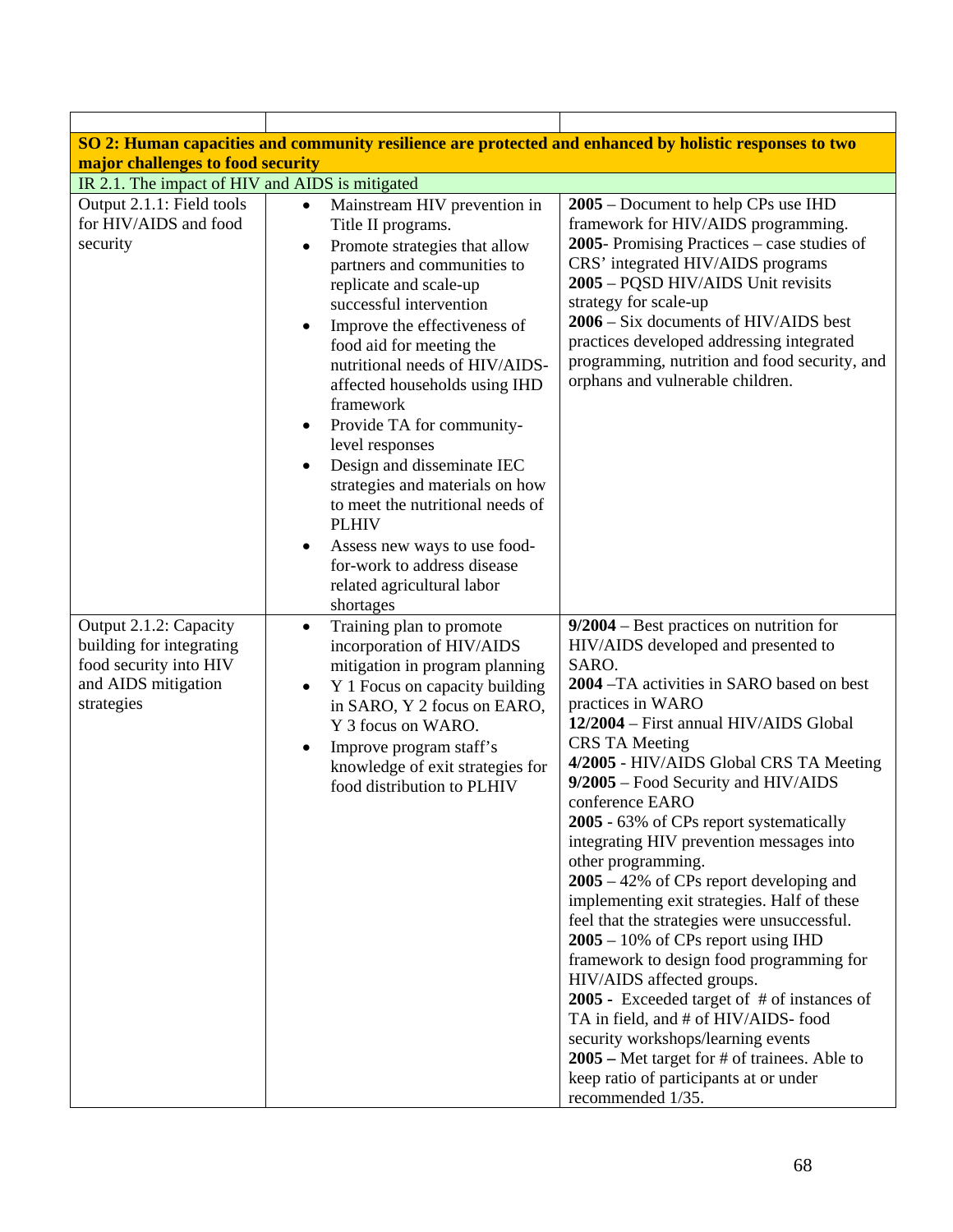|                                                                                                                   |                                                                                                                                                                                                                                                                                                                                                                                                                                                                                                                                                                                                                                           | SO 2: Human capacities and community resilience are protected and enhanced by holistic responses to two                                                                                                                                                                                                                                                                                                                                                                                                                                                                                                                                                                                                                                                                                                                                                                                                                                                       |  |
|-------------------------------------------------------------------------------------------------------------------|-------------------------------------------------------------------------------------------------------------------------------------------------------------------------------------------------------------------------------------------------------------------------------------------------------------------------------------------------------------------------------------------------------------------------------------------------------------------------------------------------------------------------------------------------------------------------------------------------------------------------------------------|---------------------------------------------------------------------------------------------------------------------------------------------------------------------------------------------------------------------------------------------------------------------------------------------------------------------------------------------------------------------------------------------------------------------------------------------------------------------------------------------------------------------------------------------------------------------------------------------------------------------------------------------------------------------------------------------------------------------------------------------------------------------------------------------------------------------------------------------------------------------------------------------------------------------------------------------------------------|--|
| major challenges to food security                                                                                 |                                                                                                                                                                                                                                                                                                                                                                                                                                                                                                                                                                                                                                           |                                                                                                                                                                                                                                                                                                                                                                                                                                                                                                                                                                                                                                                                                                                                                                                                                                                                                                                                                               |  |
| IR 2.1. The impact of HIV and AIDS is mitigated                                                                   |                                                                                                                                                                                                                                                                                                                                                                                                                                                                                                                                                                                                                                           |                                                                                                                                                                                                                                                                                                                                                                                                                                                                                                                                                                                                                                                                                                                                                                                                                                                                                                                                                               |  |
| Output 2.1.1: Field tools<br>for HIV/AIDS and food<br>security                                                    | Mainstream HIV prevention in<br>$\bullet$<br>Title II programs.<br>Promote strategies that allow<br>$\bullet$<br>partners and communities to<br>replicate and scale-up<br>successful intervention<br>Improve the effectiveness of<br>food aid for meeting the<br>nutritional needs of HIV/AIDS-<br>affected households using IHD<br>framework<br>Provide TA for community-<br>$\bullet$<br>level responses<br>Design and disseminate IEC<br>strategies and materials on how<br>to meet the nutritional needs of<br><b>PLHIV</b><br>Assess new ways to use food-<br>for-work to address disease<br>related agricultural labor<br>shortages | 2005 – Document to help CPs use IHD<br>framework for HIV/AIDS programming.<br>2005- Promising Practices $-$ case studies of<br>CRS' integrated HIV/AIDS programs<br>2005 - PQSD HIV/AIDS Unit revisits<br>strategy for scale-up<br>2006 – Six documents of HIV/AIDS best<br>practices developed addressing integrated<br>programming, nutrition and food security, and<br>orphans and vulnerable children.                                                                                                                                                                                                                                                                                                                                                                                                                                                                                                                                                    |  |
| Output 2.1.2: Capacity<br>building for integrating<br>food security into HIV<br>and AIDS mitigation<br>strategies | Training plan to promote<br>$\bullet$<br>incorporation of HIV/AIDS<br>mitigation in program planning<br>Y 1 Focus on capacity building<br>$\bullet$<br>in SARO, Y 2 focus on EARO,<br>Y 3 focus on WARO.<br>Improve program staff's<br>knowledge of exit strategies for<br>food distribution to PLHIV                                                                                                                                                                                                                                                                                                                                     | $9/2004$ – Best practices on nutrition for<br>HIV/AIDS developed and presented to<br>SARO.<br>2004 – TA activities in SARO based on best<br>practices in WARO<br>12/2004 – First annual HIV/AIDS Global<br><b>CRS TA Meeting</b><br>4/2005 - HIV/AIDS Global CRS TA Meeting<br>9/2005 - Food Security and HIV/AIDS<br>conference EARO<br>2005 - 63% of CPs report systematically<br>integrating HIV prevention messages into<br>other programming.<br>$2005 - 42\%$ of CPs report developing and<br>implementing exit strategies. Half of these<br>feel that the strategies were unsuccessful.<br>$2005 - 10\%$ of CPs report using IHD<br>framework to design food programming for<br>HIV/AIDS affected groups.<br>2005 - Exceeded target of $#$ of instances of<br>TA in field, and # of HIV/AIDS-food<br>security workshops/learning events<br>2005 – Met target for # of trainees. Able to<br>keep ratio of participants at or under<br>recommended 1/35. |  |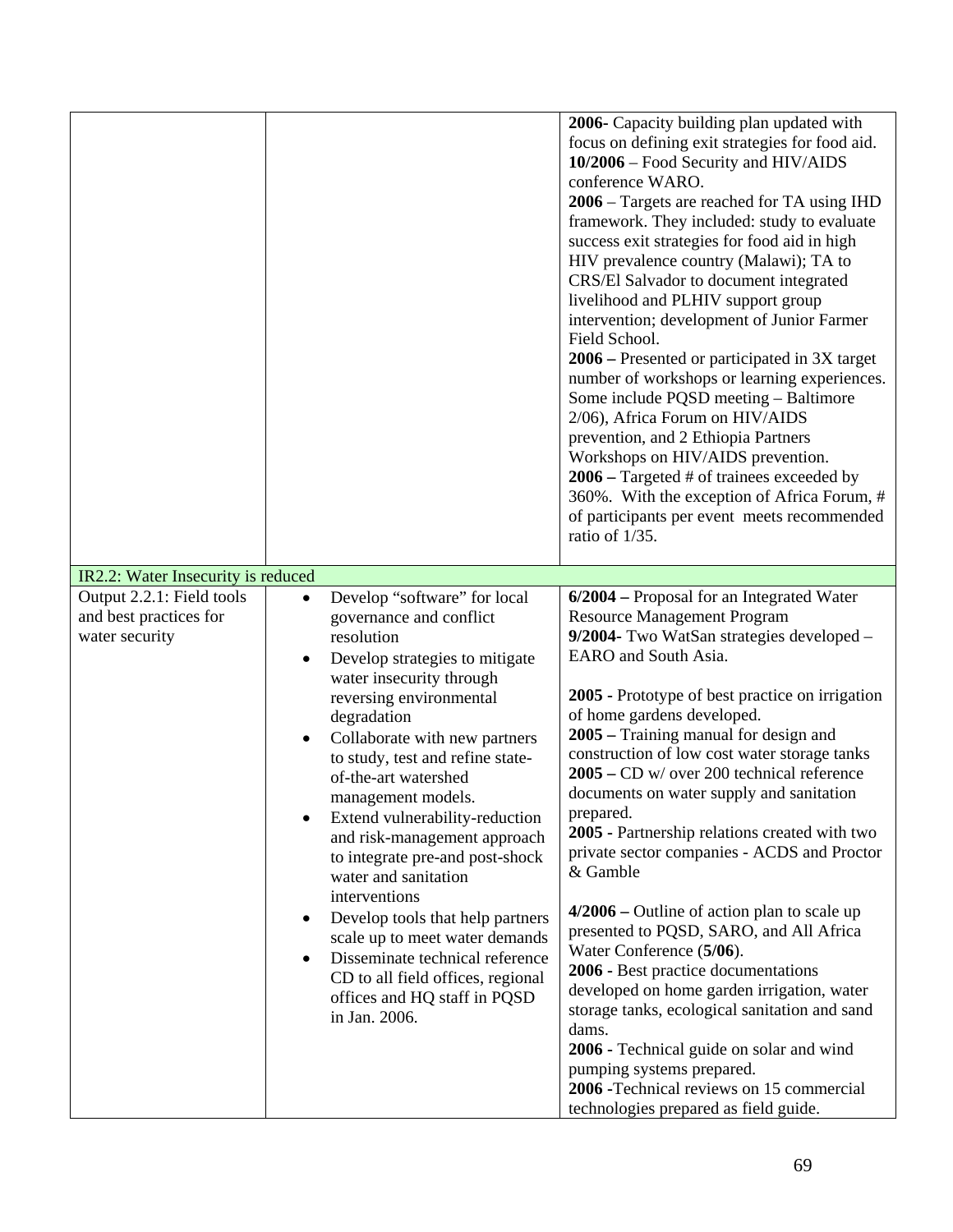|                                                                       |                                                                                                                                                                                                                                                                                                                                                                                                                                                                                                                                                                                                                                                                                                                     | 2006- Capacity building plan updated with<br>focus on defining exit strategies for food aid.<br>10/2006 – Food Security and HIV/AIDS<br>conference WARO.<br>2006 - Targets are reached for TA using IHD<br>framework. They included: study to evaluate<br>success exit strategies for food aid in high<br>HIV prevalence country (Malawi); TA to<br>CRS/El Salvador to document integrated<br>livelihood and PLHIV support group<br>intervention; development of Junior Farmer<br>Field School.<br>2006 – Presented or participated in 3X target<br>number of workshops or learning experiences.<br>Some include PQSD meeting - Baltimore<br>2/06), Africa Forum on HIV/AIDS<br>prevention, and 2 Ethiopia Partners<br>Workshops on HIV/AIDS prevention.<br>$2006$ – Targeted # of trainees exceeded by<br>360%. With the exception of Africa Forum, #<br>of participants per event meets recommended<br>ratio of 1/35.                                                                  |
|-----------------------------------------------------------------------|---------------------------------------------------------------------------------------------------------------------------------------------------------------------------------------------------------------------------------------------------------------------------------------------------------------------------------------------------------------------------------------------------------------------------------------------------------------------------------------------------------------------------------------------------------------------------------------------------------------------------------------------------------------------------------------------------------------------|------------------------------------------------------------------------------------------------------------------------------------------------------------------------------------------------------------------------------------------------------------------------------------------------------------------------------------------------------------------------------------------------------------------------------------------------------------------------------------------------------------------------------------------------------------------------------------------------------------------------------------------------------------------------------------------------------------------------------------------------------------------------------------------------------------------------------------------------------------------------------------------------------------------------------------------------------------------------------------------|
| IR2.2: Water Insecurity is reduced                                    |                                                                                                                                                                                                                                                                                                                                                                                                                                                                                                                                                                                                                                                                                                                     |                                                                                                                                                                                                                                                                                                                                                                                                                                                                                                                                                                                                                                                                                                                                                                                                                                                                                                                                                                                          |
| Output 2.2.1: Field tools<br>and best practices for<br>water security | Develop "software" for local<br>$\bullet$<br>governance and conflict<br>resolution<br>Develop strategies to mitigate<br>$\bullet$<br>water insecurity through<br>reversing environmental<br>degradation<br>Collaborate with new partners<br>$\bullet$<br>to study, test and refine state-<br>of-the-art watershed<br>management models.<br>Extend vulnerability-reduction<br>٠<br>and risk-management approach<br>to integrate pre-and post-shock<br>water and sanitation<br>interventions<br>Develop tools that help partners<br>$\bullet$<br>scale up to meet water demands<br>Disseminate technical reference<br>$\bullet$<br>CD to all field offices, regional<br>offices and HQ staff in PQSD<br>in Jan. 2006. | 6/2004 – Proposal for an Integrated Water<br><b>Resource Management Program</b><br>9/2004- Two WatSan strategies developed -<br>EARO and South Asia.<br>2005 - Prototype of best practice on irrigation<br>of home gardens developed.<br>2005 – Training manual for design and<br>construction of low cost water storage tanks<br>$2005 - CD$ w/ over 200 technical reference<br>documents on water supply and sanitation<br>prepared.<br>2005 - Partnership relations created with two<br>private sector companies - ACDS and Proctor<br>& Gamble<br>$4/2006$ – Outline of action plan to scale up<br>presented to PQSD, SARO, and All Africa<br>Water Conference (5/06).<br>2006 - Best practice documentations<br>developed on home garden irrigation, water<br>storage tanks, ecological sanitation and sand<br>dams.<br>2006 - Technical guide on solar and wind<br>pumping systems prepared.<br>2006 - Technical reviews on 15 commercial<br>technologies prepared as field guide. |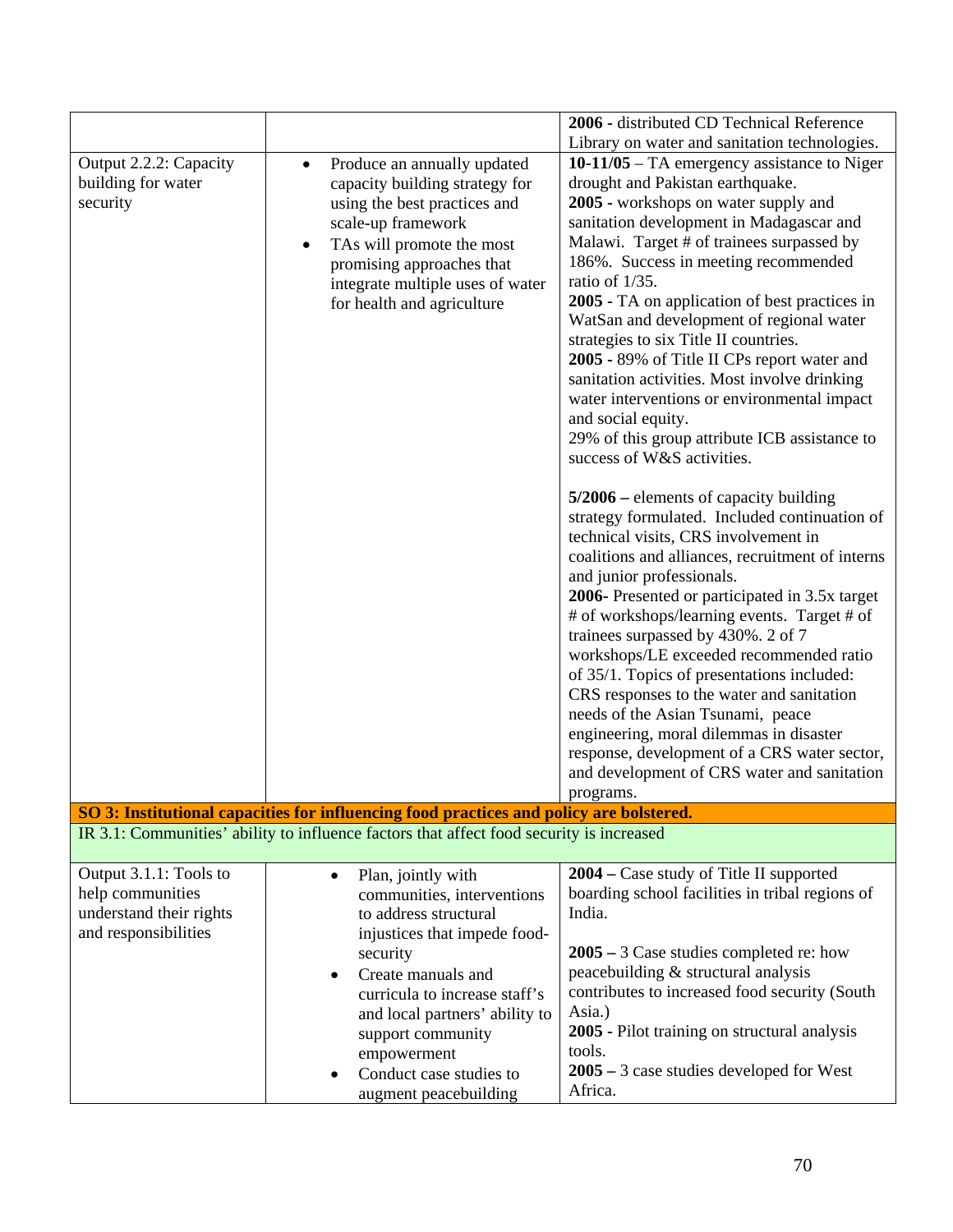|                                                                                               |                                                                                                                                                                                                                                                                                                                     | 2006 - distributed CD Technical Reference                                                                                                                                                                                                                                                                                                                                                                                                                                                                                                                                                                                                                                                                                                                                                                                                                                                                                                                                                                                                                                                                                                                                                                                                                                                                                                               |
|-----------------------------------------------------------------------------------------------|---------------------------------------------------------------------------------------------------------------------------------------------------------------------------------------------------------------------------------------------------------------------------------------------------------------------|---------------------------------------------------------------------------------------------------------------------------------------------------------------------------------------------------------------------------------------------------------------------------------------------------------------------------------------------------------------------------------------------------------------------------------------------------------------------------------------------------------------------------------------------------------------------------------------------------------------------------------------------------------------------------------------------------------------------------------------------------------------------------------------------------------------------------------------------------------------------------------------------------------------------------------------------------------------------------------------------------------------------------------------------------------------------------------------------------------------------------------------------------------------------------------------------------------------------------------------------------------------------------------------------------------------------------------------------------------|
|                                                                                               |                                                                                                                                                                                                                                                                                                                     | Library on water and sanitation technologies.                                                                                                                                                                                                                                                                                                                                                                                                                                                                                                                                                                                                                                                                                                                                                                                                                                                                                                                                                                                                                                                                                                                                                                                                                                                                                                           |
| Output 2.2.2: Capacity<br>building for water<br>security                                      | Produce an annually updated<br>$\bullet$<br>capacity building strategy for<br>using the best practices and<br>scale-up framework<br>TAs will promote the most<br>$\bullet$<br>promising approaches that<br>integrate multiple uses of water<br>for health and agriculture                                           | $10-11/05$ – TA emergency assistance to Niger<br>drought and Pakistan earthquake.<br>2005 - workshops on water supply and<br>sanitation development in Madagascar and<br>Malawi. Target # of trainees surpassed by<br>186%. Success in meeting recommended<br>ratio of 1/35.<br>2005 - TA on application of best practices in<br>WatSan and development of regional water<br>strategies to six Title II countries.<br>2005 - 89% of Title II CPs report water and<br>sanitation activities. Most involve drinking<br>water interventions or environmental impact<br>and social equity.<br>29% of this group attribute ICB assistance to<br>success of W&S activities.<br>$5/2006$ – elements of capacity building<br>strategy formulated. Included continuation of<br>technical visits, CRS involvement in<br>coalitions and alliances, recruitment of interns<br>and junior professionals.<br>2006- Presented or participated in 3.5x target<br># of workshops/learning events. Target # of<br>trainees surpassed by 430%. 2 of 7<br>workshops/LE exceeded recommended ratio<br>of 35/1. Topics of presentations included:<br>CRS responses to the water and sanitation<br>needs of the Asian Tsunami, peace<br>engineering, moral dilemmas in disaster<br>response, development of a CRS water sector,<br>and development of CRS water and sanitation |
|                                                                                               | SO 3: Institutional capacities for influencing food practices and policy are bolstered.                                                                                                                                                                                                                             | programs.                                                                                                                                                                                                                                                                                                                                                                                                                                                                                                                                                                                                                                                                                                                                                                                                                                                                                                                                                                                                                                                                                                                                                                                                                                                                                                                                               |
|                                                                                               | IR 3.1: Communities' ability to influence factors that affect food security is increased                                                                                                                                                                                                                            |                                                                                                                                                                                                                                                                                                                                                                                                                                                                                                                                                                                                                                                                                                                                                                                                                                                                                                                                                                                                                                                                                                                                                                                                                                                                                                                                                         |
| Output 3.1.1: Tools to<br>help communities<br>understand their rights<br>and responsibilities | Plan, jointly with<br>$\bullet$<br>communities, interventions<br>to address structural<br>injustices that impede food-<br>security<br>Create manuals and<br>curricula to increase staff's<br>and local partners' ability to<br>support community<br>empowerment<br>Conduct case studies to<br>augment peacebuilding | 2004 – Case study of Title II supported<br>boarding school facilities in tribal regions of<br>India.<br>$2005 - 3$ Case studies completed re: how<br>peacebuilding & structural analysis<br>contributes to increased food security (South<br>Asia.)<br>2005 - Pilot training on structural analysis<br>tools.<br>$2005 - 3$ case studies developed for West<br>Africa.                                                                                                                                                                                                                                                                                                                                                                                                                                                                                                                                                                                                                                                                                                                                                                                                                                                                                                                                                                                  |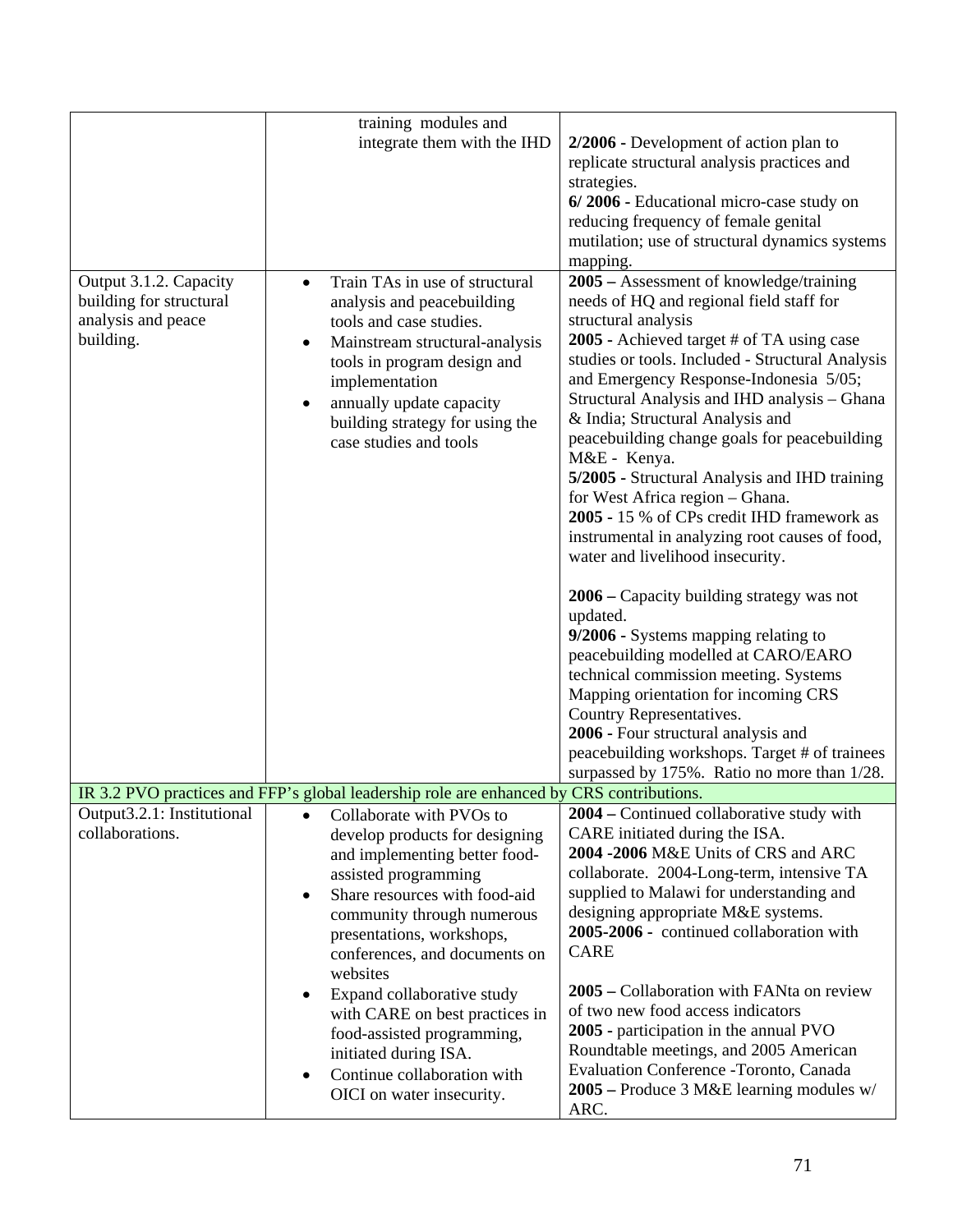|                                                                                      | training modules and                                                                                                                                                                                                                                                                          |                                                                                                                                                                                                                                                                                                                                                                                                                                                                                                                                                                                                                                   |
|--------------------------------------------------------------------------------------|-----------------------------------------------------------------------------------------------------------------------------------------------------------------------------------------------------------------------------------------------------------------------------------------------|-----------------------------------------------------------------------------------------------------------------------------------------------------------------------------------------------------------------------------------------------------------------------------------------------------------------------------------------------------------------------------------------------------------------------------------------------------------------------------------------------------------------------------------------------------------------------------------------------------------------------------------|
|                                                                                      | integrate them with the IHD                                                                                                                                                                                                                                                                   | 2/2006 - Development of action plan to                                                                                                                                                                                                                                                                                                                                                                                                                                                                                                                                                                                            |
|                                                                                      |                                                                                                                                                                                                                                                                                               | replicate structural analysis practices and                                                                                                                                                                                                                                                                                                                                                                                                                                                                                                                                                                                       |
|                                                                                      |                                                                                                                                                                                                                                                                                               | strategies.                                                                                                                                                                                                                                                                                                                                                                                                                                                                                                                                                                                                                       |
|                                                                                      |                                                                                                                                                                                                                                                                                               | 6/2006 - Educational micro-case study on                                                                                                                                                                                                                                                                                                                                                                                                                                                                                                                                                                                          |
|                                                                                      |                                                                                                                                                                                                                                                                                               | reducing frequency of female genital                                                                                                                                                                                                                                                                                                                                                                                                                                                                                                                                                                                              |
|                                                                                      |                                                                                                                                                                                                                                                                                               | mutilation; use of structural dynamics systems                                                                                                                                                                                                                                                                                                                                                                                                                                                                                                                                                                                    |
|                                                                                      |                                                                                                                                                                                                                                                                                               | mapping.                                                                                                                                                                                                                                                                                                                                                                                                                                                                                                                                                                                                                          |
| Output 3.1.2. Capacity<br>building for structural<br>analysis and peace<br>building. | Train TAs in use of structural<br>$\bullet$<br>analysis and peacebuilding<br>tools and case studies.<br>Mainstream structural-analysis<br>tools in program design and<br>implementation<br>annually update capacity<br>$\bullet$<br>building strategy for using the<br>case studies and tools | 2005 – Assessment of knowledge/training<br>needs of HQ and regional field staff for<br>structural analysis<br>2005 - Achieved target # of TA using case<br>studies or tools. Included - Structural Analysis<br>and Emergency Response-Indonesia 5/05;<br>Structural Analysis and IHD analysis - Ghana<br>& India; Structural Analysis and<br>peacebuilding change goals for peacebuilding<br>M&E - Kenya.<br>5/2005 - Structural Analysis and IHD training<br>for West Africa region - Ghana.<br>2005 - 15 % of CPs credit IHD framework as<br>instrumental in analyzing root causes of food,<br>water and livelihood insecurity. |
|                                                                                      |                                                                                                                                                                                                                                                                                               | 2006 – Capacity building strategy was not<br>updated.<br>9/2006 - Systems mapping relating to<br>peacebuilding modelled at CARO/EARO<br>technical commission meeting. Systems<br>Mapping orientation for incoming CRS                                                                                                                                                                                                                                                                                                                                                                                                             |
|                                                                                      |                                                                                                                                                                                                                                                                                               | Country Representatives.                                                                                                                                                                                                                                                                                                                                                                                                                                                                                                                                                                                                          |
|                                                                                      |                                                                                                                                                                                                                                                                                               | 2006 - Four structural analysis and                                                                                                                                                                                                                                                                                                                                                                                                                                                                                                                                                                                               |
|                                                                                      |                                                                                                                                                                                                                                                                                               | peacebuilding workshops. Target # of trainees                                                                                                                                                                                                                                                                                                                                                                                                                                                                                                                                                                                     |
|                                                                                      |                                                                                                                                                                                                                                                                                               | surpassed by 175%. Ratio no more than 1/28.                                                                                                                                                                                                                                                                                                                                                                                                                                                                                                                                                                                       |
|                                                                                      | IR 3.2 PVO practices and FFP's global leadership role are enhanced by CRS contributions.                                                                                                                                                                                                      |                                                                                                                                                                                                                                                                                                                                                                                                                                                                                                                                                                                                                                   |
| Output3.2.1: Institutional                                                           | Collaborate with PVOs to<br>$\bullet$                                                                                                                                                                                                                                                         | 2004 – Continued collaborative study with                                                                                                                                                                                                                                                                                                                                                                                                                                                                                                                                                                                         |
| collaborations.                                                                      | develop products for designing                                                                                                                                                                                                                                                                | CARE initiated during the ISA.                                                                                                                                                                                                                                                                                                                                                                                                                                                                                                                                                                                                    |
|                                                                                      | and implementing better food-                                                                                                                                                                                                                                                                 | 2004 -2006 M&E Units of CRS and ARC                                                                                                                                                                                                                                                                                                                                                                                                                                                                                                                                                                                               |
|                                                                                      | assisted programming                                                                                                                                                                                                                                                                          | collaborate. 2004-Long-term, intensive TA                                                                                                                                                                                                                                                                                                                                                                                                                                                                                                                                                                                         |
|                                                                                      | Share resources with food-aid<br>٠                                                                                                                                                                                                                                                            | supplied to Malawi for understanding and                                                                                                                                                                                                                                                                                                                                                                                                                                                                                                                                                                                          |
|                                                                                      | community through numerous                                                                                                                                                                                                                                                                    | designing appropriate M&E systems.                                                                                                                                                                                                                                                                                                                                                                                                                                                                                                                                                                                                |
|                                                                                      | presentations, workshops,                                                                                                                                                                                                                                                                     | 2005-2006 - continued collaboration with                                                                                                                                                                                                                                                                                                                                                                                                                                                                                                                                                                                          |
|                                                                                      | conferences, and documents on                                                                                                                                                                                                                                                                 | <b>CARE</b>                                                                                                                                                                                                                                                                                                                                                                                                                                                                                                                                                                                                                       |
|                                                                                      | websites                                                                                                                                                                                                                                                                                      |                                                                                                                                                                                                                                                                                                                                                                                                                                                                                                                                                                                                                                   |
|                                                                                      | Expand collaborative study<br>$\bullet$                                                                                                                                                                                                                                                       | 2005 – Collaboration with FANta on review                                                                                                                                                                                                                                                                                                                                                                                                                                                                                                                                                                                         |
|                                                                                      | with CARE on best practices in                                                                                                                                                                                                                                                                | of two new food access indicators                                                                                                                                                                                                                                                                                                                                                                                                                                                                                                                                                                                                 |
|                                                                                      | food-assisted programming,                                                                                                                                                                                                                                                                    | 2005 - participation in the annual PVO                                                                                                                                                                                                                                                                                                                                                                                                                                                                                                                                                                                            |
|                                                                                      | initiated during ISA.                                                                                                                                                                                                                                                                         | Roundtable meetings, and 2005 American                                                                                                                                                                                                                                                                                                                                                                                                                                                                                                                                                                                            |
|                                                                                      | Continue collaboration with<br>$\bullet$                                                                                                                                                                                                                                                      | Evaluation Conference - Toronto, Canada                                                                                                                                                                                                                                                                                                                                                                                                                                                                                                                                                                                           |
|                                                                                      | OICI on water insecurity.                                                                                                                                                                                                                                                                     | 2005 – Produce 3 M&E learning modules w/<br>ARC.                                                                                                                                                                                                                                                                                                                                                                                                                                                                                                                                                                                  |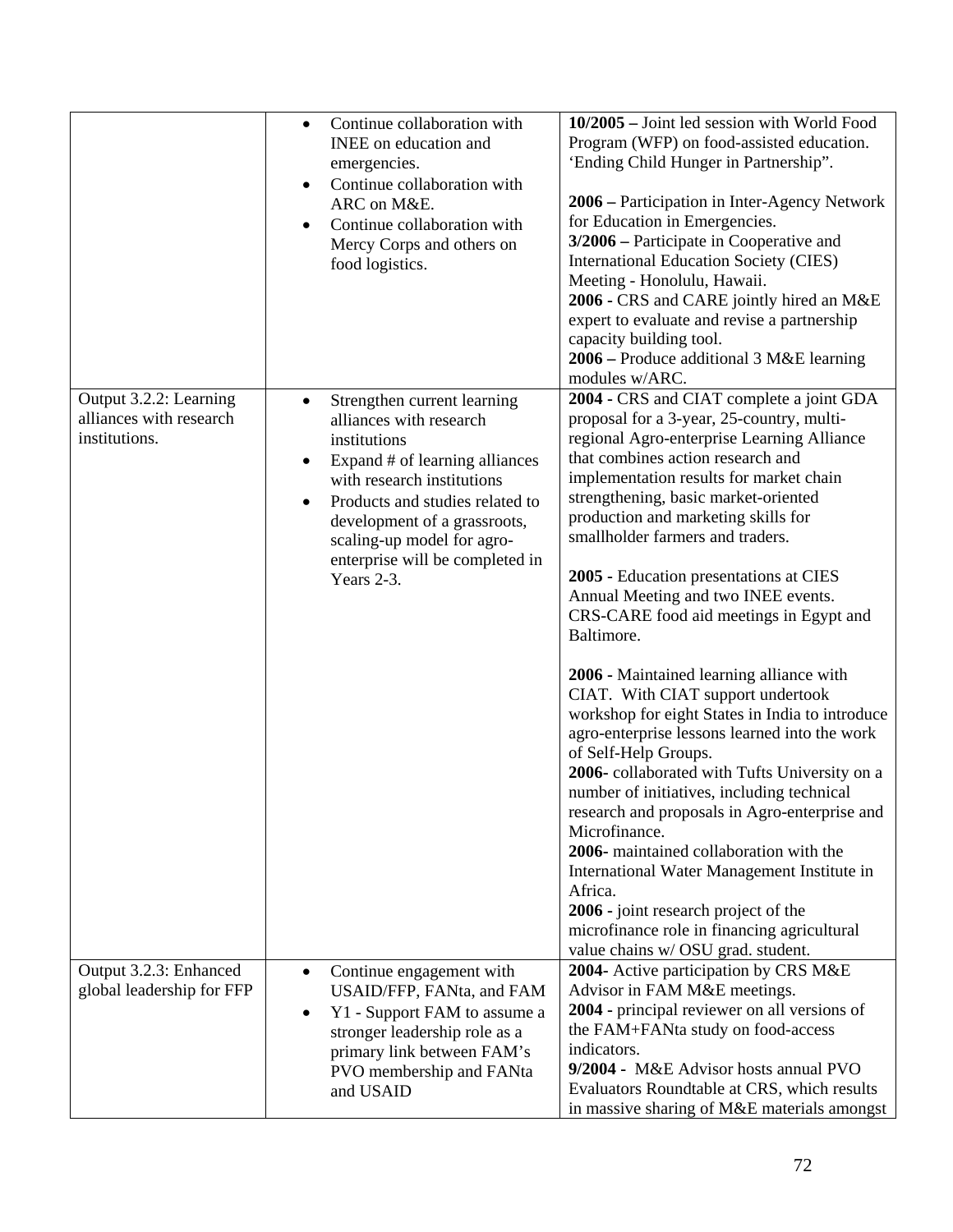|                                                                    | Continue collaboration with<br>$\bullet$<br>INEE on education and<br>emergencies.<br>Continue collaboration with<br>$\bullet$<br>ARC on M&E.<br>Continue collaboration with<br>$\bullet$<br>Mercy Corps and others on<br>food logistics.                                                                           | 10/2005 - Joint led session with World Food<br>Program (WFP) on food-assisted education.<br>'Ending Child Hunger in Partnership''.<br>2006 – Participation in Inter-Agency Network<br>for Education in Emergencies.<br>3/2006 – Participate in Cooperative and<br><b>International Education Society (CIES)</b><br>Meeting - Honolulu, Hawaii.<br>2006 - CRS and CARE jointly hired an M&E<br>expert to evaluate and revise a partnership<br>capacity building tool.<br>2006 – Produce additional 3 M&E learning                                                                                            |
|--------------------------------------------------------------------|--------------------------------------------------------------------------------------------------------------------------------------------------------------------------------------------------------------------------------------------------------------------------------------------------------------------|-------------------------------------------------------------------------------------------------------------------------------------------------------------------------------------------------------------------------------------------------------------------------------------------------------------------------------------------------------------------------------------------------------------------------------------------------------------------------------------------------------------------------------------------------------------------------------------------------------------|
| Output 3.2.2: Learning<br>alliances with research<br>institutions. | Strengthen current learning<br>$\bullet$<br>alliances with research<br>institutions<br>Expand # of learning alliances<br>$\bullet$<br>with research institutions<br>Products and studies related to<br>development of a grassroots,<br>scaling-up model for agro-<br>enterprise will be completed in<br>Years 2-3. | modules w/ARC.<br>2004 - CRS and CIAT complete a joint GDA<br>proposal for a 3-year, 25-country, multi-<br>regional Agro-enterprise Learning Alliance<br>that combines action research and<br>implementation results for market chain<br>strengthening, basic market-oriented<br>production and marketing skills for<br>smallholder farmers and traders.<br>2005 - Education presentations at CIES<br>Annual Meeting and two INEE events.<br>CRS-CARE food aid meetings in Egypt and<br>Baltimore.                                                                                                          |
|                                                                    |                                                                                                                                                                                                                                                                                                                    | 2006 - Maintained learning alliance with<br>CIAT. With CIAT support undertook<br>workshop for eight States in India to introduce<br>agro-enterprise lessons learned into the work<br>of Self-Help Groups.<br>2006-collaborated with Tufts University on a<br>number of initiatives, including technical<br>research and proposals in Agro-enterprise and<br>Microfinance.<br>2006- maintained collaboration with the<br>International Water Management Institute in<br>Africa.<br>2006 - joint research project of the<br>microfinance role in financing agricultural<br>value chains w/ OSU grad. student. |
| Output 3.2.3: Enhanced<br>global leadership for FFP                | Continue engagement with<br>$\bullet$<br>USAID/FFP, FANta, and FAM<br>Y1 - Support FAM to assume a<br>$\bullet$<br>stronger leadership role as a<br>primary link between FAM's<br>PVO membership and FANta<br>and USAID                                                                                            | 2004- Active participation by CRS M&E<br>Advisor in FAM M&E meetings.<br>2004 - principal reviewer on all versions of<br>the FAM+FANta study on food-access<br>indicators.<br>9/2004 - M&E Advisor hosts annual PVO<br>Evaluators Roundtable at CRS, which results<br>in massive sharing of M&E materials amongst                                                                                                                                                                                                                                                                                           |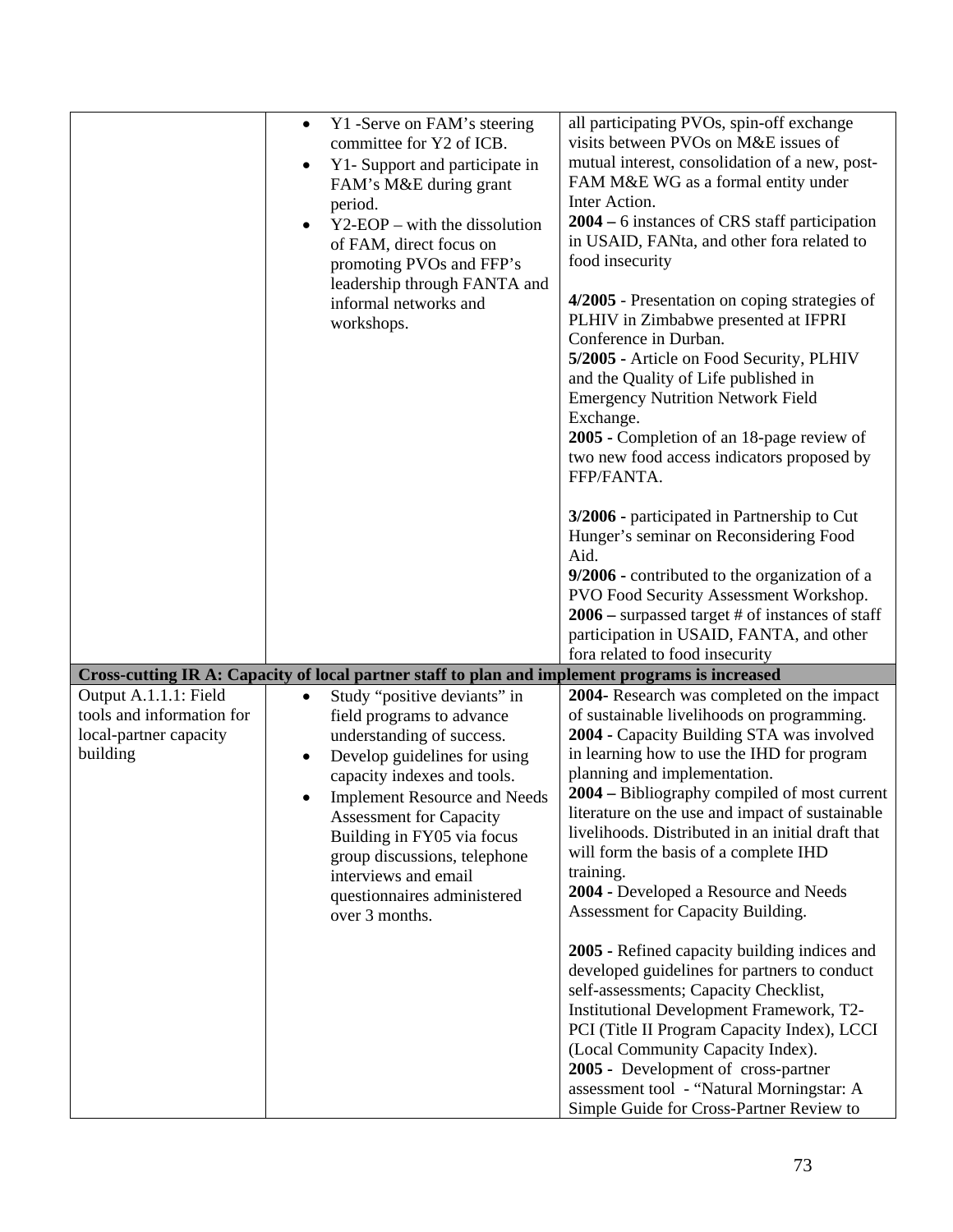|                                                                 | Y1 -Serve on FAM's steering<br>$\bullet$<br>committee for Y2 of ICB.<br>Y1- Support and participate in<br>$\bullet$<br>FAM's M&E during grant<br>period.<br>$Y2-EOP - with the dissolution$<br>$\bullet$<br>of FAM, direct focus on<br>promoting PVOs and FFP's<br>leadership through FANTA and<br>informal networks and<br>workshops.                                                          | all participating PVOs, spin-off exchange<br>visits between PVOs on M&E issues of<br>mutual interest, consolidation of a new, post-<br>FAM M&E WG as a formal entity under<br>Inter Action.<br>2004 – 6 instances of CRS staff participation<br>in USAID, FANta, and other fora related to<br>food insecurity<br>4/2005 - Presentation on coping strategies of<br>PLHIV in Zimbabwe presented at IFPRI<br>Conference in Durban.<br>5/2005 - Article on Food Security, PLHIV<br>and the Quality of Life published in<br><b>Emergency Nutrition Network Field</b><br>Exchange.<br>2005 - Completion of an 18-page review of<br>two new food access indicators proposed by<br>FFP/FANTA.<br>3/2006 - participated in Partnership to Cut<br>Hunger's seminar on Reconsidering Food<br>Aid.<br>9/2006 - contributed to the organization of a<br>PVO Food Security Assessment Workshop.<br>$2006$ – surpassed target # of instances of staff<br>participation in USAID, FANTA, and other<br>fora related to food insecurity |
|-----------------------------------------------------------------|-------------------------------------------------------------------------------------------------------------------------------------------------------------------------------------------------------------------------------------------------------------------------------------------------------------------------------------------------------------------------------------------------|-----------------------------------------------------------------------------------------------------------------------------------------------------------------------------------------------------------------------------------------------------------------------------------------------------------------------------------------------------------------------------------------------------------------------------------------------------------------------------------------------------------------------------------------------------------------------------------------------------------------------------------------------------------------------------------------------------------------------------------------------------------------------------------------------------------------------------------------------------------------------------------------------------------------------------------------------------------------------------------------------------------------------|
| Output A.1.1.1: Field                                           | Cross-cutting IR A: Capacity of local partner staff to plan and implement programs is increased                                                                                                                                                                                                                                                                                                 |                                                                                                                                                                                                                                                                                                                                                                                                                                                                                                                                                                                                                                                                                                                                                                                                                                                                                                                                                                                                                       |
| tools and information for<br>local-partner capacity<br>building | Study "positive deviants" in<br>$\bullet$<br>field programs to advance<br>understanding of success.<br>Develop guidelines for using<br>$\bullet$<br>capacity indexes and tools.<br><b>Implement Resource and Needs</b><br><b>Assessment for Capacity</b><br>Building in FY05 via focus<br>group discussions, telephone<br>interviews and email<br>questionnaires administered<br>over 3 months. | 2004- Research was completed on the impact<br>of sustainable livelihoods on programming.<br>2004 - Capacity Building STA was involved<br>in learning how to use the IHD for program<br>planning and implementation.<br>2004 – Bibliography compiled of most current<br>literature on the use and impact of sustainable<br>livelihoods. Distributed in an initial draft that<br>will form the basis of a complete IHD<br>training.<br>2004 - Developed a Resource and Needs<br>Assessment for Capacity Building.                                                                                                                                                                                                                                                                                                                                                                                                                                                                                                       |
|                                                                 |                                                                                                                                                                                                                                                                                                                                                                                                 | 2005 - Refined capacity building indices and<br>developed guidelines for partners to conduct<br>self-assessments; Capacity Checklist,<br>Institutional Development Framework, T2-<br>PCI (Title II Program Capacity Index), LCCI<br>(Local Community Capacity Index).<br>2005 - Development of cross-partner<br>assessment tool - "Natural Morningstar: A<br>Simple Guide for Cross-Partner Review to                                                                                                                                                                                                                                                                                                                                                                                                                                                                                                                                                                                                                 |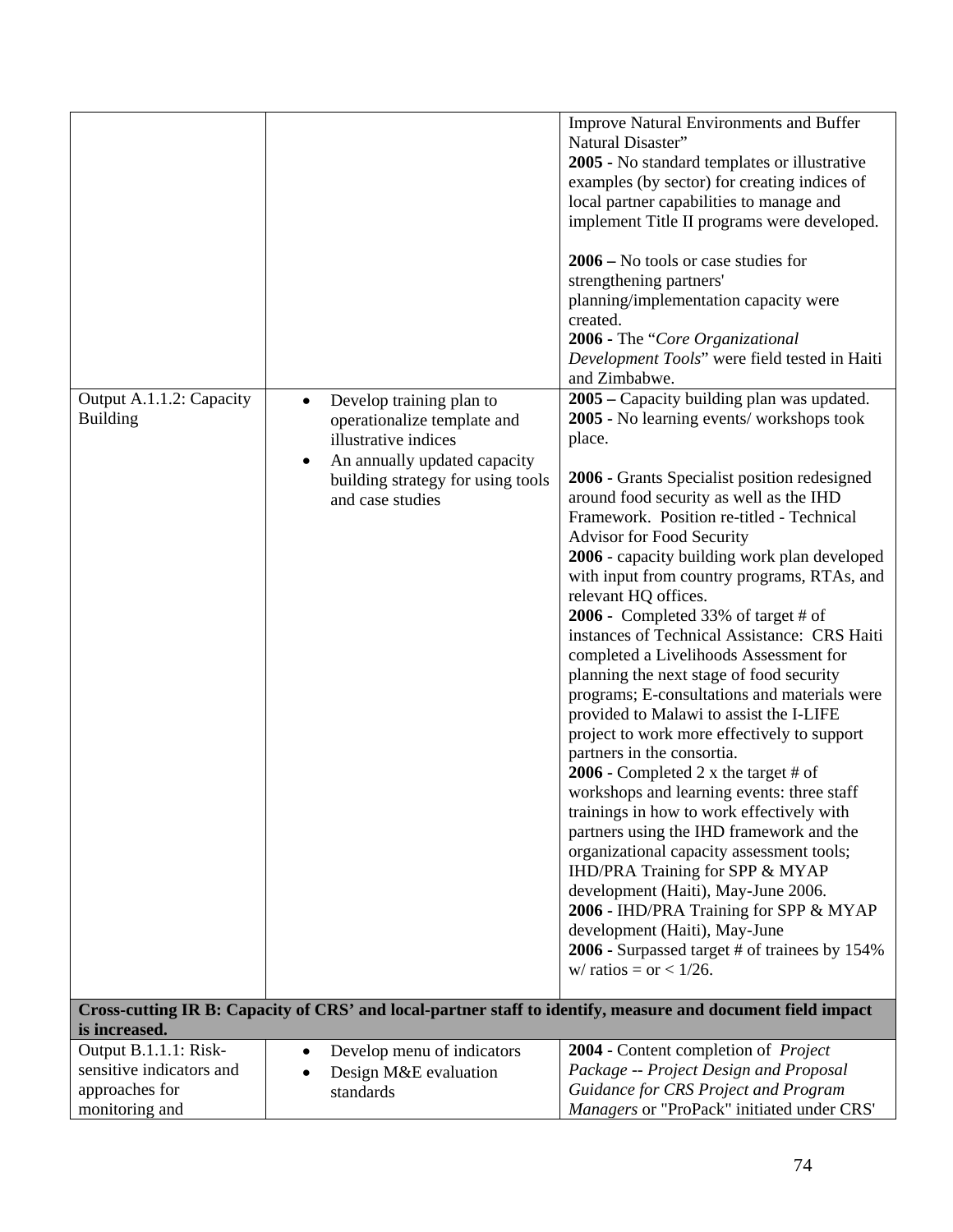|                          |                                           | <b>Improve Natural Environments and Buffer</b>                                                              |
|--------------------------|-------------------------------------------|-------------------------------------------------------------------------------------------------------------|
|                          |                                           | Natural Disaster"                                                                                           |
|                          |                                           | 2005 - No standard templates or illustrative                                                                |
|                          |                                           | examples (by sector) for creating indices of                                                                |
|                          |                                           | local partner capabilities to manage and                                                                    |
|                          |                                           | implement Title II programs were developed.                                                                 |
|                          |                                           | $2006 -$ No tools or case studies for                                                                       |
|                          |                                           | strengthening partners'                                                                                     |
|                          |                                           | planning/implementation capacity were                                                                       |
|                          |                                           | created.                                                                                                    |
|                          |                                           | 2006 - The "Core Organizational                                                                             |
|                          |                                           | Development Tools" were field tested in Haiti                                                               |
|                          |                                           | and Zimbabwe.                                                                                               |
| Output A.1.1.2: Capacity | Develop training plan to<br>$\bullet$     | 2005 – Capacity building plan was updated.                                                                  |
| <b>Building</b>          | operationalize template and               | 2005 - No learning events/workshops took                                                                    |
|                          | illustrative indices                      | place.                                                                                                      |
|                          | An annually updated capacity<br>$\bullet$ |                                                                                                             |
|                          | building strategy for using tools         | 2006 - Grants Specialist position redesigned                                                                |
|                          | and case studies                          | around food security as well as the IHD                                                                     |
|                          |                                           | Framework. Position re-titled - Technical                                                                   |
|                          |                                           | Advisor for Food Security                                                                                   |
|                          |                                           | 2006 - capacity building work plan developed                                                                |
|                          |                                           | with input from country programs, RTAs, and                                                                 |
|                          |                                           | relevant HQ offices.                                                                                        |
|                          |                                           | 2006 - Completed 33% of target # of<br>instances of Technical Assistance: CRS Haiti                         |
|                          |                                           | completed a Livelihoods Assessment for                                                                      |
|                          |                                           | planning the next stage of food security                                                                    |
|                          |                                           | programs; E-consultations and materials were                                                                |
|                          |                                           | provided to Malawi to assist the I-LIFE                                                                     |
|                          |                                           | project to work more effectively to support                                                                 |
|                          |                                           | partners in the consortia.                                                                                  |
|                          |                                           | 2006 - Completed 2 x the target # of                                                                        |
|                          |                                           | workshops and learning events: three staff                                                                  |
|                          |                                           | trainings in how to work effectively with                                                                   |
|                          |                                           | partners using the IHD framework and the                                                                    |
|                          |                                           | organizational capacity assessment tools;                                                                   |
|                          |                                           | IHD/PRA Training for SPP & MYAP                                                                             |
|                          |                                           | development (Haiti), May-June 2006.                                                                         |
|                          |                                           | 2006 - IHD/PRA Training for SPP & MYAP                                                                      |
|                          |                                           | development (Haiti), May-June                                                                               |
|                          |                                           | 2006 - Surpassed target # of trainees by 154%                                                               |
|                          |                                           | w/ ratios = or < $1/26$ .                                                                                   |
|                          |                                           | Cross-cutting IR B: Capacity of CRS' and local-partner staff to identify, measure and document field impact |
| is increased.            |                                           |                                                                                                             |
| Output B.1.1.1: Risk-    | Develop menu of indicators<br>$\bullet$   | 2004 - Content completion of Project                                                                        |
| sensitive indicators and | Design M&E evaluation                     | Package -- Project Design and Proposal                                                                      |
| approaches for           | standards                                 | Guidance for CRS Project and Program                                                                        |
| monitoring and           |                                           | Managers or "ProPack" initiated under CRS'                                                                  |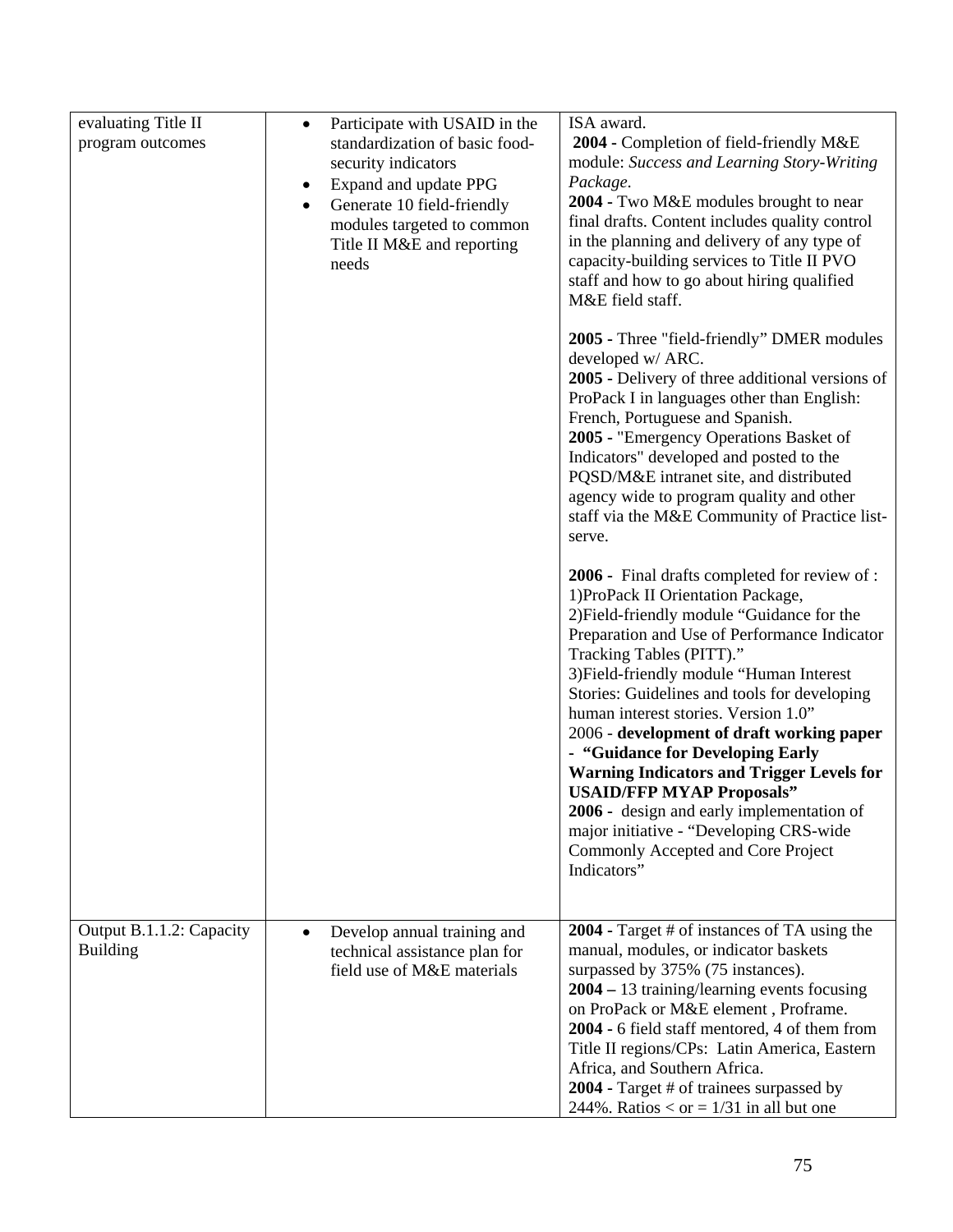| evaluating Title II<br>program outcomes     | Participate with USAID in the<br>$\bullet$<br>standardization of basic food-<br>security indicators<br>Expand and update PPG<br>$\bullet$<br>Generate 10 field-friendly<br>$\bullet$<br>modules targeted to common<br>Title II M&E and reporting<br>needs | ISA award.<br>2004 - Completion of field-friendly M&E<br>module: Success and Learning Story-Writing<br>Package.<br>2004 - Two M&E modules brought to near<br>final drafts. Content includes quality control<br>in the planning and delivery of any type of<br>capacity-building services to Title II PVO<br>staff and how to go about hiring qualified<br>M&E field staff.                                                                                                                                                                                                                                                                                              |
|---------------------------------------------|-----------------------------------------------------------------------------------------------------------------------------------------------------------------------------------------------------------------------------------------------------------|-------------------------------------------------------------------------------------------------------------------------------------------------------------------------------------------------------------------------------------------------------------------------------------------------------------------------------------------------------------------------------------------------------------------------------------------------------------------------------------------------------------------------------------------------------------------------------------------------------------------------------------------------------------------------|
|                                             |                                                                                                                                                                                                                                                           | 2005 - Three "field-friendly" DMER modules<br>developed w/ ARC.<br>2005 - Delivery of three additional versions of<br>ProPack I in languages other than English:<br>French, Portuguese and Spanish.<br>2005 - "Emergency Operations Basket of<br>Indicators" developed and posted to the<br>PQSD/M&E intranet site, and distributed<br>agency wide to program quality and other<br>staff via the M&E Community of Practice list-<br>serve.                                                                                                                                                                                                                              |
|                                             |                                                                                                                                                                                                                                                           | 2006 - Final drafts completed for review of :<br>1) ProPack II Orientation Package,<br>2) Field-friendly module "Guidance for the<br>Preparation and Use of Performance Indicator<br>Tracking Tables (PITT)."<br>3) Field-friendly module "Human Interest<br>Stories: Guidelines and tools for developing<br>human interest stories. Version 1.0"<br>2006 - development of draft working paper<br>- "Guidance for Developing Early<br><b>Warning Indicators and Trigger Levels for</b><br><b>USAID/FFP MYAP Proposals"</b><br>2006 - design and early implementation of<br>major initiative - "Developing CRS-wide<br>Commonly Accepted and Core Project<br>Indicators" |
| Output B.1.1.2: Capacity<br><b>Building</b> | Develop annual training and<br>$\bullet$<br>technical assistance plan for<br>field use of M&E materials                                                                                                                                                   | 2004 - Target # of instances of TA using the<br>manual, modules, or indicator baskets<br>surpassed by 375% (75 instances).<br>$2004 - 13$ training/learning events focusing<br>on ProPack or M&E element, Proframe.<br>2004 - 6 field staff mentored, 4 of them from<br>Title II regions/CPs: Latin America, Eastern<br>Africa, and Southern Africa.<br>2004 - Target # of trainees surpassed by<br>244%. Ratios $<$ or = 1/31 in all but one                                                                                                                                                                                                                           |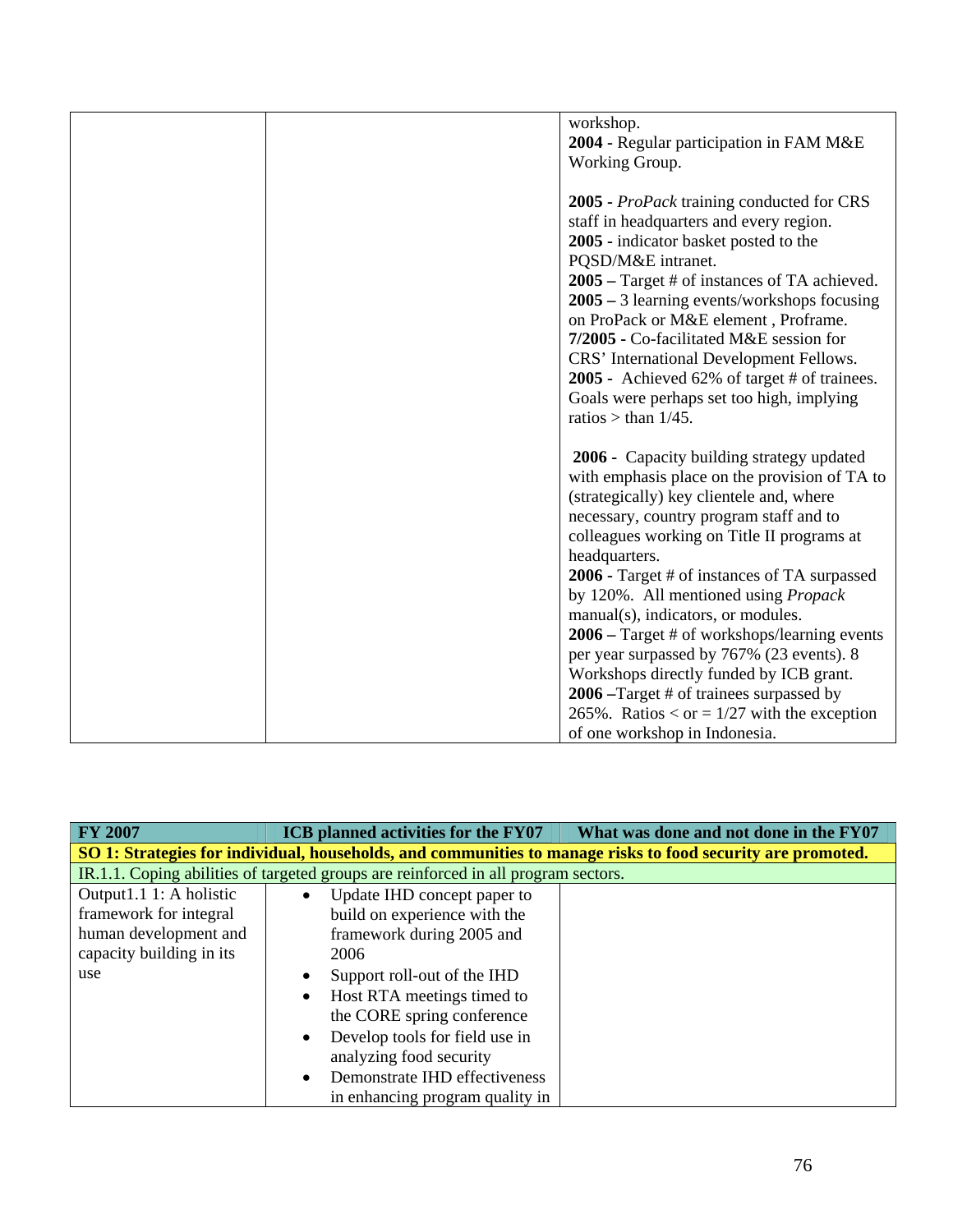| workshop.                                                                                                                                                                                                                                                                                                                                                                                                                                                                                                                                                                                                                                                  |
|------------------------------------------------------------------------------------------------------------------------------------------------------------------------------------------------------------------------------------------------------------------------------------------------------------------------------------------------------------------------------------------------------------------------------------------------------------------------------------------------------------------------------------------------------------------------------------------------------------------------------------------------------------|
| 2004 - Regular participation in FAM M&E                                                                                                                                                                                                                                                                                                                                                                                                                                                                                                                                                                                                                    |
|                                                                                                                                                                                                                                                                                                                                                                                                                                                                                                                                                                                                                                                            |
| Working Group.                                                                                                                                                                                                                                                                                                                                                                                                                                                                                                                                                                                                                                             |
| 2005 - <i>ProPack</i> training conducted for CRS<br>staff in headquarters and every region.<br>2005 - indicator basket posted to the<br>PQSD/M&E intranet.<br>2005 – Target # of instances of TA achieved.<br>$2005 - 3$ learning events/workshops focusing<br>on ProPack or M&E element, Proframe.<br>7/2005 - Co-facilitated M&E session for<br>CRS' International Development Fellows.<br>2005 - Achieved 62% of target # of trainees.<br>Goals were perhaps set too high, implying<br>ratios > than $1/45$ .                                                                                                                                           |
| 2006 - Capacity building strategy updated<br>with emphasis place on the provision of TA to<br>(strategically) key clientele and, where<br>necessary, country program staff and to<br>colleagues working on Title II programs at<br>headquarters.<br>2006 - Target # of instances of TA surpassed<br>by 120%. All mentioned using <i>Propack</i><br>manual(s), indicators, or modules.<br>2006 – Target # of workshops/learning events<br>per year surpassed by 767% (23 events). 8<br>Workshops directly funded by ICB grant.<br>2006 –Target # of trainees surpassed by<br>265%. Ratios < or = $1/27$ with the exception<br>of one workshop in Indonesia. |

| <b>FY 2007</b>                                                                                              | ICB planned activities for the FY07         | What was done and not done in the FY07 |  |  |
|-------------------------------------------------------------------------------------------------------------|---------------------------------------------|----------------------------------------|--|--|
| SO 1: Strategies for individual, households, and communities to manage risks to food security are promoted. |                                             |                                        |  |  |
| IR.1.1. Coping abilities of targeted groups are reinforced in all program sectors.                          |                                             |                                        |  |  |
| Output1.1 1: A holistic                                                                                     | Update IHD concept paper to<br>$\bullet$    |                                        |  |  |
| framework for integral                                                                                      | build on experience with the                |                                        |  |  |
| human development and                                                                                       | framework during 2005 and                   |                                        |  |  |
| capacity building in its                                                                                    | 2006                                        |                                        |  |  |
| use                                                                                                         | Support roll-out of the IHD<br>٠            |                                        |  |  |
|                                                                                                             | Host RTA meetings timed to<br>$\bullet$     |                                        |  |  |
|                                                                                                             | the CORE spring conference                  |                                        |  |  |
|                                                                                                             | Develop tools for field use in<br>$\bullet$ |                                        |  |  |
|                                                                                                             | analyzing food security                     |                                        |  |  |
|                                                                                                             | Demonstrate IHD effectiveness<br>$\bullet$  |                                        |  |  |
|                                                                                                             | in enhancing program quality in             |                                        |  |  |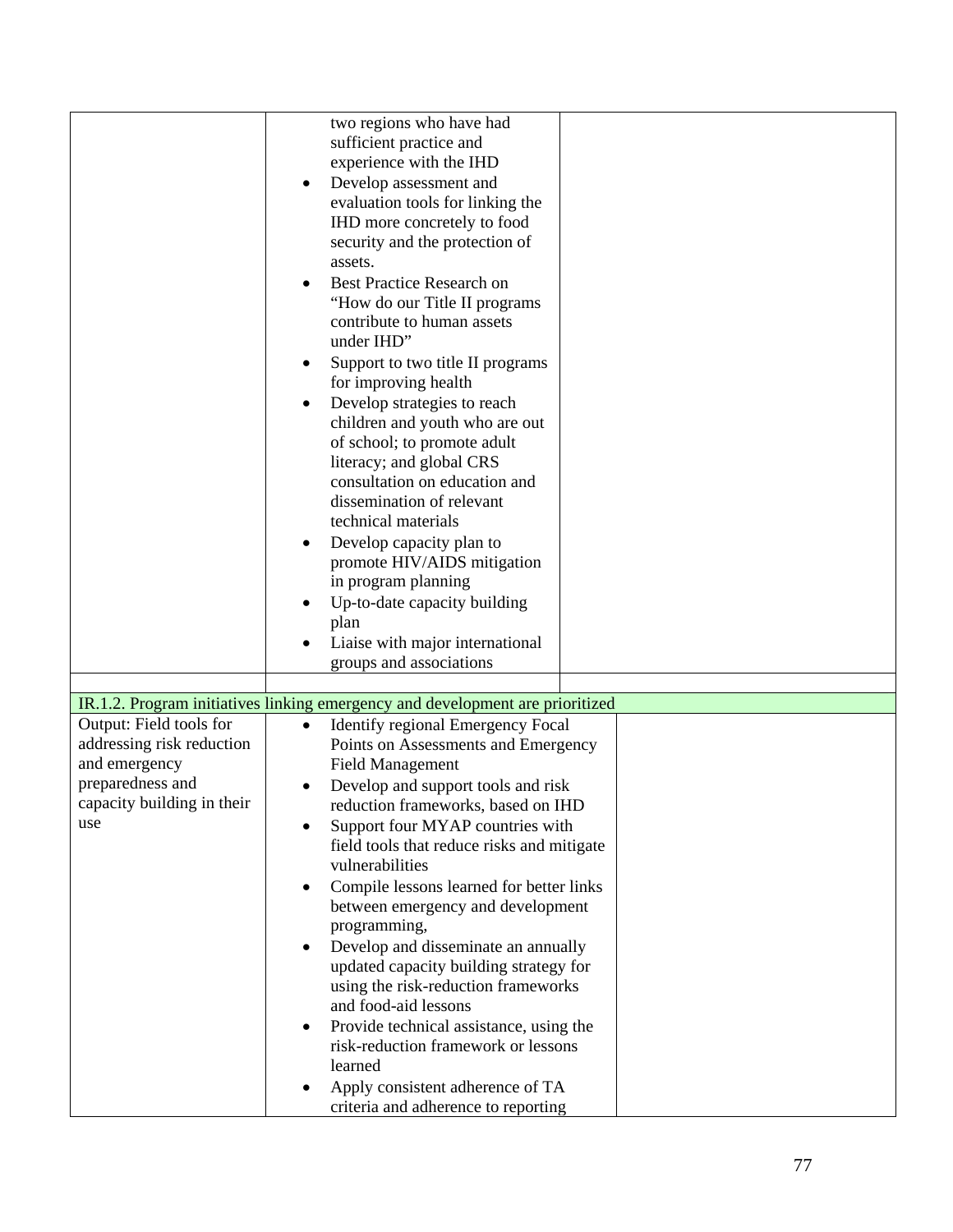|                            | two regions who have had                                                      |
|----------------------------|-------------------------------------------------------------------------------|
|                            | sufficient practice and                                                       |
|                            | experience with the IHD                                                       |
|                            | Develop assessment and                                                        |
|                            | evaluation tools for linking the                                              |
|                            |                                                                               |
|                            | IHD more concretely to food                                                   |
|                            | security and the protection of                                                |
|                            | assets.                                                                       |
|                            | Best Practice Research on<br>$\bullet$                                        |
|                            | "How do our Title II programs                                                 |
|                            | contribute to human assets                                                    |
|                            | under IHD"                                                                    |
|                            | Support to two title II programs<br>٠                                         |
|                            | for improving health                                                          |
|                            | Develop strategies to reach<br>$\bullet$                                      |
|                            | children and youth who are out                                                |
|                            | of school; to promote adult                                                   |
|                            | literacy; and global CRS                                                      |
|                            | consultation on education and                                                 |
|                            | dissemination of relevant                                                     |
|                            | technical materials                                                           |
|                            | Develop capacity plan to<br>٠                                                 |
|                            | promote HIV/AIDS mitigation                                                   |
|                            | in program planning                                                           |
|                            | Up-to-date capacity building                                                  |
|                            | plan                                                                          |
|                            | Liaise with major international                                               |
|                            | groups and associations                                                       |
|                            |                                                                               |
|                            | IR.1.2. Program initiatives linking emergency and development are prioritized |
| Output: Field tools for    | Identify regional Emergency Focal<br>$\bullet$                                |
| addressing risk reduction  | Points on Assessments and Emergency                                           |
| and emergency              | <b>Field Management</b>                                                       |
| preparedness and           | Develop and support tools and risk                                            |
| capacity building in their | reduction frameworks, based on IHD                                            |
| use                        | Support four MYAP countries with                                              |
|                            | field tools that reduce risks and mitigate                                    |
|                            | vulnerabilities                                                               |
|                            | Compile lessons learned for better links<br>$\bullet$                         |
|                            | between emergency and development                                             |
|                            | programming,                                                                  |
|                            | Develop and disseminate an annually                                           |
|                            | updated capacity building strategy for                                        |
|                            | using the risk-reduction frameworks                                           |
|                            | and food-aid lessons                                                          |
|                            | Provide technical assistance, using the<br>$\bullet$                          |
|                            | risk-reduction framework or lessons                                           |
|                            | learned                                                                       |
|                            | Apply consistent adherence of TA                                              |
|                            | criteria and adherence to reporting                                           |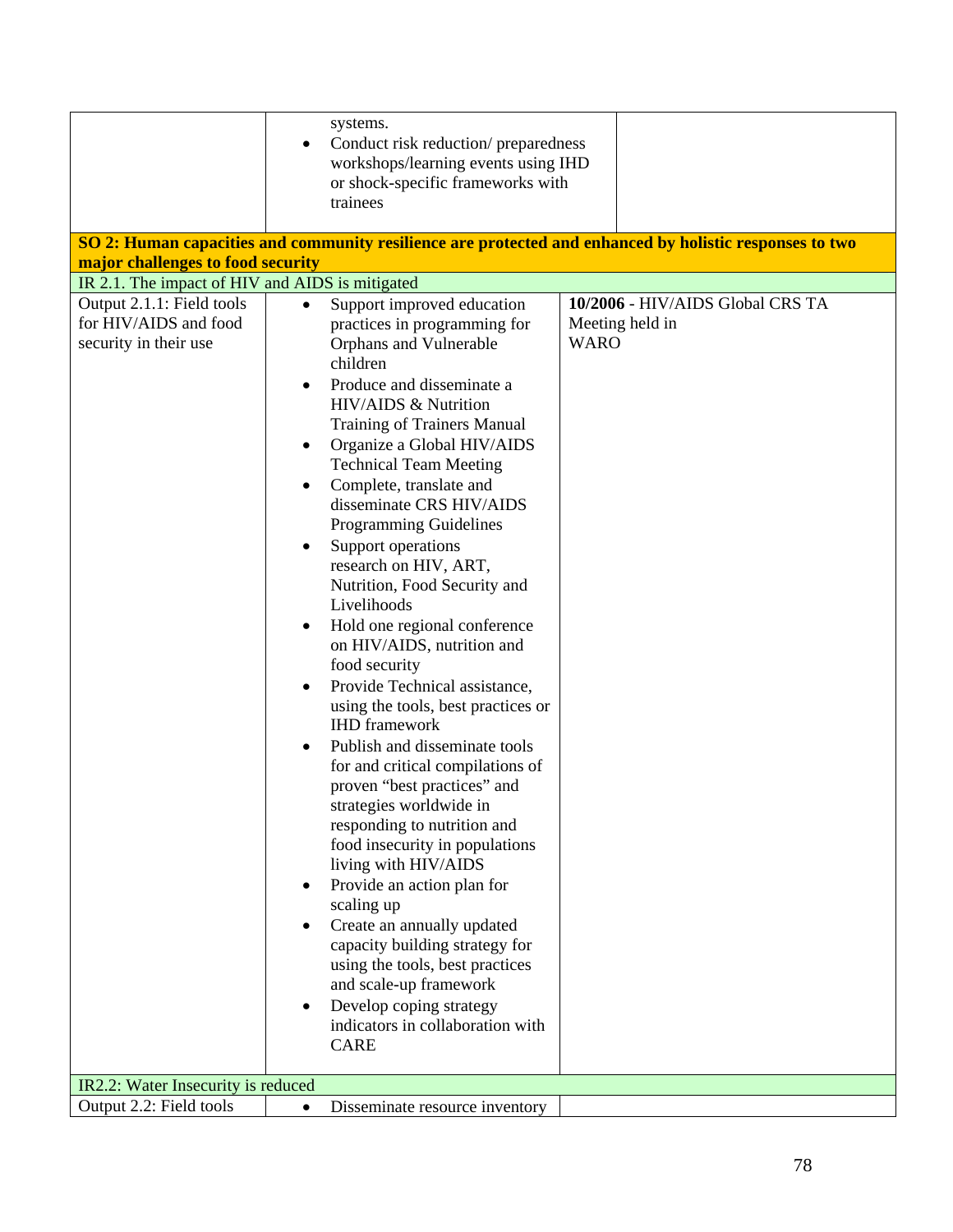| systems.<br>Conduct risk reduction/ preparedness<br>workshops/learning events using IHD<br>or shock-specific frameworks with<br>trainees<br>SO 2: Human capacities and community resilience are protected and enhanced by holistic responses to two<br>major challenges to food security<br>IR 2.1. The impact of HIV and AIDS is mitigated |           |                                                                                                                                                                                                                                                                                                                                                                                                                                                                             |             |                                  |
|---------------------------------------------------------------------------------------------------------------------------------------------------------------------------------------------------------------------------------------------------------------------------------------------------------------------------------------------|-----------|-----------------------------------------------------------------------------------------------------------------------------------------------------------------------------------------------------------------------------------------------------------------------------------------------------------------------------------------------------------------------------------------------------------------------------------------------------------------------------|-------------|----------------------------------|
| Output 2.1.1: Field tools                                                                                                                                                                                                                                                                                                                   | $\bullet$ | Support improved education                                                                                                                                                                                                                                                                                                                                                                                                                                                  |             | 10/2006 - HIV/AIDS Global CRS TA |
| for HIV/AIDS and food<br>security in their use                                                                                                                                                                                                                                                                                              |           | practices in programming for<br>Orphans and Vulnerable<br>children<br>Produce and disseminate a                                                                                                                                                                                                                                                                                                                                                                             | <b>WARO</b> | Meeting held in                  |
|                                                                                                                                                                                                                                                                                                                                             |           | HIV/AIDS & Nutrition                                                                                                                                                                                                                                                                                                                                                                                                                                                        |             |                                  |
|                                                                                                                                                                                                                                                                                                                                             |           | Training of Trainers Manual<br>Organize a Global HIV/AIDS                                                                                                                                                                                                                                                                                                                                                                                                                   |             |                                  |
|                                                                                                                                                                                                                                                                                                                                             | ٠         | <b>Technical Team Meeting</b>                                                                                                                                                                                                                                                                                                                                                                                                                                               |             |                                  |
|                                                                                                                                                                                                                                                                                                                                             |           | Complete, translate and<br>disseminate CRS HIV/AIDS<br><b>Programming Guidelines</b>                                                                                                                                                                                                                                                                                                                                                                                        |             |                                  |
|                                                                                                                                                                                                                                                                                                                                             |           | Support operations<br>research on HIV, ART,<br>Nutrition, Food Security and<br>Livelihoods                                                                                                                                                                                                                                                                                                                                                                                  |             |                                  |
|                                                                                                                                                                                                                                                                                                                                             | $\bullet$ | Hold one regional conference<br>on HIV/AIDS, nutrition and<br>food security                                                                                                                                                                                                                                                                                                                                                                                                 |             |                                  |
|                                                                                                                                                                                                                                                                                                                                             |           | Provide Technical assistance,<br>using the tools, best practices or<br><b>IHD</b> framework                                                                                                                                                                                                                                                                                                                                                                                 |             |                                  |
|                                                                                                                                                                                                                                                                                                                                             | ٠         | Publish and disseminate tools<br>for and critical compilations of<br>proven "best practices" and<br>strategies worldwide in<br>responding to nutrition and<br>food insecurity in populations<br>living with HIV/AIDS<br>Provide an action plan for<br>scaling up<br>Create an annually updated<br>capacity building strategy for<br>using the tools, best practices<br>and scale-up framework<br>Develop coping strategy<br>indicators in collaboration with<br><b>CARE</b> |             |                                  |
| IR2.2: Water Insecurity is reduced                                                                                                                                                                                                                                                                                                          |           |                                                                                                                                                                                                                                                                                                                                                                                                                                                                             |             |                                  |
| Output 2.2: Field tools                                                                                                                                                                                                                                                                                                                     | $\bullet$ | Disseminate resource inventory                                                                                                                                                                                                                                                                                                                                                                                                                                              |             |                                  |
|                                                                                                                                                                                                                                                                                                                                             |           |                                                                                                                                                                                                                                                                                                                                                                                                                                                                             |             |                                  |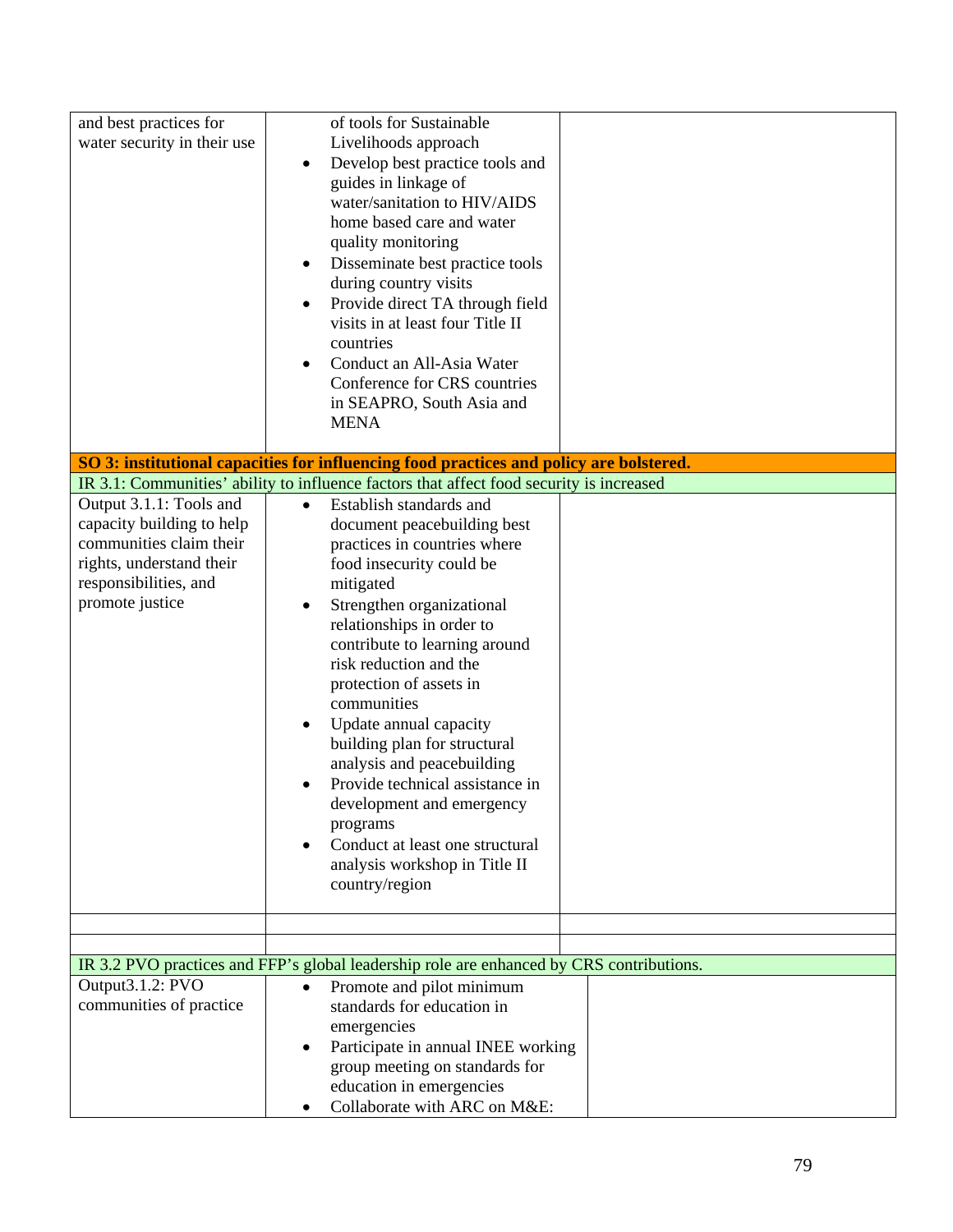| and best practices for<br>water security in their use                                                                                                   | of tools for Sustainable<br>Livelihoods approach<br>Develop best practice tools and<br>$\bullet$<br>guides in linkage of<br>water/sanitation to HIV/AIDS<br>home based care and water<br>quality monitoring<br>Disseminate best practice tools<br>٠<br>during country visits<br>Provide direct TA through field<br>٠<br>visits in at least four Title II<br>countries<br>Conduct an All-Asia Water<br>$\bullet$<br>Conference for CRS countries<br>in SEAPRO, South Asia and<br><b>MENA</b>                                                                                        |  |
|---------------------------------------------------------------------------------------------------------------------------------------------------------|------------------------------------------------------------------------------------------------------------------------------------------------------------------------------------------------------------------------------------------------------------------------------------------------------------------------------------------------------------------------------------------------------------------------------------------------------------------------------------------------------------------------------------------------------------------------------------|--|
|                                                                                                                                                         | SO 3: institutional capacities for influencing food practices and policy are bolstered.<br>IR 3.1: Communities' ability to influence factors that affect food security is increased                                                                                                                                                                                                                                                                                                                                                                                                |  |
| Output 3.1.1: Tools and<br>capacity building to help<br>communities claim their<br>rights, understand their<br>responsibilities, and<br>promote justice | Establish standards and<br>$\bullet$<br>document peacebuilding best<br>practices in countries where<br>food insecurity could be<br>mitigated<br>Strengthen organizational<br>$\bullet$<br>relationships in order to<br>contribute to learning around<br>risk reduction and the<br>protection of assets in<br>communities<br>Update annual capacity<br>٠<br>building plan for structural<br>analysis and peacebuilding<br>Provide technical assistance in<br>development and emergency<br>programs<br>Conduct at least one structural<br>$\bullet$<br>analysis workshop in Title II |  |
|                                                                                                                                                         | country/region                                                                                                                                                                                                                                                                                                                                                                                                                                                                                                                                                                     |  |
|                                                                                                                                                         |                                                                                                                                                                                                                                                                                                                                                                                                                                                                                                                                                                                    |  |
|                                                                                                                                                         |                                                                                                                                                                                                                                                                                                                                                                                                                                                                                                                                                                                    |  |
|                                                                                                                                                         | IR 3.2 PVO practices and FFP's global leadership role are enhanced by CRS contributions.                                                                                                                                                                                                                                                                                                                                                                                                                                                                                           |  |
| Output3.1.2: PVO<br>communities of practice                                                                                                             | Promote and pilot minimum<br>$\bullet$<br>standards for education in<br>emergencies<br>Participate in annual INEE working<br>$\bullet$<br>group meeting on standards for<br>education in emergencies<br>Collaborate with ARC on M&E:<br>٠                                                                                                                                                                                                                                                                                                                                          |  |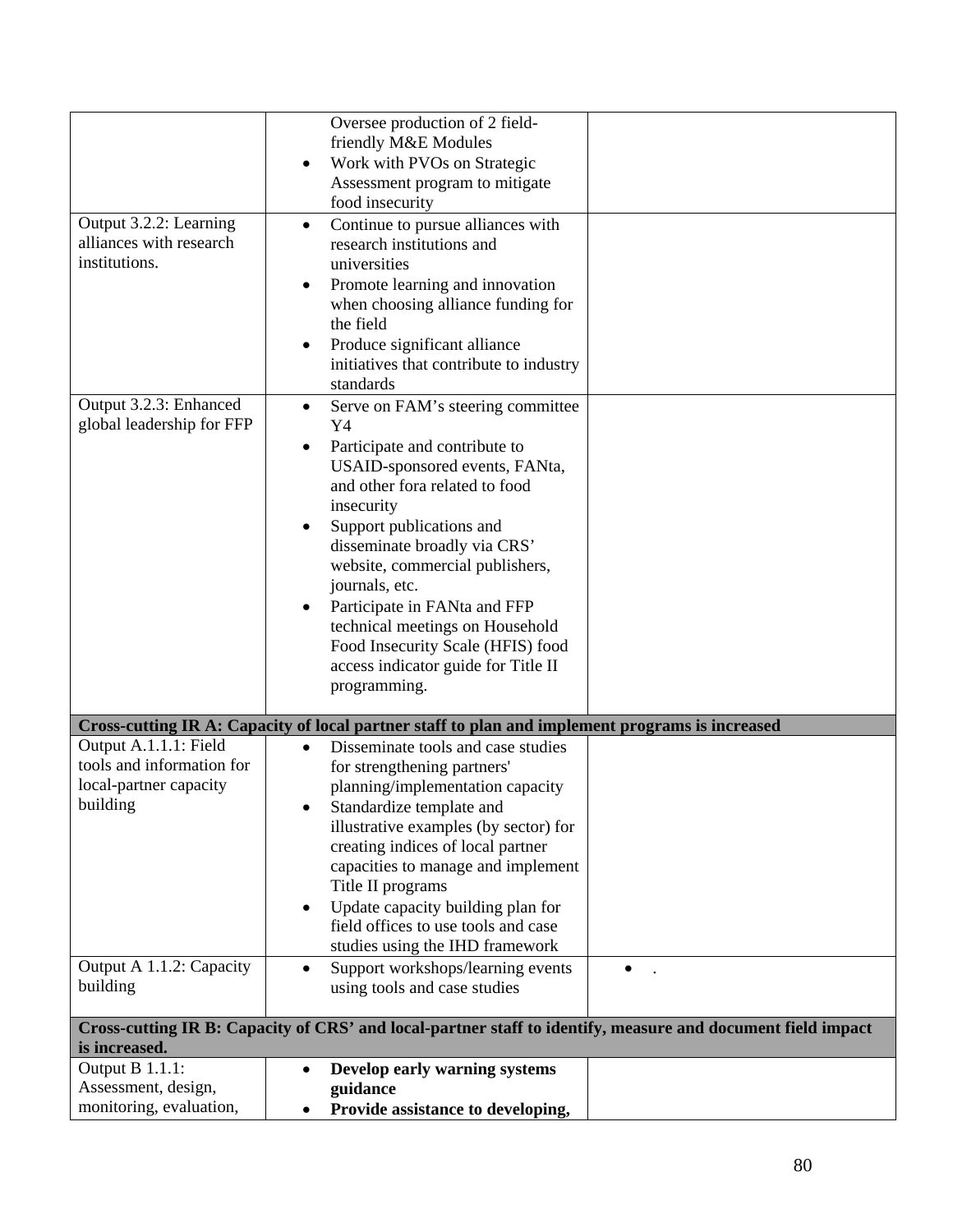|                                                     | Oversee production of 2 field-                                                                              |  |
|-----------------------------------------------------|-------------------------------------------------------------------------------------------------------------|--|
|                                                     | friendly M&E Modules                                                                                        |  |
|                                                     | Work with PVOs on Strategic<br>$\bullet$                                                                    |  |
|                                                     | Assessment program to mitigate                                                                              |  |
|                                                     | food insecurity                                                                                             |  |
| Output 3.2.2: Learning                              | Continue to pursue alliances with<br>$\bullet$                                                              |  |
| alliances with research                             | research institutions and                                                                                   |  |
| institutions.                                       | universities                                                                                                |  |
|                                                     | Promote learning and innovation<br>$\bullet$                                                                |  |
|                                                     | when choosing alliance funding for                                                                          |  |
|                                                     | the field                                                                                                   |  |
|                                                     | Produce significant alliance<br>$\bullet$                                                                   |  |
|                                                     | initiatives that contribute to industry                                                                     |  |
|                                                     | standards                                                                                                   |  |
| Output 3.2.3: Enhanced<br>global leadership for FFP | Serve on FAM's steering committee<br>$\bullet$                                                              |  |
|                                                     | Y4                                                                                                          |  |
|                                                     | Participate and contribute to<br>$\bullet$<br>USAID-sponsored events, FANta,                                |  |
|                                                     | and other fora related to food                                                                              |  |
|                                                     | insecurity                                                                                                  |  |
|                                                     | Support publications and<br>$\bullet$                                                                       |  |
|                                                     | disseminate broadly via CRS'                                                                                |  |
|                                                     | website, commercial publishers,                                                                             |  |
|                                                     | journals, etc.                                                                                              |  |
|                                                     | Participate in FANta and FFP<br>$\bullet$                                                                   |  |
|                                                     | technical meetings on Household                                                                             |  |
|                                                     | Food Insecurity Scale (HFIS) food                                                                           |  |
|                                                     | access indicator guide for Title II                                                                         |  |
|                                                     | programming.                                                                                                |  |
|                                                     | Cross-cutting IR A: Capacity of local partner staff to plan and implement programs is increased             |  |
| Output A.1.1.1: Field                               | Disseminate tools and case studies<br>$\bullet$                                                             |  |
| tools and information for                           | for strengthening partners'                                                                                 |  |
| local-partner capacity                              | planning/implementation capacity                                                                            |  |
| building                                            | Standardize template and                                                                                    |  |
|                                                     | illustrative examples (by sector) for                                                                       |  |
|                                                     | creating indices of local partner                                                                           |  |
|                                                     | capacities to manage and implement                                                                          |  |
|                                                     | Title II programs                                                                                           |  |
|                                                     | Update capacity building plan for<br>$\bullet$                                                              |  |
|                                                     | field offices to use tools and case<br>studies using the IHD framework                                      |  |
| Output A 1.1.2: Capacity                            | Support workshops/learning events<br>$\bullet$                                                              |  |
| building                                            | using tools and case studies                                                                                |  |
|                                                     |                                                                                                             |  |
|                                                     | Cross-cutting IR B: Capacity of CRS' and local-partner staff to identify, measure and document field impact |  |
| is increased.                                       |                                                                                                             |  |
| Output B 1.1.1:                                     | Develop early warning systems<br>$\bullet$                                                                  |  |
| Assessment, design,                                 | guidance                                                                                                    |  |
| monitoring, evaluation,                             | Provide assistance to developing,<br>$\bullet$                                                              |  |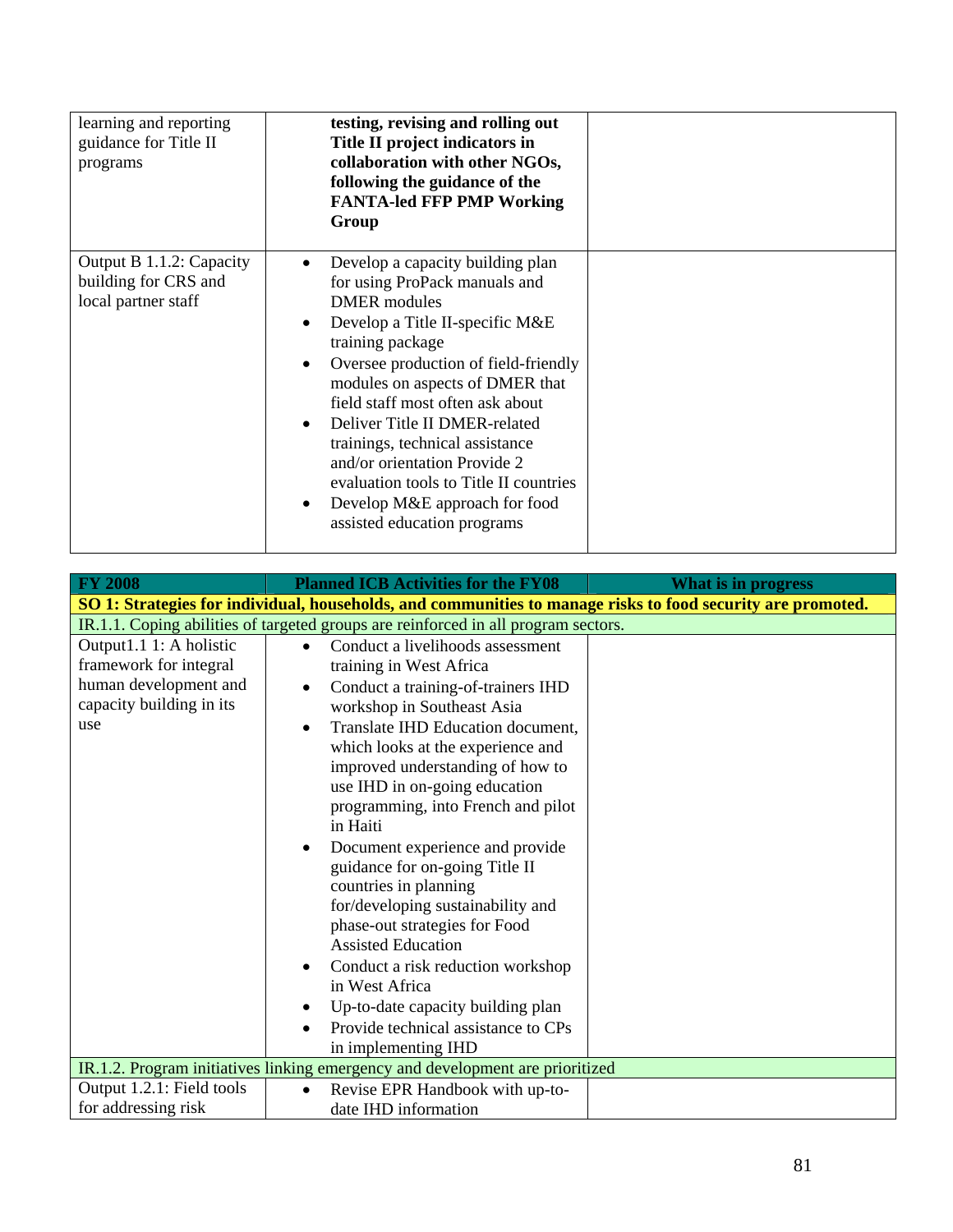| learning and reporting<br>guidance for Title II<br>programs             | testing, revising and rolling out<br>Title II project indicators in<br>collaboration with other NGOs,<br>following the guidance of the<br><b>FANTA-led FFP PMP Working</b><br>Group                                                                                                                                                                                                                                                                                                                                                           |  |
|-------------------------------------------------------------------------|-----------------------------------------------------------------------------------------------------------------------------------------------------------------------------------------------------------------------------------------------------------------------------------------------------------------------------------------------------------------------------------------------------------------------------------------------------------------------------------------------------------------------------------------------|--|
| Output B 1.1.2: Capacity<br>building for CRS and<br>local partner staff | Develop a capacity building plan<br>$\bullet$<br>for using ProPack manuals and<br><b>DMER</b> modules<br>Develop a Title II-specific M&E<br>$\bullet$<br>training package<br>Oversee production of field-friendly<br>$\bullet$<br>modules on aspects of DMER that<br>field staff most often ask about<br>Deliver Title II DMER-related<br>$\bullet$<br>trainings, technical assistance<br>and/or orientation Provide 2<br>evaluation tools to Title II countries<br>Develop M&E approach for food<br>$\bullet$<br>assisted education programs |  |

| <b>FY 2008</b>                                                                                                | <b>Planned ICB Activities for the FY08</b>                                                                                                                                                                                                                                                                                                                                                                                                                                                                                                                                                                                                                                                                                                         | What is in progress |
|---------------------------------------------------------------------------------------------------------------|----------------------------------------------------------------------------------------------------------------------------------------------------------------------------------------------------------------------------------------------------------------------------------------------------------------------------------------------------------------------------------------------------------------------------------------------------------------------------------------------------------------------------------------------------------------------------------------------------------------------------------------------------------------------------------------------------------------------------------------------------|---------------------|
|                                                                                                               | SO 1: Strategies for individual, households, and communities to manage risks to food security are promoted.                                                                                                                                                                                                                                                                                                                                                                                                                                                                                                                                                                                                                                        |                     |
|                                                                                                               | IR.1.1. Coping abilities of targeted groups are reinforced in all program sectors.                                                                                                                                                                                                                                                                                                                                                                                                                                                                                                                                                                                                                                                                 |                     |
| Output1.1 1: A holistic<br>framework for integral<br>human development and<br>capacity building in its<br>use | Conduct a livelihoods assessment<br>$\bullet$<br>training in West Africa<br>Conduct a training-of-trainers IHD<br>$\bullet$<br>workshop in Southeast Asia<br>Translate IHD Education document,<br>$\bullet$<br>which looks at the experience and<br>improved understanding of how to<br>use IHD in on-going education<br>programming, into French and pilot<br>in Haiti<br>Document experience and provide<br>$\bullet$<br>guidance for on-going Title II<br>countries in planning<br>for/developing sustainability and<br>phase-out strategies for Food<br><b>Assisted Education</b><br>Conduct a risk reduction workshop<br>$\bullet$<br>in West Africa<br>Up-to-date capacity building plan<br>$\bullet$<br>Provide technical assistance to CPs |                     |
|                                                                                                               | in implementing IHD<br>IR.1.2. Program initiatives linking emergency and development are prioritized                                                                                                                                                                                                                                                                                                                                                                                                                                                                                                                                                                                                                                               |                     |
| Output 1.2.1: Field tools                                                                                     | Revise EPR Handbook with up-to-<br>$\bullet$                                                                                                                                                                                                                                                                                                                                                                                                                                                                                                                                                                                                                                                                                                       |                     |
| for addressing risk                                                                                           | date IHD information                                                                                                                                                                                                                                                                                                                                                                                                                                                                                                                                                                                                                                                                                                                               |                     |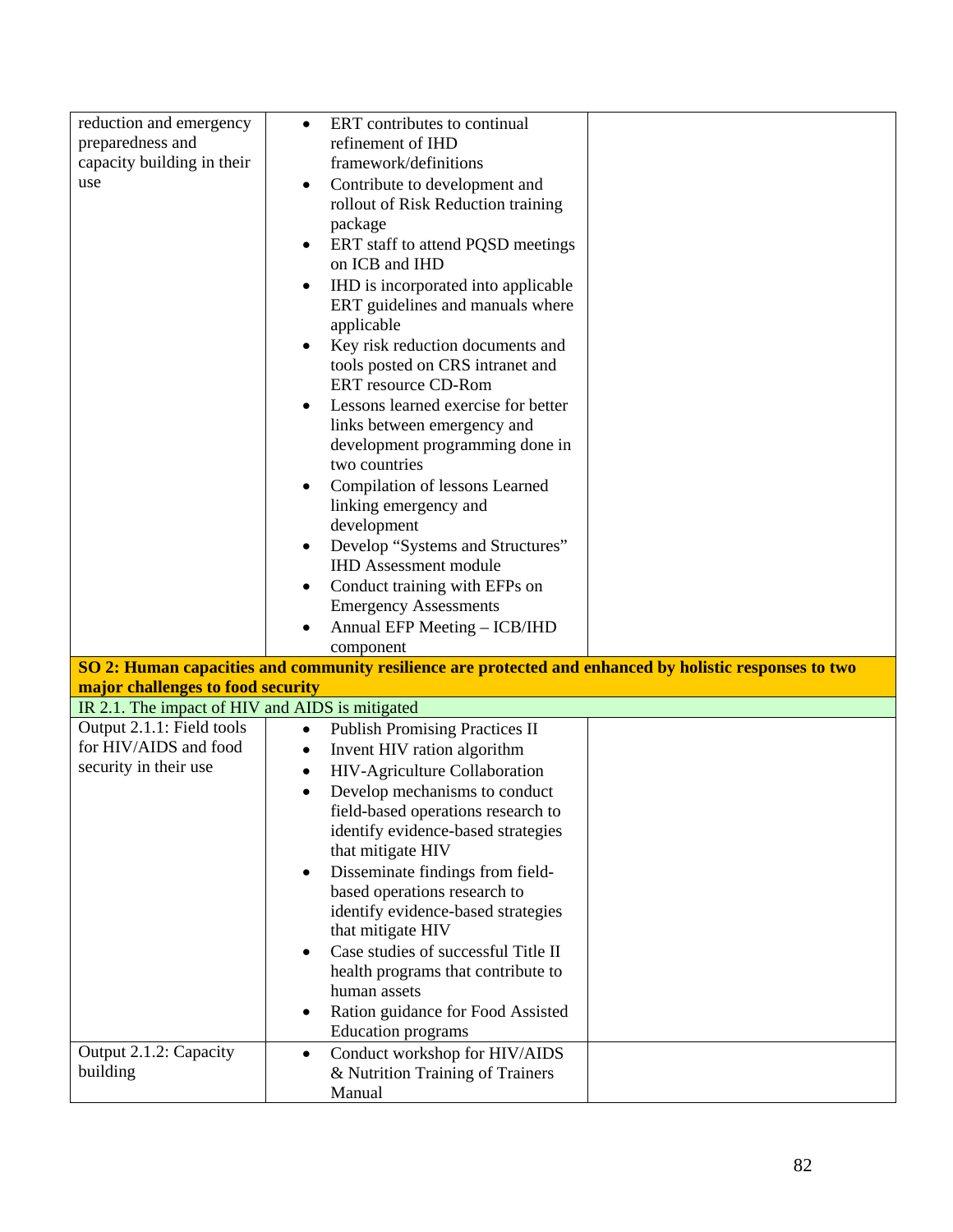| reduction and emergency                            | ERT contributes to continual<br>$\bullet$        |                                                                                                         |
|----------------------------------------------------|--------------------------------------------------|---------------------------------------------------------------------------------------------------------|
| preparedness and                                   | refinement of IHD                                |                                                                                                         |
| capacity building in their                         | framework/definitions                            |                                                                                                         |
| use                                                | Contribute to development and<br>$\bullet$       |                                                                                                         |
|                                                    | rollout of Risk Reduction training               |                                                                                                         |
|                                                    | package                                          |                                                                                                         |
|                                                    | ERT staff to attend PQSD meetings<br>$\bullet$   |                                                                                                         |
|                                                    | on ICB and IHD                                   |                                                                                                         |
|                                                    | IHD is incorporated into applicable<br>$\bullet$ |                                                                                                         |
|                                                    | ERT guidelines and manuals where                 |                                                                                                         |
|                                                    | applicable                                       |                                                                                                         |
|                                                    | Key risk reduction documents and<br>$\bullet$    |                                                                                                         |
|                                                    | tools posted on CRS intranet and                 |                                                                                                         |
|                                                    | ERT resource CD-Rom                              |                                                                                                         |
|                                                    | Lessons learned exercise for better              |                                                                                                         |
|                                                    | links between emergency and                      |                                                                                                         |
|                                                    | development programming done in                  |                                                                                                         |
|                                                    | two countries                                    |                                                                                                         |
|                                                    | Compilation of lessons Learned<br>$\bullet$      |                                                                                                         |
|                                                    | linking emergency and                            |                                                                                                         |
|                                                    | development                                      |                                                                                                         |
|                                                    | Develop "Systems and Structures"                 |                                                                                                         |
|                                                    | <b>IHD Assessment module</b>                     |                                                                                                         |
|                                                    | Conduct training with EFPs on<br>$\bullet$       |                                                                                                         |
|                                                    | <b>Emergency Assessments</b>                     |                                                                                                         |
|                                                    |                                                  |                                                                                                         |
|                                                    | $\bullet$                                        |                                                                                                         |
|                                                    | Annual EFP Meeting - ICB/IHD<br>component        |                                                                                                         |
|                                                    |                                                  |                                                                                                         |
|                                                    |                                                  | SO 2: Human capacities and community resilience are protected and enhanced by holistic responses to two |
| major challenges to food security                  |                                                  |                                                                                                         |
| IR 2.1. The impact of HIV and AIDS is mitigated    | $\bullet$                                        |                                                                                                         |
| Output 2.1.1: Field tools<br>for HIV/AIDS and food | <b>Publish Promising Practices II</b>            |                                                                                                         |
|                                                    | Invent HIV ration algorithm<br>$\bullet$         |                                                                                                         |
| security in their use                              | HIV-Agriculture Collaboration<br>$\bullet$       |                                                                                                         |
|                                                    | Develop mechanisms to conduct<br>$\bullet$       |                                                                                                         |
|                                                    | field-based operations research to               |                                                                                                         |
|                                                    | identify evidence-based strategies               |                                                                                                         |
|                                                    | that mitigate HIV                                |                                                                                                         |
|                                                    | Disseminate findings from field-<br>$\bullet$    |                                                                                                         |
|                                                    | based operations research to                     |                                                                                                         |
|                                                    | identify evidence-based strategies               |                                                                                                         |
|                                                    | that mitigate HIV                                |                                                                                                         |
|                                                    | Case studies of successful Title II<br>$\bullet$ |                                                                                                         |
|                                                    | health programs that contribute to               |                                                                                                         |
|                                                    | human assets                                     |                                                                                                         |
|                                                    | Ration guidance for Food Assisted<br>$\bullet$   |                                                                                                         |
|                                                    | <b>Education</b> programs                        |                                                                                                         |
| Output 2.1.2: Capacity                             | Conduct workshop for HIV/AIDS<br>$\bullet$       |                                                                                                         |
| building                                           | & Nutrition Training of Trainers<br>Manual       |                                                                                                         |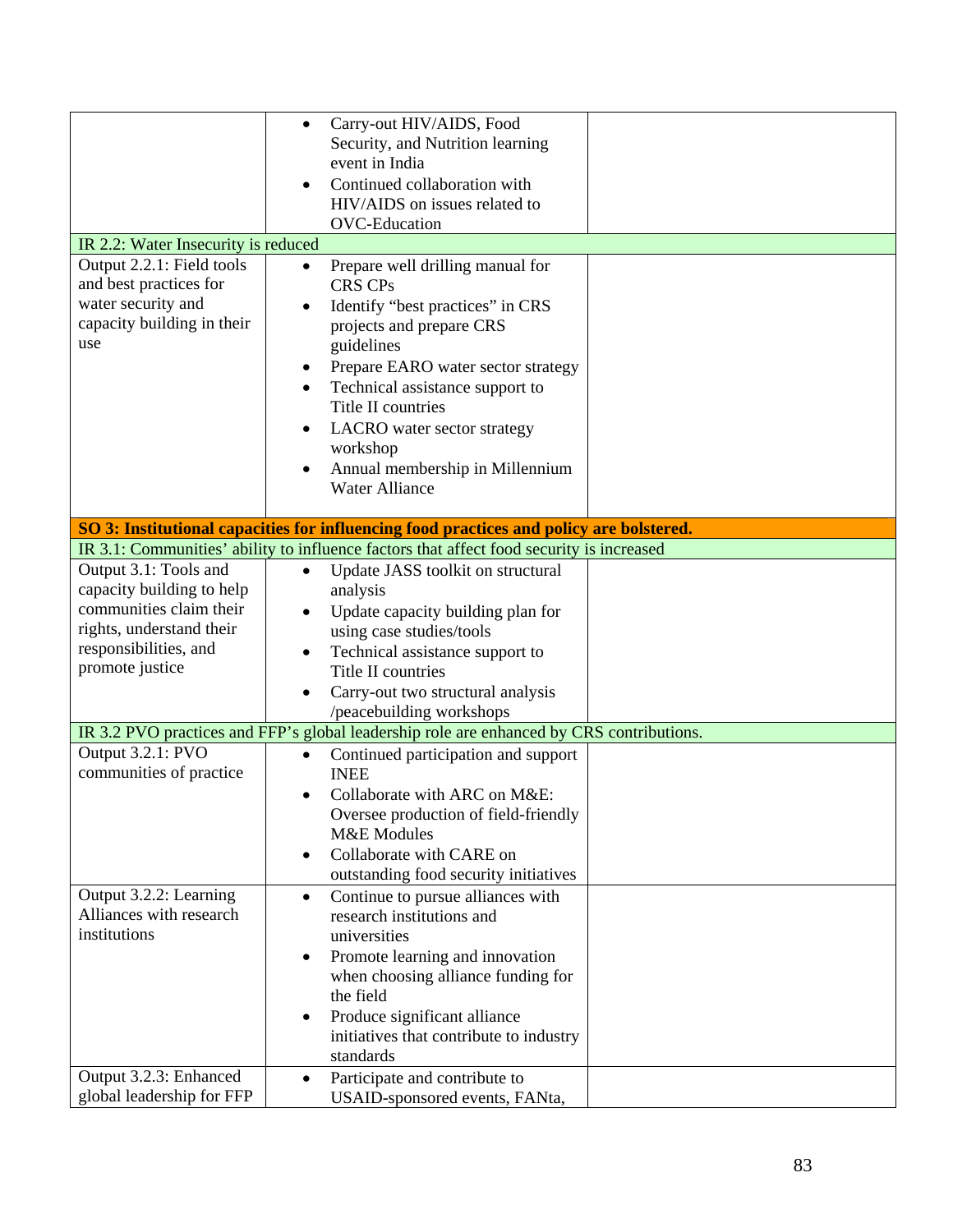|                                                                                                                                                       | Carry-out HIV/AIDS, Food<br>$\bullet$<br>Security, and Nutrition learning<br>event in India<br>Continued collaboration with<br>HIV/AIDS on issues related to<br><b>OVC-Education</b>                                                                                                                                                                                            |  |
|-------------------------------------------------------------------------------------------------------------------------------------------------------|---------------------------------------------------------------------------------------------------------------------------------------------------------------------------------------------------------------------------------------------------------------------------------------------------------------------------------------------------------------------------------|--|
| IR 2.2: Water Insecurity is reduced                                                                                                                   |                                                                                                                                                                                                                                                                                                                                                                                 |  |
| Output 2.2.1: Field tools<br>and best practices for<br>water security and<br>capacity building in their<br>use                                        | Prepare well drilling manual for<br>$\bullet$<br><b>CRS CPs</b><br>Identify "best practices" in CRS<br>٠<br>projects and prepare CRS<br>guidelines<br>Prepare EARO water sector strategy<br>٠<br>Technical assistance support to<br>Title II countries<br>LACRO water sector strategy<br>٠<br>workshop<br>Annual membership in Millennium<br>$\bullet$<br><b>Water Alliance</b> |  |
|                                                                                                                                                       | SO 3: Institutional capacities for influencing food practices and policy are bolstered.                                                                                                                                                                                                                                                                                         |  |
|                                                                                                                                                       | IR 3.1: Communities' ability to influence factors that affect food security is increased                                                                                                                                                                                                                                                                                        |  |
| Output 3.1: Tools and<br>capacity building to help<br>communities claim their<br>rights, understand their<br>responsibilities, and<br>promote justice | Update JASS toolkit on structural<br>$\bullet$<br>analysis<br>Update capacity building plan for<br>using case studies/tools<br>Technical assistance support to<br>٠<br>Title II countries<br>Carry-out two structural analysis<br>$\bullet$<br>/peacebuilding workshops                                                                                                         |  |
|                                                                                                                                                       | IR 3.2 PVO practices and FFP's global leadership role are enhanced by CRS contributions.                                                                                                                                                                                                                                                                                        |  |
| Output 3.2.1: PVO<br>communities of practice                                                                                                          | Continued participation and support<br>$\bullet$<br><b>INEE</b><br>Collaborate with ARC on M&E:<br>$\bullet$<br>Oversee production of field-friendly<br><b>M&amp;E</b> Modules<br>Collaborate with CARE on<br>$\bullet$<br>outstanding food security initiatives                                                                                                                |  |
| Output 3.2.2: Learning<br>Alliances with research<br>institutions                                                                                     | Continue to pursue alliances with<br>$\bullet$<br>research institutions and<br>universities<br>Promote learning and innovation<br>٠<br>when choosing alliance funding for<br>the field<br>Produce significant alliance<br>٠<br>initiatives that contribute to industry<br>standards                                                                                             |  |
| Output 3.2.3: Enhanced<br>global leadership for FFP                                                                                                   | Participate and contribute to<br>$\bullet$<br>USAID-sponsored events, FANta,                                                                                                                                                                                                                                                                                                    |  |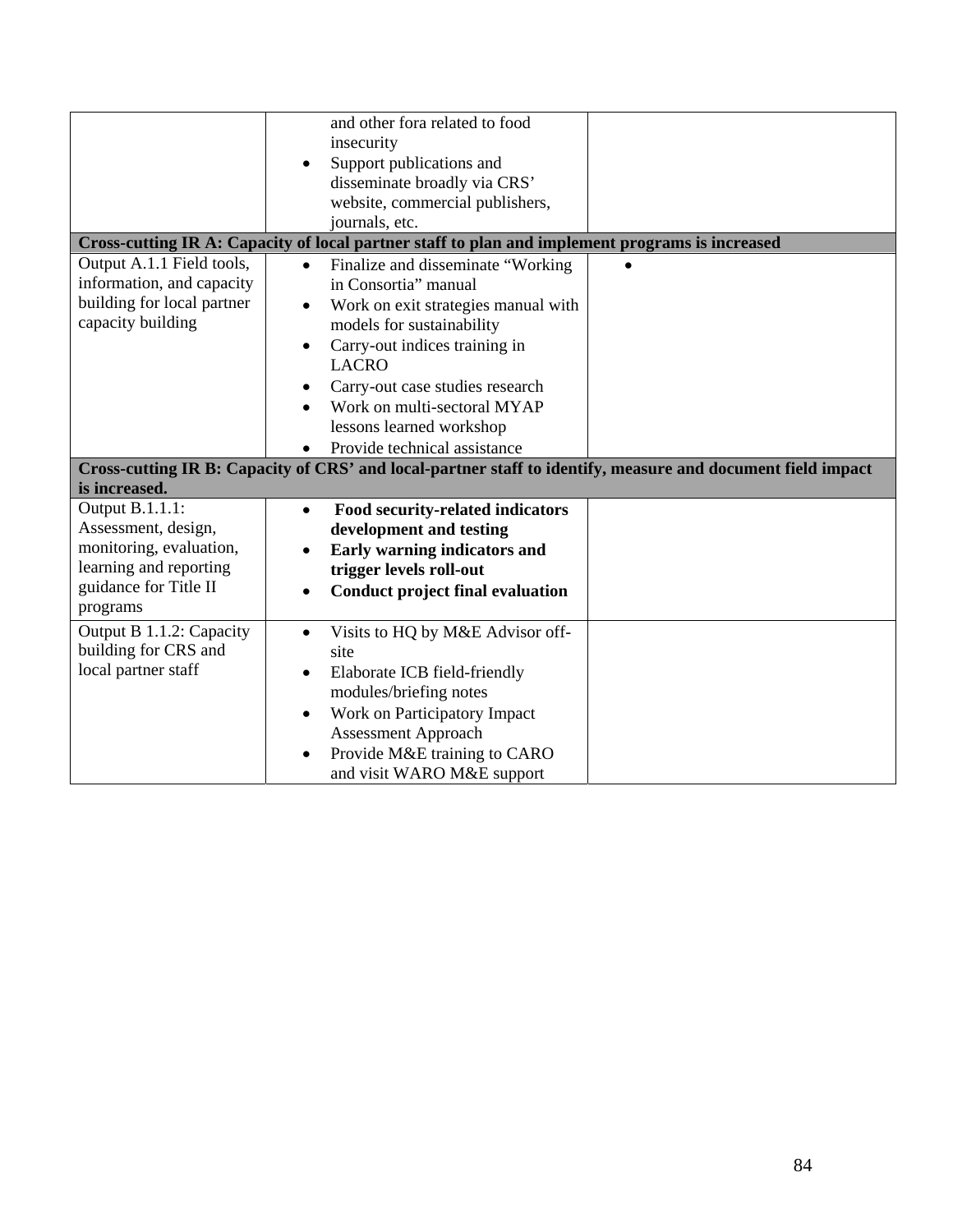|                            | and other fora related to food                                                                              |  |
|----------------------------|-------------------------------------------------------------------------------------------------------------|--|
|                            | insecurity                                                                                                  |  |
|                            | Support publications and<br>$\bullet$                                                                       |  |
|                            | disseminate broadly via CRS'                                                                                |  |
|                            | website, commercial publishers,                                                                             |  |
|                            | journals, etc.                                                                                              |  |
|                            | Cross-cutting IR A: Capacity of local partner staff to plan and implement programs is increased             |  |
|                            |                                                                                                             |  |
| Output A.1.1 Field tools,  | Finalize and disseminate "Working"<br>$\bullet$                                                             |  |
| information, and capacity  | in Consortia" manual                                                                                        |  |
| building for local partner | Work on exit strategies manual with                                                                         |  |
| capacity building          | models for sustainability                                                                                   |  |
|                            | Carry-out indices training in<br>$\bullet$                                                                  |  |
|                            | <b>LACRO</b>                                                                                                |  |
|                            |                                                                                                             |  |
|                            | Carry-out case studies research<br>٠                                                                        |  |
|                            | Work on multi-sectoral MYAP                                                                                 |  |
|                            | lessons learned workshop                                                                                    |  |
|                            | Provide technical assistance<br>$\bullet$                                                                   |  |
|                            | Cross-cutting IR B: Capacity of CRS' and local-partner staff to identify, measure and document field impact |  |
| is increased.              |                                                                                                             |  |
| Output B.1.1.1:            | Food security-related indicators<br>$\bullet$                                                               |  |
| Assessment, design,        | development and testing                                                                                     |  |
| monitoring, evaluation,    |                                                                                                             |  |
| learning and reporting     | Early warning indicators and                                                                                |  |
|                            | trigger levels roll-out                                                                                     |  |
| guidance for Title II      | <b>Conduct project final evaluation</b><br>$\bullet$                                                        |  |
| programs                   |                                                                                                             |  |
| Output B 1.1.2: Capacity   | Visits to HQ by M&E Advisor off-<br>$\bullet$                                                               |  |
| building for CRS and       | site                                                                                                        |  |
| local partner staff        | Elaborate ICB field-friendly<br>$\bullet$                                                                   |  |
|                            |                                                                                                             |  |
|                            | modules/briefing notes                                                                                      |  |
|                            | Work on Participatory Impact<br>$\bullet$                                                                   |  |
|                            | <b>Assessment Approach</b>                                                                                  |  |
|                            | Provide M&E training to CARO<br>$\bullet$                                                                   |  |
|                            | and visit WARO M&E support                                                                                  |  |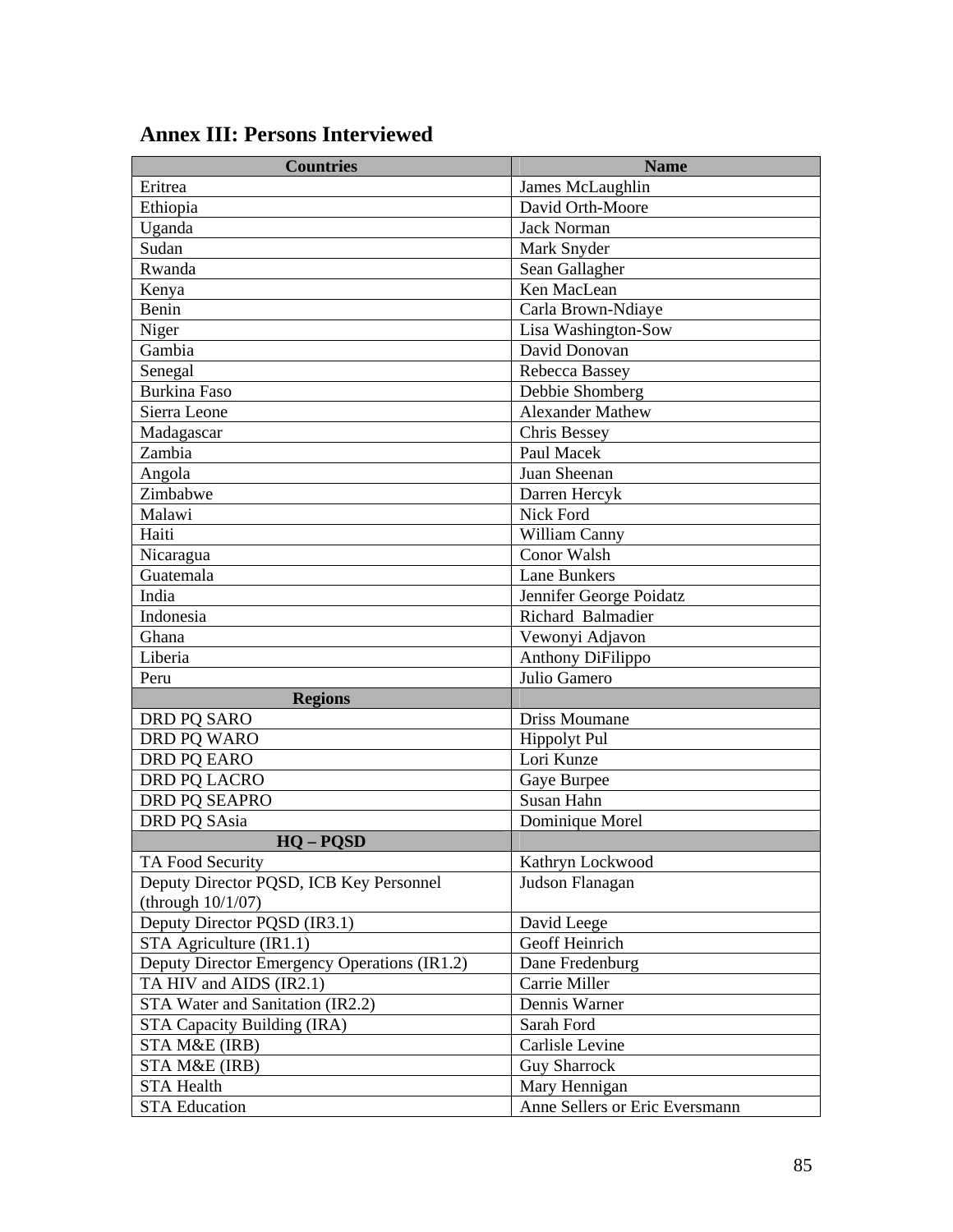| <b>Countries</b>                             | <b>Name</b>                    |
|----------------------------------------------|--------------------------------|
| Eritrea                                      | James McLaughlin               |
| Ethiopia                                     | David Orth-Moore               |
| Uganda                                       | <b>Jack Norman</b>             |
| Sudan                                        | Mark Snyder                    |
| Rwanda                                       | Sean Gallagher                 |
| Kenya                                        | Ken MacLean                    |
| Benin                                        | Carla Brown-Ndiaye             |
| Niger                                        | Lisa Washington-Sow            |
| Gambia                                       | David Donovan                  |
| Senegal                                      | Rebecca Bassey                 |
| <b>Burkina Faso</b>                          | Debbie Shomberg                |
| Sierra Leone                                 | <b>Alexander Mathew</b>        |
| Madagascar                                   | Chris Bessey                   |
| Zambia                                       | Paul Macek                     |
| Angola                                       | Juan Sheenan                   |
| Zimbabwe                                     | Darren Hercyk                  |
| Malawi                                       | Nick Ford                      |
| Haiti                                        | William Canny                  |
| Nicaragua                                    | Conor Walsh                    |
| Guatemala                                    | <b>Lane Bunkers</b>            |
| India                                        | Jennifer George Poidatz        |
| Indonesia                                    | Richard Balmadier              |
| Ghana                                        | Vewonyi Adjavon                |
| Liberia                                      | Anthony DiFilippo              |
| Peru                                         | Julio Gamero                   |
| <b>Regions</b>                               |                                |
| DRD PQ SARO                                  | Driss Moumane                  |
| DRD PQ WARO                                  | <b>Hippolyt Pul</b>            |
| <b>DRD PO EARO</b>                           | Lori Kunze                     |
| DRD PQ LACRO                                 | Gaye Burpee                    |
| DRD PQ SEAPRO                                | Susan Hahn                     |
| DRD PQ SAsia                                 | Dominique Morel                |
| $HO - POSD$                                  |                                |
| TA Food Security                             | Kathryn Lockwood               |
| Deputy Director PQSD, ICB Key Personnel      | Judson Flanagan                |
| (through $10/1/07$ )                         |                                |
| Deputy Director PQSD (IR3.1)                 | David Leege                    |
| STA Agriculture (IR1.1)                      | Geoff Heinrich                 |
| Deputy Director Emergency Operations (IR1.2) | Dane Fredenburg                |
| TA HIV and AIDS (IR2.1)                      | Carrie Miller                  |
| STA Water and Sanitation (IR2.2)             | Dennis Warner                  |
| STA Capacity Building (IRA)                  | Sarah Ford                     |
| STA M&E (IRB)                                | Carlisle Levine                |
| STA M&E (IRB)                                | <b>Guy Sharrock</b>            |
| <b>STA Health</b>                            | Mary Hennigan                  |
| <b>STA Education</b>                         | Anne Sellers or Eric Eversmann |

# **Annex III: Persons Interviewed**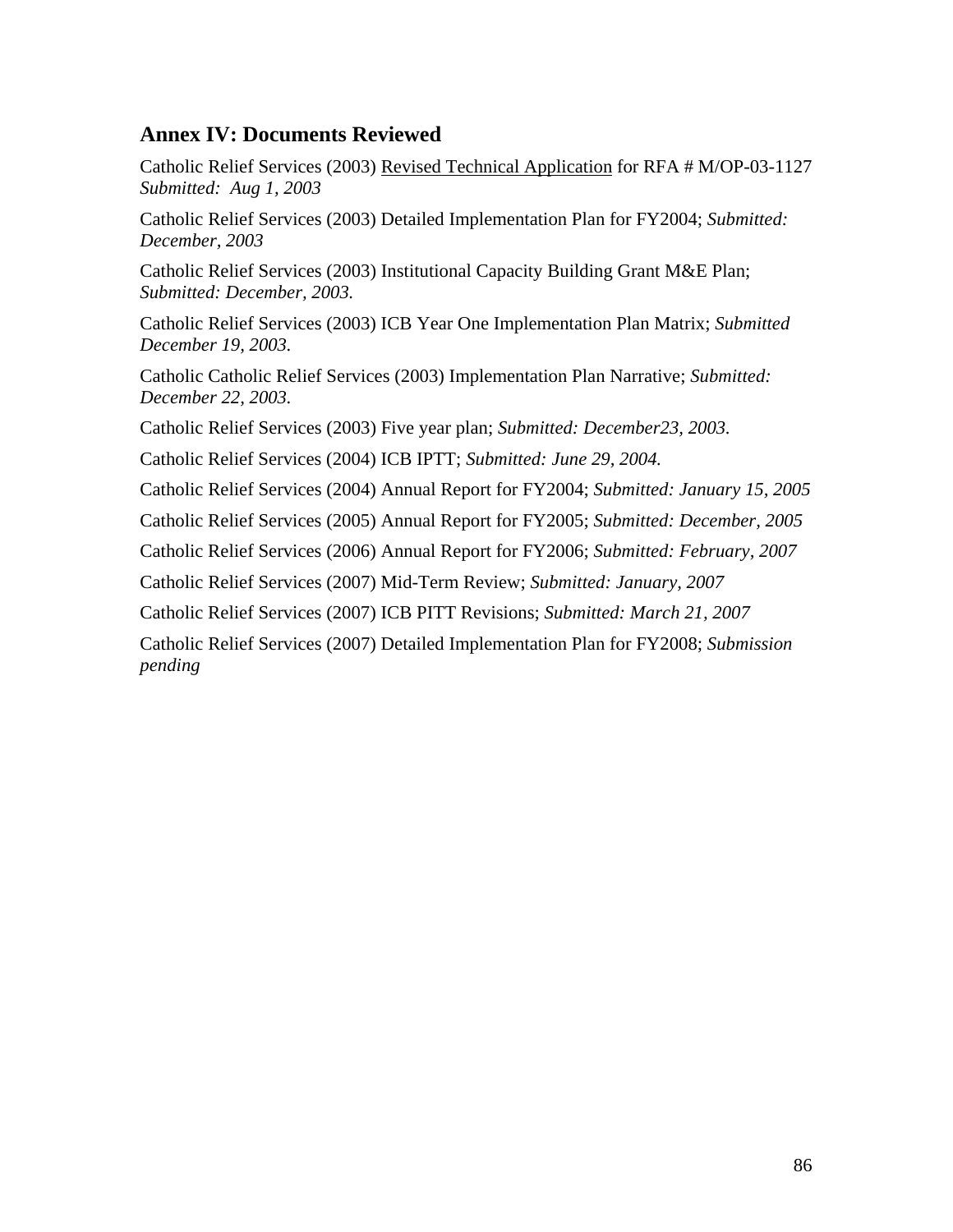# **Annex IV: Documents Reviewed**

Catholic Relief Services (2003) Revised Technical Application for RFA # M/OP-03-1127 *Submitted: Aug 1, 2003*

Catholic Relief Services (2003) Detailed Implementation Plan for FY2004; *Submitted: December, 2003* 

Catholic Relief Services (2003) Institutional Capacity Building Grant M&E Plan; *Submitted: December, 2003.* 

Catholic Relief Services (2003) ICB Year One Implementation Plan Matrix; *Submitted December 19, 2003.* 

Catholic Catholic Relief Services (2003) Implementation Plan Narrative; *Submitted: December 22, 2003.* 

Catholic Relief Services (2003) Five year plan; *Submitted: December23, 2003.* 

Catholic Relief Services (2004) ICB IPTT; *Submitted: June 29, 2004.* 

Catholic Relief Services (2004) Annual Report for FY2004; *Submitted: January 15, 2005* 

Catholic Relief Services (2005) Annual Report for FY2005; *Submitted: December, 2005* 

Catholic Relief Services (2006) Annual Report for FY2006; *Submitted: February, 2007*

Catholic Relief Services (2007) Mid-Term Review; *Submitted: January, 2007* 

Catholic Relief Services (2007) ICB PITT Revisions; *Submitted: March 21, 2007*

Catholic Relief Services (2007) Detailed Implementation Plan for FY2008; *Submission pending*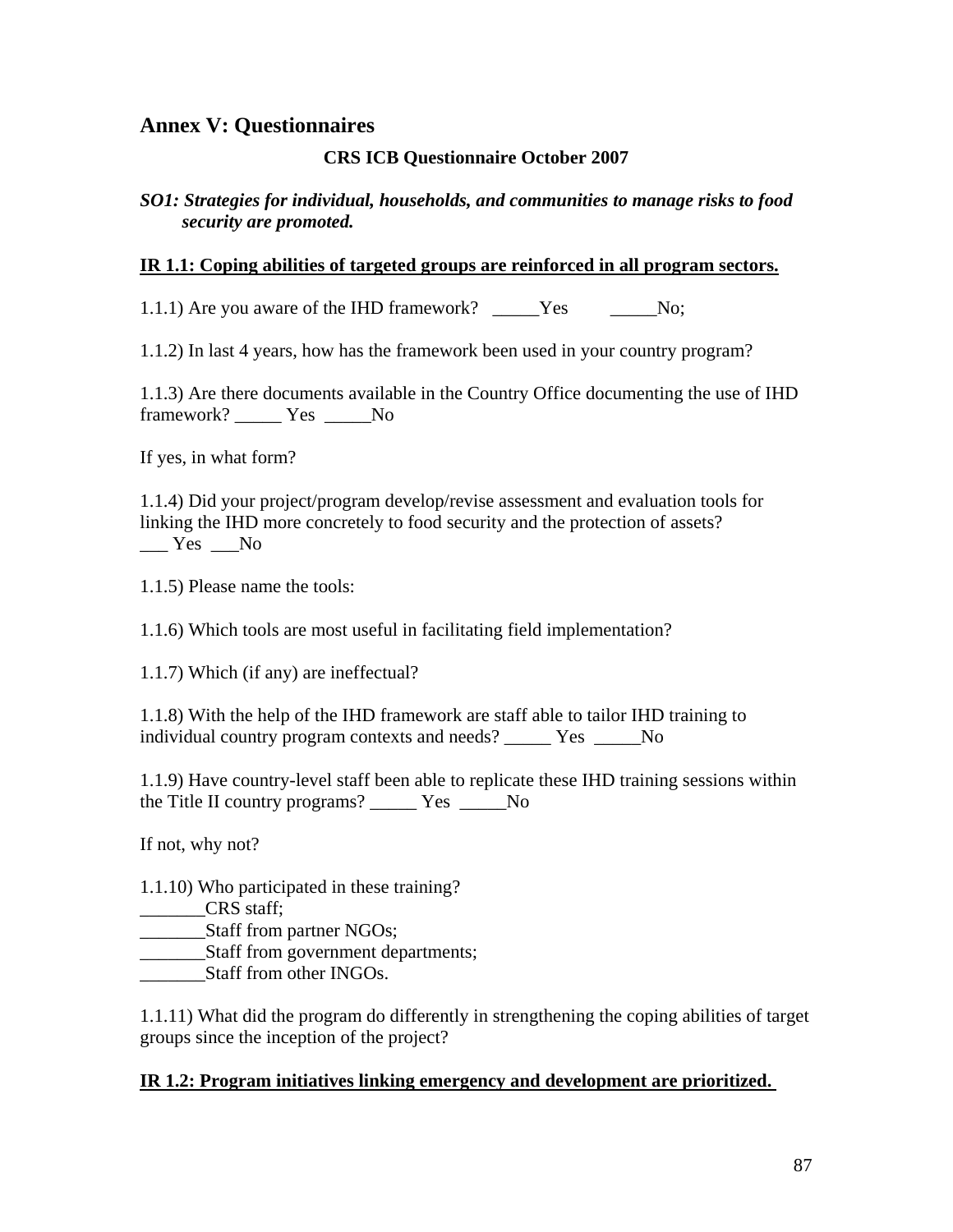## **Annex V: Questionnaires**

#### **CRS ICB Questionnaire October 2007**

#### *SO1: Strategies for individual, households, and communities to manage risks to food security are promoted.*

#### **IR 1.1: Coping abilities of targeted groups are reinforced in all program sectors.**

1.1.1) Are you aware of the IHD framework? Yes No;

1.1.2) In last 4 years, how has the framework been used in your country program?

1.1.3) Are there documents available in the Country Office documenting the use of IHD framework? \_\_\_\_\_ Yes \_\_\_\_\_No

If yes, in what form?

1.1.4) Did your project/program develop/revise assessment and evaluation tools for linking the IHD more concretely to food security and the protection of assets?  $Yes$  No

1.1.5) Please name the tools:

1.1.6) Which tools are most useful in facilitating field implementation?

1.1.7) Which (if any) are ineffectual?

1.1.8) With the help of the IHD framework are staff able to tailor IHD training to individual country program contexts and needs? Yes No

1.1.9) Have country-level staff been able to replicate these IHD training sessions within the Title II country programs? \_\_\_\_\_ Yes \_\_\_\_\_No

If not, why not?

1.1.10) Who participated in these training?

\_\_\_\_\_\_\_CRS staff;

\_\_\_\_\_\_\_Staff from partner NGOs;

\_\_\_\_\_\_\_Staff from government departments;

Staff from other INGOs.

1.1.11) What did the program do differently in strengthening the coping abilities of target groups since the inception of the project?

#### **IR 1.2: Program initiatives linking emergency and development are prioritized.**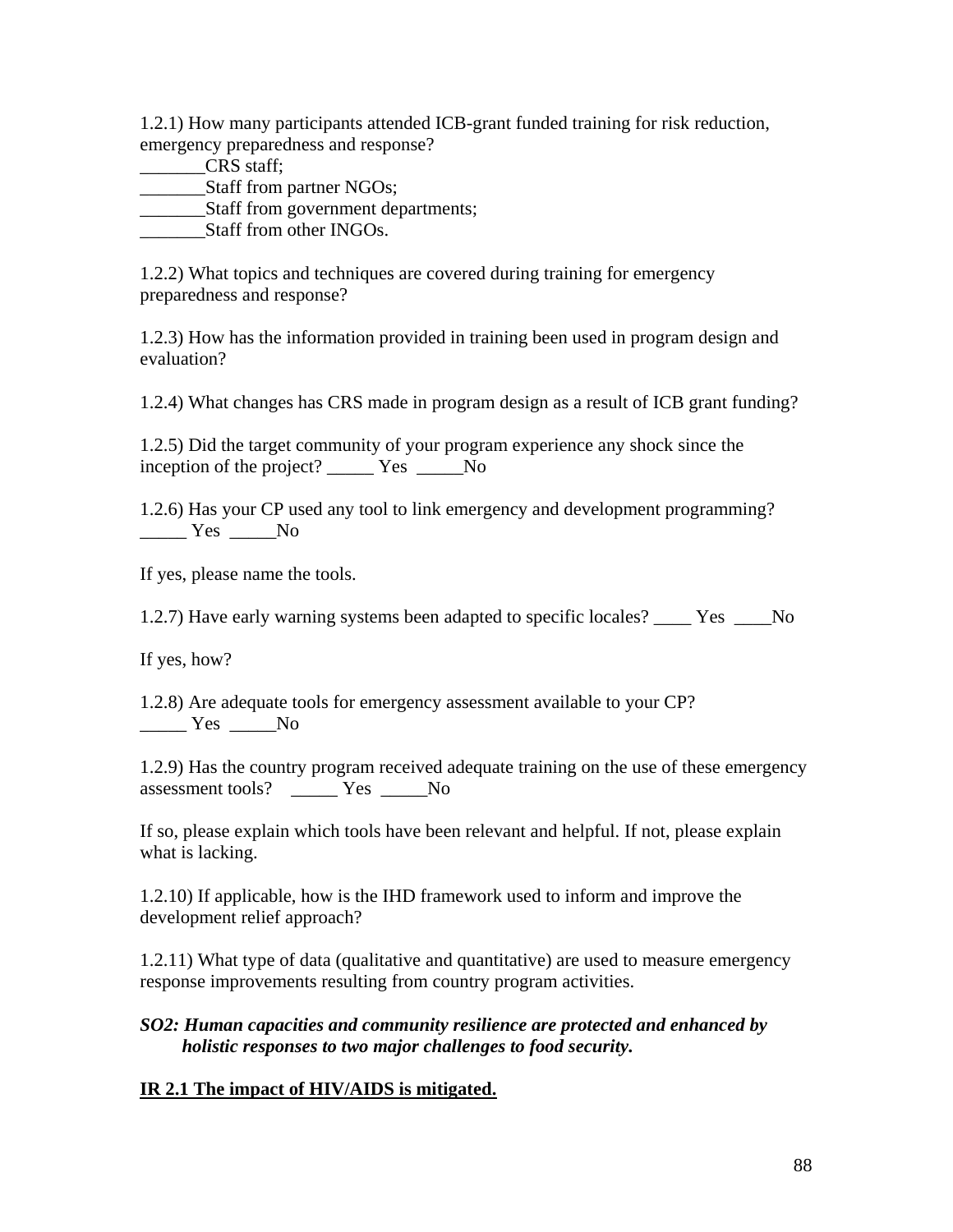1.2.1) How many participants attended ICB-grant funded training for risk reduction, emergency preparedness and response?

\_\_\_\_\_\_\_CRS staff;

Staff from partner NGOs;

\_\_\_\_\_\_\_Staff from government departments;

Staff from other INGOs.

1.2.2) What topics and techniques are covered during training for emergency preparedness and response?

1.2.3) How has the information provided in training been used in program design and evaluation?

1.2.4) What changes has CRS made in program design as a result of ICB grant funding?

1.2.5) Did the target community of your program experience any shock since the inception of the project? \_\_\_\_\_ Yes \_\_\_\_\_No

1.2.6) Has your CP used any tool to link emergency and development programming? \_\_\_\_\_ Yes \_\_\_\_\_No

If yes, please name the tools.

1.2.7) Have early warning systems been adapted to specific locales? Yes No

If yes, how?

1.2.8) Are adequate tools for emergency assessment available to your CP?  $\frac{\ }{\ }$  Yes  $\frac{\ }{\ }$  No

1.2.9) Has the country program received adequate training on the use of these emergency assessment tools? \_\_\_\_\_ Yes \_\_\_\_\_No

If so, please explain which tools have been relevant and helpful. If not, please explain what is lacking.

1.2.10) If applicable, how is the IHD framework used to inform and improve the development relief approach?

1.2.11) What type of data (qualitative and quantitative) are used to measure emergency response improvements resulting from country program activities.

#### *SO2: Human capacities and community resilience are protected and enhanced by holistic responses to two major challenges to food security.*

# **IR 2.1 The impact of HIV/AIDS is mitigated.**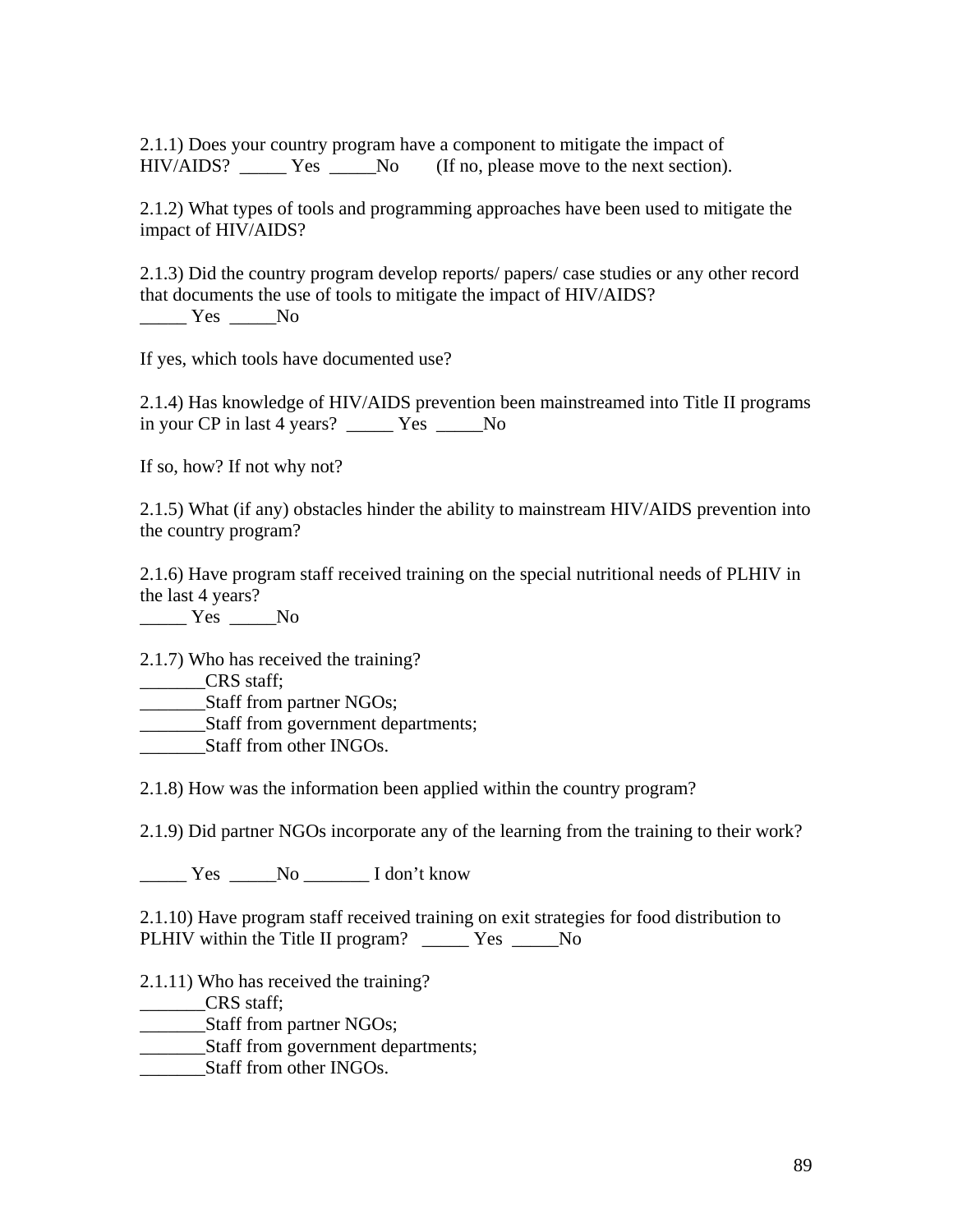2.1.1) Does your country program have a component to mitigate the impact of HIV/AIDS? \_\_\_\_\_ Yes \_\_\_\_\_No (If no, please move to the next section).

2.1.2) What types of tools and programming approaches have been used to mitigate the impact of HIV/AIDS?

2.1.3) Did the country program develop reports/ papers/ case studies or any other record that documents the use of tools to mitigate the impact of HIV/AIDS?

\_\_\_\_\_ Yes \_\_\_\_\_No

If yes, which tools have documented use?

2.1.4) Has knowledge of HIV/AIDS prevention been mainstreamed into Title II programs in your CP in last 4 years? \_\_\_\_\_ Yes \_\_\_\_\_No

If so, how? If not why not?

2.1.5) What (if any) obstacles hinder the ability to mainstream HIV/AIDS prevention into the country program?

2.1.6) Have program staff received training on the special nutritional needs of PLHIV in the last 4 years?

Yes No

2.1.7) Who has received the training?

\_\_\_\_\_\_\_CRS staff;

\_\_\_\_\_\_\_Staff from partner NGOs;

\_\_\_\_\_\_\_Staff from government departments;

Staff from other INGOs.

2.1.8) How was the information been applied within the country program?

2.1.9) Did partner NGOs incorporate any of the learning from the training to their work?

\_\_\_\_\_ Yes \_\_\_\_\_No \_\_\_\_\_\_\_ I don't know

2.1.10) Have program staff received training on exit strategies for food distribution to PLHIV within the Title II program? \_\_\_\_\_\_ Yes \_\_\_\_\_No

2.1.11) Who has received the training?

\_\_\_\_\_\_\_CRS staff;

\_\_\_\_\_\_\_Staff from partner NGOs;

\_\_\_\_\_\_\_Staff from government departments;

Staff from other INGOs.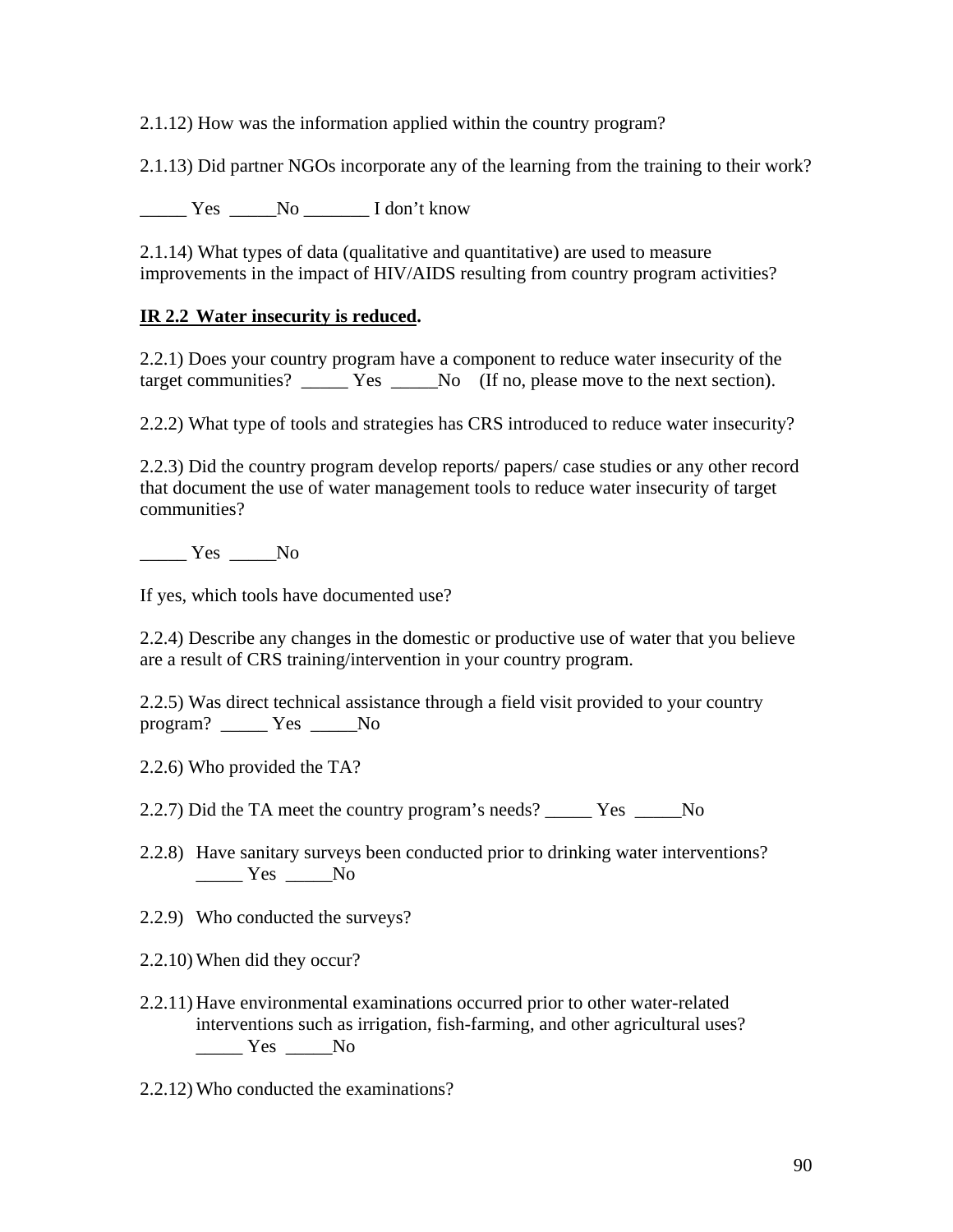2.1.12) How was the information applied within the country program?

2.1.13) Did partner NGOs incorporate any of the learning from the training to their work?

Yes No I don't know

2.1.14) What types of data (qualitative and quantitative) are used to measure improvements in the impact of HIV/AIDS resulting from country program activities?

## **IR 2.2 Water insecurity is reduced.**

2.2.1) Does your country program have a component to reduce water insecurity of the target communities? \_\_\_\_\_ Yes \_\_\_\_\_No (If no, please move to the next section).

2.2.2) What type of tools and strategies has CRS introduced to reduce water insecurity?

2.2.3) Did the country program develop reports/ papers/ case studies or any other record that document the use of water management tools to reduce water insecurity of target communities?

\_\_\_\_\_ Yes \_\_\_\_\_No

If yes, which tools have documented use?

2.2.4) Describe any changes in the domestic or productive use of water that you believe are a result of CRS training/intervention in your country program.

2.2.5) Was direct technical assistance through a field visit provided to your country program? \_\_\_\_\_ Yes \_\_\_\_\_No

2.2.6) Who provided the TA?

2.2.7) Did the TA meet the country program's needs? \_\_\_\_\_\_\_ Yes \_\_\_\_\_\_No

2.2.8) Have sanitary surveys been conducted prior to drinking water interventions? \_\_\_\_\_ Yes \_\_\_\_\_No

2.2.9) Who conducted the surveys?

2.2.10) When did they occur?

2.2.11) Have environmental examinations occurred prior to other water-related interventions such as irrigation, fish-farming, and other agricultural uses?  $\frac{Y_{\text{es}}}{Y_{\text{es}}}$  No

2.2.12) Who conducted the examinations?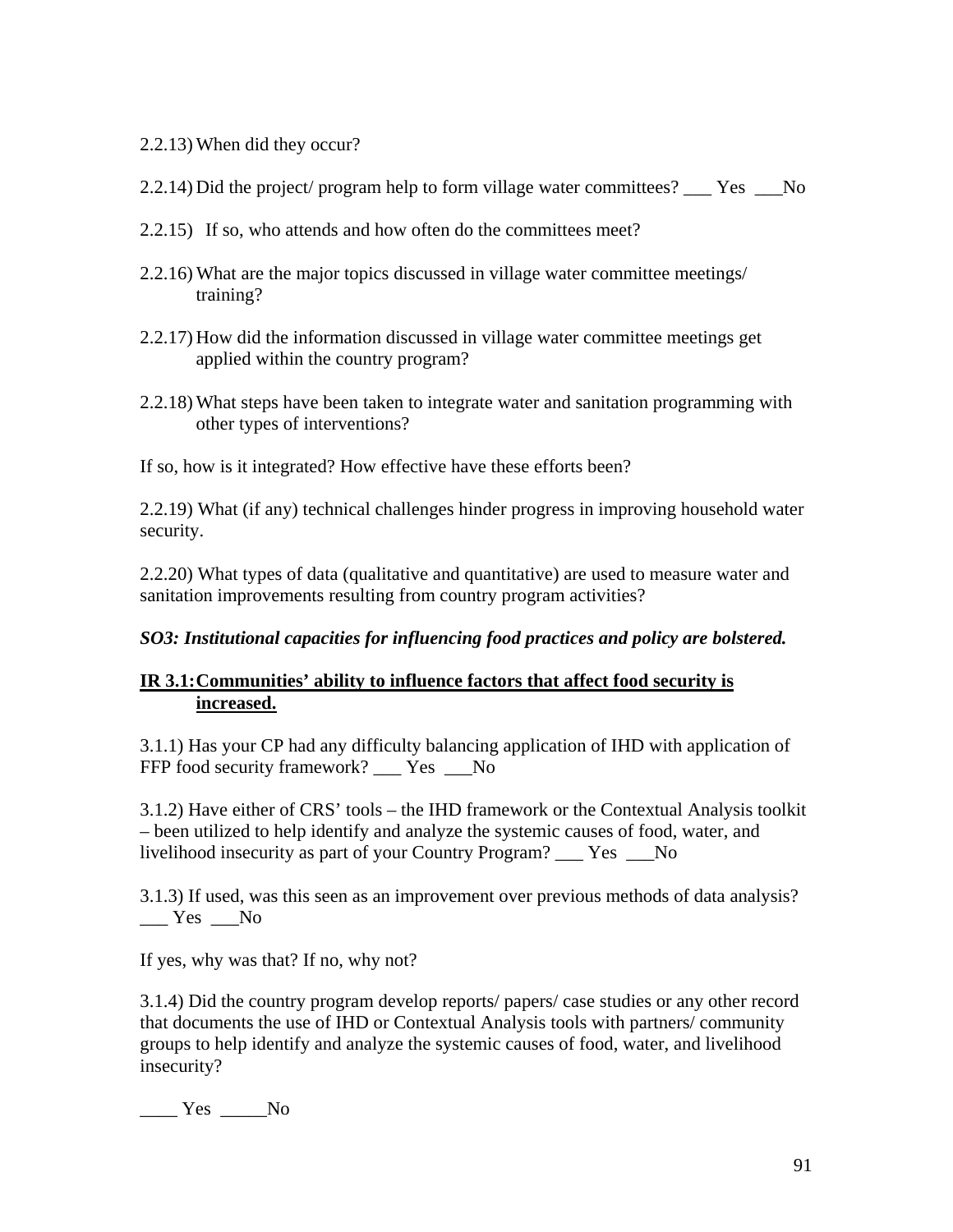- 2.2.13) When did they occur?
- 2.2.14) Did the project/ program help to form village water committees? \_\_\_ Yes \_\_\_No
- 2.2.15) If so, who attends and how often do the committees meet?
- 2.2.16) What are the major topics discussed in village water committee meetings/ training?
- 2.2.17) How did the information discussed in village water committee meetings get applied within the country program?
- 2.2.18) What steps have been taken to integrate water and sanitation programming with other types of interventions?

If so, how is it integrated? How effective have these efforts been?

2.2.19) What (if any) technical challenges hinder progress in improving household water security.

2.2.20) What types of data (qualitative and quantitative) are used to measure water and sanitation improvements resulting from country program activities?

# *SO3: Institutional capacities for influencing food practices and policy are bolstered.*

# **IR 3.1: Communities' ability to influence factors that affect food security is increased.**

3.1.1) Has your CP had any difficulty balancing application of IHD with application of FFP food security framework? \_\_\_ Yes \_\_No

3.1.2) Have either of CRS' tools – the IHD framework or the Contextual Analysis toolkit – been utilized to help identify and analyze the systemic causes of food, water, and livelihood insecurity as part of your Country Program? \_\_\_ Yes \_\_\_No

3.1.3) If used, was this seen as an improvement over previous methods of data analysis? Yes No

If yes, why was that? If no, why not?

3.1.4) Did the country program develop reports/ papers/ case studies or any other record that documents the use of IHD or Contextual Analysis tools with partners/ community groups to help identify and analyze the systemic causes of food, water, and livelihood insecurity?

 $\frac{\ }{\ }$  Yes  $\frac{\ }{\ }$  No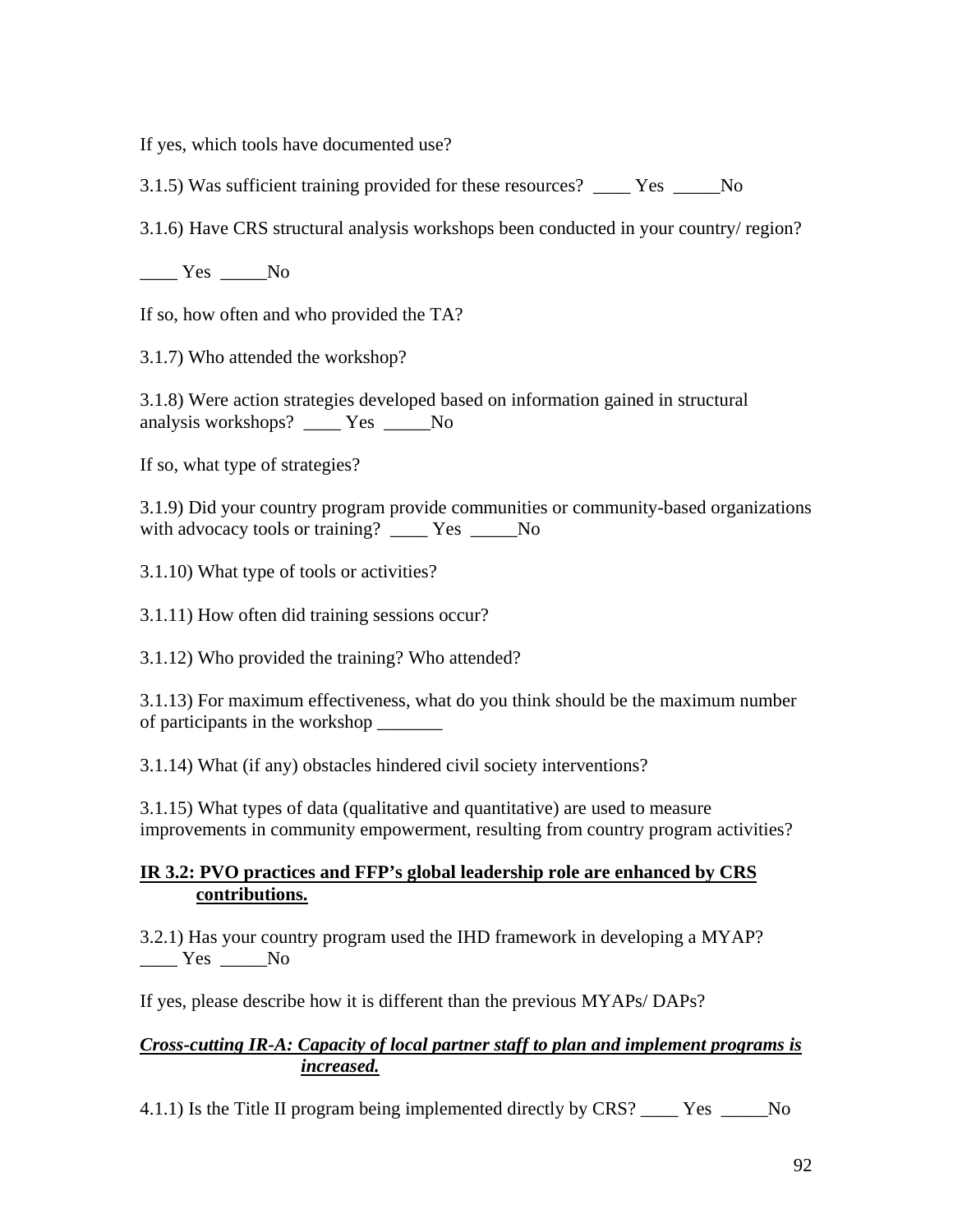If yes, which tools have documented use?

3.1.5) Was sufficient training provided for these resources? \_\_\_\_ Yes \_\_\_\_\_No

3.1.6) Have CRS structural analysis workshops been conducted in your country/ region?

 $\frac{\ }{\ }$  Yes  $\frac{\ }{\ }$  No

If so, how often and who provided the TA?

3.1.7) Who attended the workshop?

3.1.8) Were action strategies developed based on information gained in structural analysis workshops? \_\_\_\_ Yes \_\_\_\_\_No

If so, what type of strategies?

3.1.9) Did your country program provide communities or community-based organizations with advocacy tools or training? \_\_\_\_ Yes \_\_\_\_No

3.1.10) What type of tools or activities?

3.1.11) How often did training sessions occur?

3.1.12) Who provided the training? Who attended?

3.1.13) For maximum effectiveness, what do you think should be the maximum number of participants in the workshop \_\_\_\_\_\_\_

3.1.14) What (if any) obstacles hindered civil society interventions?

3.1.15) What types of data (qualitative and quantitative) are used to measure improvements in community empowerment, resulting from country program activities?

### **IR 3.2: PVO practices and FFP's global leadership role are enhanced by CRS contributions.**

3.2.1) Has your country program used the IHD framework in developing a MYAP?  $Yes$  No

If yes, please describe how it is different than the previous MYAPs/ DAPs?

# *Cross-cutting IR-A: Capacity of local partner staff to plan and implement programs is increased.*

4.1.1) Is the Title II program being implemented directly by CRS? \_\_\_\_ Yes \_\_\_\_\_No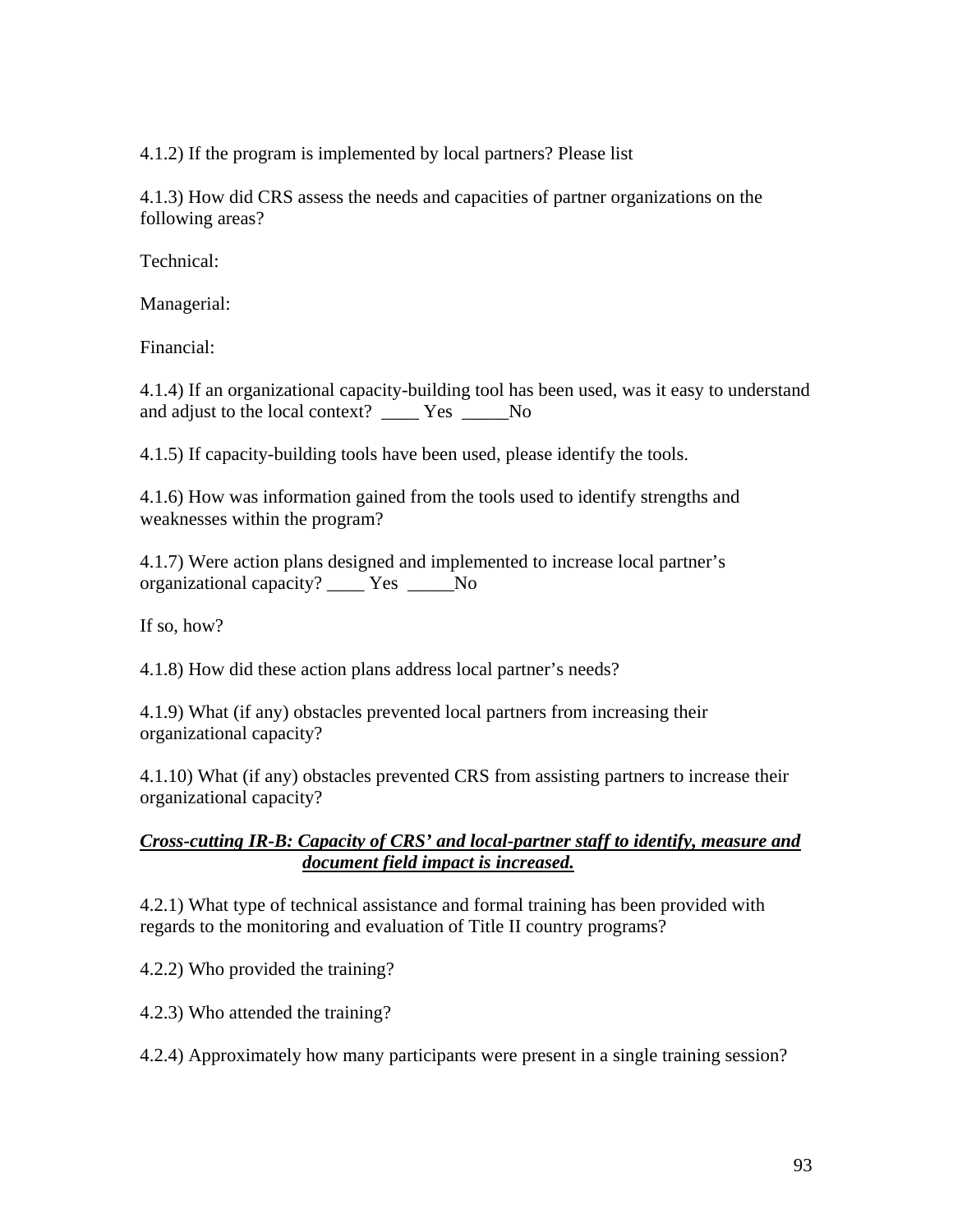4.1.2) If the program is implemented by local partners? Please list

4.1.3) How did CRS assess the needs and capacities of partner organizations on the following areas?

Technical:

Managerial:

Financial:

4.1.4) If an organizational capacity-building tool has been used, was it easy to understand and adjust to the local context? \_\_\_\_\_ Yes \_\_\_\_\_ No

4.1.5) If capacity-building tools have been used, please identify the tools.

4.1.6) How was information gained from the tools used to identify strengths and weaknesses within the program?

4.1.7) Were action plans designed and implemented to increase local partner's organizational capacity? \_\_\_\_ Yes \_\_\_\_\_No

If so, how?

4.1.8) How did these action plans address local partner's needs?

4.1.9) What (if any) obstacles prevented local partners from increasing their organizational capacity?

4.1.10) What (if any) obstacles prevented CRS from assisting partners to increase their organizational capacity?

#### *Cross-cutting IR-B: Capacity of CRS' and local-partner staff to identify, measure and document field impact is increased.*

4.2.1) What type of technical assistance and formal training has been provided with regards to the monitoring and evaluation of Title II country programs?

4.2.2) Who provided the training?

4.2.3) Who attended the training?

4.2.4) Approximately how many participants were present in a single training session?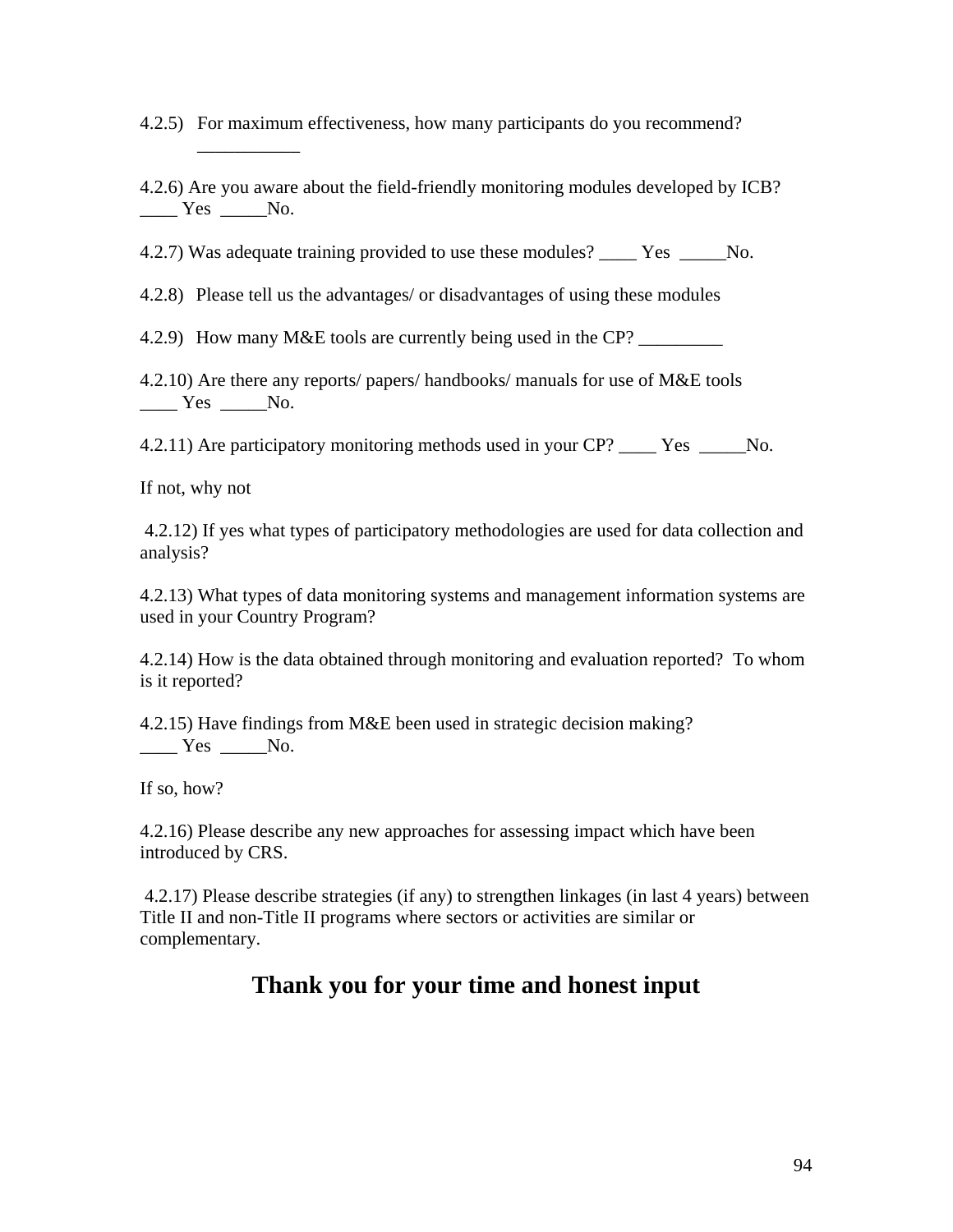4.2.5) For maximum effectiveness, how many participants do you recommend?

4.2.6) Are you aware about the field-friendly monitoring modules developed by ICB?  $Yes$  No.

4.2.7) Was adequate training provided to use these modules? \_\_\_\_ Yes \_\_\_\_\_No.

4.2.8) Please tell us the advantages/ or disadvantages of using these modules

4.2.9) How many M&E tools are currently being used in the CP? \_\_\_\_\_\_\_\_\_\_\_

4.2.10) Are there any reports/ papers/ handbooks/ manuals for use of M&E tools Yes No.

4.2.11) Are participatory monitoring methods used in your CP? \_\_\_\_ Yes \_\_\_\_\_No.

If not, why not

\_\_\_\_\_\_\_\_\_\_\_

 4.2.12) If yes what types of participatory methodologies are used for data collection and analysis?

4.2.13) What types of data monitoring systems and management information systems are used in your Country Program?

4.2.14) How is the data obtained through monitoring and evaluation reported? To whom is it reported?

4.2.15) Have findings from M&E been used in strategic decision making?  $Yes$  \_\_\_\_\_No.

If so, how?

4.2.16) Please describe any new approaches for assessing impact which have been introduced by CRS.

 4.2.17) Please describe strategies (if any) to strengthen linkages (in last 4 years) between Title II and non-Title II programs where sectors or activities are similar or complementary.

# **Thank you for your time and honest input**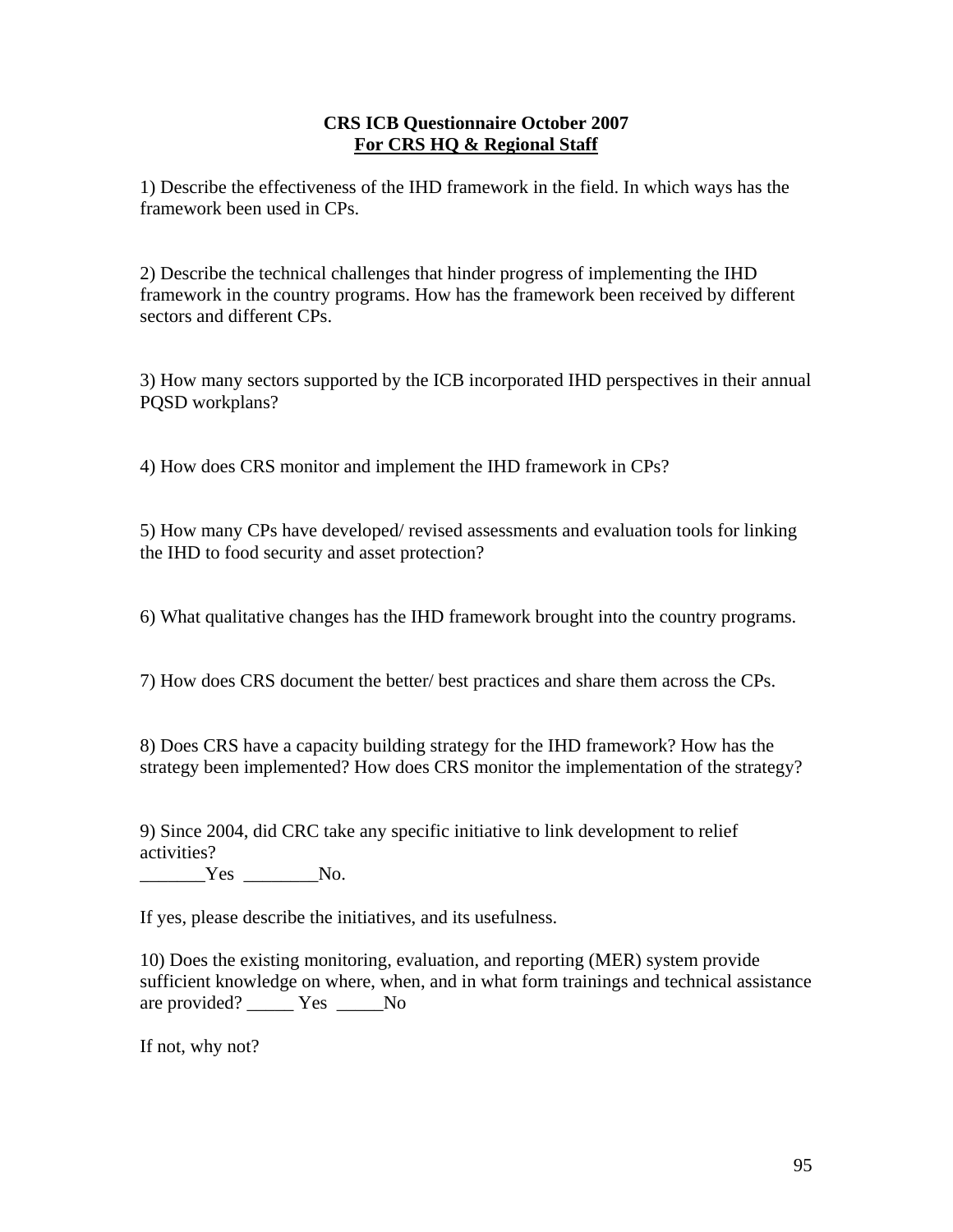#### **CRS ICB Questionnaire October 2007 For CRS HQ & Regional Staff**

1) Describe the effectiveness of the IHD framework in the field. In which ways has the framework been used in CPs.

2) Describe the technical challenges that hinder progress of implementing the IHD framework in the country programs. How has the framework been received by different sectors and different CPs.

3) How many sectors supported by the ICB incorporated IHD perspectives in their annual PQSD workplans?

4) How does CRS monitor and implement the IHD framework in CPs?

5) How many CPs have developed/ revised assessments and evaluation tools for linking the IHD to food security and asset protection?

6) What qualitative changes has the IHD framework brought into the country programs.

7) How does CRS document the better/ best practices and share them across the CPs.

8) Does CRS have a capacity building strategy for the IHD framework? How has the strategy been implemented? How does CRS monitor the implementation of the strategy?

9) Since 2004, did CRC take any specific initiative to link development to relief activities?

\_\_\_\_\_\_\_Yes \_\_\_\_\_\_\_\_No.

If yes, please describe the initiatives, and its usefulness.

10) Does the existing monitoring, evaluation, and reporting (MER) system provide sufficient knowledge on where, when, and in what form trainings and technical assistance are provided? \_\_\_\_\_ Yes \_\_\_\_\_No

If not, why not?